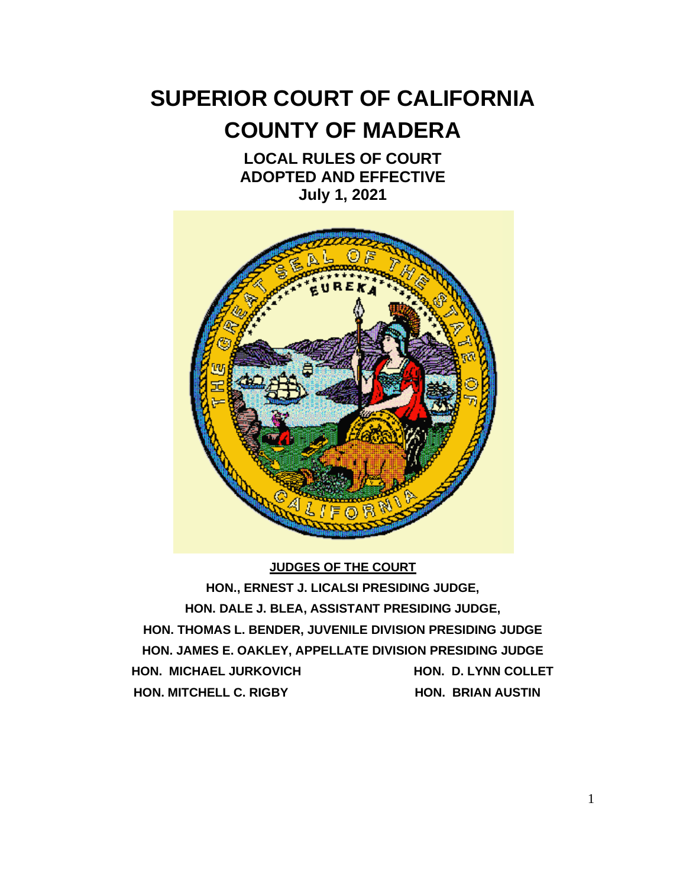# **SUPERIOR COURT OF CALIFORNIA COUNTY OF MADERA**

## **LOCAL RULES OF COURT ADOPTED AND EFFECTIVE July 1, 2021**



#### **JUDGES OF THE COURT**

**HON., ERNEST J. LICALSI PRESIDING JUDGE, HON. DALE J. BLEA, ASSISTANT PRESIDING JUDGE, HON. THOMAS L. BENDER, JUVENILE DIVISION PRESIDING JUDGE HON. JAMES E. OAKLEY, APPELLATE DIVISION PRESIDING JUDGE HON. MICHAEL JURKOVICH HON. D. LYNN COLLET HON. MITCHELL C. RIGBY HON. BRIAN AUSTIN**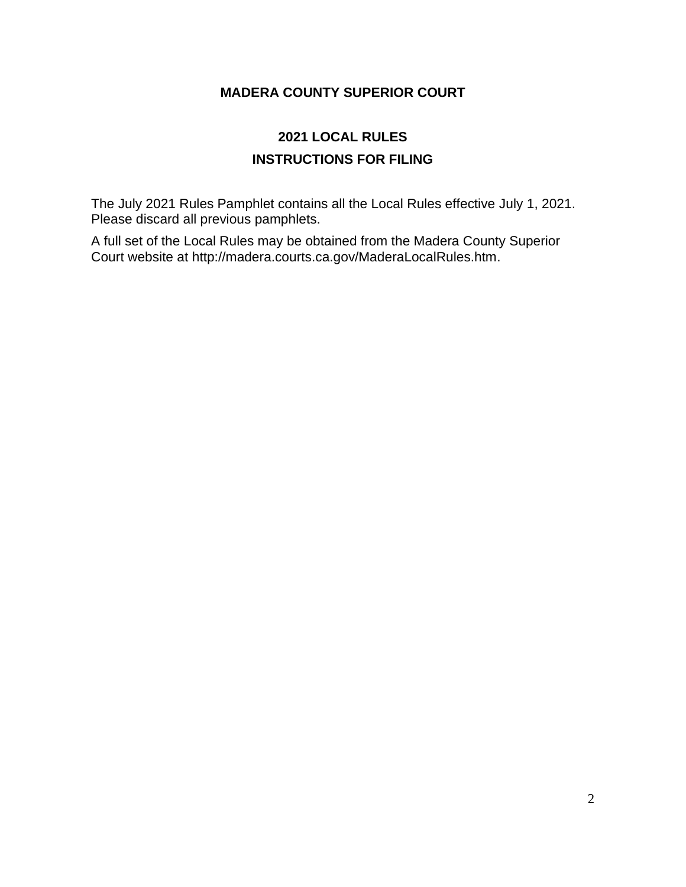#### **MADERA COUNTY SUPERIOR COURT**

## **2021 LOCAL RULES INSTRUCTIONS FOR FILING**

The July 2021 Rules Pamphlet contains all the Local Rules effective July 1, 2021. Please discard all previous pamphlets.

A full set of the Local Rules may be obtained from the Madera County Superior Court website at http://madera.courts.ca.gov/MaderaLocalRules.htm.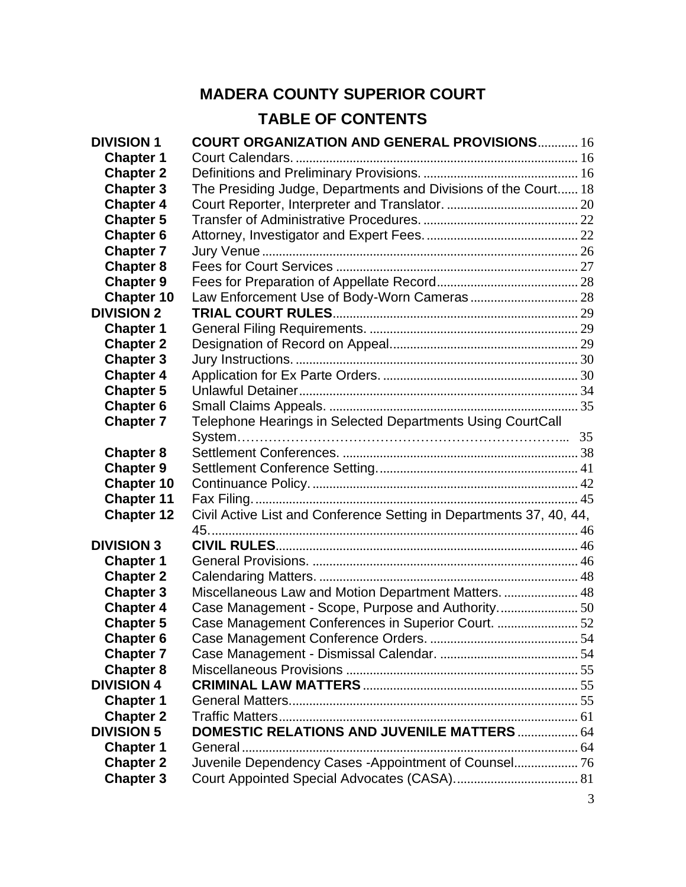## **MADERA COUNTY SUPERIOR COURT TABLE OF CONTENTS**

| <b>DIVISION 1</b> | <b>COURT ORGANIZATION AND GENERAL PROVISIONS 16</b>                 |  |
|-------------------|---------------------------------------------------------------------|--|
| <b>Chapter 1</b>  |                                                                     |  |
| <b>Chapter 2</b>  |                                                                     |  |
| <b>Chapter 3</b>  | The Presiding Judge, Departments and Divisions of the Court 18      |  |
| <b>Chapter 4</b>  |                                                                     |  |
| <b>Chapter 5</b>  |                                                                     |  |
| <b>Chapter 6</b>  |                                                                     |  |
| <b>Chapter 7</b>  |                                                                     |  |
| <b>Chapter 8</b>  |                                                                     |  |
| <b>Chapter 9</b>  |                                                                     |  |
| <b>Chapter 10</b> |                                                                     |  |
| <b>DIVISION 2</b> |                                                                     |  |
| <b>Chapter 1</b>  |                                                                     |  |
| <b>Chapter 2</b>  |                                                                     |  |
| <b>Chapter 3</b>  |                                                                     |  |
| <b>Chapter 4</b>  |                                                                     |  |
| <b>Chapter 5</b>  |                                                                     |  |
| <b>Chapter 6</b>  |                                                                     |  |
| <b>Chapter 7</b>  | Telephone Hearings in Selected Departments Using CourtCall          |  |
|                   |                                                                     |  |
| <b>Chapter 8</b>  |                                                                     |  |
| <b>Chapter 9</b>  |                                                                     |  |
| <b>Chapter 10</b> |                                                                     |  |
| <b>Chapter 11</b> |                                                                     |  |
| <b>Chapter 12</b> | Civil Active List and Conference Setting in Departments 37, 40, 44, |  |
|                   |                                                                     |  |
| <b>DIVISION 3</b> |                                                                     |  |
| <b>Chapter 1</b>  |                                                                     |  |
| <b>Chapter 2</b>  |                                                                     |  |
| <b>Chapter 3</b>  | Miscellaneous Law and Motion Department Matters.  48                |  |
| <b>Chapter 4</b>  |                                                                     |  |
| <b>Chapter 5</b>  | Case Management Conferences in Superior Court. 52                   |  |
| <b>Chapter 6</b>  |                                                                     |  |
| <b>Chapter 7</b>  |                                                                     |  |
| <b>Chapter 8</b>  |                                                                     |  |
| <b>DIVISION 4</b> |                                                                     |  |
| <b>Chapter 1</b>  |                                                                     |  |
| <b>Chapter 2</b>  |                                                                     |  |
| <b>DIVISION 5</b> | <b>DOMESTIC RELATIONS AND JUVENILE MATTERS  64</b>                  |  |
| <b>Chapter 1</b>  |                                                                     |  |
| <b>Chapter 2</b>  | Juvenile Dependency Cases -Appointment of Counsel 76                |  |
| <b>Chapter 3</b>  |                                                                     |  |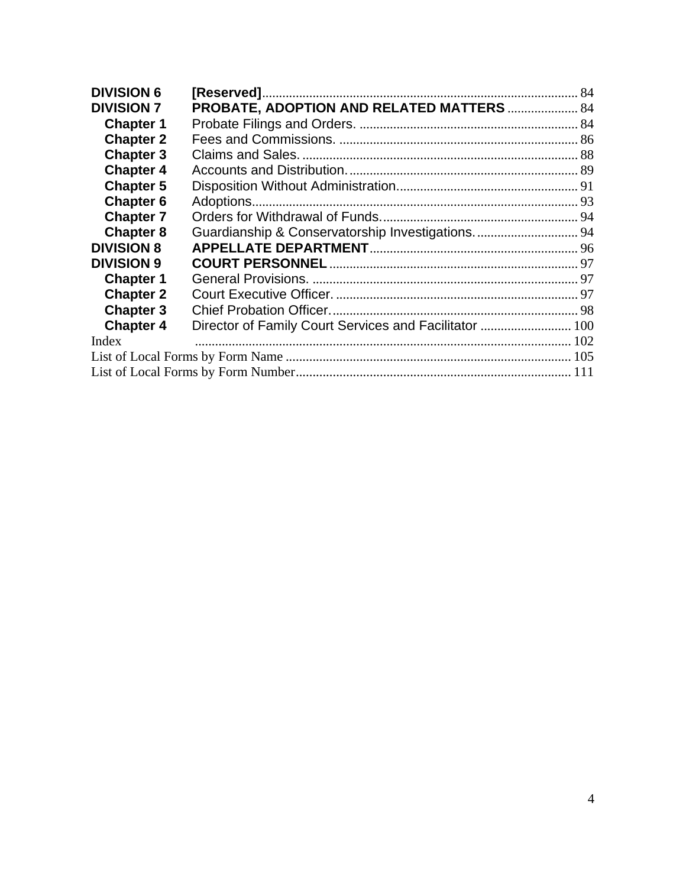| <b>DIVISION 6</b> |                                                        |  |  |
|-------------------|--------------------------------------------------------|--|--|
| <b>DIVISION 7</b> | PROBATE, ADOPTION AND RELATED MATTERS  84              |  |  |
| <b>Chapter 1</b>  |                                                        |  |  |
| <b>Chapter 2</b>  |                                                        |  |  |
| <b>Chapter 3</b>  |                                                        |  |  |
| <b>Chapter 4</b>  |                                                        |  |  |
| <b>Chapter 5</b>  |                                                        |  |  |
| <b>Chapter 6</b>  |                                                        |  |  |
| <b>Chapter 7</b>  |                                                        |  |  |
| <b>Chapter 8</b>  | Guardianship & Conservatorship Investigations.  94     |  |  |
| <b>DIVISION 8</b> |                                                        |  |  |
| <b>DIVISION 9</b> |                                                        |  |  |
| <b>Chapter 1</b>  |                                                        |  |  |
| <b>Chapter 2</b>  |                                                        |  |  |
| <b>Chapter 3</b>  |                                                        |  |  |
| <b>Chapter 4</b>  | Director of Family Court Services and Facilitator  100 |  |  |
| Index             |                                                        |  |  |
|                   |                                                        |  |  |
|                   |                                                        |  |  |
|                   |                                                        |  |  |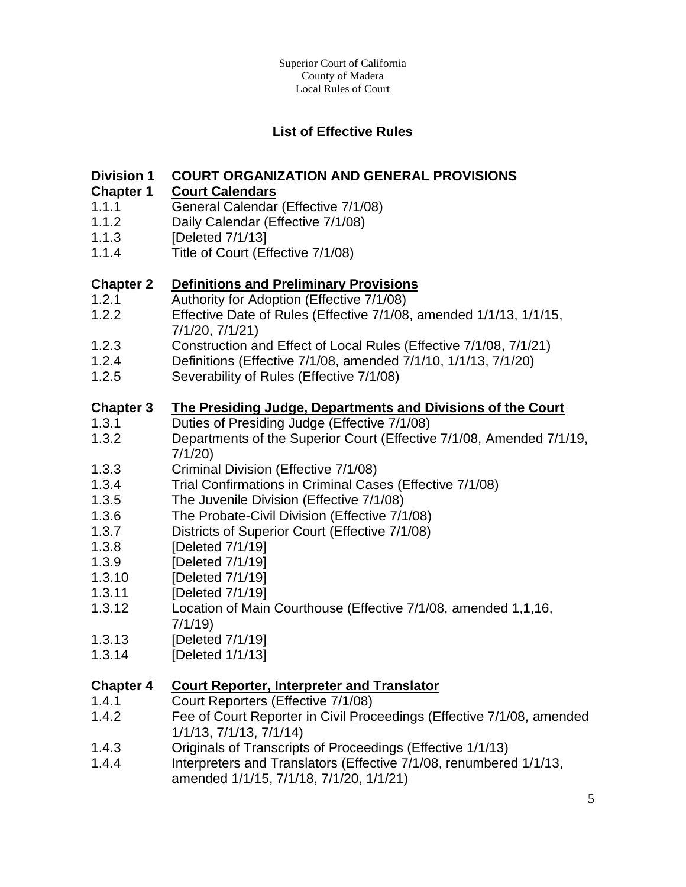#### **List of Effective Rules**

#### **Division 1 COURT ORGANIZATION AND GENERAL PROVISIONS**

#### **Chapter 1 Court Calendars**

- 1.1.1 General Calendar (Effective 7/1/08)
- 1.1.2 Daily Calendar (Effective 7/1/08)
- 1.1.3 [Deleted 7/1/13]
- 1.1.4 Title of Court (Effective 7/1/08)

#### **Chapter 2 Definitions and Preliminary Provisions**

- 1.2.1 Authority for Adoption (Effective 7/1/08)
- 1.2.2 Effective Date of Rules (Effective 7/1/08, amended 1/1/13, 1/1/15, 7/1/20, 7/1/21)
- 1.2.3 Construction and Effect of Local Rules (Effective 7/1/08, 7/1/21)
- 1.2.4 Definitions (Effective 7/1/08, amended 7/1/10, 1/1/13, 7/1/20)
- 1.2.5 Severability of Rules (Effective 7/1/08)

#### **Chapter 3 The Presiding Judge, Departments and Divisions of the Court**

- 1.3.1 Duties of Presiding Judge (Effective 7/1/08)
- 1.3.2 Departments of the Superior Court (Effective 7/1/08, Amended 7/1/19, 7/1/20)
- 1.3.3 Criminal Division (Effective 7/1/08)
- 1.3.4 Trial Confirmations in Criminal Cases (Effective 7/1/08)
- 1.3.5 The Juvenile Division (Effective 7/1/08)
- 1.3.6 The Probate-Civil Division (Effective 7/1/08)
- 1.3.7 Districts of Superior Court (Effective 7/1/08)
- 1.3.8 [Deleted 7/1/19]
- 1.3.9 [Deleted 7/1/19]
- 1.3.10 [Deleted 7/1/19]
- 1.3.11 [Deleted 7/1/19]
- 1.3.12 Location of Main Courthouse (Effective 7/1/08, amended 1,1,16, 7/1/19)
- 1.3.13 [Deleted 7/1/19]
- 1.3.14 [Deleted 1/1/13]

#### **Chapter 4 Court Reporter, Interpreter and Translator**

- 1.4.1 Court Reporters (Effective 7/1/08)
- 1.4.2 Fee of Court Reporter in Civil Proceedings (Effective 7/1/08, amended 1/1/13, 7/1/13, 7/1/14)
- 1.4.3 Originals of Transcripts of Proceedings (Effective 1/1/13)
- 1.4.4 Interpreters and Translators (Effective 7/1/08, renumbered 1/1/13, amended 1/1/15, 7/1/18, 7/1/20, 1/1/21)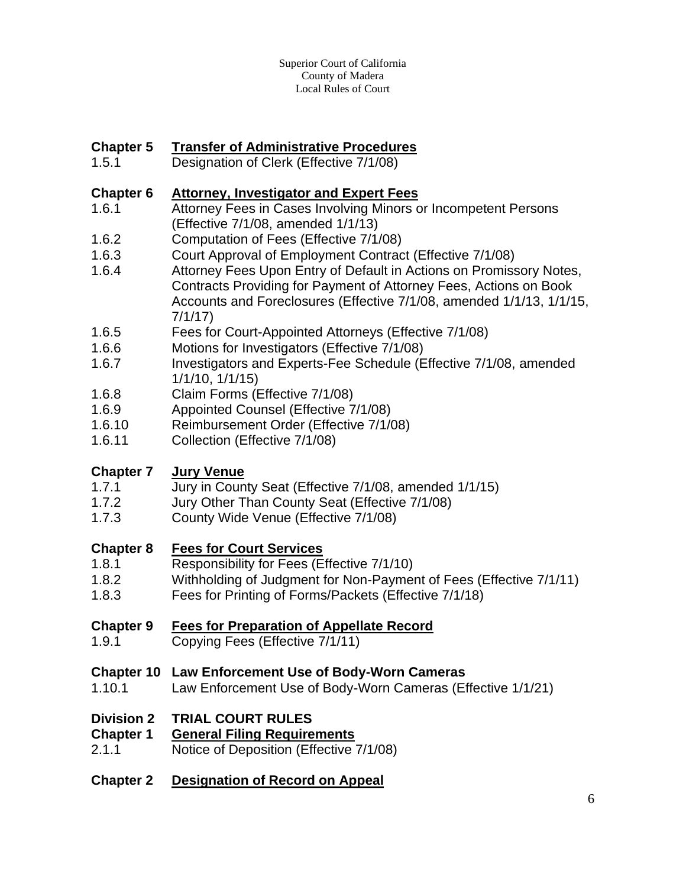#### **Chapter 5 Transfer of Administrative Procedures**

1.5.1 Designation of Clerk (Effective 7/1/08)

#### **Chapter 6 Attorney, Investigator and Expert Fees**

- 1.6.1 Attorney Fees in Cases Involving Minors or Incompetent Persons (Effective 7/1/08, amended 1/1/13)
- 1.6.2 Computation of Fees (Effective 7/1/08)
- 1.6.3 Court Approval of Employment Contract (Effective 7/1/08)
- 1.6.4 Attorney Fees Upon Entry of Default in Actions on Promissory Notes, Contracts Providing for Payment of Attorney Fees, Actions on Book Accounts and Foreclosures (Effective 7/1/08, amended 1/1/13, 1/1/15, 7/1/17)
- 1.6.5 Fees for Court-Appointed Attorneys (Effective 7/1/08)
- 1.6.6 Motions for Investigators (Effective 7/1/08)
- 1.6.7 Investigators and Experts-Fee Schedule (Effective 7/1/08, amended 1/1/10, 1/1/15)
- 1.6.8 Claim Forms (Effective 7/1/08)
- 1.6.9 Appointed Counsel (Effective 7/1/08)
- 1.6.10 Reimbursement Order (Effective 7/1/08)
- 1.6.11 Collection (Effective 7/1/08)

#### **Chapter 7 Jury Venue**

- 1.7.1 Jury in County Seat (Effective 7/1/08, amended 1/1/15)
- 1.7.2 Jury Other Than County Seat (Effective 7/1/08)
- 1.7.3 County Wide Venue (Effective 7/1/08)

#### **Chapter 8 Fees for Court Services**

- 1.8.1 Responsibility for Fees (Effective 7/1/10)
- 1.8.2 Withholding of Judgment for Non-Payment of Fees (Effective 7/1/11)
- 1.8.3 Fees for Printing of Forms/Packets (Effective 7/1/18)

#### **Chapter 9 Fees for Preparation of Appellate Record**

1.9.1 Copying Fees (Effective 7/1/11)

#### **Chapter 10 Law Enforcement Use of Body-Worn Cameras**

1.10.1 Law Enforcement Use of Body-Worn Cameras (Effective 1/1/21)

#### **Division 2 TRIAL COURT RULES**

- **Chapter 1 General Filing Requirements**
- 2.1.1 Notice of Deposition (Effective 7/1/08)
- **Chapter 2 Designation of Record on Appeal**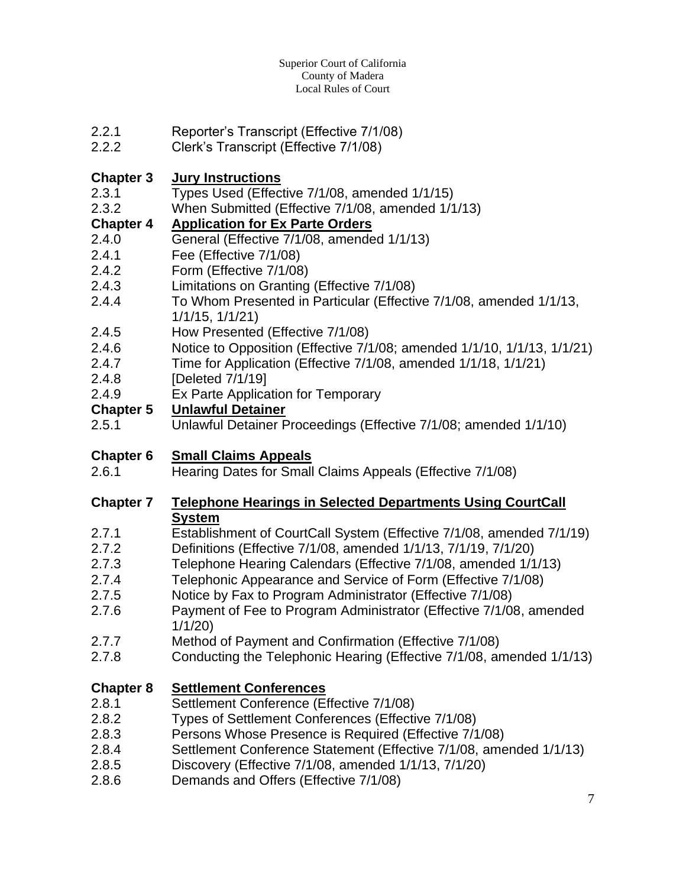- 2.2.1 Reporter's Transcript (Effective 7/1/08)
- 2.2.2 Clerk's Transcript (Effective 7/1/08)

#### **Chapter 3 Jury Instructions**

- 2.3.1 Types Used (Effective 7/1/08, amended 1/1/15)
- 2.3.2 When Submitted (Effective 7/1/08, amended 1/1/13)

## **Chapter 4 Application for Ex Parte Orders**

- 2.4.0 General (Effective 7/1/08, amended 1/1/13)
- 2.4.1 Fee (Effective 7/1/08)
- 2.4.2 Form (Effective 7/1/08)
- 2.4.3 Limitations on Granting (Effective 7/1/08)
- 2.4.4 To Whom Presented in Particular (Effective 7/1/08, amended 1/1/13, 1/1/15, 1/1/21)
- 2.4.5 How Presented (Effective 7/1/08)
- 2.4.6 Notice to Opposition (Effective 7/1/08; amended 1/1/10, 1/1/13, 1/1/21)
- 2.4.7 Time for Application (Effective 7/1/08, amended 1/1/18, 1/1/21)
- 2.4.8 [Deleted 7/1/19]
- 2.4.9 Ex Parte Application for Temporary

#### **Chapter 5 Unlawful Detainer**

2.5.1 Unlawful Detainer Proceedings (Effective 7/1/08; amended 1/1/10)

## **Chapter 6 Small Claims Appeals**

2.6.1 Hearing Dates for Small Claims Appeals (Effective 7/1/08)

#### **Chapter 7 Telephone Hearings in Selected Departments Using CourtCall System**

- 2.7.1 Establishment of CourtCall System (Effective 7/1/08, amended 7/1/19)
- 2.7.2 Definitions (Effective 7/1/08, amended 1/1/13, 7/1/19, 7/1/20)
- 2.7.3 Telephone Hearing Calendars (Effective 7/1/08, amended 1/1/13)
- 2.7.4 Telephonic Appearance and Service of Form (Effective 7/1/08)
- 2.7.5 Notice by Fax to Program Administrator (Effective 7/1/08)
- 2.7.6 Payment of Fee to Program Administrator (Effective 7/1/08, amended 1/1/20)
- 2.7.7 Method of Payment and Confirmation (Effective 7/1/08)
- 2.7.8 Conducting the Telephonic Hearing (Effective 7/1/08, amended 1/1/13)

## **Chapter 8 Settlement Conferences**

- 2.8.1 Settlement Conference (Effective 7/1/08)
- 2.8.2 Types of Settlement Conferences (Effective 7/1/08)
- 2.8.3 Persons Whose Presence is Required (Effective 7/1/08)
- 2.8.4 Settlement Conference Statement (Effective 7/1/08, amended 1/1/13)
- 2.8.5 Discovery (Effective 7/1/08, amended 1/1/13, 7/1/20)
- 2.8.6 Demands and Offers (Effective 7/1/08)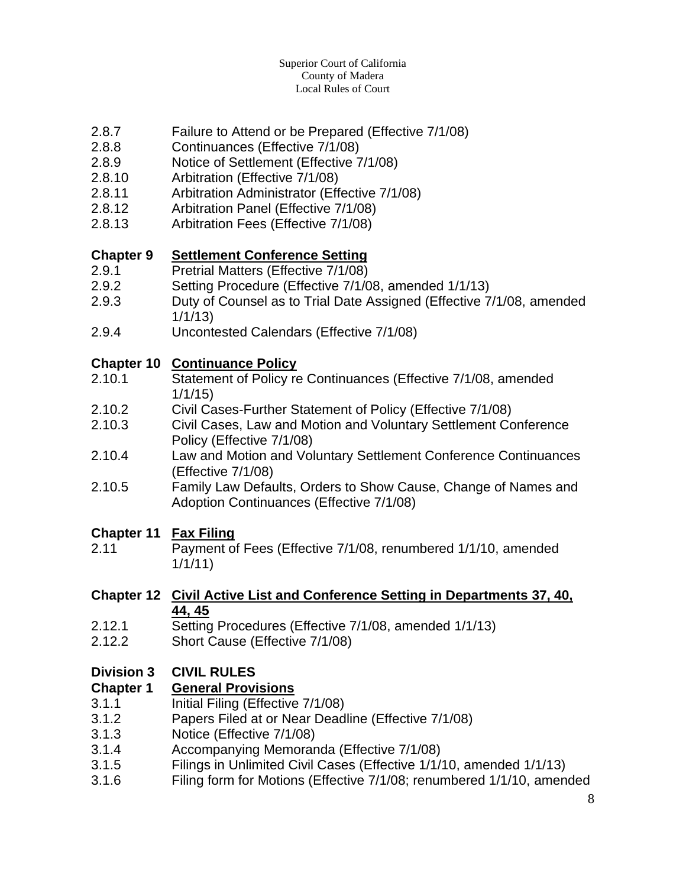#### Superior Court of California County of Madera Local Rules of Court

- 2.8.7 Failure to Attend or be Prepared (Effective 7/1/08)
- 2.8.8 Continuances (Effective 7/1/08)
- 2.8.9 Notice of Settlement (Effective 7/1/08)
- 2.8.10 Arbitration (Effective 7/1/08)
- 2.8.11 Arbitration Administrator (Effective 7/1/08)
- 2.8.12 Arbitration Panel (Effective 7/1/08)
- 2.8.13 Arbitration Fees (Effective 7/1/08)

#### **Chapter 9 Settlement Conference Setting**

- 2.9.1 Pretrial Matters (Effective 7/1/08)
- 2.9.2 Setting Procedure (Effective 7/1/08, amended 1/1/13)
- 2.9.3 Duty of Counsel as to Trial Date Assigned (Effective 7/1/08, amended 1/1/13)
- 2.9.4 Uncontested Calendars (Effective 7/1/08)

#### **Chapter 10 Continuance Policy**

- 2.10.1 Statement of Policy re Continuances (Effective 7/1/08, amended 1/1/15)
- 2.10.2 Civil Cases-Further Statement of Policy (Effective 7/1/08)
- 2.10.3 Civil Cases, Law and Motion and Voluntary Settlement Conference Policy (Effective 7/1/08)
- 2.10.4 Law and Motion and Voluntary Settlement Conference Continuances (Effective 7/1/08)
- 2.10.5 Family Law Defaults, Orders to Show Cause, Change of Names and Adoption Continuances (Effective 7/1/08)

#### **Chapter 11 Fax Filing**

2.11 Payment of Fees (Effective 7/1/08, renumbered 1/1/10, amended 1/1/11)

#### **Chapter 12 Civil Active List and Conference Setting in Departments 37, 40, 44, 45**

- 2.12.1 Setting Procedures (Effective 7/1/08, amended 1/1/13)
- 2.12.2 Short Cause (Effective 7/1/08)

#### **Division 3 CIVIL RULES**

#### **Chapter 1 General Provisions**

- 3.1.1 Initial Filing (Effective 7/1/08)
- 3.1.2 Papers Filed at or Near Deadline (Effective 7/1/08)
- 3.1.3 Notice (Effective 7/1/08)
- 3.1.4 Accompanying Memoranda (Effective 7/1/08)
- 3.1.5 Filings in Unlimited Civil Cases (Effective 1/1/10, amended 1/1/13)
- 3.1.6 Filing form for Motions (Effective 7/1/08; renumbered 1/1/10, amended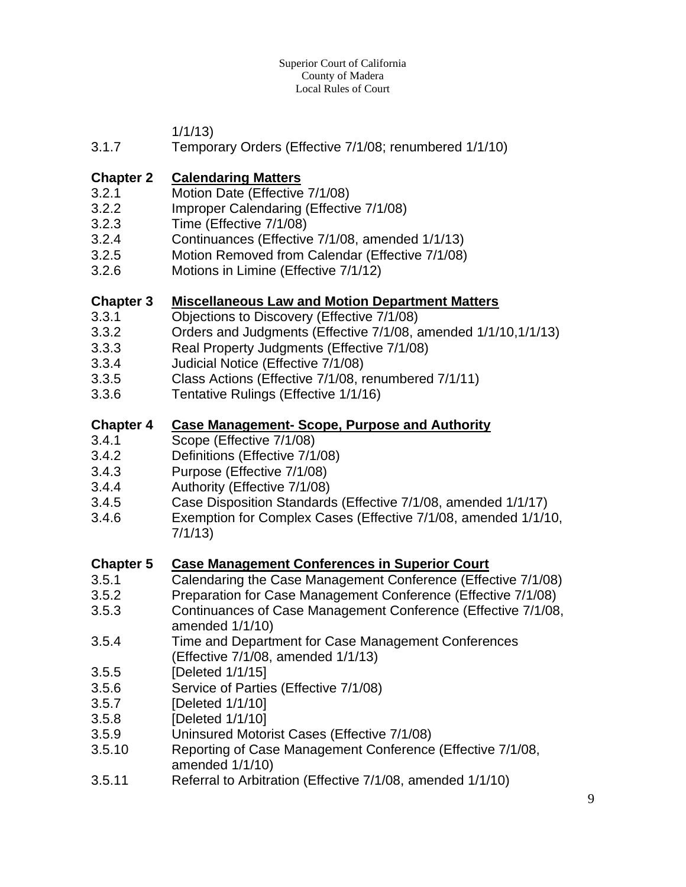#### Superior Court of California County of Madera Local Rules of Court

1/1/13)

3.1.7 Temporary Orders (Effective 7/1/08; renumbered 1/1/10)

#### **Chapter 2 Calendaring Matters**

- 3.2.1 Motion Date (Effective 7/1/08)
- 3.2.2 Improper Calendaring (Effective 7/1/08)
- 3.2.3 Time (Effective 7/1/08)
- 3.2.4 Continuances (Effective 7/1/08, amended 1/1/13)
- 3.2.5 Motion Removed from Calendar (Effective 7/1/08)
- 3.2.6 Motions in Limine (Effective 7/1/12)

#### **Chapter 3 Miscellaneous Law and Motion Department Matters**

- 3.3.1 Objections to Discovery (Effective 7/1/08)
- 3.3.2 Orders and Judgments (Effective 7/1/08, amended 1/1/10,1/1/13)
- 3.3.3 Real Property Judgments (Effective 7/1/08)
- 3.3.4 Judicial Notice (Effective 7/1/08)
- 3.3.5 Class Actions (Effective 7/1/08, renumbered 7/1/11)
- 3.3.6 Tentative Rulings (Effective 1/1/16)

#### **Chapter 4 Case Management- Scope, Purpose and Authority**

- 3.4.1 Scope (Effective 7/1/08)
- 3.4.2 Definitions (Effective 7/1/08)
- 3.4.3 Purpose (Effective 7/1/08)
- 3.4.4 Authority (Effective 7/1/08)
- 3.4.5 Case Disposition Standards (Effective 7/1/08, amended 1/1/17)
- 3.4.6 Exemption for Complex Cases (Effective 7/1/08, amended 1/1/10, 7/1/13)

#### **Chapter 5 Case Management Conferences in Superior Court**

- 3.5.1 Calendaring the Case Management Conference (Effective 7/1/08)
- 3.5.2 Preparation for Case Management Conference (Effective 7/1/08)
- 3.5.3 Continuances of Case Management Conference (Effective 7/1/08, amended 1/1/10)
- 3.5.4 Time and Department for Case Management Conferences (Effective 7/1/08, amended 1/1/13)
- 3.5.5 [Deleted 1/1/15]
- 3.5.6 Service of Parties (Effective 7/1/08)
- 3.5.7 [Deleted 1/1/10]
- 3.5.8 [Deleted 1/1/10]
- 3.5.9 Uninsured Motorist Cases (Effective 7/1/08)
- 3.5.10 Reporting of Case Management Conference (Effective 7/1/08, amended 1/1/10)
- 3.5.11 Referral to Arbitration (Effective 7/1/08, amended 1/1/10)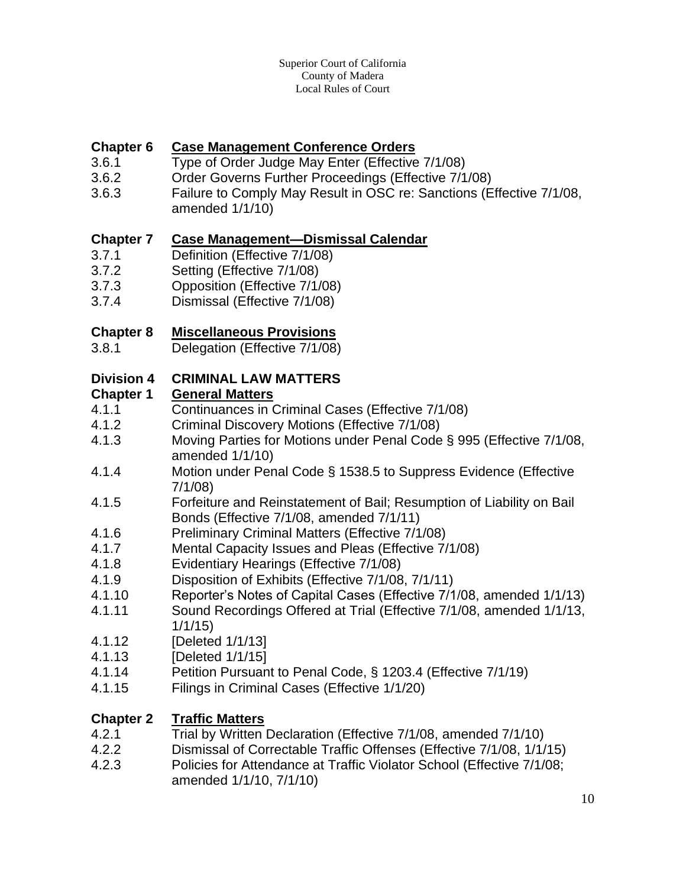#### **Chapter 6 Case Management Conference Orders**

- 3.6.1 Type of Order Judge May Enter (Effective 7/1/08)
- 3.6.2 Order Governs Further Proceedings (Effective 7/1/08)
- 3.6.3 Failure to Comply May Result in OSC re: Sanctions (Effective 7/1/08,
- amended 1/1/10)

#### **Chapter 7 Case Management—Dismissal Calendar**

- 3.7.1 Definition (Effective 7/1/08)
- 3.7.2 Setting (Effective 7/1/08)
- 3.7.3 Opposition (Effective 7/1/08)
- 3.7.4 Dismissal (Effective 7/1/08)

#### **Chapter 8 Miscellaneous Provisions**

3.8.1 Delegation (Effective 7/1/08)

#### **Division 4 CRIMINAL LAW MATTERS**

#### **Chapter 1 General Matters**

- 4.1.1 Continuances in Criminal Cases (Effective 7/1/08)
- 4.1.2 Criminal Discovery Motions (Effective 7/1/08)
- 4.1.3 Moving Parties for Motions under Penal Code § 995 (Effective 7/1/08, amended 1/1/10)
- 4.1.4 Motion under Penal Code § 1538.5 to Suppress Evidence (Effective 7/1/08)
- 4.1.5 Forfeiture and Reinstatement of Bail; Resumption of Liability on Bail Bonds (Effective 7/1/08, amended 7/1/11)
- 4.1.6 Preliminary Criminal Matters (Effective 7/1/08)
- 4.1.7 Mental Capacity Issues and Pleas (Effective 7/1/08)
- 4.1.8 Evidentiary Hearings (Effective 7/1/08)
- 4.1.9 Disposition of Exhibits (Effective 7/1/08, 7/1/11)
- 4.1.10 Reporter's Notes of Capital Cases (Effective 7/1/08, amended 1/1/13)
- 4.1.11 Sound Recordings Offered at Trial (Effective 7/1/08, amended 1/1/13, 1/1/15)
- 4.1.12 [Deleted 1/1/13]
- 4.1.13 [Deleted 1/1/15]
- 4.1.14 Petition Pursuant to Penal Code, § 1203.4 (Effective 7/1/19)
- 4.1.15 Filings in Criminal Cases (Effective 1/1/20)

#### **Chapter 2 Traffic Matters**

- 4.2.1 Trial by Written Declaration (Effective 7/1/08, amended 7/1/10)
- 4.2.2 Dismissal of Correctable Traffic Offenses (Effective 7/1/08, 1/1/15)
- 4.2.3 Policies for Attendance at Traffic Violator School (Effective 7/1/08; amended 1/1/10, 7/1/10)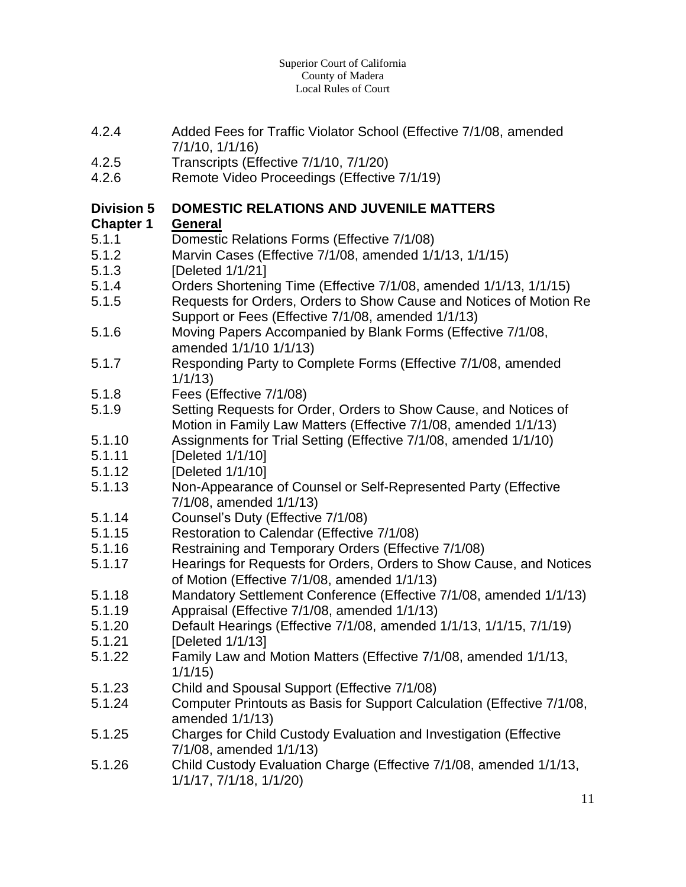- 4.2.4 Added Fees for Traffic Violator School (Effective 7/1/08, amended 7/1/10, 1/1/16)
- 4.2.5 Transcripts (Effective 7/1/10, 7/1/20)
- 4.2.6 Remote Video Proceedings (Effective 7/1/19)

#### **Division 5 DOMESTIC RELATIONS AND JUVENILE MATTERS**

#### **Chapter 1 General**

- 5.1.1 Domestic Relations Forms (Effective 7/1/08)
- 5.1.2 Marvin Cases (Effective 7/1/08, amended 1/1/13, 1/1/15)
- 5.1.3 [Deleted 1/1/21]
- 5.1.4 Orders Shortening Time (Effective 7/1/08, amended 1/1/13, 1/1/15)
- 5.1.5 Requests for Orders, Orders to Show Cause and Notices of Motion Re Support or Fees (Effective 7/1/08, amended 1/1/13)
- 5.1.6 Moving Papers Accompanied by Blank Forms (Effective 7/1/08, amended 1/1/10 1/1/13)
- 5.1.7 Responding Party to Complete Forms (Effective 7/1/08, amended 1/1/13)
- 5.1.8 Fees (Effective 7/1/08)
- 5.1.9 Setting Requests for Order, Orders to Show Cause, and Notices of Motion in Family Law Matters (Effective 7/1/08, amended 1/1/13)
- 5.1.10 Assignments for Trial Setting (Effective 7/1/08, amended 1/1/10)
- 5.1.11 [Deleted 1/1/10]
- 5.1.12 [Deleted 1/1/10]
- 5.1.13 Non-Appearance of Counsel or Self-Represented Party (Effective 7/1/08, amended 1/1/13)
- 5.1.14 Counsel's Duty (Effective 7/1/08)
- 5.1.15 Restoration to Calendar (Effective 7/1/08)
- 5.1.16 Restraining and Temporary Orders (Effective 7/1/08)
- 5.1.17 Hearings for Requests for Orders, Orders to Show Cause, and Notices of Motion (Effective 7/1/08, amended 1/1/13)
- 5.1.18 Mandatory Settlement Conference (Effective 7/1/08, amended 1/1/13)
- 5.1.19 Appraisal (Effective 7/1/08, amended 1/1/13)
- 5.1.20 Default Hearings (Effective 7/1/08, amended 1/1/13, 1/1/15, 7/1/19)
- 5.1.21 [Deleted 1/1/13]
- 5.1.22 Family Law and Motion Matters (Effective 7/1/08, amended 1/1/13, 1/1/15)
- 5.1.23 Child and Spousal Support (Effective 7/1/08)
- 5.1.24 Computer Printouts as Basis for Support Calculation (Effective 7/1/08, amended 1/1/13)
- 5.1.25 Charges for Child Custody Evaluation and Investigation (Effective 7/1/08, amended 1/1/13)
- 5.1.26 Child Custody Evaluation Charge (Effective 7/1/08, amended 1/1/13, 1/1/17, 7/1/18, 1/1/20)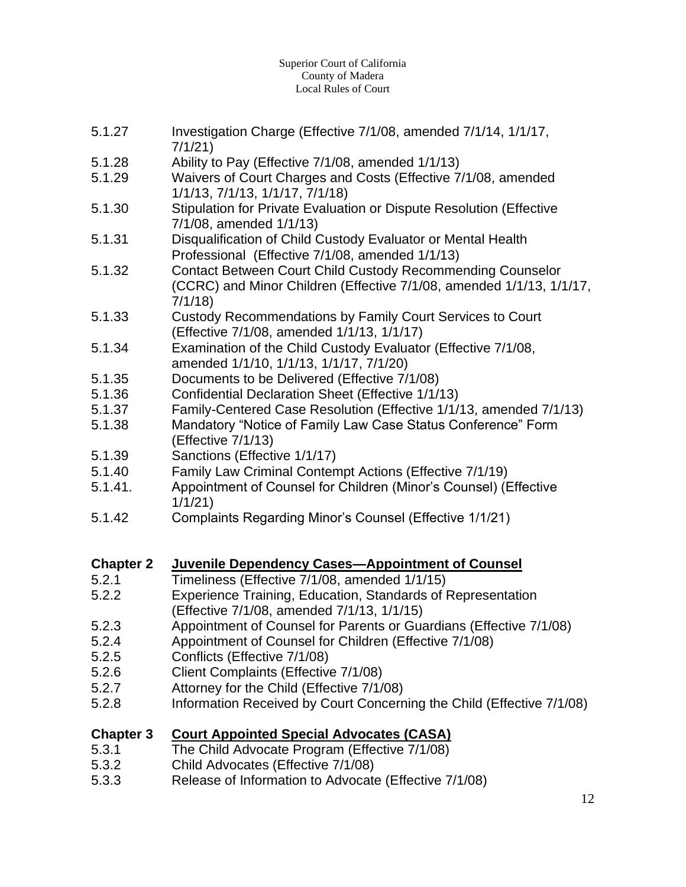#### Superior Court of California County of Madera Local Rules of Court

- 5.1.27 Investigation Charge (Effective 7/1/08, amended 7/1/14, 1/1/17, 7/1/21)
- 5.1.28 Ability to Pay (Effective 7/1/08, amended 1/1/13)
- 5.1.29 Waivers of Court Charges and Costs (Effective 7/1/08, amended 1/1/13, 7/1/13, 1/1/17, 7/1/18)
- 5.1.30 Stipulation for Private Evaluation or Dispute Resolution (Effective 7/1/08, amended 1/1/13)
- 5.1.31 Disqualification of Child Custody Evaluator or Mental Health Professional (Effective 7/1/08, amended 1/1/13)
- 5.1.32 Contact Between Court Child Custody Recommending Counselor (CCRC) and Minor Children (Effective 7/1/08, amended 1/1/13, 1/1/17, 7/1/18)
- 5.1.33 Custody Recommendations by Family Court Services to Court (Effective 7/1/08, amended 1/1/13, 1/1/17)
- 5.1.34 Examination of the Child Custody Evaluator (Effective 7/1/08, amended 1/1/10, 1/1/13, 1/1/17, 7/1/20)
- 5.1.35 Documents to be Delivered (Effective 7/1/08)
- 5.1.36 Confidential Declaration Sheet (Effective 1/1/13)
- 5.1.37 Family-Centered Case Resolution (Effective 1/1/13, amended 7/1/13)
- 5.1.38 Mandatory "Notice of Family Law Case Status Conference" Form (Effective 7/1/13)
- 5.1.39 Sanctions (Effective 1/1/17)
- 5.1.40 Family Law Criminal Contempt Actions (Effective 7/1/19)
- 5.1.41. Appointment of Counsel for Children (Minor's Counsel) (Effective 1/1/21)
- 5.1.42 Complaints Regarding Minor's Counsel (Effective 1/1/21)

#### **Chapter 2 Juvenile Dependency Cases—Appointment of Counsel**

- 5.2.1 Timeliness (Effective 7/1/08, amended 1/1/15)
- 5.2.2 Experience Training, Education, Standards of Representation (Effective 7/1/08, amended 7/1/13, 1/1/15)
- 5.2.3 Appointment of Counsel for Parents or Guardians (Effective 7/1/08)
- 5.2.4 Appointment of Counsel for Children (Effective 7/1/08)
- 5.2.5 Conflicts (Effective 7/1/08)
- 5.2.6 Client Complaints (Effective 7/1/08)
- 5.2.7 Attorney for the Child (Effective 7/1/08)
- 5.2.8 Information Received by Court Concerning the Child (Effective 7/1/08)

## **Chapter 3 Court Appointed Special Advocates (CASA)**

- 5.3.1 The Child Advocate Program (Effective 7/1/08)
- 5.3.2 Child Advocates (Effective 7/1/08)
- 5.3.3 Release of Information to Advocate (Effective 7/1/08)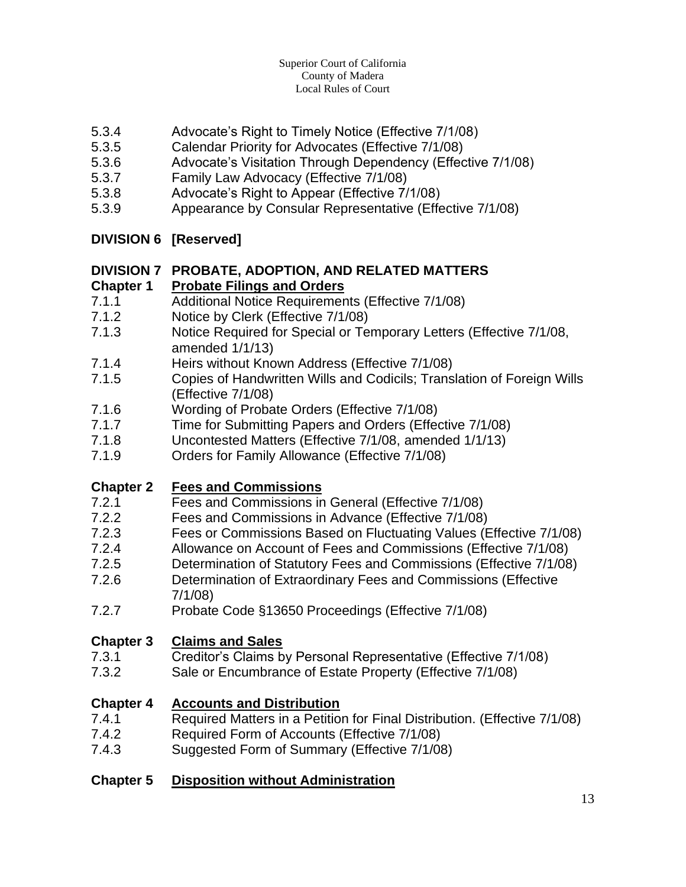- 5.3.4 Advocate's Right to Timely Notice (Effective 7/1/08)
- 5.3.5 Calendar Priority for Advocates (Effective 7/1/08)
- 5.3.6 Advocate's Visitation Through Dependency (Effective 7/1/08)
- 5.3.7 Family Law Advocacy (Effective 7/1/08)
- 5.3.8 Advocate's Right to Appear (Effective 7/1/08)
- 5.3.9 Appearance by Consular Representative (Effective 7/1/08)

#### **DIVISION 6 [Reserved]**

## **DIVISION 7 PROBATE, ADOPTION, AND RELATED MATTERS**

#### **Chapter 1 Probate Filings and Orders**

- 7.1.1 Additional Notice Requirements (Effective 7/1/08)
- 7.1.2 Notice by Clerk (Effective 7/1/08)
- 7.1.3 Notice Required for Special or Temporary Letters (Effective 7/1/08, amended 1/1/13)
- 7.1.4 Heirs without Known Address (Effective 7/1/08)
- 7.1.5 Copies of Handwritten Wills and Codicils; Translation of Foreign Wills (Effective 7/1/08)
- 7.1.6 Wording of Probate Orders (Effective 7/1/08)
- 7.1.7 Time for Submitting Papers and Orders (Effective 7/1/08)
- 7.1.8 Uncontested Matters (Effective 7/1/08, amended 1/1/13)
- 7.1.9 Orders for Family Allowance (Effective 7/1/08)

#### **Chapter 2 Fees and Commissions**

- 7.2.1 Fees and Commissions in General (Effective 7/1/08)
- 7.2.2 Fees and Commissions in Advance (Effective 7/1/08)
- 7.2.3 Fees or Commissions Based on Fluctuating Values (Effective 7/1/08)
- 7.2.4 Allowance on Account of Fees and Commissions (Effective 7/1/08)
- 7.2.5 Determination of Statutory Fees and Commissions (Effective 7/1/08)
- 7.2.6 Determination of Extraordinary Fees and Commissions (Effective 7/1/08)
- 7.2.7 Probate Code §13650 Proceedings (Effective 7/1/08)

#### **Chapter 3 Claims and Sales**

- 7.3.1 Creditor's Claims by Personal Representative (Effective 7/1/08)
- 7.3.2 Sale or Encumbrance of Estate Property (Effective 7/1/08)

#### **Chapter 4 Accounts and Distribution**

- 7.4.1 Required Matters in a Petition for Final Distribution. (Effective 7/1/08)
- 7.4.2 Required Form of Accounts (Effective 7/1/08)
- 7.4.3 Suggested Form of Summary (Effective 7/1/08)

#### **Chapter 5 Disposition without Administration**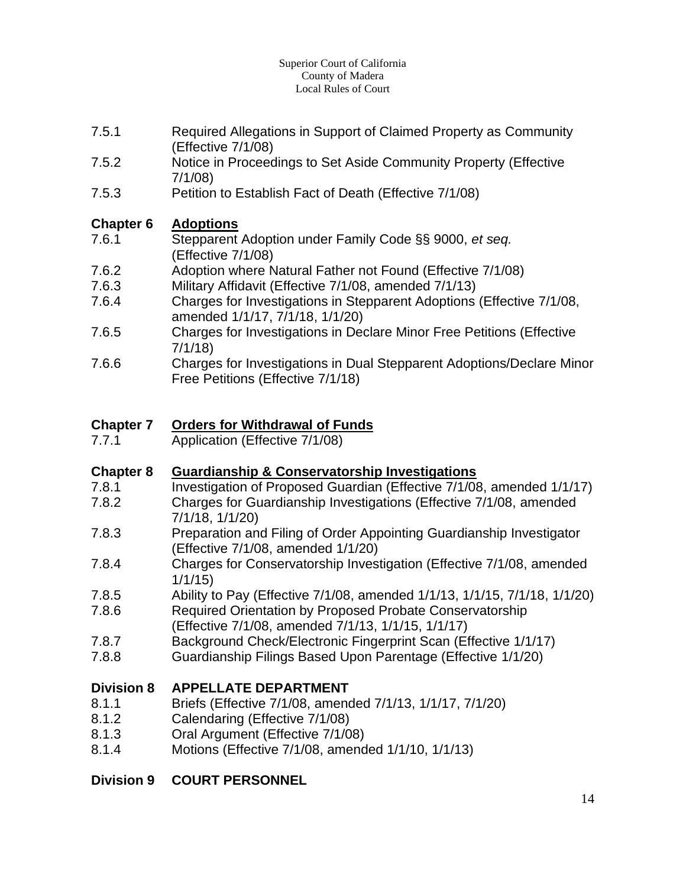#### Superior Court of California County of Madera Local Rules of Court

- 7.5.1 Required Allegations in Support of Claimed Property as Community (Effective 7/1/08)
- 7.5.2 Notice in Proceedings to Set Aside Community Property (Effective 7/1/08)
- 7.5.3 Petition to Establish Fact of Death (Effective 7/1/08)

#### **Chapter 6 Adoptions**

- 7.6.1 Stepparent Adoption under Family Code §§ 9000, *et seq.* (Effective 7/1/08)
- 7.6.2 Adoption where Natural Father not Found (Effective 7/1/08)
- 7.6.3 Military Affidavit (Effective 7/1/08, amended 7/1/13)
- 7.6.4 Charges for Investigations in Stepparent Adoptions (Effective 7/1/08, amended 1/1/17, 7/1/18, 1/1/20)
- 7.6.5 Charges for Investigations in Declare Minor Free Petitions (Effective 7/1/18)
- 7.6.6 Charges for Investigations in Dual Stepparent Adoptions/Declare Minor Free Petitions (Effective 7/1/18)

## **Chapter 7 Orders for Withdrawal of Funds**

7.7.1 Application (Effective 7/1/08)

#### **Chapter 8 Guardianship & Conservatorship Investigations**

- 7.8.1 Investigation of Proposed Guardian (Effective 7/1/08, amended 1/1/17)
- 7.8.2 Charges for Guardianship Investigations (Effective 7/1/08, amended 7/1/18, 1/1/20)
- 7.8.3 Preparation and Filing of Order Appointing Guardianship Investigator (Effective 7/1/08, amended 1/1/20)
- 7.8.4 Charges for Conservatorship Investigation (Effective 7/1/08, amended 1/1/15)
- 7.8.5 Ability to Pay (Effective 7/1/08, amended 1/1/13, 1/1/15, 7/1/18, 1/1/20)
- 7.8.6 Required Orientation by Proposed Probate Conservatorship (Effective 7/1/08, amended 7/1/13, 1/1/15, 1/1/17)
- 7.8.7 Background Check/Electronic Fingerprint Scan (Effective 1/1/17)
- 7.8.8 Guardianship Filings Based Upon Parentage (Effective 1/1/20)

## **Division 8 APPELLATE DEPARTMENT**

- 8.1.1 Briefs (Effective 7/1/08, amended 7/1/13, 1/1/17, 7/1/20)
- 8.1.2 Calendaring (Effective 7/1/08)
- 8.1.3 Oral Argument (Effective 7/1/08)
- 8.1.4 Motions (Effective 7/1/08, amended 1/1/10, 1/1/13)

## **Division 9 COURT PERSONNEL**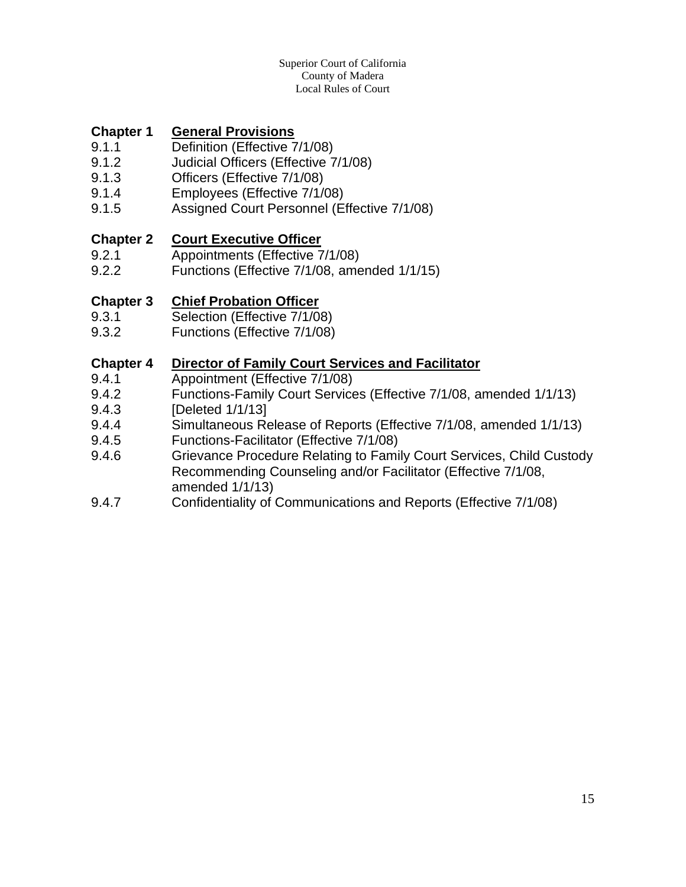#### Superior Court of California County of Madera Local Rules of Court

#### **Chapter 1 General Provisions**

- 9.1.1 Definition (Effective 7/1/08)
- 9.1.2 Judicial Officers (Effective 7/1/08)
- 9.1.3 Officers (Effective 7/1/08)
- 9.1.4 Employees (Effective 7/1/08)
- 9.1.5 Assigned Court Personnel (Effective 7/1/08)

#### **Chapter 2 Court Executive Officer**

- 9.2.1 Appointments (Effective 7/1/08)
- 9.2.2 Functions (Effective 7/1/08, amended 1/1/15)

#### **Chapter 3 Chief Probation Officer**

- 9.3.1 Selection (Effective 7/1/08)
- 9.3.2 Functions (Effective 7/1/08)

#### **Chapter 4 Director of Family Court Services and Facilitator**

- 9.4.1 Appointment (Effective 7/1/08)
- 9.4.2 Functions-Family Court Services (Effective 7/1/08, amended 1/1/13)
- 9.4.3 [Deleted 1/1/13]
- 9.4.4 Simultaneous Release of Reports (Effective 7/1/08, amended 1/1/13)
- 9.4.5 Functions-Facilitator (Effective 7/1/08)
- 9.4.6 Grievance Procedure Relating to Family Court Services, Child Custody Recommending Counseling and/or Facilitator (Effective 7/1/08, amended 1/1/13)
- 9.4.7 Confidentiality of Communications and Reports (Effective 7/1/08)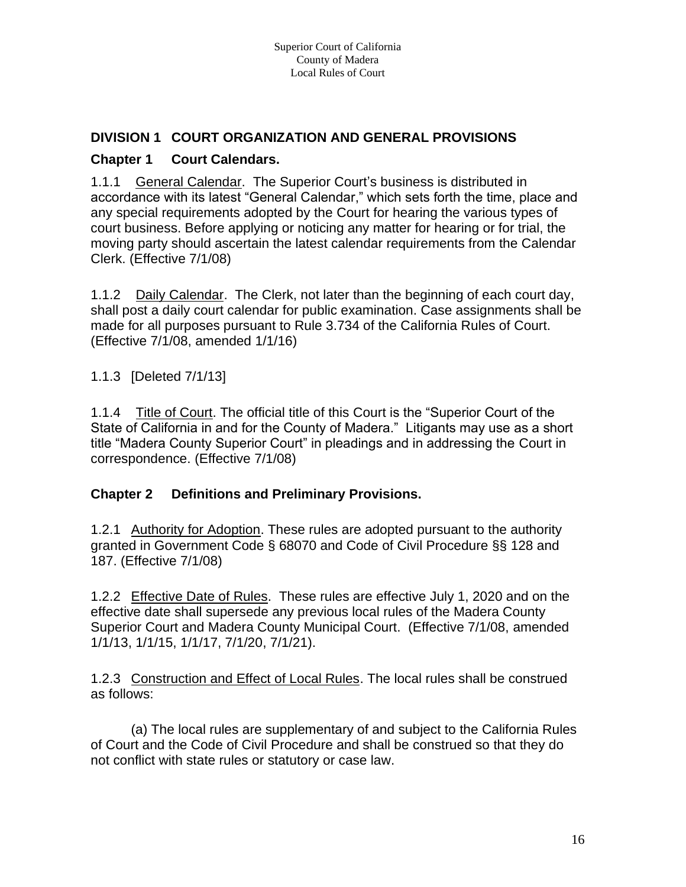#### **DIVISION 1 COURT ORGANIZATION AND GENERAL PROVISIONS**

#### **Chapter 1 Court Calendars.**

1.1.1 General Calendar. The Superior Court's business is distributed in accordance with its latest "General Calendar," which sets forth the time, place and any special requirements adopted by the Court for hearing the various types of court business. Before applying or noticing any matter for hearing or for trial, the moving party should ascertain the latest calendar requirements from the Calendar Clerk. (Effective 7/1/08)

1.1.2 Daily Calendar. The Clerk, not later than the beginning of each court day, shall post a daily court calendar for public examination. Case assignments shall be made for all purposes pursuant to Rule 3.734 of the California Rules of Court. (Effective 7/1/08, amended 1/1/16)

1.1.3 [Deleted 7/1/13]

1.1.4 Title of Court. The official title of this Court is the "Superior Court of the State of California in and for the County of Madera." Litigants may use as a short title "Madera County Superior Court" in pleadings and in addressing the Court in correspondence. (Effective 7/1/08)

#### **Chapter 2 Definitions and Preliminary Provisions.**

1.2.1 Authority for Adoption. These rules are adopted pursuant to the authority granted in Government Code § 68070 and Code of Civil Procedure §§ 128 and 187. (Effective 7/1/08)

1.2.2 Effective Date of Rules. These rules are effective July 1, 2020 and on the effective date shall supersede any previous local rules of the Madera County Superior Court and Madera County Municipal Court. (Effective 7/1/08, amended 1/1/13, 1/1/15, 1/1/17, 7/1/20, 7/1/21).

1.2.3 Construction and Effect of Local Rules. The local rules shall be construed as follows:

(a) The local rules are supplementary of and subject to the California Rules of Court and the Code of Civil Procedure and shall be construed so that they do not conflict with state rules or statutory or case law.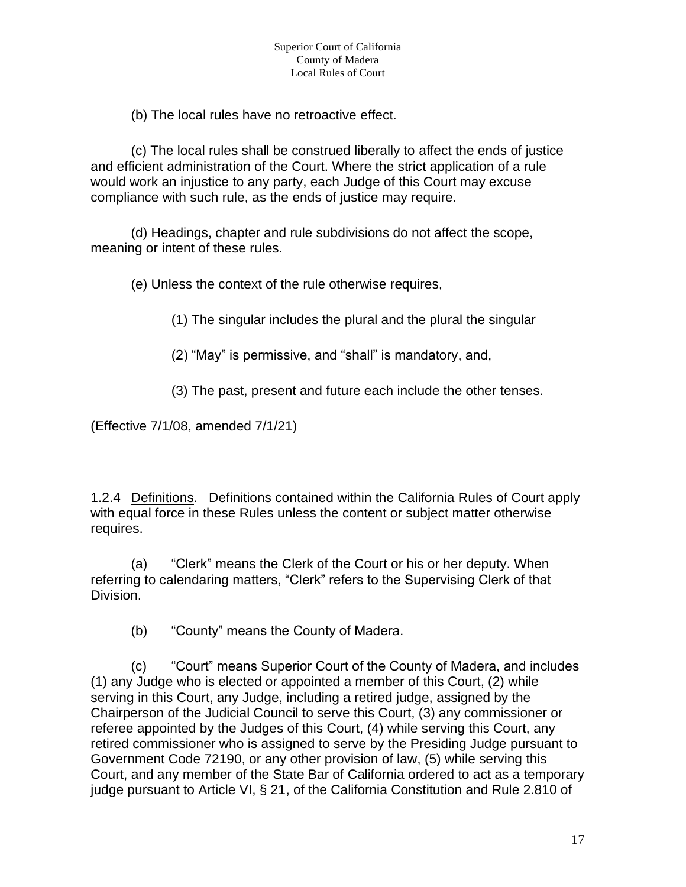(b) The local rules have no retroactive effect.

(c) The local rules shall be construed liberally to affect the ends of justice and efficient administration of the Court. Where the strict application of a rule would work an injustice to any party, each Judge of this Court may excuse compliance with such rule, as the ends of justice may require.

(d) Headings, chapter and rule subdivisions do not affect the scope, meaning or intent of these rules.

(e) Unless the context of the rule otherwise requires,

(1) The singular includes the plural and the plural the singular

(2) "May" is permissive, and "shall" is mandatory, and,

(3) The past, present and future each include the other tenses.

(Effective 7/1/08, amended 7/1/21)

1.2.4 Definitions. Definitions contained within the California Rules of Court apply with equal force in these Rules unless the content or subject matter otherwise requires.

(a) "Clerk" means the Clerk of the Court or his or her deputy. When referring to calendaring matters, "Clerk" refers to the Supervising Clerk of that Division.

(b) "County" means the County of Madera.

(c) "Court" means Superior Court of the County of Madera, and includes (1) any Judge who is elected or appointed a member of this Court, (2) while serving in this Court, any Judge, including a retired judge, assigned by the Chairperson of the Judicial Council to serve this Court, (3) any commissioner or referee appointed by the Judges of this Court, (4) while serving this Court, any retired commissioner who is assigned to serve by the Presiding Judge pursuant to Government Code 72190, or any other provision of law, (5) while serving this Court, and any member of the State Bar of California ordered to act as a temporary judge pursuant to Article VI, § 21, of the California Constitution and Rule 2.810 of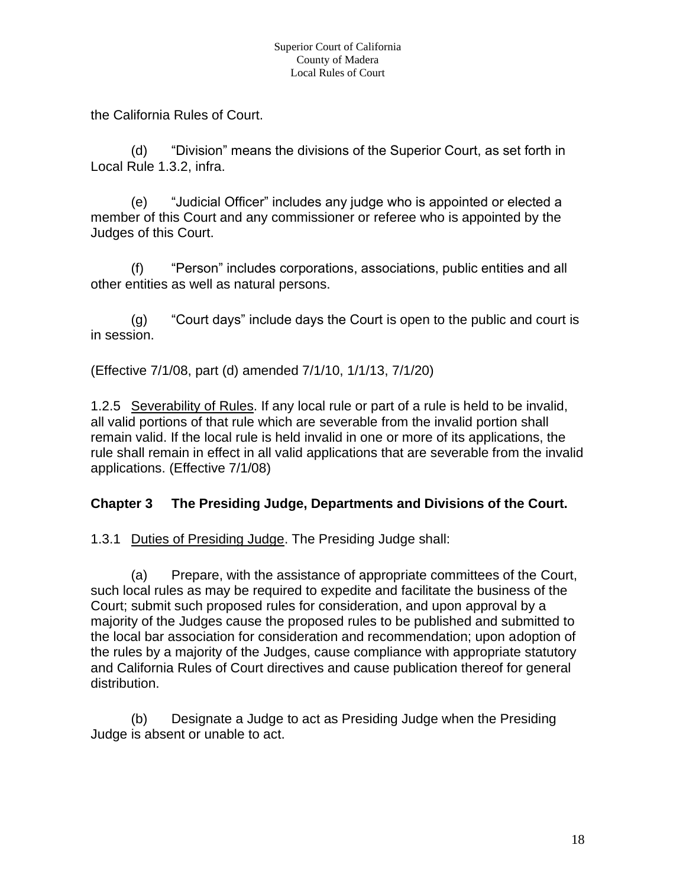the California Rules of Court.

(d) "Division" means the divisions of the Superior Court, as set forth in Local Rule 1.3.2, infra.

(e) "Judicial Officer" includes any judge who is appointed or elected a member of this Court and any commissioner or referee who is appointed by the Judges of this Court.

(f) "Person" includes corporations, associations, public entities and all other entities as well as natural persons.

(g) "Court days" include days the Court is open to the public and court is in session.

(Effective 7/1/08, part (d) amended 7/1/10, 1/1/13, 7/1/20)

1.2.5 Severability of Rules. If any local rule or part of a rule is held to be invalid, all valid portions of that rule which are severable from the invalid portion shall remain valid. If the local rule is held invalid in one or more of its applications, the rule shall remain in effect in all valid applications that are severable from the invalid applications. (Effective 7/1/08)

## **Chapter 3 The Presiding Judge, Departments and Divisions of the Court.**

1.3.1 Duties of Presiding Judge. The Presiding Judge shall:

(a) Prepare, with the assistance of appropriate committees of the Court, such local rules as may be required to expedite and facilitate the business of the Court; submit such proposed rules for consideration, and upon approval by a majority of the Judges cause the proposed rules to be published and submitted to the local bar association for consideration and recommendation; upon adoption of the rules by a majority of the Judges, cause compliance with appropriate statutory and California Rules of Court directives and cause publication thereof for general distribution.

(b) Designate a Judge to act as Presiding Judge when the Presiding Judge is absent or unable to act.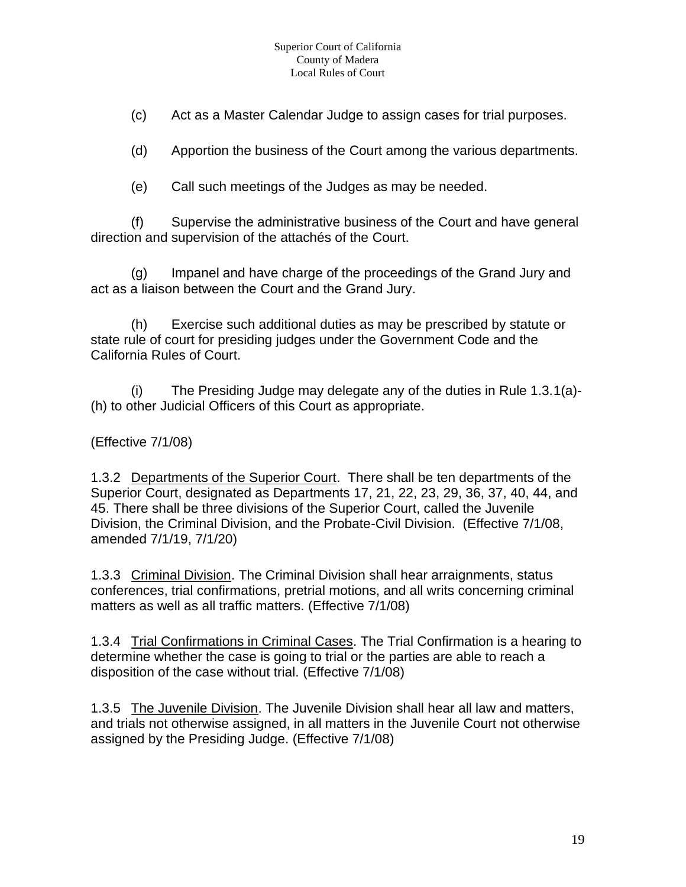(c) Act as a Master Calendar Judge to assign cases for trial purposes.

(d) Apportion the business of the Court among the various departments.

(e) Call such meetings of the Judges as may be needed.

(f) Supervise the administrative business of the Court and have general direction and supervision of the attachés of the Court.

(g) Impanel and have charge of the proceedings of the Grand Jury and act as a liaison between the Court and the Grand Jury.

(h) Exercise such additional duties as may be prescribed by statute or state rule of court for presiding judges under the Government Code and the California Rules of Court.

(i) The Presiding Judge may delegate any of the duties in Rule  $1.3.1(a)$ -(h) to other Judicial Officers of this Court as appropriate.

#### (Effective 7/1/08)

1.3.2 Departments of the Superior Court. There shall be ten departments of the Superior Court, designated as Departments 17, 21, 22, 23, 29, 36, 37, 40, 44, and 45. There shall be three divisions of the Superior Court, called the Juvenile Division, the Criminal Division, and the Probate-Civil Division. (Effective 7/1/08, amended 7/1/19, 7/1/20)

1.3.3 Criminal Division. The Criminal Division shall hear arraignments, status conferences, trial confirmations, pretrial motions, and all writs concerning criminal matters as well as all traffic matters. (Effective 7/1/08)

1.3.4 Trial Confirmations in Criminal Cases. The Trial Confirmation is a hearing to determine whether the case is going to trial or the parties are able to reach a disposition of the case without trial. (Effective 7/1/08)

1.3.5 The Juvenile Division. The Juvenile Division shall hear all law and matters, and trials not otherwise assigned, in all matters in the Juvenile Court not otherwise assigned by the Presiding Judge. (Effective 7/1/08)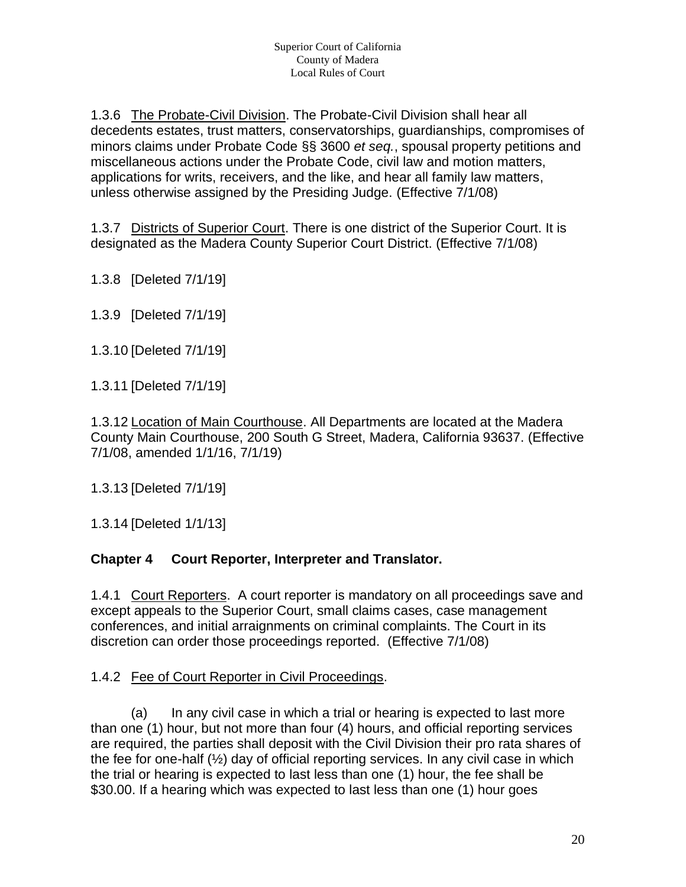1.3.6 The Probate-Civil Division. The Probate-Civil Division shall hear all decedents estates, trust matters, conservatorships, guardianships, compromises of minors claims under Probate Code §§ 3600 *et seq.*, spousal property petitions and miscellaneous actions under the Probate Code, civil law and motion matters, applications for writs, receivers, and the like, and hear all family law matters, unless otherwise assigned by the Presiding Judge. (Effective 7/1/08)

1.3.7 Districts of Superior Court. There is one district of the Superior Court. It is designated as the Madera County Superior Court District. (Effective 7/1/08)

1.3.8 [Deleted 7/1/19]

1.3.9 [Deleted 7/1/19]

1.3.10 [Deleted 7/1/19]

1.3.11 [Deleted 7/1/19]

1.3.12 Location of Main Courthouse. All Departments are located at the Madera County Main Courthouse, 200 South G Street, Madera, California 93637. (Effective 7/1/08, amended 1/1/16, 7/1/19)

1.3.13 [Deleted 7/1/19]

1.3.14 [Deleted 1/1/13]

#### **Chapter 4 Court Reporter, Interpreter and Translator.**

1.4.1 Court Reporters. A court reporter is mandatory on all proceedings save and except appeals to the Superior Court, small claims cases, case management conferences, and initial arraignments on criminal complaints. The Court in its discretion can order those proceedings reported. (Effective 7/1/08)

#### 1.4.2 Fee of Court Reporter in Civil Proceedings.

(a) In any civil case in which a trial or hearing is expected to last more than one (1) hour, but not more than four (4) hours, and official reporting services are required, the parties shall deposit with the Civil Division their pro rata shares of the fee for one-half (½) day of official reporting services. In any civil case in which the trial or hearing is expected to last less than one (1) hour, the fee shall be \$30.00. If a hearing which was expected to last less than one (1) hour goes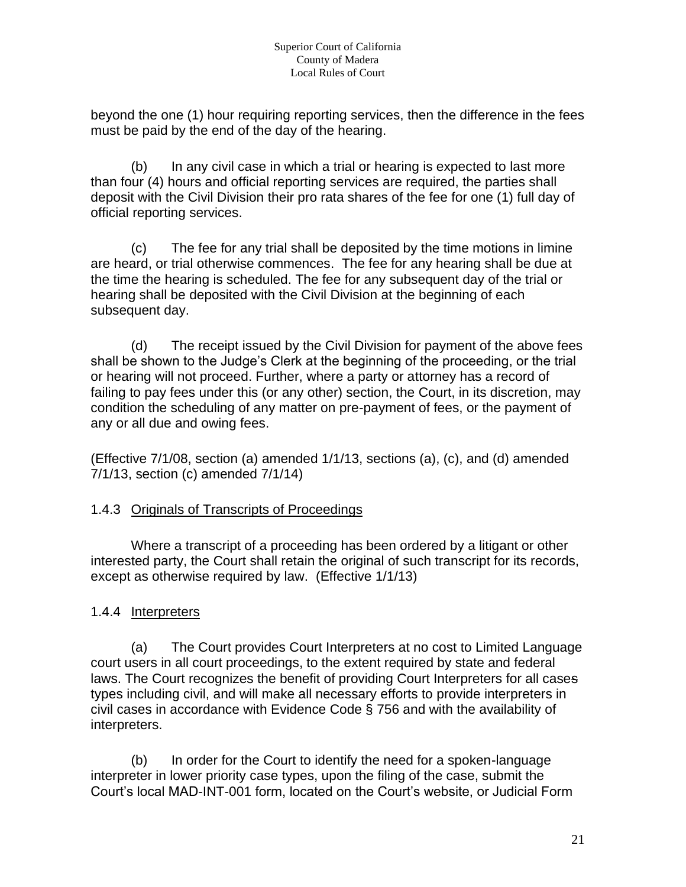beyond the one (1) hour requiring reporting services, then the difference in the fees must be paid by the end of the day of the hearing.

(b) In any civil case in which a trial or hearing is expected to last more than four (4) hours and official reporting services are required, the parties shall deposit with the Civil Division their pro rata shares of the fee for one (1) full day of official reporting services.

(c) The fee for any trial shall be deposited by the time motions in limine are heard, or trial otherwise commences. The fee for any hearing shall be due at the time the hearing is scheduled. The fee for any subsequent day of the trial or hearing shall be deposited with the Civil Division at the beginning of each subsequent day.

(d) The receipt issued by the Civil Division for payment of the above fees shall be shown to the Judge's Clerk at the beginning of the proceeding, or the trial or hearing will not proceed. Further, where a party or attorney has a record of failing to pay fees under this (or any other) section, the Court, in its discretion, may condition the scheduling of any matter on pre-payment of fees, or the payment of any or all due and owing fees.

(Effective 7/1/08, section (a) amended 1/1/13, sections (a), (c), and (d) amended 7/1/13, section (c) amended 7/1/14)

#### 1.4.3 Originals of Transcripts of Proceedings

Where a transcript of a proceeding has been ordered by a litigant or other interested party, the Court shall retain the original of such transcript for its records, except as otherwise required by law. (Effective 1/1/13)

#### 1.4.4 Interpreters

(a) The Court provides Court Interpreters at no cost to Limited Language court users in all court proceedings, to the extent required by state and federal laws. The Court recognizes the benefit of providing Court Interpreters for all cases types including civil, and will make all necessary efforts to provide interpreters in civil cases in accordance with Evidence Code § 756 and with the availability of interpreters.

(b) In order for the Court to identify the need for a spoken-language interpreter in lower priority case types, upon the filing of the case, submit the Court's local MAD-INT-001 form, located on the Court's website, or Judicial Form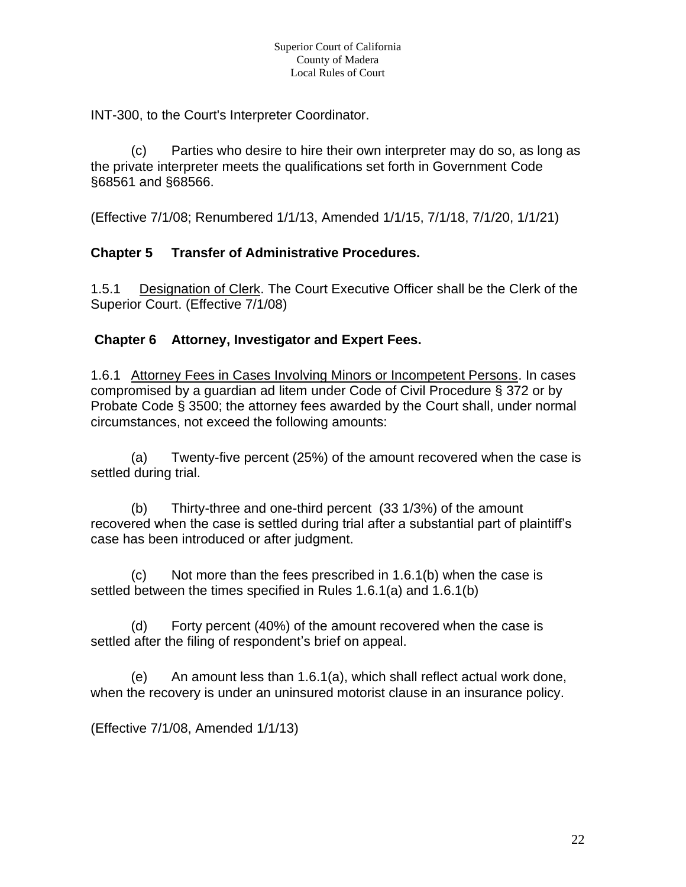INT-300, to the Court's Interpreter Coordinator.

(c) Parties who desire to hire their own interpreter may do so, as long as the private interpreter meets the qualifications set forth in Government Code §68561 and §68566.

(Effective 7/1/08; Renumbered 1/1/13, Amended 1/1/15, 7/1/18, 7/1/20, 1/1/21)

#### **Chapter 5 Transfer of Administrative Procedures.**

1.5.1 Designation of Clerk. The Court Executive Officer shall be the Clerk of the Superior Court. (Effective 7/1/08)

#### **Chapter 6 Attorney, Investigator and Expert Fees.**

1.6.1 Attorney Fees in Cases Involving Minors or Incompetent Persons. In cases compromised by a guardian ad litem under Code of Civil Procedure § 372 or by Probate Code § 3500; the attorney fees awarded by the Court shall, under normal circumstances, not exceed the following amounts:

(a) Twenty-five percent (25%) of the amount recovered when the case is settled during trial.

(b) Thirty-three and one-third percent (33 1/3%) of the amount recovered when the case is settled during trial after a substantial part of plaintiff's case has been introduced or after judgment.

(c) Not more than the fees prescribed in 1.6.1(b) when the case is settled between the times specified in Rules 1.6.1(a) and 1.6.1(b)

(d) Forty percent (40%) of the amount recovered when the case is settled after the filing of respondent's brief on appeal.

(e) An amount less than 1.6.1(a), which shall reflect actual work done, when the recovery is under an uninsured motorist clause in an insurance policy.

(Effective 7/1/08, Amended 1/1/13)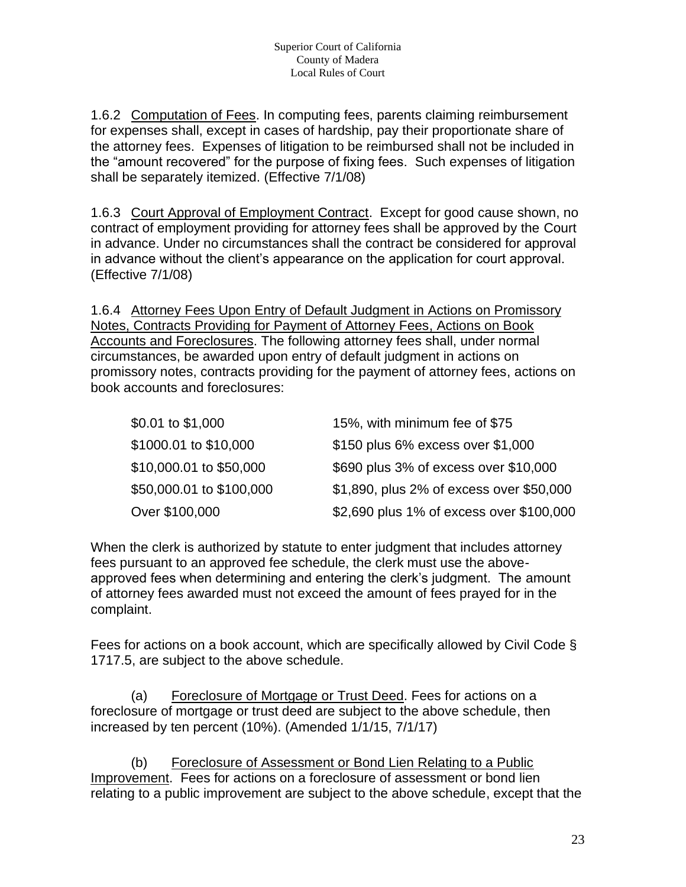1.6.2 Computation of Fees. In computing fees, parents claiming reimbursement for expenses shall, except in cases of hardship, pay their proportionate share of the attorney fees. Expenses of litigation to be reimbursed shall not be included in the "amount recovered" for the purpose of fixing fees. Such expenses of litigation shall be separately itemized. (Effective 7/1/08)

1.6.3 Court Approval of Employment Contract. Except for good cause shown, no contract of employment providing for attorney fees shall be approved by the Court in advance. Under no circumstances shall the contract be considered for approval in advance without the client's appearance on the application for court approval. (Effective 7/1/08)

1.6.4 Attorney Fees Upon Entry of Default Judgment in Actions on Promissory Notes, Contracts Providing for Payment of Attorney Fees, Actions on Book Accounts and Foreclosures. The following attorney fees shall, under normal circumstances, be awarded upon entry of default judgment in actions on promissory notes, contracts providing for the payment of attorney fees, actions on book accounts and foreclosures:

| \$0.01 to \$1,000        | 15%, with minimum fee of \$75            |
|--------------------------|------------------------------------------|
| \$1000.01 to \$10,000    | \$150 plus 6% excess over \$1,000        |
| \$10,000.01 to \$50,000  | \$690 plus 3% of excess over \$10,000    |
| \$50,000.01 to \$100,000 | \$1,890, plus 2% of excess over \$50,000 |
| Over \$100,000           | \$2,690 plus 1% of excess over \$100,000 |

When the clerk is authorized by statute to enter judgment that includes attorney fees pursuant to an approved fee schedule, the clerk must use the aboveapproved fees when determining and entering the clerk's judgment. The amount of attorney fees awarded must not exceed the amount of fees prayed for in the complaint.

Fees for actions on a book account, which are specifically allowed by Civil Code § 1717.5, are subject to the above schedule.

(a) Foreclosure of Mortgage or Trust Deed. Fees for actions on a foreclosure of mortgage or trust deed are subject to the above schedule, then increased by ten percent (10%). (Amended 1/1/15, 7/1/17)

(b) Foreclosure of Assessment or Bond Lien Relating to a Public Improvement. Fees for actions on a foreclosure of assessment or bond lien relating to a public improvement are subject to the above schedule, except that the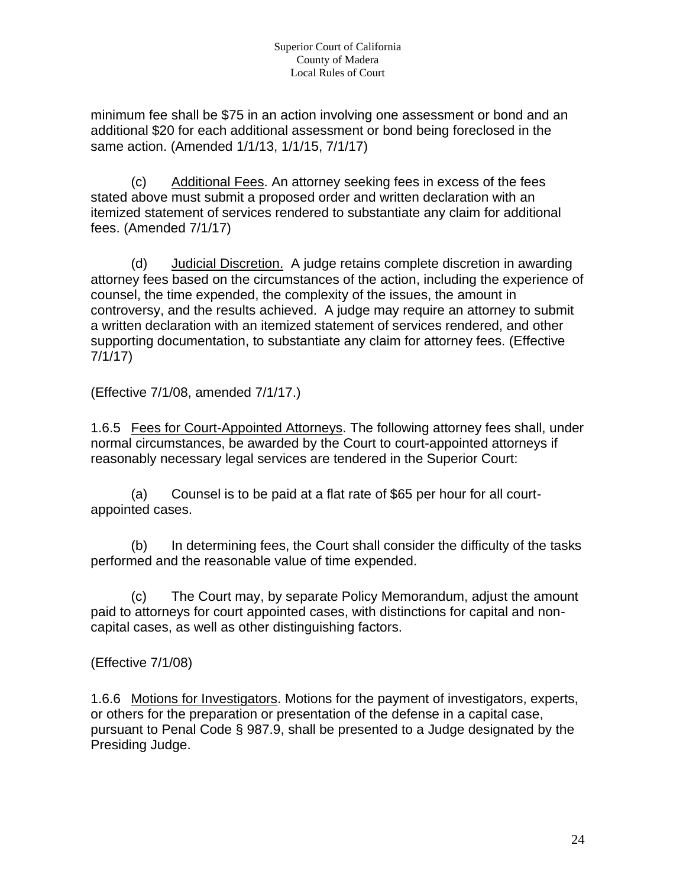minimum fee shall be \$75 in an action involving one assessment or bond and an additional \$20 for each additional assessment or bond being foreclosed in the same action. (Amended 1/1/13, 1/1/15, 7/1/17)

(c) Additional Fees. An attorney seeking fees in excess of the fees stated above must submit a proposed order and written declaration with an itemized statement of services rendered to substantiate any claim for additional fees. (Amended 7/1/17)

(d) Judicial Discretion. A judge retains complete discretion in awarding attorney fees based on the circumstances of the action, including the experience of counsel, the time expended, the complexity of the issues, the amount in controversy, and the results achieved. A judge may require an attorney to submit a written declaration with an itemized statement of services rendered, and other supporting documentation, to substantiate any claim for attorney fees. (Effective 7/1/17)

(Effective 7/1/08, amended 7/1/17.)

1.6.5 Fees for Court-Appointed Attorneys. The following attorney fees shall, under normal circumstances, be awarded by the Court to court-appointed attorneys if reasonably necessary legal services are tendered in the Superior Court:

(a) Counsel is to be paid at a flat rate of \$65 per hour for all courtappointed cases.

(b) In determining fees, the Court shall consider the difficulty of the tasks performed and the reasonable value of time expended.

(c) The Court may, by separate Policy Memorandum, adjust the amount paid to attorneys for court appointed cases, with distinctions for capital and noncapital cases, as well as other distinguishing factors.

#### (Effective 7/1/08)

1.6.6 Motions for Investigators. Motions for the payment of investigators, experts, or others for the preparation or presentation of the defense in a capital case, pursuant to Penal Code § 987.9, shall be presented to a Judge designated by the Presiding Judge.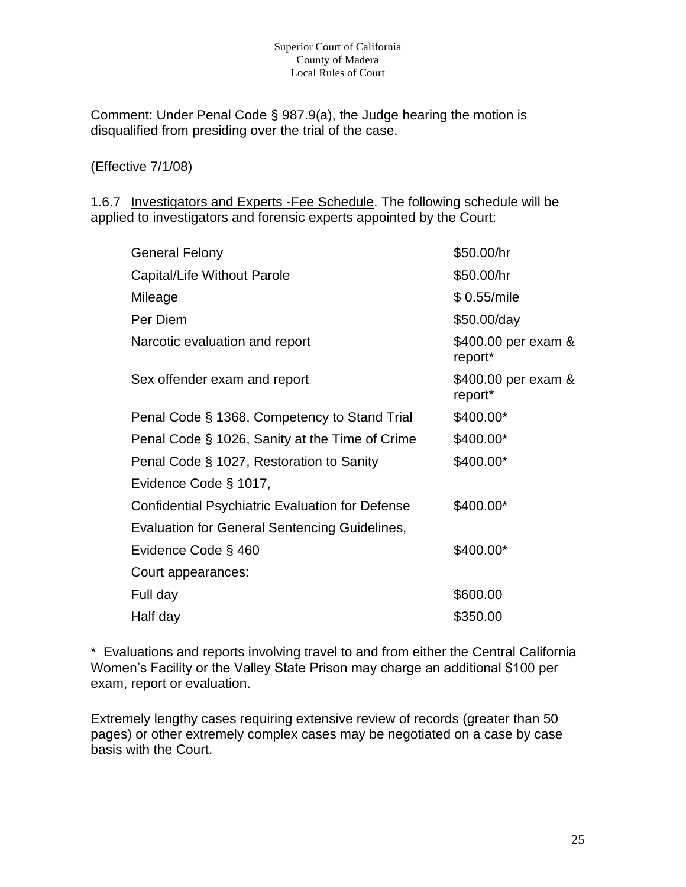#### Superior Court of California County of Madera Local Rules of Court

Comment: Under Penal Code § 987.9(a), the Judge hearing the motion is disqualified from presiding over the trial of the case.

#### (Effective 7/1/08)

1.6.7 Investigators and Experts - Fee Schedule. The following schedule will be applied to investigators and forensic experts appointed by the Court:

| <b>General Felony</b>                                  | \$50.00/hr                     |
|--------------------------------------------------------|--------------------------------|
| Capital/Life Without Parole                            | \$50.00/hr                     |
| Mileage                                                | \$0.55/mile                    |
| Per Diem                                               | \$50.00/day                    |
| Narcotic evaluation and report                         | \$400.00 per exam &<br>report* |
| Sex offender exam and report                           | \$400.00 per exam &<br>report* |
| Penal Code § 1368, Competency to Stand Trial           | \$400.00*                      |
| Penal Code § 1026, Sanity at the Time of Crime         | \$400.00*                      |
| Penal Code § 1027, Restoration to Sanity               | \$400.00*                      |
| Evidence Code § 1017,                                  |                                |
| <b>Confidential Psychiatric Evaluation for Defense</b> | \$400.00*                      |
| Evaluation for General Sentencing Guidelines,          |                                |
| Evidence Code § 460                                    | \$400.00*                      |
| Court appearances:                                     |                                |
| Full day                                               | \$600.00                       |
| Half day                                               | \$350.00                       |

\* Evaluations and reports involving travel to and from either the Central California Women's Facility or the Valley State Prison may charge an additional \$100 per exam, report or evaluation.

Extremely lengthy cases requiring extensive review of records (greater than 50 pages) or other extremely complex cases may be negotiated on a case by case basis with the Court.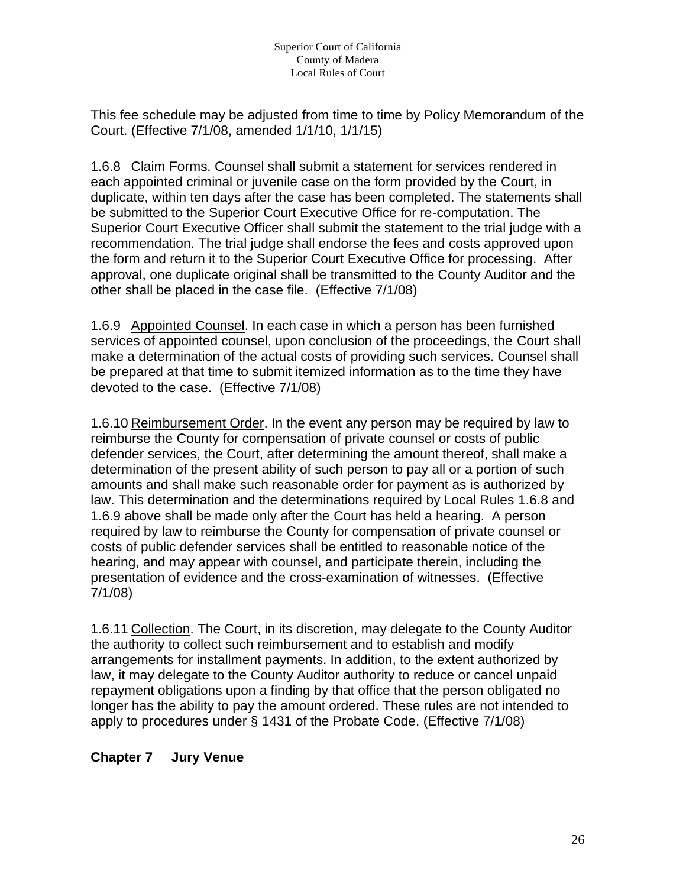This fee schedule may be adjusted from time to time by Policy Memorandum of the Court. (Effective 7/1/08, amended 1/1/10, 1/1/15)

1.6.8 Claim Forms. Counsel shall submit a statement for services rendered in each appointed criminal or juvenile case on the form provided by the Court, in duplicate, within ten days after the case has been completed. The statements shall be submitted to the Superior Court Executive Office for re-computation. The Superior Court Executive Officer shall submit the statement to the trial judge with a recommendation. The trial judge shall endorse the fees and costs approved upon the form and return it to the Superior Court Executive Office for processing. After approval, one duplicate original shall be transmitted to the County Auditor and the other shall be placed in the case file. (Effective 7/1/08)

1.6.9 Appointed Counsel. In each case in which a person has been furnished services of appointed counsel, upon conclusion of the proceedings, the Court shall make a determination of the actual costs of providing such services. Counsel shall be prepared at that time to submit itemized information as to the time they have devoted to the case. (Effective 7/1/08)

1.6.10 Reimbursement Order. In the event any person may be required by law to reimburse the County for compensation of private counsel or costs of public defender services, the Court, after determining the amount thereof, shall make a determination of the present ability of such person to pay all or a portion of such amounts and shall make such reasonable order for payment as is authorized by law. This determination and the determinations required by Local Rules 1.6.8 and 1.6.9 above shall be made only after the Court has held a hearing. A person required by law to reimburse the County for compensation of private counsel or costs of public defender services shall be entitled to reasonable notice of the hearing, and may appear with counsel, and participate therein, including the presentation of evidence and the cross-examination of witnesses. (Effective 7/1/08)

1.6.11 Collection. The Court, in its discretion, may delegate to the County Auditor the authority to collect such reimbursement and to establish and modify arrangements for installment payments. In addition, to the extent authorized by law, it may delegate to the County Auditor authority to reduce or cancel unpaid repayment obligations upon a finding by that office that the person obligated no longer has the ability to pay the amount ordered. These rules are not intended to apply to procedures under § 1431 of the Probate Code. (Effective 7/1/08)

#### **Chapter 7 Jury Venue**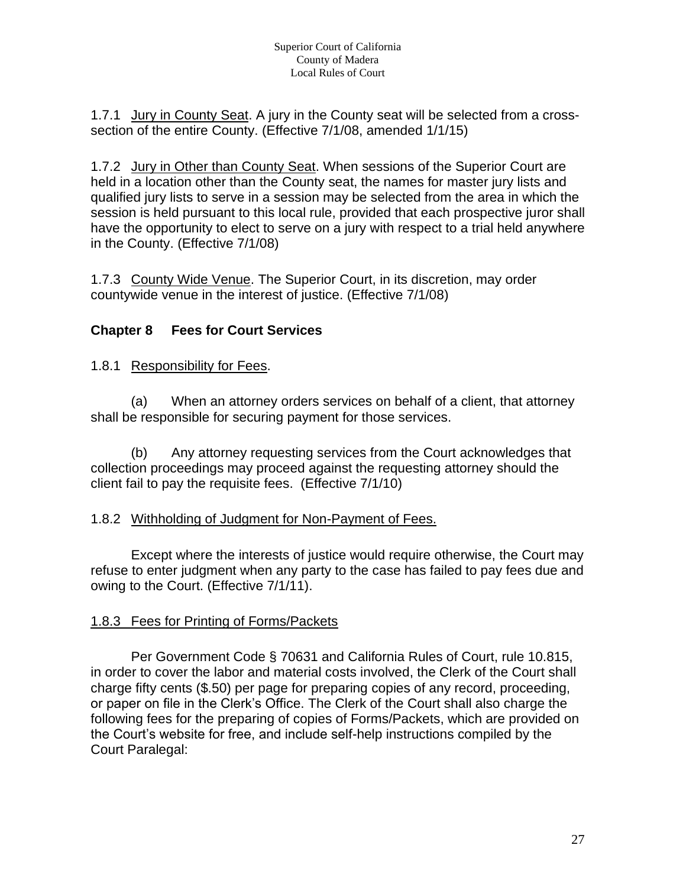1.7.1 Jury in County Seat. A jury in the County seat will be selected from a crosssection of the entire County. (Effective 7/1/08, amended 1/1/15)

1.7.2 Jury in Other than County Seat. When sessions of the Superior Court are held in a location other than the County seat, the names for master jury lists and qualified jury lists to serve in a session may be selected from the area in which the session is held pursuant to this local rule, provided that each prospective juror shall have the opportunity to elect to serve on a jury with respect to a trial held anywhere in the County. (Effective 7/1/08)

1.7.3 County Wide Venue. The Superior Court, in its discretion, may order countywide venue in the interest of justice. (Effective 7/1/08)

#### **Chapter 8 Fees for Court Services**

1.8.1 Responsibility for Fees.

(a) When an attorney orders services on behalf of a client, that attorney shall be responsible for securing payment for those services.

(b) Any attorney requesting services from the Court acknowledges that collection proceedings may proceed against the requesting attorney should the client fail to pay the requisite fees. (Effective 7/1/10)

#### 1.8.2 Withholding of Judgment for Non-Payment of Fees.

Except where the interests of justice would require otherwise, the Court may refuse to enter judgment when any party to the case has failed to pay fees due and owing to the Court. (Effective 7/1/11).

#### 1.8.3 Fees for Printing of Forms/Packets

Per Government Code § 70631 and California Rules of Court, rule 10.815, in order to cover the labor and material costs involved, the Clerk of the Court shall charge fifty cents (\$.50) per page for preparing copies of any record, proceeding, or paper on file in the Clerk's Office. The Clerk of the Court shall also charge the following fees for the preparing of copies of Forms/Packets, which are provided on the Court's website for free, and include self-help instructions compiled by the Court Paralegal: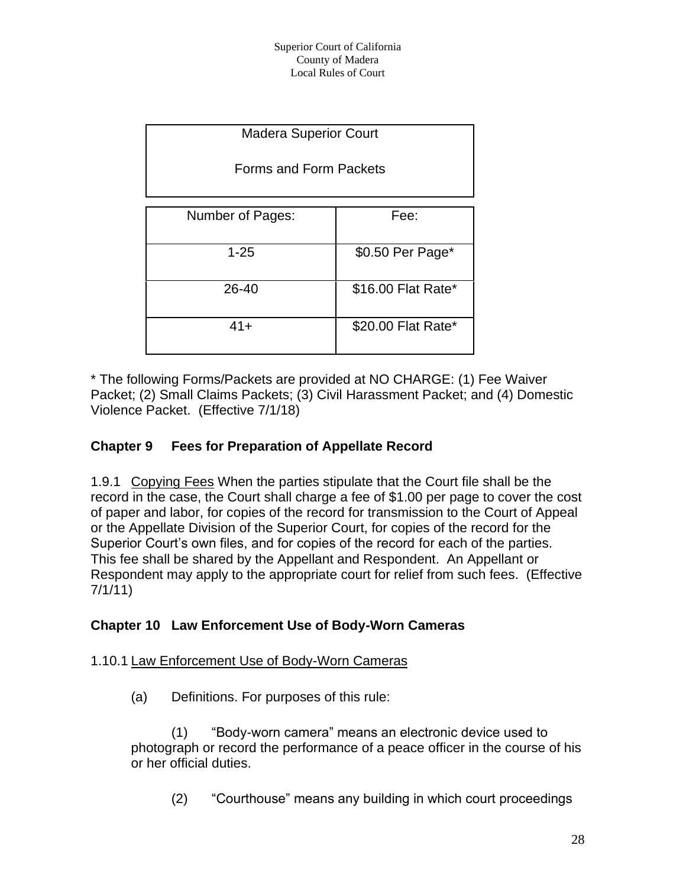| <b>Madera Superior Court</b> |                    |  |  |  |
|------------------------------|--------------------|--|--|--|
| Forms and Form Packets       |                    |  |  |  |
|                              |                    |  |  |  |
| Number of Pages:             | Fee:               |  |  |  |
| $1 - 25$                     | \$0.50 Per Page*   |  |  |  |
| 26-40                        | \$16.00 Flat Rate* |  |  |  |
| $41 +$                       | \$20.00 Flat Rate* |  |  |  |

\* The following Forms/Packets are provided at NO CHARGE: (1) Fee Waiver Packet; (2) Small Claims Packets; (3) Civil Harassment Packet; and (4) Domestic Violence Packet. (Effective 7/1/18)

#### **Chapter 9 Fees for Preparation of Appellate Record**

1.9.1 Copying Fees When the parties stipulate that the Court file shall be the record in the case, the Court shall charge a fee of \$1.00 per page to cover the cost of paper and labor, for copies of the record for transmission to the Court of Appeal or the Appellate Division of the Superior Court, for copies of the record for the Superior Court's own files, and for copies of the record for each of the parties. This fee shall be shared by the Appellant and Respondent. An Appellant or Respondent may apply to the appropriate court for relief from such fees. (Effective 7/1/11)

#### **Chapter 10 Law Enforcement Use of Body-Worn Cameras**

#### 1.10.1 Law Enforcement Use of Body-Worn Cameras

(a) Definitions. For purposes of this rule:

(1) "Body-worn camera" means an electronic device used to photograph or record the performance of a peace officer in the course of his or her official duties.

(2) "Courthouse" means any building in which court proceedings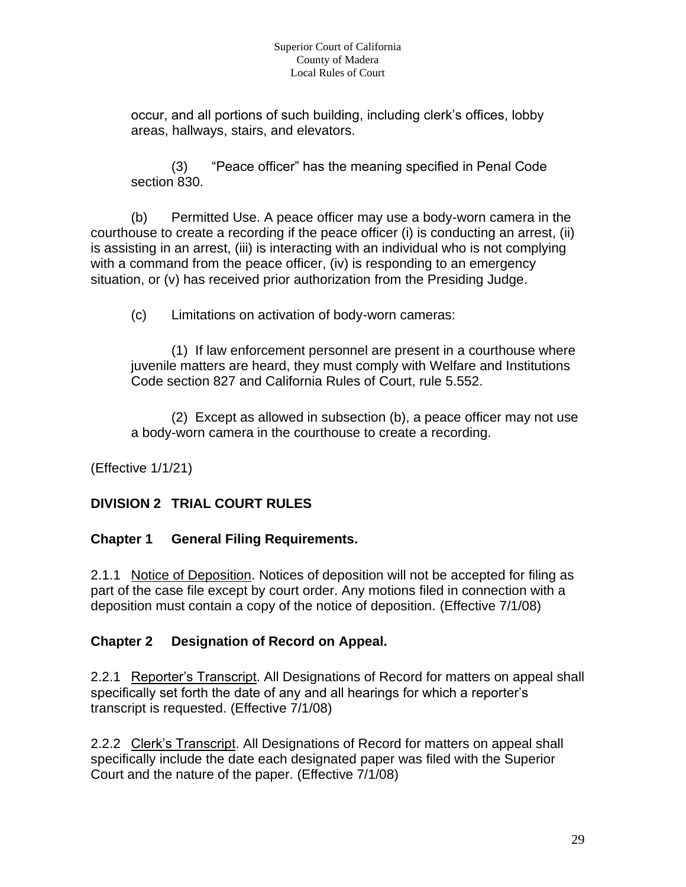occur, and all portions of such building, including clerk's offices, lobby areas, hallways, stairs, and elevators.

(3) "Peace officer" has the meaning specified in Penal Code section 830.

(b) Permitted Use. A peace officer may use a body-worn camera in the courthouse to create a recording if the peace officer (i) is conducting an arrest, (ii) is assisting in an arrest, (iii) is interacting with an individual who is not complying with a command from the peace officer, (iv) is responding to an emergency situation, or (v) has received prior authorization from the Presiding Judge.

(c) Limitations on activation of body-worn cameras:

(1) If law enforcement personnel are present in a courthouse where juvenile matters are heard, they must comply with Welfare and Institutions Code section 827 and California Rules of Court, rule 5.552.

(2) Except as allowed in subsection (b), a peace officer may not use a body-worn camera in the courthouse to create a recording.

(Effective 1/1/21)

## **DIVISION 2 TRIAL COURT RULES**

## **Chapter 1 General Filing Requirements.**

2.1.1 Notice of Deposition. Notices of deposition will not be accepted for filing as part of the case file except by court order. Any motions filed in connection with a deposition must contain a copy of the notice of deposition. (Effective 7/1/08)

## **Chapter 2 Designation of Record on Appeal.**

2.2.1 Reporter's Transcript. All Designations of Record for matters on appeal shall specifically set forth the date of any and all hearings for which a reporter's transcript is requested. (Effective 7/1/08)

2.2.2 Clerk's Transcript. All Designations of Record for matters on appeal shall specifically include the date each designated paper was filed with the Superior Court and the nature of the paper. (Effective 7/1/08)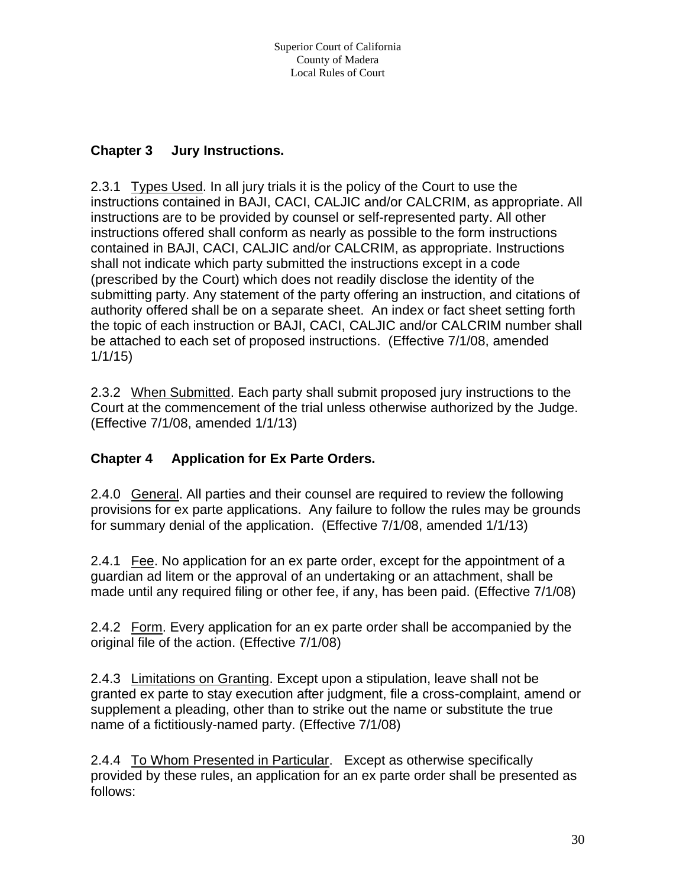#### **Chapter 3 Jury Instructions.**

2.3.1 Types Used. In all jury trials it is the policy of the Court to use the instructions contained in BAJI, CACI, CALJIC and/or CALCRIM, as appropriate. All instructions are to be provided by counsel or self-represented party. All other instructions offered shall conform as nearly as possible to the form instructions contained in BAJI, CACI, CALJIC and/or CALCRIM, as appropriate. Instructions shall not indicate which party submitted the instructions except in a code (prescribed by the Court) which does not readily disclose the identity of the submitting party. Any statement of the party offering an instruction, and citations of authority offered shall be on a separate sheet. An index or fact sheet setting forth the topic of each instruction or BAJI, CACI, CALJIC and/or CALCRIM number shall be attached to each set of proposed instructions. (Effective 7/1/08, amended 1/1/15)

2.3.2 When Submitted. Each party shall submit proposed jury instructions to the Court at the commencement of the trial unless otherwise authorized by the Judge. (Effective 7/1/08, amended 1/1/13)

## **Chapter 4 Application for Ex Parte Orders.**

2.4.0 General. All parties and their counsel are required to review the following provisions for ex parte applications. Any failure to follow the rules may be grounds for summary denial of the application. (Effective 7/1/08, amended 1/1/13)

2.4.1 Fee. No application for an ex parte order, except for the appointment of a guardian ad litem or the approval of an undertaking or an attachment, shall be made until any required filing or other fee, if any, has been paid. (Effective 7/1/08)

2.4.2 Form. Every application for an ex parte order shall be accompanied by the original file of the action. (Effective 7/1/08)

2.4.3 Limitations on Granting. Except upon a stipulation, leave shall not be granted ex parte to stay execution after judgment, file a cross-complaint, amend or supplement a pleading, other than to strike out the name or substitute the true name of a fictitiously-named party. (Effective 7/1/08)

2.4.4 To Whom Presented in Particular. Except as otherwise specifically provided by these rules, an application for an ex parte order shall be presented as follows: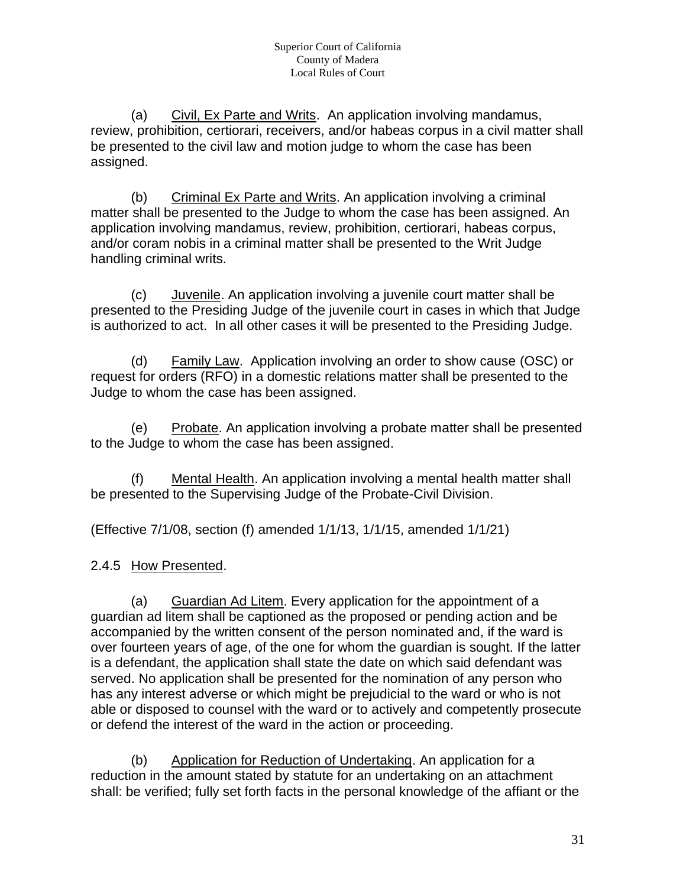(a) Civil, Ex Parte and Writs. An application involving mandamus, review, prohibition, certiorari, receivers, and/or habeas corpus in a civil matter shall be presented to the civil law and motion judge to whom the case has been assigned.

(b) Criminal Ex Parte and Writs. An application involving a criminal matter shall be presented to the Judge to whom the case has been assigned. An application involving mandamus, review, prohibition, certiorari, habeas corpus, and/or coram nobis in a criminal matter shall be presented to the Writ Judge handling criminal writs.

(c) Juvenile. An application involving a juvenile court matter shall be presented to the Presiding Judge of the juvenile court in cases in which that Judge is authorized to act. In all other cases it will be presented to the Presiding Judge.

(d) Family Law. Application involving an order to show cause (OSC) or request for orders (RFO) in a domestic relations matter shall be presented to the Judge to whom the case has been assigned.

(e) Probate. An application involving a probate matter shall be presented to the Judge to whom the case has been assigned.

(f) Mental Health. An application involving a mental health matter shall be presented to the Supervising Judge of the Probate-Civil Division.

(Effective 7/1/08, section (f) amended 1/1/13, 1/1/15, amended 1/1/21)

#### 2.4.5 How Presented.

(a) Guardian Ad Litem. Every application for the appointment of a guardian ad litem shall be captioned as the proposed or pending action and be accompanied by the written consent of the person nominated and, if the ward is over fourteen years of age, of the one for whom the guardian is sought. If the latter is a defendant, the application shall state the date on which said defendant was served. No application shall be presented for the nomination of any person who has any interest adverse or which might be prejudicial to the ward or who is not able or disposed to counsel with the ward or to actively and competently prosecute or defend the interest of the ward in the action or proceeding.

(b) Application for Reduction of Undertaking. An application for a reduction in the amount stated by statute for an undertaking on an attachment shall: be verified; fully set forth facts in the personal knowledge of the affiant or the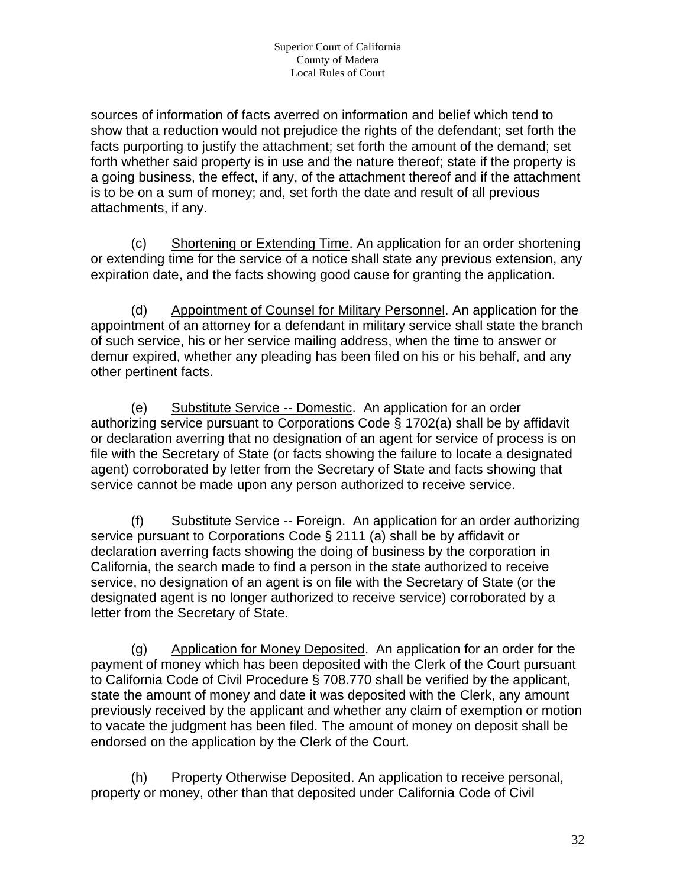sources of information of facts averred on information and belief which tend to show that a reduction would not prejudice the rights of the defendant; set forth the facts purporting to justify the attachment; set forth the amount of the demand; set forth whether said property is in use and the nature thereof; state if the property is a going business, the effect, if any, of the attachment thereof and if the attachment is to be on a sum of money; and, set forth the date and result of all previous attachments, if any.

(c) Shortening or Extending Time. An application for an order shortening or extending time for the service of a notice shall state any previous extension, any expiration date, and the facts showing good cause for granting the application.

(d) Appointment of Counsel for Military Personnel. An application for the appointment of an attorney for a defendant in military service shall state the branch of such service, his or her service mailing address, when the time to answer or demur expired, whether any pleading has been filed on his or his behalf, and any other pertinent facts.

(e) Substitute Service -- Domestic. An application for an order authorizing service pursuant to Corporations Code § 1702(a) shall be by affidavit or declaration averring that no designation of an agent for service of process is on file with the Secretary of State (or facts showing the failure to locate a designated agent) corroborated by letter from the Secretary of State and facts showing that service cannot be made upon any person authorized to receive service.

(f) Substitute Service -- Foreign. An application for an order authorizing service pursuant to Corporations Code § 2111 (a) shall be by affidavit or declaration averring facts showing the doing of business by the corporation in California, the search made to find a person in the state authorized to receive service, no designation of an agent is on file with the Secretary of State (or the designated agent is no longer authorized to receive service) corroborated by a letter from the Secretary of State.

(g) Application for Money Deposited. An application for an order for the payment of money which has been deposited with the Clerk of the Court pursuant to California Code of Civil Procedure § 708.770 shall be verified by the applicant, state the amount of money and date it was deposited with the Clerk, any amount previously received by the applicant and whether any claim of exemption or motion to vacate the judgment has been filed. The amount of money on deposit shall be endorsed on the application by the Clerk of the Court.

(h) Property Otherwise Deposited. An application to receive personal, property or money, other than that deposited under California Code of Civil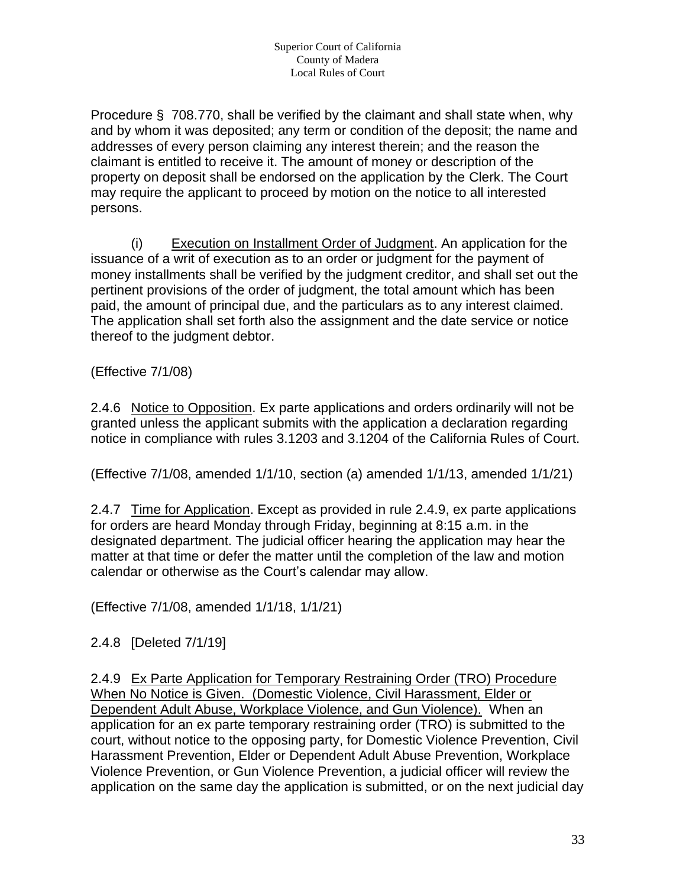Procedure § 708.770, shall be verified by the claimant and shall state when, why and by whom it was deposited; any term or condition of the deposit; the name and addresses of every person claiming any interest therein; and the reason the claimant is entitled to receive it. The amount of money or description of the property on deposit shall be endorsed on the application by the Clerk. The Court may require the applicant to proceed by motion on the notice to all interested persons.

(i) Execution on Installment Order of Judgment. An application for the issuance of a writ of execution as to an order or judgment for the payment of money installments shall be verified by the judgment creditor, and shall set out the pertinent provisions of the order of judgment, the total amount which has been paid, the amount of principal due, and the particulars as to any interest claimed. The application shall set forth also the assignment and the date service or notice thereof to the judgment debtor.

(Effective 7/1/08)

2.4.6 Notice to Opposition. Ex parte applications and orders ordinarily will not be granted unless the applicant submits with the application a declaration regarding notice in compliance with rules 3.1203 and 3.1204 of the California Rules of Court.

(Effective 7/1/08, amended 1/1/10, section (a) amended 1/1/13, amended 1/1/21)

2.4.7 Time for Application. Except as provided in rule 2.4.9, ex parte applications for orders are heard Monday through Friday, beginning at 8:15 a.m. in the designated department. The judicial officer hearing the application may hear the matter at that time or defer the matter until the completion of the law and motion calendar or otherwise as the Court's calendar may allow.

(Effective 7/1/08, amended 1/1/18, 1/1/21)

2.4.8 [Deleted 7/1/19]

2.4.9 Ex Parte Application for Temporary Restraining Order (TRO) Procedure When No Notice is Given. (Domestic Violence, Civil Harassment, Elder or Dependent Adult Abuse, Workplace Violence, and Gun Violence). When an application for an ex parte temporary restraining order (TRO) is submitted to the court, without notice to the opposing party, for Domestic Violence Prevention, Civil Harassment Prevention, Elder or Dependent Adult Abuse Prevention, Workplace Violence Prevention, or Gun Violence Prevention, a judicial officer will review the application on the same day the application is submitted, or on the next judicial day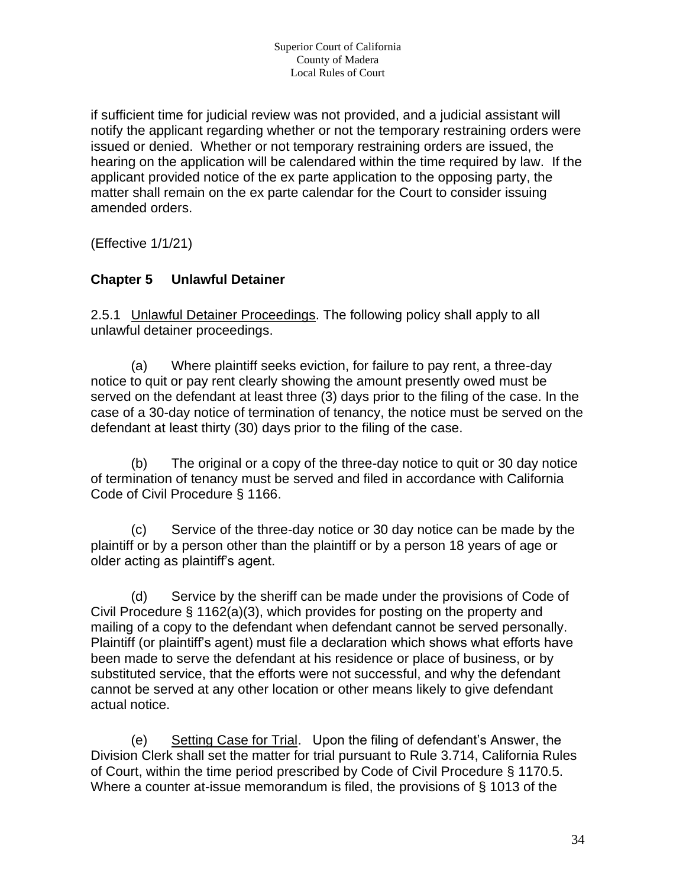if sufficient time for judicial review was not provided, and a judicial assistant will notify the applicant regarding whether or not the temporary restraining orders were issued or denied. Whether or not temporary restraining orders are issued, the hearing on the application will be calendared within the time required by law. If the applicant provided notice of the ex parte application to the opposing party, the matter shall remain on the ex parte calendar for the Court to consider issuing amended orders.

(Effective 1/1/21)

#### **Chapter 5 Unlawful Detainer**

2.5.1 Unlawful Detainer Proceedings. The following policy shall apply to all unlawful detainer proceedings.

(a) Where plaintiff seeks eviction, for failure to pay rent, a three-day notice to quit or pay rent clearly showing the amount presently owed must be served on the defendant at least three (3) days prior to the filing of the case. In the case of a 30-day notice of termination of tenancy, the notice must be served on the defendant at least thirty (30) days prior to the filing of the case.

(b) The original or a copy of the three-day notice to quit or 30 day notice of termination of tenancy must be served and filed in accordance with California Code of Civil Procedure § 1166.

(c) Service of the three-day notice or 30 day notice can be made by the plaintiff or by a person other than the plaintiff or by a person 18 years of age or older acting as plaintiff's agent.

(d) Service by the sheriff can be made under the provisions of Code of Civil Procedure § 1162(a)(3), which provides for posting on the property and mailing of a copy to the defendant when defendant cannot be served personally. Plaintiff (or plaintiff's agent) must file a declaration which shows what efforts have been made to serve the defendant at his residence or place of business, or by substituted service, that the efforts were not successful, and why the defendant cannot be served at any other location or other means likely to give defendant actual notice.

(e) Setting Case for Trial. Upon the filing of defendant's Answer, the Division Clerk shall set the matter for trial pursuant to Rule 3.714, California Rules of Court, within the time period prescribed by Code of Civil Procedure § 1170.5. Where a counter at-issue memorandum is filed, the provisions of § 1013 of the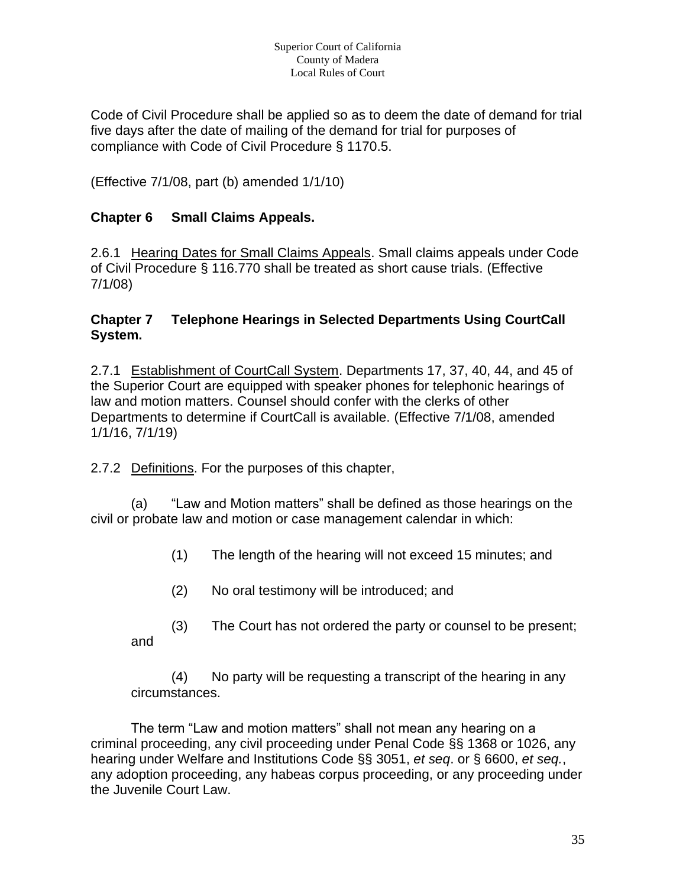Code of Civil Procedure shall be applied so as to deem the date of demand for trial five days after the date of mailing of the demand for trial for purposes of compliance with Code of Civil Procedure § 1170.5.

(Effective 7/1/08, part (b) amended 1/1/10)

#### **Chapter 6 Small Claims Appeals.**

2.6.1 Hearing Dates for Small Claims Appeals. Small claims appeals under Code of Civil Procedure § 116.770 shall be treated as short cause trials. (Effective 7/1/08)

#### **Chapter 7 Telephone Hearings in Selected Departments Using CourtCall System.**

2.7.1 Establishment of CourtCall System. Departments 17, 37, 40, 44, and 45 of the Superior Court are equipped with speaker phones for telephonic hearings of law and motion matters. Counsel should confer with the clerks of other Departments to determine if CourtCall is available. (Effective 7/1/08, amended 1/1/16, 7/1/19)

2.7.2 Definitions. For the purposes of this chapter,

(a) "Law and Motion matters" shall be defined as those hearings on the civil or probate law and motion or case management calendar in which:

(1) The length of the hearing will not exceed 15 minutes; and

- (2) No oral testimony will be introduced; and
- (3) The Court has not ordered the party or counsel to be present; and

(4) No party will be requesting a transcript of the hearing in any circumstances.

The term "Law and motion matters" shall not mean any hearing on a criminal proceeding, any civil proceeding under Penal Code §§ 1368 or 1026, any hearing under Welfare and Institutions Code §§ 3051, *et seq*. or § 6600, *et seq.*, any adoption proceeding, any habeas corpus proceeding, or any proceeding under the Juvenile Court Law.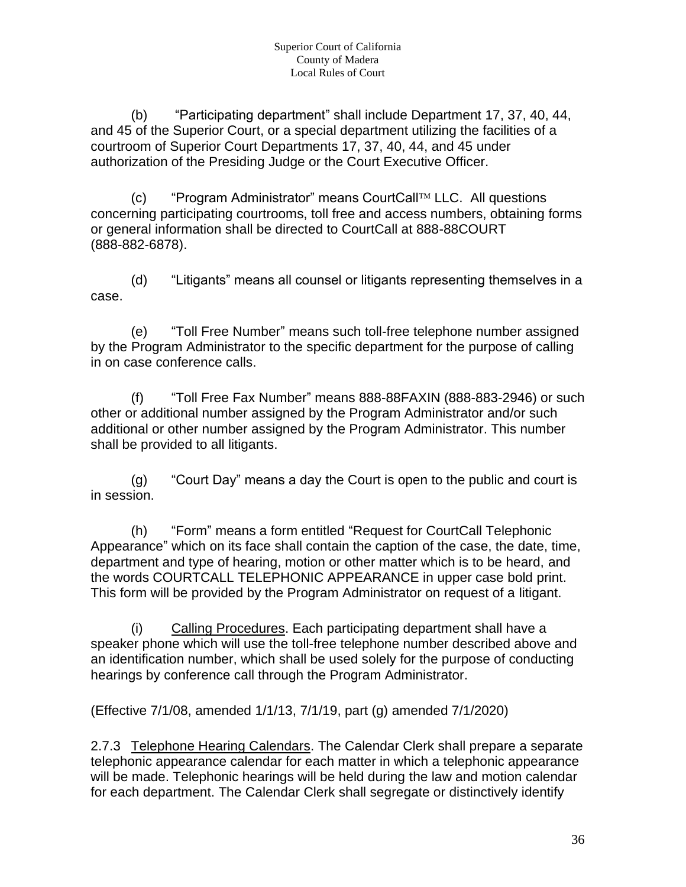(b) "Participating department" shall include Department 17, 37, 40, 44, and 45 of the Superior Court, or a special department utilizing the facilities of a courtroom of Superior Court Departments 17, 37, 40, 44, and 45 under authorization of the Presiding Judge or the Court Executive Officer.

 $(c)$  "Program Administrator" means CourtCall<sup>TM</sup> LLC. All questions concerning participating courtrooms, toll free and access numbers, obtaining forms or general information shall be directed to CourtCall at 888-88COURT (888-882-6878).

(d) "Litigants" means all counsel or litigants representing themselves in a case.

(e) "Toll Free Number" means such toll-free telephone number assigned by the Program Administrator to the specific department for the purpose of calling in on case conference calls.

(f) "Toll Free Fax Number" means 888-88FAXIN (888-883-2946) or such other or additional number assigned by the Program Administrator and/or such additional or other number assigned by the Program Administrator. This number shall be provided to all litigants.

(g) "Court Day" means a day the Court is open to the public and court is in session.

(h) "Form" means a form entitled "Request for CourtCall Telephonic Appearance" which on its face shall contain the caption of the case, the date, time, department and type of hearing, motion or other matter which is to be heard, and the words COURTCALL TELEPHONIC APPEARANCE in upper case bold print. This form will be provided by the Program Administrator on request of a litigant.

(i) Calling Procedures. Each participating department shall have a speaker phone which will use the toll-free telephone number described above and an identification number, which shall be used solely for the purpose of conducting hearings by conference call through the Program Administrator.

(Effective 7/1/08, amended 1/1/13, 7/1/19, part (g) amended 7/1/2020)

2.7.3 Telephone Hearing Calendars. The Calendar Clerk shall prepare a separate telephonic appearance calendar for each matter in which a telephonic appearance will be made. Telephonic hearings will be held during the law and motion calendar for each department. The Calendar Clerk shall segregate or distinctively identify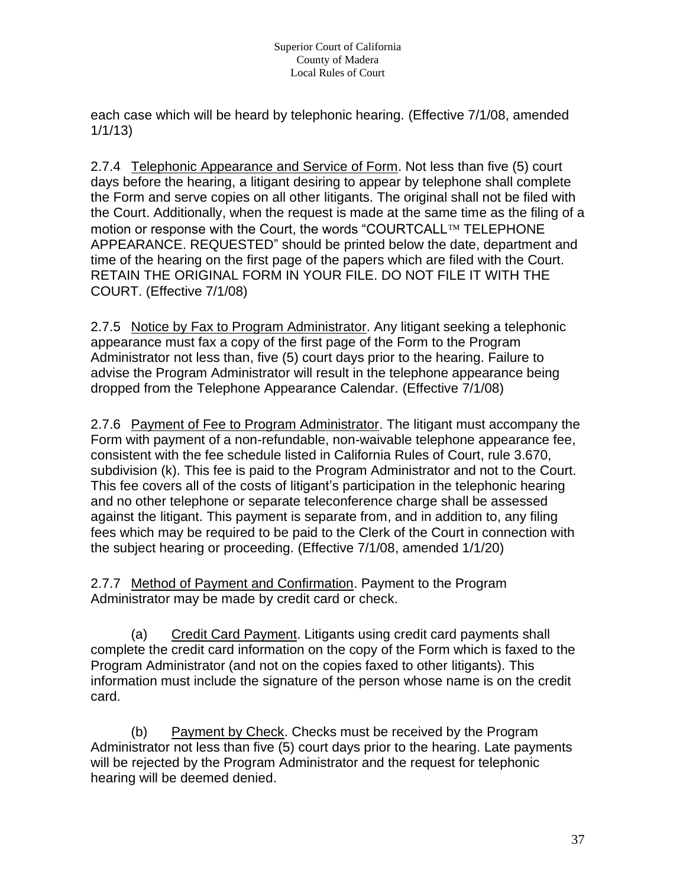each case which will be heard by telephonic hearing. (Effective 7/1/08, amended 1/1/13)

2.7.4 Telephonic Appearance and Service of Form. Not less than five (5) court days before the hearing, a litigant desiring to appear by telephone shall complete the Form and serve copies on all other litigants. The original shall not be filed with the Court. Additionally, when the request is made at the same time as the filing of a motion or response with the Court, the words "COURTCALL<sup>TM</sup> TELEPHONE APPEARANCE. REQUESTED" should be printed below the date, department and time of the hearing on the first page of the papers which are filed with the Court. RETAIN THE ORIGINAL FORM IN YOUR FILE. DO NOT FILE IT WITH THE COURT. (Effective 7/1/08)

2.7.5 Notice by Fax to Program Administrator. Any litigant seeking a telephonic appearance must fax a copy of the first page of the Form to the Program Administrator not less than, five (5) court days prior to the hearing. Failure to advise the Program Administrator will result in the telephone appearance being dropped from the Telephone Appearance Calendar. (Effective 7/1/08)

2.7.6 Payment of Fee to Program Administrator. The litigant must accompany the Form with payment of a non-refundable, non-waivable telephone appearance fee, consistent with the fee schedule listed in California Rules of Court, rule 3.670, subdivision (k). This fee is paid to the Program Administrator and not to the Court. This fee covers all of the costs of litigant's participation in the telephonic hearing and no other telephone or separate teleconference charge shall be assessed against the litigant. This payment is separate from, and in addition to, any filing fees which may be required to be paid to the Clerk of the Court in connection with the subject hearing or proceeding. (Effective 7/1/08, amended 1/1/20)

2.7.7 Method of Payment and Confirmation. Payment to the Program Administrator may be made by credit card or check.

(a) Credit Card Payment. Litigants using credit card payments shall complete the credit card information on the copy of the Form which is faxed to the Program Administrator (and not on the copies faxed to other litigants). This information must include the signature of the person whose name is on the credit card.

(b) Payment by Check. Checks must be received by the Program Administrator not less than five (5) court days prior to the hearing. Late payments will be rejected by the Program Administrator and the request for telephonic hearing will be deemed denied.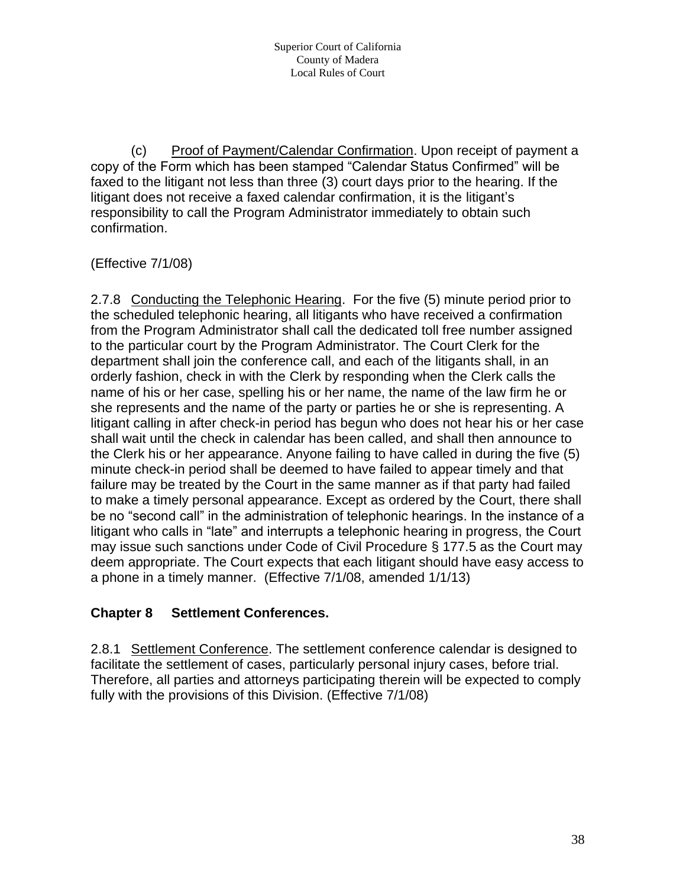(c) Proof of Payment/Calendar Confirmation. Upon receipt of payment a copy of the Form which has been stamped "Calendar Status Confirmed" will be faxed to the litigant not less than three (3) court days prior to the hearing. If the litigant does not receive a faxed calendar confirmation, it is the litigant's responsibility to call the Program Administrator immediately to obtain such confirmation.

# (Effective 7/1/08)

2.7.8 Conducting the Telephonic Hearing. For the five (5) minute period prior to the scheduled telephonic hearing, all litigants who have received a confirmation from the Program Administrator shall call the dedicated toll free number assigned to the particular court by the Program Administrator. The Court Clerk for the department shall join the conference call, and each of the litigants shall, in an orderly fashion, check in with the Clerk by responding when the Clerk calls the name of his or her case, spelling his or her name, the name of the law firm he or she represents and the name of the party or parties he or she is representing. A litigant calling in after check-in period has begun who does not hear his or her case shall wait until the check in calendar has been called, and shall then announce to the Clerk his or her appearance. Anyone failing to have called in during the five (5) minute check-in period shall be deemed to have failed to appear timely and that failure may be treated by the Court in the same manner as if that party had failed to make a timely personal appearance. Except as ordered by the Court, there shall be no "second call" in the administration of telephonic hearings. In the instance of a litigant who calls in "late" and interrupts a telephonic hearing in progress, the Court may issue such sanctions under Code of Civil Procedure § 177.5 as the Court may deem appropriate. The Court expects that each litigant should have easy access to a phone in a timely manner. (Effective 7/1/08, amended 1/1/13)

## **Chapter 8 Settlement Conferences.**

2.8.1 Settlement Conference. The settlement conference calendar is designed to facilitate the settlement of cases, particularly personal injury cases, before trial. Therefore, all parties and attorneys participating therein will be expected to comply fully with the provisions of this Division. (Effective 7/1/08)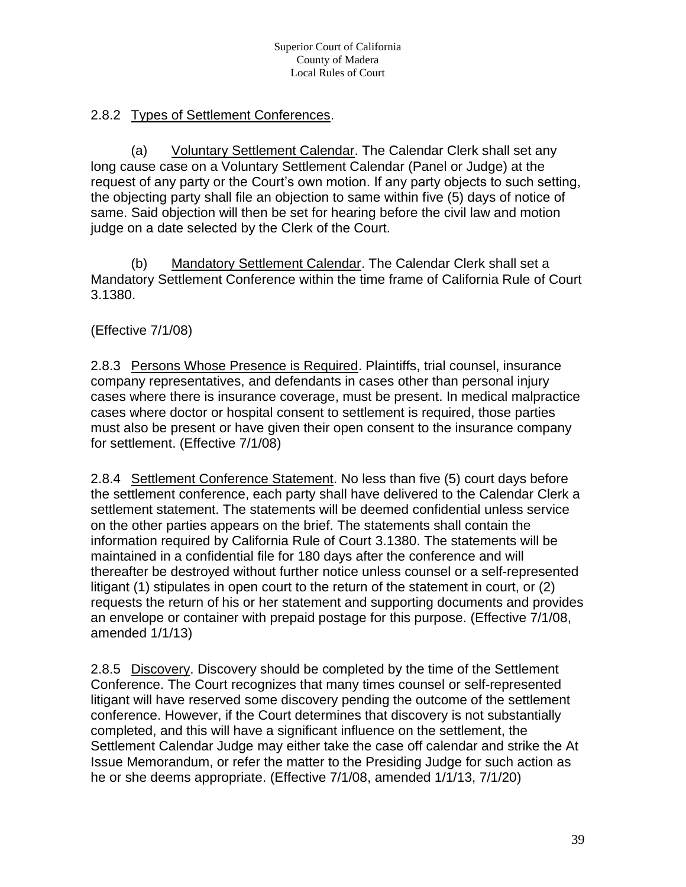## 2.8.2 Types of Settlement Conferences.

(a) Voluntary Settlement Calendar. The Calendar Clerk shall set any long cause case on a Voluntary Settlement Calendar (Panel or Judge) at the request of any party or the Court's own motion. If any party objects to such setting, the objecting party shall file an objection to same within five (5) days of notice of same. Said objection will then be set for hearing before the civil law and motion judge on a date selected by the Clerk of the Court.

(b) Mandatory Settlement Calendar. The Calendar Clerk shall set a Mandatory Settlement Conference within the time frame of California Rule of Court 3.1380.

(Effective 7/1/08)

2.8.3 Persons Whose Presence is Required. Plaintiffs, trial counsel, insurance company representatives, and defendants in cases other than personal injury cases where there is insurance coverage, must be present. In medical malpractice cases where doctor or hospital consent to settlement is required, those parties must also be present or have given their open consent to the insurance company for settlement. (Effective 7/1/08)

2.8.4 Settlement Conference Statement. No less than five (5) court days before the settlement conference, each party shall have delivered to the Calendar Clerk a settlement statement. The statements will be deemed confidential unless service on the other parties appears on the brief. The statements shall contain the information required by California Rule of Court 3.1380. The statements will be maintained in a confidential file for 180 days after the conference and will thereafter be destroyed without further notice unless counsel or a self-represented litigant (1) stipulates in open court to the return of the statement in court, or (2) requests the return of his or her statement and supporting documents and provides an envelope or container with prepaid postage for this purpose. (Effective 7/1/08, amended 1/1/13)

2.8.5 Discovery. Discovery should be completed by the time of the Settlement Conference. The Court recognizes that many times counsel or self-represented litigant will have reserved some discovery pending the outcome of the settlement conference. However, if the Court determines that discovery is not substantially completed, and this will have a significant influence on the settlement, the Settlement Calendar Judge may either take the case off calendar and strike the At Issue Memorandum, or refer the matter to the Presiding Judge for such action as he or she deems appropriate. (Effective 7/1/08, amended 1/1/13, 7/1/20)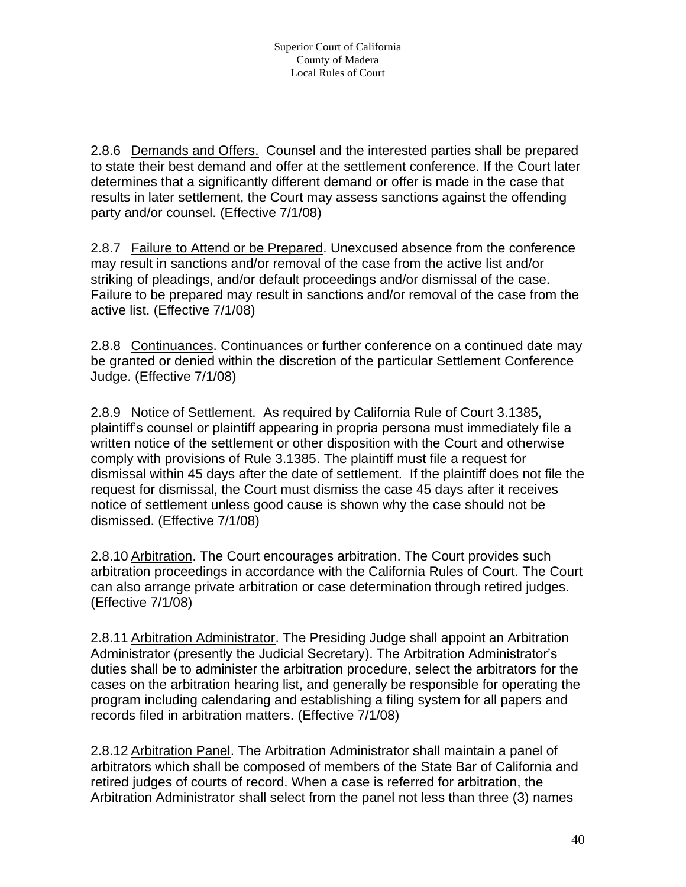2.8.6 Demands and Offers. Counsel and the interested parties shall be prepared to state their best demand and offer at the settlement conference. If the Court later determines that a significantly different demand or offer is made in the case that results in later settlement, the Court may assess sanctions against the offending party and/or counsel. (Effective 7/1/08)

2.8.7 Failure to Attend or be Prepared. Unexcused absence from the conference may result in sanctions and/or removal of the case from the active list and/or striking of pleadings, and/or default proceedings and/or dismissal of the case. Failure to be prepared may result in sanctions and/or removal of the case from the active list. (Effective 7/1/08)

2.8.8 Continuances. Continuances or further conference on a continued date may be granted or denied within the discretion of the particular Settlement Conference Judge. (Effective 7/1/08)

2.8.9 Notice of Settlement. As required by California Rule of Court 3.1385, plaintiff's counsel or plaintiff appearing in propria persona must immediately file a written notice of the settlement or other disposition with the Court and otherwise comply with provisions of Rule 3.1385. The plaintiff must file a request for dismissal within 45 days after the date of settlement. If the plaintiff does not file the request for dismissal, the Court must dismiss the case 45 days after it receives notice of settlement unless good cause is shown why the case should not be dismissed. (Effective 7/1/08)

2.8.10 Arbitration. The Court encourages arbitration. The Court provides such arbitration proceedings in accordance with the California Rules of Court. The Court can also arrange private arbitration or case determination through retired judges. (Effective 7/1/08)

2.8.11 Arbitration Administrator. The Presiding Judge shall appoint an Arbitration Administrator (presently the Judicial Secretary). The Arbitration Administrator's duties shall be to administer the arbitration procedure, select the arbitrators for the cases on the arbitration hearing list, and generally be responsible for operating the program including calendaring and establishing a filing system for all papers and records filed in arbitration matters. (Effective 7/1/08)

2.8.12 Arbitration Panel. The Arbitration Administrator shall maintain a panel of arbitrators which shall be composed of members of the State Bar of California and retired judges of courts of record. When a case is referred for arbitration, the Arbitration Administrator shall select from the panel not less than three (3) names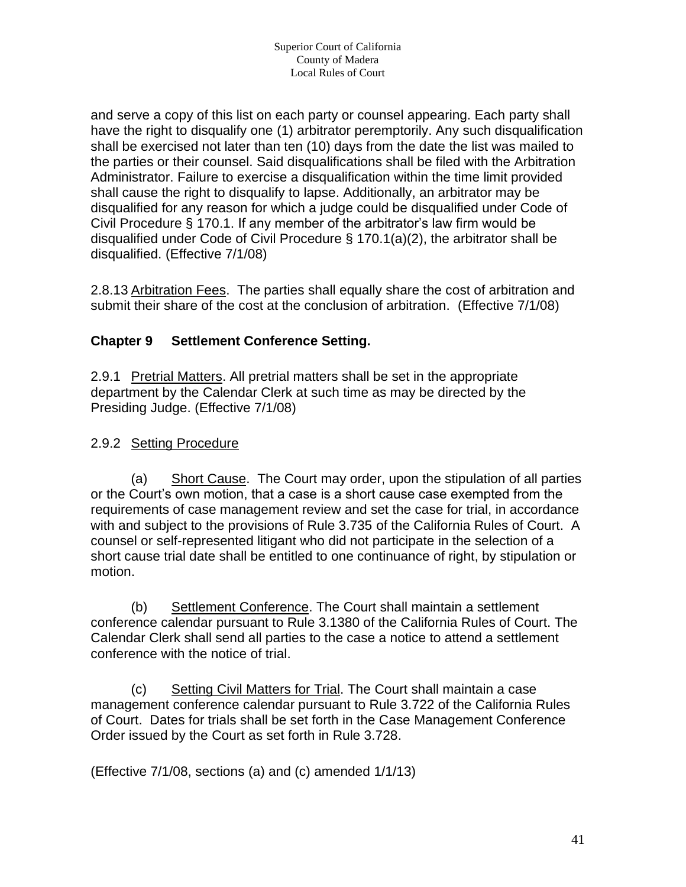and serve a copy of this list on each party or counsel appearing. Each party shall have the right to disqualify one (1) arbitrator peremptorily. Any such disqualification shall be exercised not later than ten (10) days from the date the list was mailed to the parties or their counsel. Said disqualifications shall be filed with the Arbitration Administrator. Failure to exercise a disqualification within the time limit provided shall cause the right to disqualify to lapse. Additionally, an arbitrator may be disqualified for any reason for which a judge could be disqualified under Code of Civil Procedure § 170.1. If any member of the arbitrator's law firm would be disqualified under Code of Civil Procedure § 170.1(a)(2), the arbitrator shall be disqualified. (Effective 7/1/08)

2.8.13 Arbitration Fees. The parties shall equally share the cost of arbitration and submit their share of the cost at the conclusion of arbitration. (Effective 7/1/08)

# **Chapter 9 Settlement Conference Setting.**

2.9.1 Pretrial Matters. All pretrial matters shall be set in the appropriate department by the Calendar Clerk at such time as may be directed by the Presiding Judge. (Effective 7/1/08)

## 2.9.2 Setting Procedure

(a) Short Cause. The Court may order, upon the stipulation of all parties or the Court's own motion, that a case is a short cause case exempted from the requirements of case management review and set the case for trial, in accordance with and subject to the provisions of Rule 3.735 of the California Rules of Court. A counsel or self-represented litigant who did not participate in the selection of a short cause trial date shall be entitled to one continuance of right, by stipulation or motion.

(b) Settlement Conference. The Court shall maintain a settlement conference calendar pursuant to Rule 3.1380 of the California Rules of Court. The Calendar Clerk shall send all parties to the case a notice to attend a settlement conference with the notice of trial.

(c) Setting Civil Matters for Trial. The Court shall maintain a case management conference calendar pursuant to Rule 3.722 of the California Rules of Court. Dates for trials shall be set forth in the Case Management Conference Order issued by the Court as set forth in Rule 3.728.

(Effective 7/1/08, sections (a) and (c) amended 1/1/13)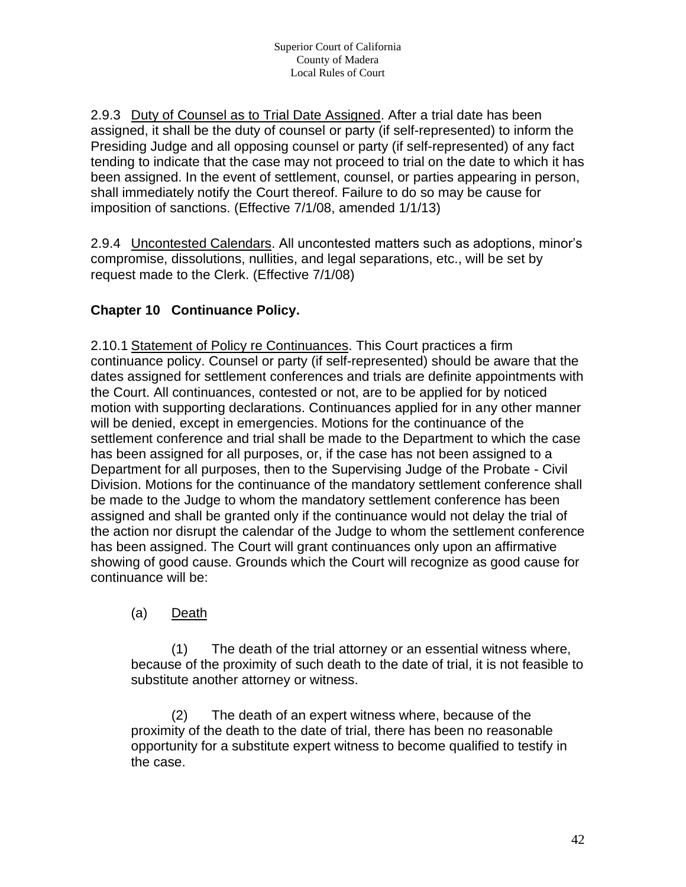2.9.3 Duty of Counsel as to Trial Date Assigned. After a trial date has been assigned, it shall be the duty of counsel or party (if self-represented) to inform the Presiding Judge and all opposing counsel or party (if self-represented) of any fact tending to indicate that the case may not proceed to trial on the date to which it has been assigned. In the event of settlement, counsel, or parties appearing in person, shall immediately notify the Court thereof. Failure to do so may be cause for imposition of sanctions. (Effective 7/1/08, amended 1/1/13)

2.9.4 Uncontested Calendars. All uncontested matters such as adoptions, minor's compromise, dissolutions, nullities, and legal separations, etc., will be set by request made to the Clerk. (Effective 7/1/08)

# **Chapter 10 Continuance Policy.**

2.10.1 Statement of Policy re Continuances. This Court practices a firm continuance policy. Counsel or party (if self-represented) should be aware that the dates assigned for settlement conferences and trials are definite appointments with the Court. All continuances, contested or not, are to be applied for by noticed motion with supporting declarations. Continuances applied for in any other manner will be denied, except in emergencies. Motions for the continuance of the settlement conference and trial shall be made to the Department to which the case has been assigned for all purposes, or, if the case has not been assigned to a Department for all purposes, then to the Supervising Judge of the Probate - Civil Division. Motions for the continuance of the mandatory settlement conference shall be made to the Judge to whom the mandatory settlement conference has been assigned and shall be granted only if the continuance would not delay the trial of the action nor disrupt the calendar of the Judge to whom the settlement conference has been assigned. The Court will grant continuances only upon an affirmative showing of good cause. Grounds which the Court will recognize as good cause for continuance will be:

(a) Death

(1) The death of the trial attorney or an essential witness where, because of the proximity of such death to the date of trial, it is not feasible to substitute another attorney or witness.

(2) The death of an expert witness where, because of the proximity of the death to the date of trial, there has been no reasonable opportunity for a substitute expert witness to become qualified to testify in the case.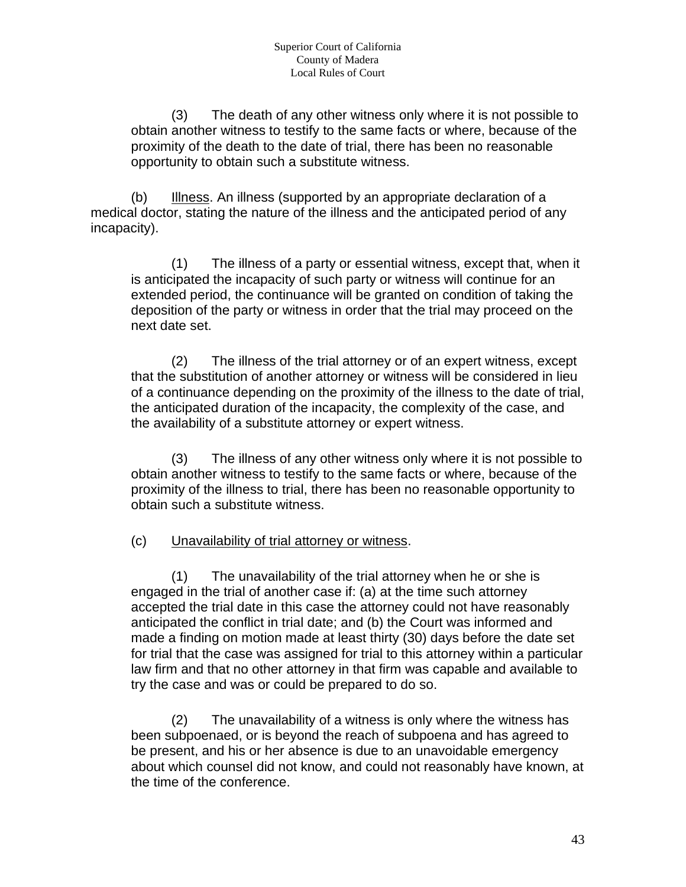(3) The death of any other witness only where it is not possible to obtain another witness to testify to the same facts or where, because of the proximity of the death to the date of trial, there has been no reasonable opportunity to obtain such a substitute witness.

(b) Illness. An illness (supported by an appropriate declaration of a medical doctor, stating the nature of the illness and the anticipated period of any incapacity).

(1) The illness of a party or essential witness, except that, when it is anticipated the incapacity of such party or witness will continue for an extended period, the continuance will be granted on condition of taking the deposition of the party or witness in order that the trial may proceed on the next date set.

(2) The illness of the trial attorney or of an expert witness, except that the substitution of another attorney or witness will be considered in lieu of a continuance depending on the proximity of the illness to the date of trial, the anticipated duration of the incapacity, the complexity of the case, and the availability of a substitute attorney or expert witness.

(3) The illness of any other witness only where it is not possible to obtain another witness to testify to the same facts or where, because of the proximity of the illness to trial, there has been no reasonable opportunity to obtain such a substitute witness.

#### (c) Unavailability of trial attorney or witness.

(1) The unavailability of the trial attorney when he or she is engaged in the trial of another case if: (a) at the time such attorney accepted the trial date in this case the attorney could not have reasonably anticipated the conflict in trial date; and (b) the Court was informed and made a finding on motion made at least thirty (30) days before the date set for trial that the case was assigned for trial to this attorney within a particular law firm and that no other attorney in that firm was capable and available to try the case and was or could be prepared to do so.

(2) The unavailability of a witness is only where the witness has been subpoenaed, or is beyond the reach of subpoena and has agreed to be present, and his or her absence is due to an unavoidable emergency about which counsel did not know, and could not reasonably have known, at the time of the conference.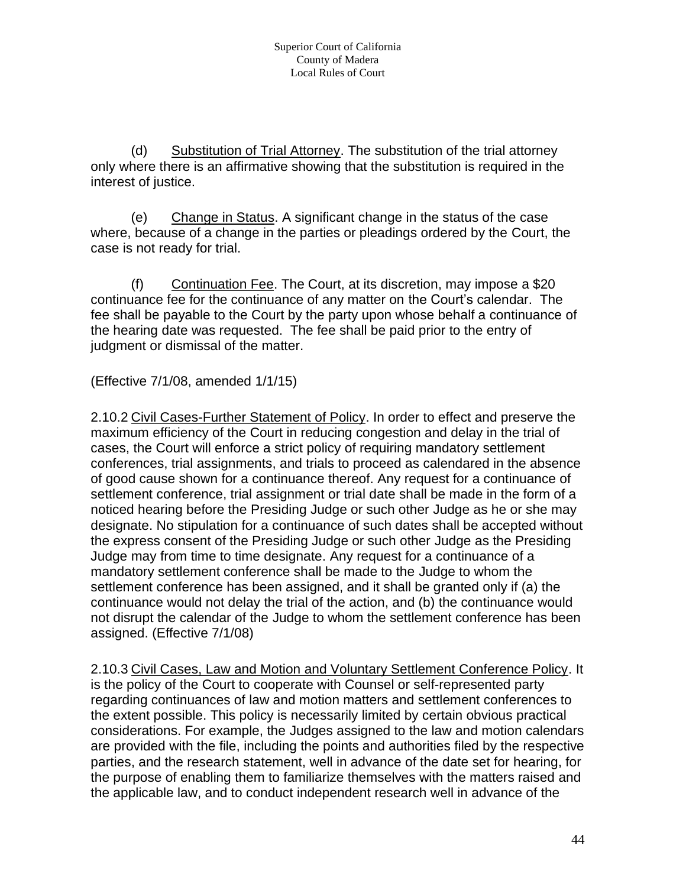(d) Substitution of Trial Attorney. The substitution of the trial attorney only where there is an affirmative showing that the substitution is required in the interest of justice.

(e) Change in Status. A significant change in the status of the case where, because of a change in the parties or pleadings ordered by the Court, the case is not ready for trial.

(f) Continuation Fee. The Court, at its discretion, may impose a \$20 continuance fee for the continuance of any matter on the Court's calendar. The fee shall be payable to the Court by the party upon whose behalf a continuance of the hearing date was requested. The fee shall be paid prior to the entry of judgment or dismissal of the matter.

(Effective 7/1/08, amended 1/1/15)

2.10.2 Civil Cases-Further Statement of Policy. In order to effect and preserve the maximum efficiency of the Court in reducing congestion and delay in the trial of cases, the Court will enforce a strict policy of requiring mandatory settlement conferences, trial assignments, and trials to proceed as calendared in the absence of good cause shown for a continuance thereof. Any request for a continuance of settlement conference, trial assignment or trial date shall be made in the form of a noticed hearing before the Presiding Judge or such other Judge as he or she may designate. No stipulation for a continuance of such dates shall be accepted without the express consent of the Presiding Judge or such other Judge as the Presiding Judge may from time to time designate. Any request for a continuance of a mandatory settlement conference shall be made to the Judge to whom the settlement conference has been assigned, and it shall be granted only if (a) the continuance would not delay the trial of the action, and (b) the continuance would not disrupt the calendar of the Judge to whom the settlement conference has been assigned. (Effective 7/1/08)

2.10.3 Civil Cases, Law and Motion and Voluntary Settlement Conference Policy. It is the policy of the Court to cooperate with Counsel or self-represented party regarding continuances of law and motion matters and settlement conferences to the extent possible. This policy is necessarily limited by certain obvious practical considerations. For example, the Judges assigned to the law and motion calendars are provided with the file, including the points and authorities filed by the respective parties, and the research statement, well in advance of the date set for hearing, for the purpose of enabling them to familiarize themselves with the matters raised and the applicable law, and to conduct independent research well in advance of the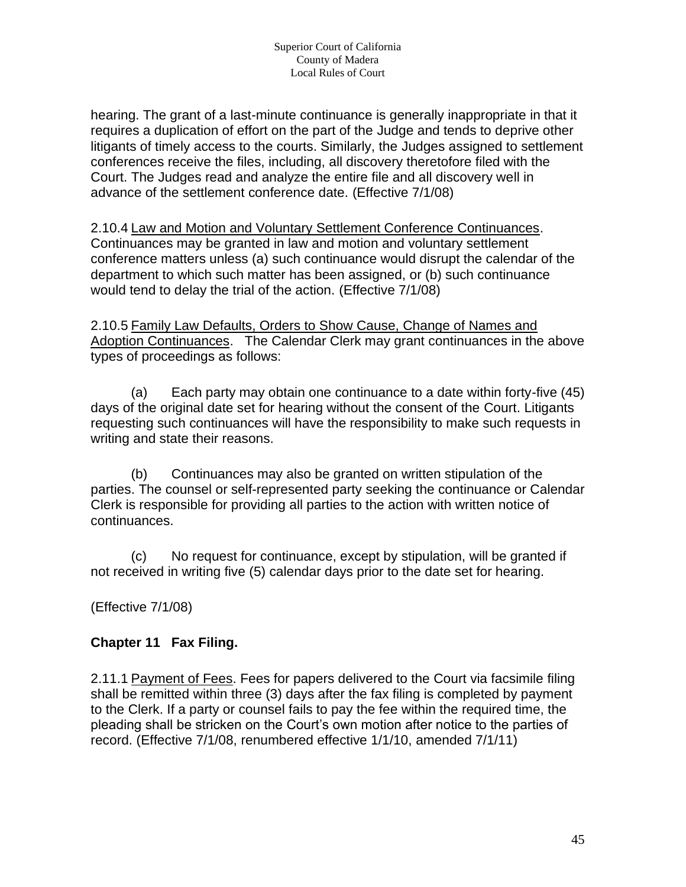hearing. The grant of a last-minute continuance is generally inappropriate in that it requires a duplication of effort on the part of the Judge and tends to deprive other litigants of timely access to the courts. Similarly, the Judges assigned to settlement conferences receive the files, including, all discovery theretofore filed with the Court. The Judges read and analyze the entire file and all discovery well in advance of the settlement conference date. (Effective 7/1/08)

2.10.4 Law and Motion and Voluntary Settlement Conference Continuances. Continuances may be granted in law and motion and voluntary settlement conference matters unless (a) such continuance would disrupt the calendar of the department to which such matter has been assigned, or (b) such continuance would tend to delay the trial of the action. (Effective 7/1/08)

2.10.5 Family Law Defaults, Orders to Show Cause, Change of Names and Adoption Continuances. The Calendar Clerk may grant continuances in the above types of proceedings as follows:

(a) Each party may obtain one continuance to a date within forty-five (45) days of the original date set for hearing without the consent of the Court. Litigants requesting such continuances will have the responsibility to make such requests in writing and state their reasons.

(b) Continuances may also be granted on written stipulation of the parties. The counsel or self-represented party seeking the continuance or Calendar Clerk is responsible for providing all parties to the action with written notice of continuances.

(c) No request for continuance, except by stipulation, will be granted if not received in writing five (5) calendar days prior to the date set for hearing.

(Effective 7/1/08)

## **Chapter 11 Fax Filing.**

2.11.1 Payment of Fees. Fees for papers delivered to the Court via facsimile filing shall be remitted within three (3) days after the fax filing is completed by payment to the Clerk. If a party or counsel fails to pay the fee within the required time, the pleading shall be stricken on the Court's own motion after notice to the parties of record. (Effective 7/1/08, renumbered effective 1/1/10, amended 7/1/11)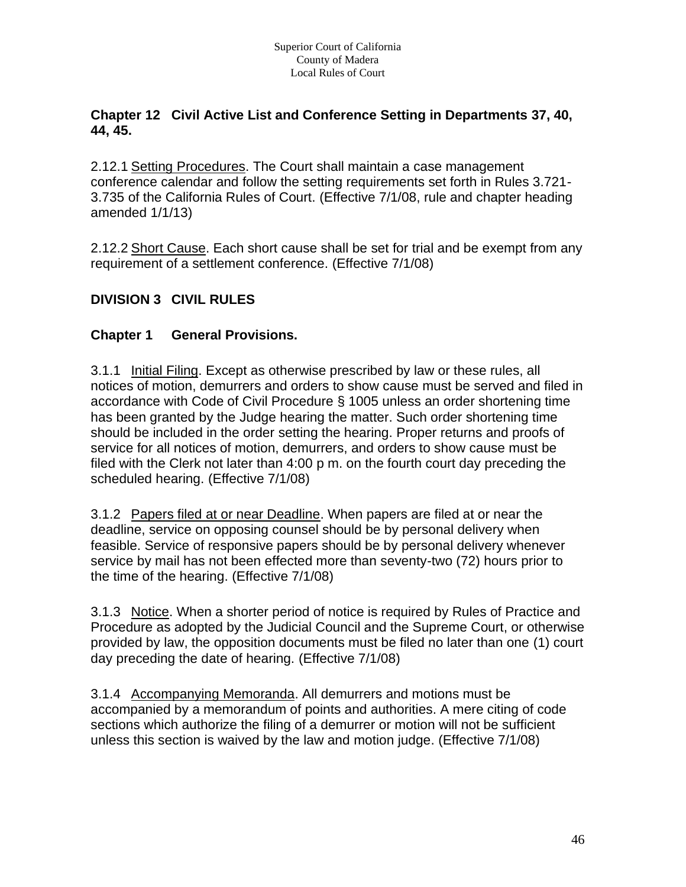#### **Chapter 12 Civil Active List and Conference Setting in Departments 37, 40, 44, 45.**

2.12.1 Setting Procedures. The Court shall maintain a case management conference calendar and follow the setting requirements set forth in Rules 3.721- 3.735 of the California Rules of Court. (Effective 7/1/08, rule and chapter heading amended 1/1/13)

2.12.2 Short Cause. Each short cause shall be set for trial and be exempt from any requirement of a settlement conference. (Effective 7/1/08)

## **DIVISION 3 CIVIL RULES**

## **Chapter 1 General Provisions.**

3.1.1 Initial Filing. Except as otherwise prescribed by law or these rules, all notices of motion, demurrers and orders to show cause must be served and filed in accordance with Code of Civil Procedure § 1005 unless an order shortening time has been granted by the Judge hearing the matter. Such order shortening time should be included in the order setting the hearing. Proper returns and proofs of service for all notices of motion, demurrers, and orders to show cause must be filed with the Clerk not later than 4:00 p m. on the fourth court day preceding the scheduled hearing. (Effective 7/1/08)

3.1.2 Papers filed at or near Deadline. When papers are filed at or near the deadline, service on opposing counsel should be by personal delivery when feasible. Service of responsive papers should be by personal delivery whenever service by mail has not been effected more than seventy-two (72) hours prior to the time of the hearing. (Effective 7/1/08)

3.1.3 Notice. When a shorter period of notice is required by Rules of Practice and Procedure as adopted by the Judicial Council and the Supreme Court, or otherwise provided by law, the opposition documents must be filed no later than one (1) court day preceding the date of hearing. (Effective 7/1/08)

3.1.4 Accompanying Memoranda. All demurrers and motions must be accompanied by a memorandum of points and authorities. A mere citing of code sections which authorize the filing of a demurrer or motion will not be sufficient unless this section is waived by the law and motion judge. (Effective 7/1/08)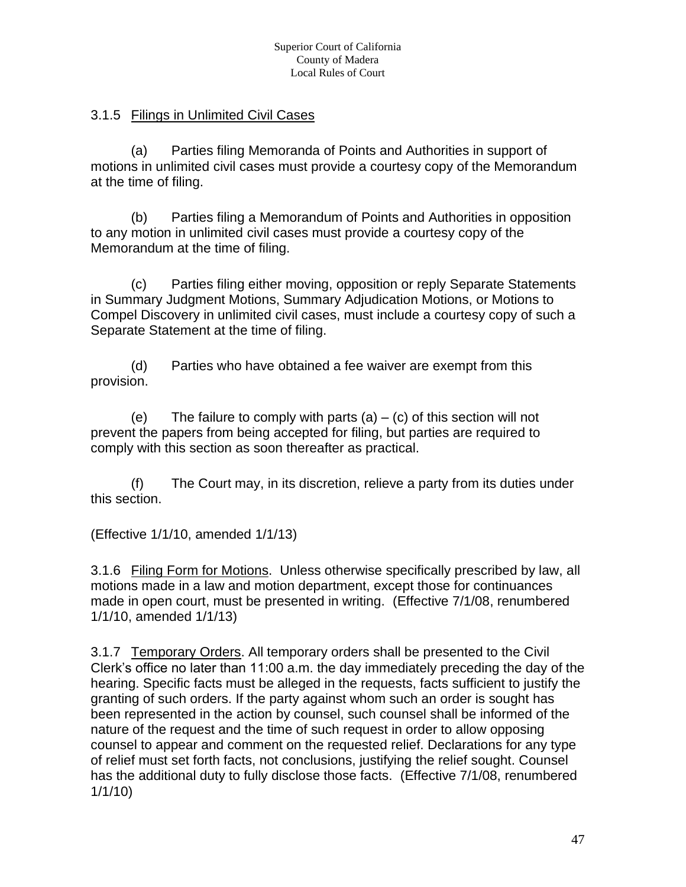#### 3.1.5 Filings in Unlimited Civil Cases

(a) Parties filing Memoranda of Points and Authorities in support of motions in unlimited civil cases must provide a courtesy copy of the Memorandum at the time of filing.

(b) Parties filing a Memorandum of Points and Authorities in opposition to any motion in unlimited civil cases must provide a courtesy copy of the Memorandum at the time of filing.

(c) Parties filing either moving, opposition or reply Separate Statements in Summary Judgment Motions, Summary Adjudication Motions, or Motions to Compel Discovery in unlimited civil cases, must include a courtesy copy of such a Separate Statement at the time of filing.

(d) Parties who have obtained a fee waiver are exempt from this provision.

(e) The failure to comply with parts  $(a) - (c)$  of this section will not prevent the papers from being accepted for filing, but parties are required to comply with this section as soon thereafter as practical.

(f) The Court may, in its discretion, relieve a party from its duties under this section.

(Effective 1/1/10, amended 1/1/13)

3.1.6 Filing Form for Motions. Unless otherwise specifically prescribed by law, all motions made in a law and motion department, except those for continuances made in open court, must be presented in writing. (Effective 7/1/08, renumbered 1/1/10, amended 1/1/13)

3.1.7 Temporary Orders. All temporary orders shall be presented to the Civil Clerk's office no later than 11:00 a.m. the day immediately preceding the day of the hearing. Specific facts must be alleged in the requests, facts sufficient to justify the granting of such orders. If the party against whom such an order is sought has been represented in the action by counsel, such counsel shall be informed of the nature of the request and the time of such request in order to allow opposing counsel to appear and comment on the requested relief. Declarations for any type of relief must set forth facts, not conclusions, justifying the relief sought. Counsel has the additional duty to fully disclose those facts. (Effective 7/1/08, renumbered 1/1/10)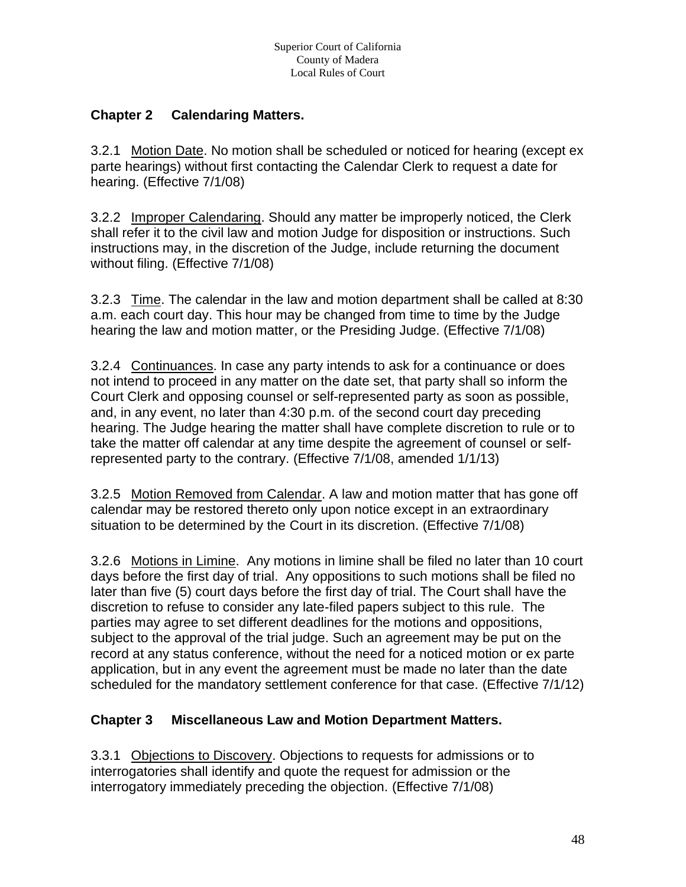## **Chapter 2 Calendaring Matters.**

3.2.1 Motion Date. No motion shall be scheduled or noticed for hearing (except ex parte hearings) without first contacting the Calendar Clerk to request a date for hearing. (Effective 7/1/08)

3.2.2 Improper Calendaring. Should any matter be improperly noticed, the Clerk shall refer it to the civil law and motion Judge for disposition or instructions. Such instructions may, in the discretion of the Judge, include returning the document without filing. (Effective 7/1/08)

3.2.3 Time. The calendar in the law and motion department shall be called at 8:30 a.m. each court day. This hour may be changed from time to time by the Judge hearing the law and motion matter, or the Presiding Judge. (Effective 7/1/08)

3.2.4 Continuances. In case any party intends to ask for a continuance or does not intend to proceed in any matter on the date set, that party shall so inform the Court Clerk and opposing counsel or self-represented party as soon as possible, and, in any event, no later than 4:30 p.m. of the second court day preceding hearing. The Judge hearing the matter shall have complete discretion to rule or to take the matter off calendar at any time despite the agreement of counsel or selfrepresented party to the contrary. (Effective 7/1/08, amended 1/1/13)

3.2.5 Motion Removed from Calendar. A law and motion matter that has gone off calendar may be restored thereto only upon notice except in an extraordinary situation to be determined by the Court in its discretion. (Effective 7/1/08)

3.2.6 Motions in Limine. Any motions in limine shall be filed no later than 10 court days before the first day of trial. Any oppositions to such motions shall be filed no later than five (5) court days before the first day of trial. The Court shall have the discretion to refuse to consider any late-filed papers subject to this rule. The parties may agree to set different deadlines for the motions and oppositions, subject to the approval of the trial judge. Such an agreement may be put on the record at any status conference, without the need for a noticed motion or ex parte application, but in any event the agreement must be made no later than the date scheduled for the mandatory settlement conference for that case. (Effective 7/1/12)

## **Chapter 3 Miscellaneous Law and Motion Department Matters.**

3.3.1 Objections to Discovery. Objections to requests for admissions or to interrogatories shall identify and quote the request for admission or the interrogatory immediately preceding the objection. (Effective 7/1/08)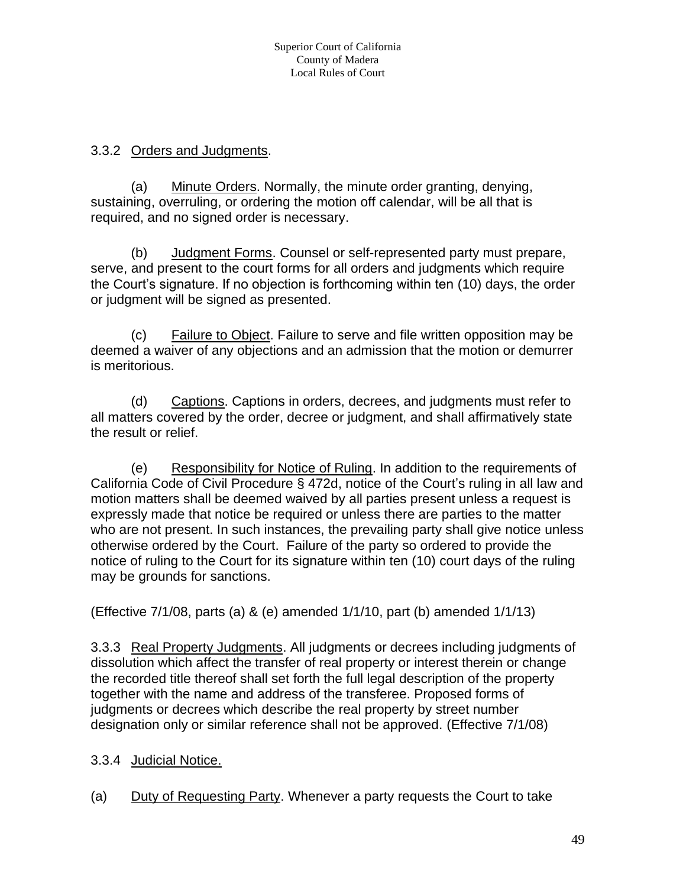#### 3.3.2 Orders and Judgments.

(a) Minute Orders. Normally, the minute order granting, denying, sustaining, overruling, or ordering the motion off calendar, will be all that is required, and no signed order is necessary.

(b) Judgment Forms. Counsel or self-represented party must prepare, serve, and present to the court forms for all orders and judgments which require the Court's signature. If no objection is forthcoming within ten (10) days, the order or judgment will be signed as presented.

(c) Failure to Object. Failure to serve and file written opposition may be deemed a waiver of any objections and an admission that the motion or demurrer is meritorious.

(d) Captions. Captions in orders, decrees, and judgments must refer to all matters covered by the order, decree or judgment, and shall affirmatively state the result or relief.

(e) Responsibility for Notice of Ruling. In addition to the requirements of California Code of Civil Procedure § 472d, notice of the Court's ruling in all law and motion matters shall be deemed waived by all parties present unless a request is expressly made that notice be required or unless there are parties to the matter who are not present. In such instances, the prevailing party shall give notice unless otherwise ordered by the Court. Failure of the party so ordered to provide the notice of ruling to the Court for its signature within ten (10) court days of the ruling may be grounds for sanctions.

(Effective 7/1/08, parts (a) & (e) amended 1/1/10, part (b) amended 1/1/13)

3.3.3 Real Property Judgments. All judgments or decrees including judgments of dissolution which affect the transfer of real property or interest therein or change the recorded title thereof shall set forth the full legal description of the property together with the name and address of the transferee. Proposed forms of judgments or decrees which describe the real property by street number designation only or similar reference shall not be approved. (Effective 7/1/08)

- 3.3.4 Judicial Notice.
- (a) Duty of Requesting Party. Whenever a party requests the Court to take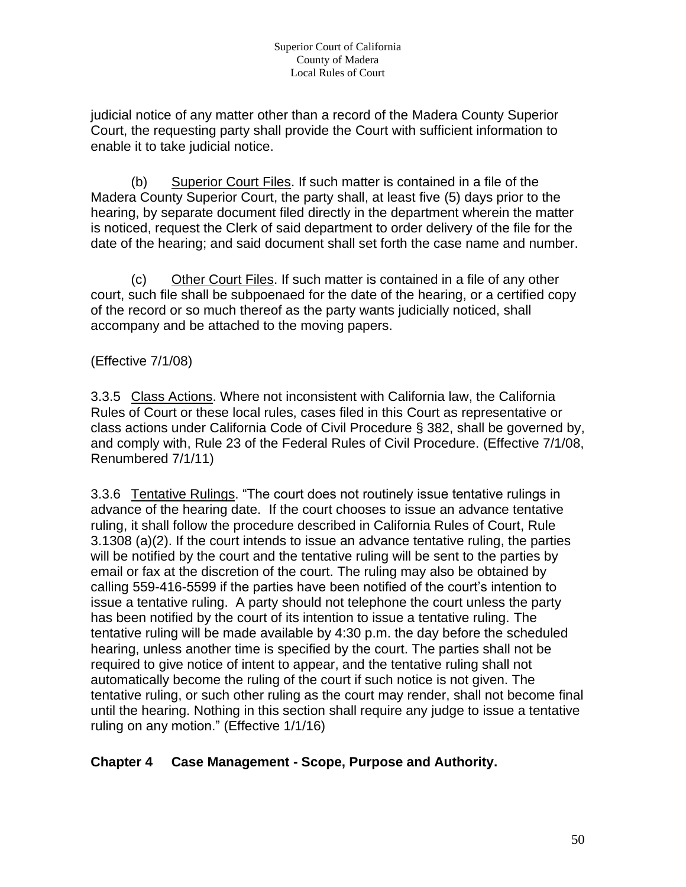judicial notice of any matter other than a record of the Madera County Superior Court, the requesting party shall provide the Court with sufficient information to enable it to take judicial notice.

(b) Superior Court Files. If such matter is contained in a file of the Madera County Superior Court, the party shall, at least five (5) days prior to the hearing, by separate document filed directly in the department wherein the matter is noticed, request the Clerk of said department to order delivery of the file for the date of the hearing; and said document shall set forth the case name and number.

(c) Other Court Files. If such matter is contained in a file of any other court, such file shall be subpoenaed for the date of the hearing, or a certified copy of the record or so much thereof as the party wants judicially noticed, shall accompany and be attached to the moving papers.

## (Effective 7/1/08)

3.3.5 Class Actions. Where not inconsistent with California law, the California Rules of Court or these local rules, cases filed in this Court as representative or class actions under California Code of Civil Procedure § 382, shall be governed by, and comply with, Rule 23 of the Federal Rules of Civil Procedure. (Effective 7/1/08, Renumbered 7/1/11)

3.3.6 Tentative Rulings. "The court does not routinely issue tentative rulings in advance of the hearing date. If the court chooses to issue an advance tentative ruling, it shall follow the procedure described in California Rules of Court, Rule 3.1308 (a)(2). If the court intends to issue an advance tentative ruling, the parties will be notified by the court and the tentative ruling will be sent to the parties by email or fax at the discretion of the court. The ruling may also be obtained by calling 559-416-5599 if the parties have been notified of the court's intention to issue a tentative ruling. A party should not telephone the court unless the party has been notified by the court of its intention to issue a tentative ruling. The tentative ruling will be made available by 4:30 p.m. the day before the scheduled hearing, unless another time is specified by the court. The parties shall not be required to give notice of intent to appear, and the tentative ruling shall not automatically become the ruling of the court if such notice is not given. The tentative ruling, or such other ruling as the court may render, shall not become final until the hearing. Nothing in this section shall require any judge to issue a tentative ruling on any motion." (Effective 1/1/16)

## **Chapter 4 Case Management - Scope, Purpose and Authority.**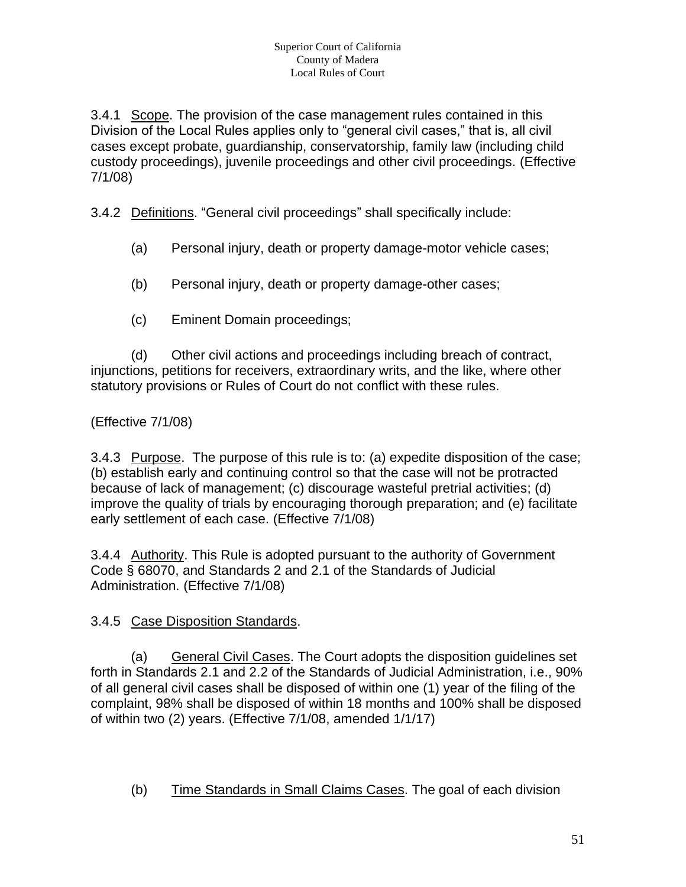3.4.1 Scope. The provision of the case management rules contained in this Division of the Local Rules applies only to "general civil cases," that is, all civil cases except probate, guardianship, conservatorship, family law (including child custody proceedings), juvenile proceedings and other civil proceedings. (Effective 7/1/08)

3.4.2 Definitions. "General civil proceedings" shall specifically include:

- (a) Personal injury, death or property damage-motor vehicle cases;
- (b) Personal injury, death or property damage-other cases;
- (c) Eminent Domain proceedings;

(d) Other civil actions and proceedings including breach of contract, injunctions, petitions for receivers, extraordinary writs, and the like, where other statutory provisions or Rules of Court do not conflict with these rules.

(Effective 7/1/08)

3.4.3 Purpose. The purpose of this rule is to: (a) expedite disposition of the case; (b) establish early and continuing control so that the case will not be protracted because of lack of management; (c) discourage wasteful pretrial activities; (d) improve the quality of trials by encouraging thorough preparation; and (e) facilitate early settlement of each case. (Effective 7/1/08)

3.4.4 Authority. This Rule is adopted pursuant to the authority of Government Code § 68070, and Standards 2 and 2.1 of the Standards of Judicial Administration. (Effective 7/1/08)

## 3.4.5 Case Disposition Standards.

(a) General Civil Cases. The Court adopts the disposition guidelines set forth in Standards 2.1 and 2.2 of the Standards of Judicial Administration, i.e., 90% of all general civil cases shall be disposed of within one (1) year of the filing of the complaint, 98% shall be disposed of within 18 months and 100% shall be disposed of within two (2) years. (Effective 7/1/08, amended 1/1/17)

(b) Time Standards in Small Claims Cases. The goal of each division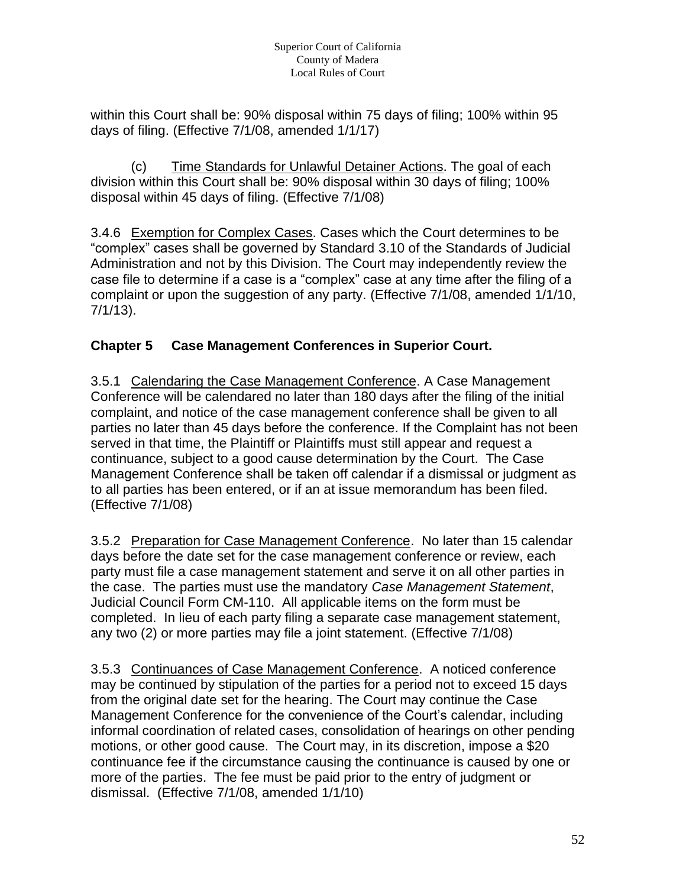within this Court shall be: 90% disposal within 75 days of filing; 100% within 95 days of filing. (Effective 7/1/08, amended 1/1/17)

(c) Time Standards for Unlawful Detainer Actions. The goal of each division within this Court shall be: 90% disposal within 30 days of filing; 100% disposal within 45 days of filing. (Effective 7/1/08)

3.4.6 Exemption for Complex Cases. Cases which the Court determines to be "complex" cases shall be governed by Standard 3.10 of the Standards of Judicial Administration and not by this Division. The Court may independently review the case file to determine if a case is a "complex" case at any time after the filing of a complaint or upon the suggestion of any party. (Effective 7/1/08, amended 1/1/10, 7/1/13).

# **Chapter 5 Case Management Conferences in Superior Court.**

3.5.1 Calendaring the Case Management Conference. A Case Management Conference will be calendared no later than 180 days after the filing of the initial complaint, and notice of the case management conference shall be given to all parties no later than 45 days before the conference. If the Complaint has not been served in that time, the Plaintiff or Plaintiffs must still appear and request a continuance, subject to a good cause determination by the Court. The Case Management Conference shall be taken off calendar if a dismissal or judgment as to all parties has been entered, or if an at issue memorandum has been filed. (Effective 7/1/08)

3.5.2 Preparation for Case Management Conference. No later than 15 calendar days before the date set for the case management conference or review, each party must file a case management statement and serve it on all other parties in the case. The parties must use the mandatory *Case Management Statement*, Judicial Council Form CM-110. All applicable items on the form must be completed. In lieu of each party filing a separate case management statement, any two (2) or more parties may file a joint statement. (Effective 7/1/08)

3.5.3 Continuances of Case Management Conference. A noticed conference may be continued by stipulation of the parties for a period not to exceed 15 days from the original date set for the hearing. The Court may continue the Case Management Conference for the convenience of the Court's calendar, including informal coordination of related cases, consolidation of hearings on other pending motions, or other good cause. The Court may, in its discretion, impose a \$20 continuance fee if the circumstance causing the continuance is caused by one or more of the parties. The fee must be paid prior to the entry of judgment or dismissal. (Effective 7/1/08, amended 1/1/10)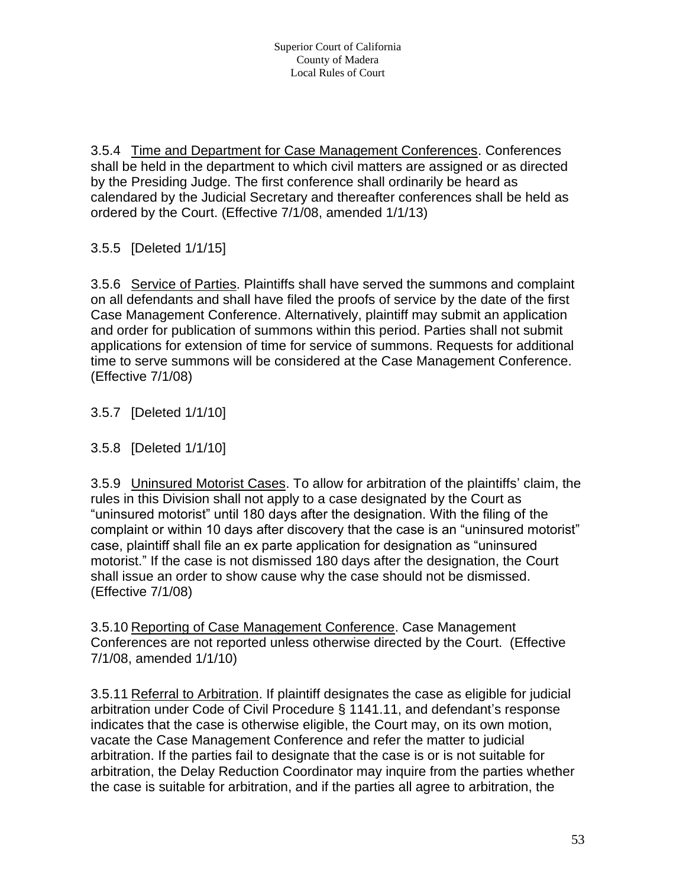3.5.4 Time and Department for Case Management Conferences. Conferences shall be held in the department to which civil matters are assigned or as directed by the Presiding Judge. The first conference shall ordinarily be heard as calendared by the Judicial Secretary and thereafter conferences shall be held as ordered by the Court. (Effective 7/1/08, amended 1/1/13)

3.5.5 [Deleted 1/1/15]

3.5.6 Service of Parties. Plaintiffs shall have served the summons and complaint on all defendants and shall have filed the proofs of service by the date of the first Case Management Conference. Alternatively, plaintiff may submit an application and order for publication of summons within this period. Parties shall not submit applications for extension of time for service of summons. Requests for additional time to serve summons will be considered at the Case Management Conference. (Effective 7/1/08)

3.5.7 [Deleted 1/1/10]

3.5.8 [Deleted 1/1/10]

3.5.9 Uninsured Motorist Cases. To allow for arbitration of the plaintiffs' claim, the rules in this Division shall not apply to a case designated by the Court as "uninsured motorist" until 180 days after the designation. With the filing of the complaint or within 10 days after discovery that the case is an "uninsured motorist" case, plaintiff shall file an ex parte application for designation as "uninsured motorist." If the case is not dismissed 180 days after the designation, the Court shall issue an order to show cause why the case should not be dismissed. (Effective 7/1/08)

3.5.10 Reporting of Case Management Conference. Case Management Conferences are not reported unless otherwise directed by the Court. (Effective 7/1/08, amended 1/1/10)

3.5.11 Referral to Arbitration. If plaintiff designates the case as eligible for judicial arbitration under Code of Civil Procedure § 1141.11, and defendant's response indicates that the case is otherwise eligible, the Court may, on its own motion, vacate the Case Management Conference and refer the matter to judicial arbitration. If the parties fail to designate that the case is or is not suitable for arbitration, the Delay Reduction Coordinator may inquire from the parties whether the case is suitable for arbitration, and if the parties all agree to arbitration, the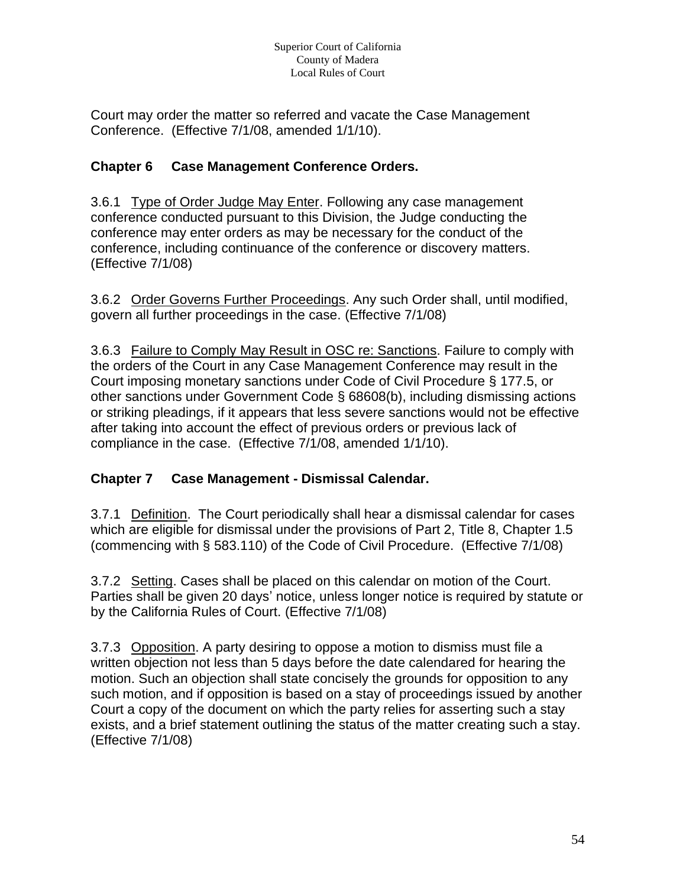Court may order the matter so referred and vacate the Case Management Conference. (Effective 7/1/08, amended 1/1/10).

## **Chapter 6 Case Management Conference Orders.**

3.6.1 Type of Order Judge May Enter. Following any case management conference conducted pursuant to this Division, the Judge conducting the conference may enter orders as may be necessary for the conduct of the conference, including continuance of the conference or discovery matters. (Effective 7/1/08)

3.6.2 Order Governs Further Proceedings. Any such Order shall, until modified, govern all further proceedings in the case. (Effective 7/1/08)

3.6.3 Failure to Comply May Result in OSC re: Sanctions. Failure to comply with the orders of the Court in any Case Management Conference may result in the Court imposing monetary sanctions under Code of Civil Procedure § 177.5, or other sanctions under Government Code § 68608(b), including dismissing actions or striking pleadings, if it appears that less severe sanctions would not be effective after taking into account the effect of previous orders or previous lack of compliance in the case. (Effective 7/1/08, amended 1/1/10).

## **Chapter 7 Case Management - Dismissal Calendar.**

3.7.1 Definition. The Court periodically shall hear a dismissal calendar for cases which are eligible for dismissal under the provisions of Part 2, Title 8, Chapter 1.5 (commencing with § 583.110) of the Code of Civil Procedure. (Effective 7/1/08)

3.7.2 Setting. Cases shall be placed on this calendar on motion of the Court. Parties shall be given 20 days' notice, unless longer notice is required by statute or by the California Rules of Court. (Effective 7/1/08)

3.7.3 Opposition. A party desiring to oppose a motion to dismiss must file a written objection not less than 5 days before the date calendared for hearing the motion. Such an objection shall state concisely the grounds for opposition to any such motion, and if opposition is based on a stay of proceedings issued by another Court a copy of the document on which the party relies for asserting such a stay exists, and a brief statement outlining the status of the matter creating such a stay. (Effective 7/1/08)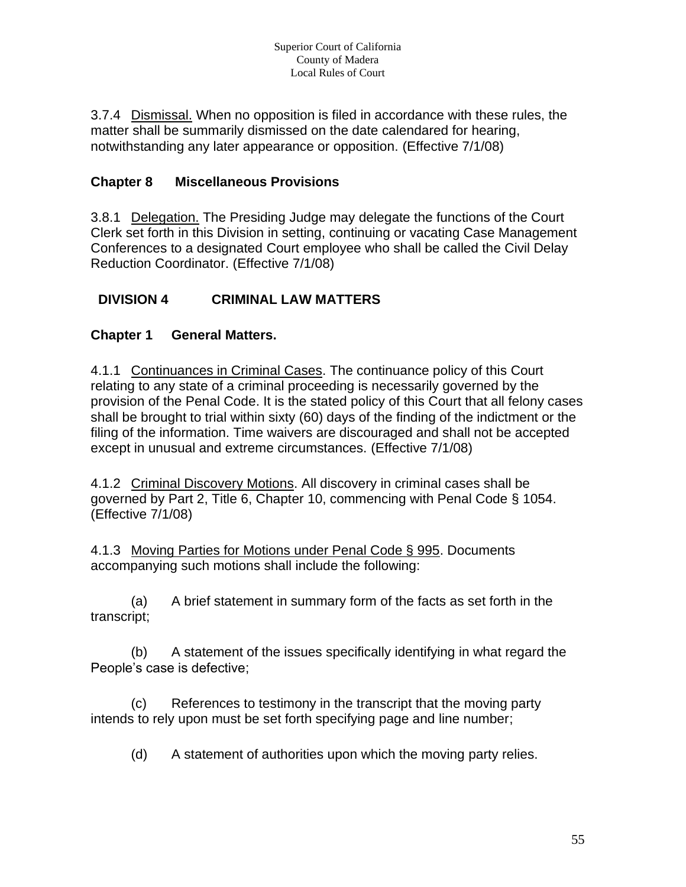3.7.4 Dismissal. When no opposition is filed in accordance with these rules, the matter shall be summarily dismissed on the date calendared for hearing, notwithstanding any later appearance or opposition. (Effective 7/1/08)

# **Chapter 8 Miscellaneous Provisions**

3.8.1 Delegation. The Presiding Judge may delegate the functions of the Court Clerk set forth in this Division in setting, continuing or vacating Case Management Conferences to a designated Court employee who shall be called the Civil Delay Reduction Coordinator. (Effective 7/1/08)

## **DIVISION 4 CRIMINAL LAW MATTERS**

## **Chapter 1 General Matters.**

4.1.1 Continuances in Criminal Cases. The continuance policy of this Court relating to any state of a criminal proceeding is necessarily governed by the provision of the Penal Code. It is the stated policy of this Court that all felony cases shall be brought to trial within sixty (60) days of the finding of the indictment or the filing of the information. Time waivers are discouraged and shall not be accepted except in unusual and extreme circumstances. (Effective 7/1/08)

4.1.2 Criminal Discovery Motions. All discovery in criminal cases shall be governed by Part 2, Title 6, Chapter 10, commencing with Penal Code § 1054. (Effective 7/1/08)

4.1.3 Moving Parties for Motions under Penal Code § 995. Documents accompanying such motions shall include the following:

(a) A brief statement in summary form of the facts as set forth in the transcript;

(b) A statement of the issues specifically identifying in what regard the People's case is defective;

(c) References to testimony in the transcript that the moving party intends to rely upon must be set forth specifying page and line number;

(d) A statement of authorities upon which the moving party relies.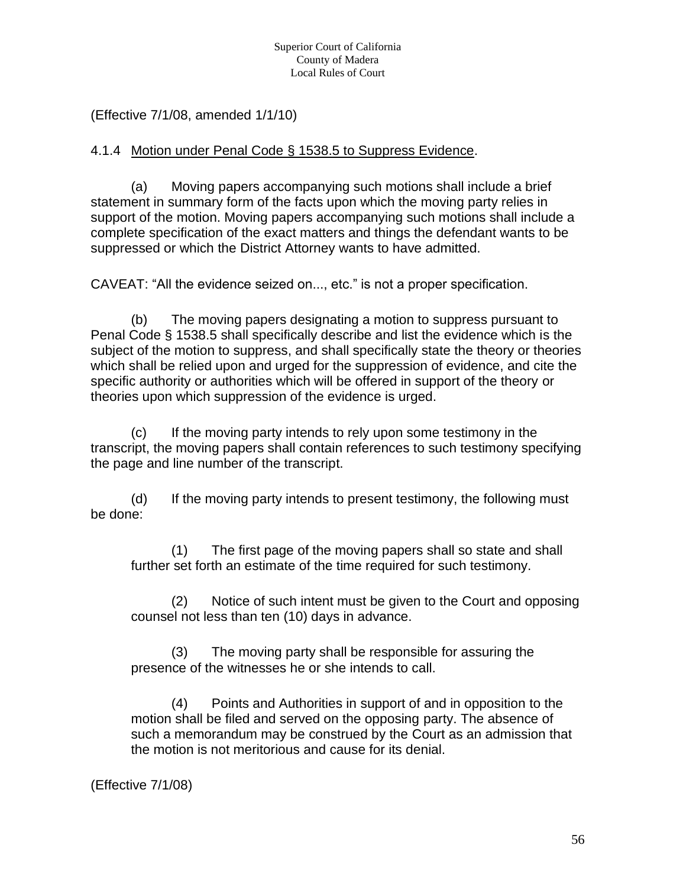(Effective 7/1/08, amended 1/1/10)

#### 4.1.4 Motion under Penal Code § 1538.5 to Suppress Evidence.

(a) Moving papers accompanying such motions shall include a brief statement in summary form of the facts upon which the moving party relies in support of the motion. Moving papers accompanying such motions shall include a complete specification of the exact matters and things the defendant wants to be suppressed or which the District Attorney wants to have admitted.

CAVEAT: "All the evidence seized on..., etc." is not a proper specification.

(b) The moving papers designating a motion to suppress pursuant to Penal Code § 1538.5 shall specifically describe and list the evidence which is the subject of the motion to suppress, and shall specifically state the theory or theories which shall be relied upon and urged for the suppression of evidence, and cite the specific authority or authorities which will be offered in support of the theory or theories upon which suppression of the evidence is urged.

(c) If the moving party intends to rely upon some testimony in the transcript, the moving papers shall contain references to such testimony specifying the page and line number of the transcript.

(d) If the moving party intends to present testimony, the following must be done:

(1) The first page of the moving papers shall so state and shall further set forth an estimate of the time required for such testimony.

(2) Notice of such intent must be given to the Court and opposing counsel not less than ten (10) days in advance.

(3) The moving party shall be responsible for assuring the presence of the witnesses he or she intends to call.

(4) Points and Authorities in support of and in opposition to the motion shall be filed and served on the opposing party. The absence of such a memorandum may be construed by the Court as an admission that the motion is not meritorious and cause for its denial.

(Effective 7/1/08)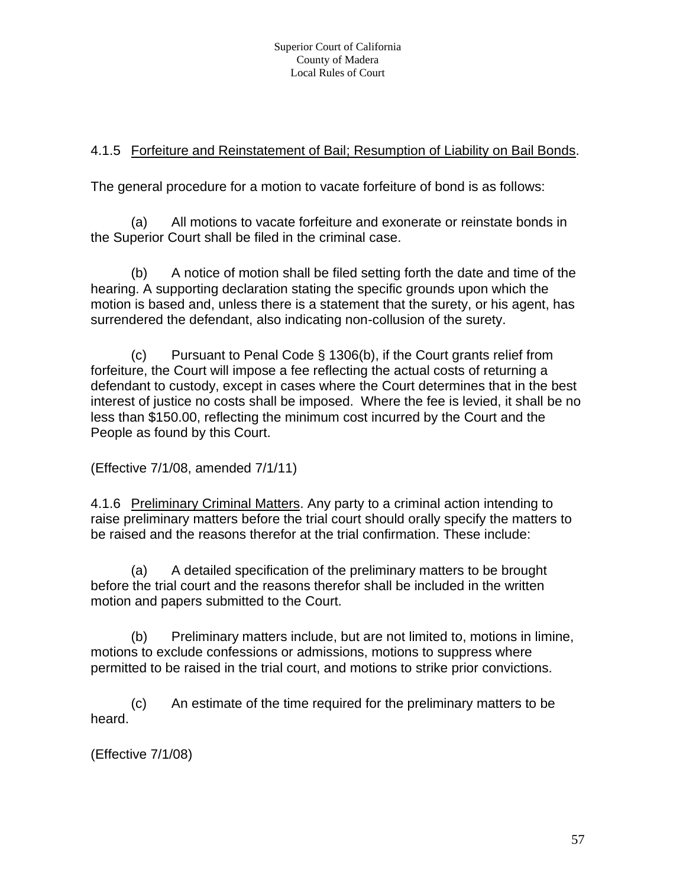## 4.1.5 Forfeiture and Reinstatement of Bail; Resumption of Liability on Bail Bonds.

The general procedure for a motion to vacate forfeiture of bond is as follows:

(a) All motions to vacate forfeiture and exonerate or reinstate bonds in the Superior Court shall be filed in the criminal case.

(b) A notice of motion shall be filed setting forth the date and time of the hearing. A supporting declaration stating the specific grounds upon which the motion is based and, unless there is a statement that the surety, or his agent, has surrendered the defendant, also indicating non-collusion of the surety.

(c) Pursuant to Penal Code § 1306(b), if the Court grants relief from forfeiture, the Court will impose a fee reflecting the actual costs of returning a defendant to custody, except in cases where the Court determines that in the best interest of justice no costs shall be imposed. Where the fee is levied, it shall be no less than \$150.00, reflecting the minimum cost incurred by the Court and the People as found by this Court.

(Effective 7/1/08, amended 7/1/11)

4.1.6 Preliminary Criminal Matters. Any party to a criminal action intending to raise preliminary matters before the trial court should orally specify the matters to be raised and the reasons therefor at the trial confirmation. These include:

(a) A detailed specification of the preliminary matters to be brought before the trial court and the reasons therefor shall be included in the written motion and papers submitted to the Court.

(b) Preliminary matters include, but are not limited to, motions in limine, motions to exclude confessions or admissions, motions to suppress where permitted to be raised in the trial court, and motions to strike prior convictions.

(c) An estimate of the time required for the preliminary matters to be heard.

(Effective 7/1/08)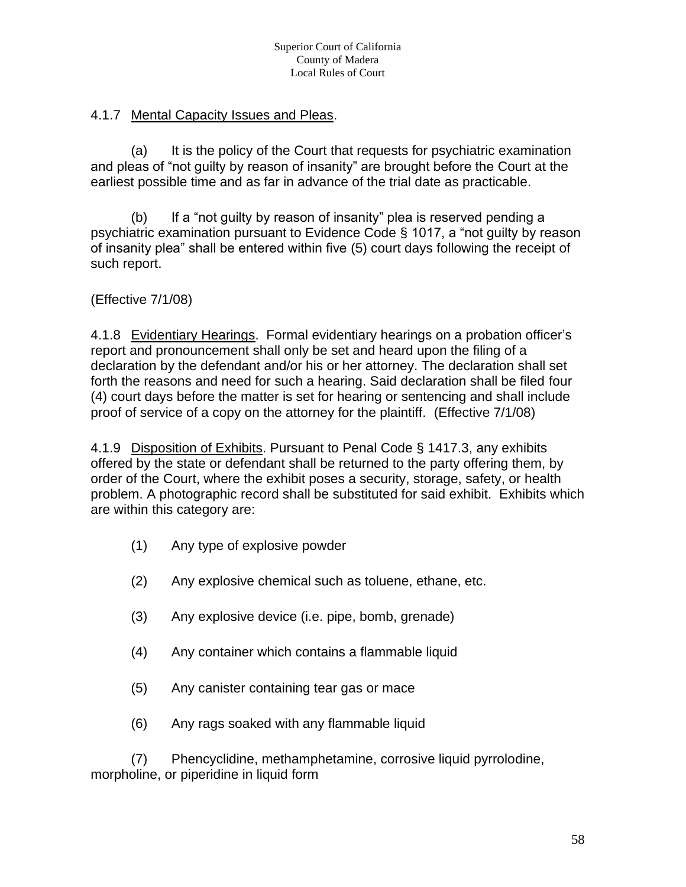## 4.1.7 Mental Capacity Issues and Pleas.

(a) It is the policy of the Court that requests for psychiatric examination and pleas of "not guilty by reason of insanity" are brought before the Court at the earliest possible time and as far in advance of the trial date as practicable.

(b) If a "not guilty by reason of insanity" plea is reserved pending a psychiatric examination pursuant to Evidence Code § 1017, a "not guilty by reason of insanity plea" shall be entered within five (5) court days following the receipt of such report.

#### (Effective 7/1/08)

4.1.8 Evidentiary Hearings. Formal evidentiary hearings on a probation officer's report and pronouncement shall only be set and heard upon the filing of a declaration by the defendant and/or his or her attorney. The declaration shall set forth the reasons and need for such a hearing. Said declaration shall be filed four (4) court days before the matter is set for hearing or sentencing and shall include proof of service of a copy on the attorney for the plaintiff. (Effective 7/1/08)

4.1.9 Disposition of Exhibits. Pursuant to Penal Code § 1417.3, any exhibits offered by the state or defendant shall be returned to the party offering them, by order of the Court, where the exhibit poses a security, storage, safety, or health problem. A photographic record shall be substituted for said exhibit. Exhibits which are within this category are:

- (1) Any type of explosive powder
- (2) Any explosive chemical such as toluene, ethane, etc.
- (3) Any explosive device (i.e. pipe, bomb, grenade)
- (4) Any container which contains a flammable liquid
- (5) Any canister containing tear gas or mace
- (6) Any rags soaked with any flammable liquid

(7) Phencyclidine, methamphetamine, corrosive liquid pyrrolodine, morpholine, or piperidine in liquid form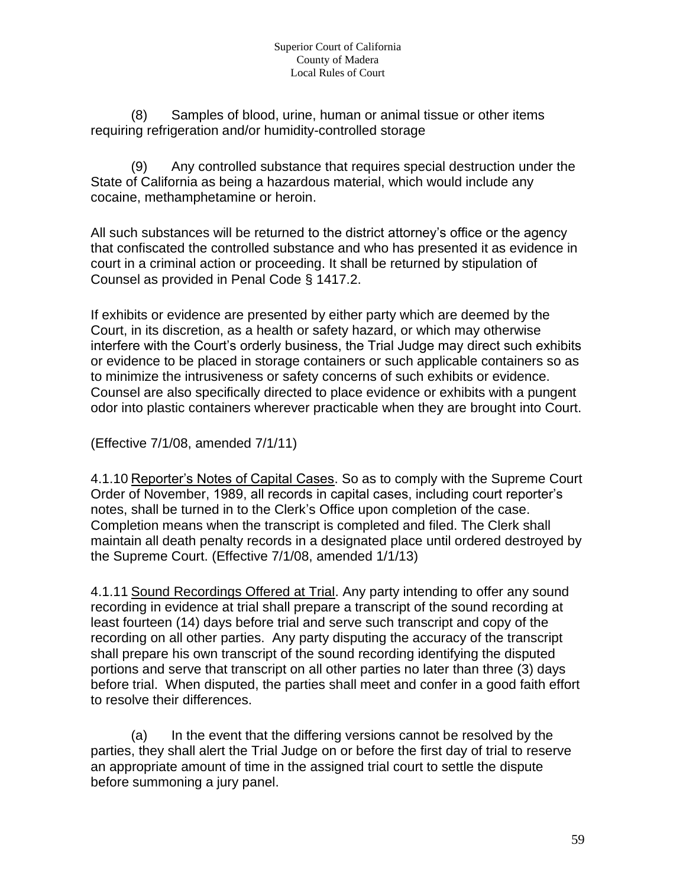(8) Samples of blood, urine, human or animal tissue or other items requiring refrigeration and/or humidity-controlled storage

(9) Any controlled substance that requires special destruction under the State of California as being a hazardous material, which would include any cocaine, methamphetamine or heroin.

All such substances will be returned to the district attorney's office or the agency that confiscated the controlled substance and who has presented it as evidence in court in a criminal action or proceeding. It shall be returned by stipulation of Counsel as provided in Penal Code § 1417.2.

If exhibits or evidence are presented by either party which are deemed by the Court, in its discretion, as a health or safety hazard, or which may otherwise interfere with the Court's orderly business, the Trial Judge may direct such exhibits or evidence to be placed in storage containers or such applicable containers so as to minimize the intrusiveness or safety concerns of such exhibits or evidence. Counsel are also specifically directed to place evidence or exhibits with a pungent odor into plastic containers wherever practicable when they are brought into Court.

(Effective 7/1/08, amended 7/1/11)

4.1.10 Reporter's Notes of Capital Cases. So as to comply with the Supreme Court Order of November, 1989, all records in capital cases, including court reporter's notes, shall be turned in to the Clerk's Office upon completion of the case. Completion means when the transcript is completed and filed. The Clerk shall maintain all death penalty records in a designated place until ordered destroyed by the Supreme Court. (Effective 7/1/08, amended 1/1/13)

4.1.11 Sound Recordings Offered at Trial. Any party intending to offer any sound recording in evidence at trial shall prepare a transcript of the sound recording at least fourteen (14) days before trial and serve such transcript and copy of the recording on all other parties. Any party disputing the accuracy of the transcript shall prepare his own transcript of the sound recording identifying the disputed portions and serve that transcript on all other parties no later than three (3) days before trial. When disputed, the parties shall meet and confer in a good faith effort to resolve their differences.

(a) In the event that the differing versions cannot be resolved by the parties, they shall alert the Trial Judge on or before the first day of trial to reserve an appropriate amount of time in the assigned trial court to settle the dispute before summoning a jury panel.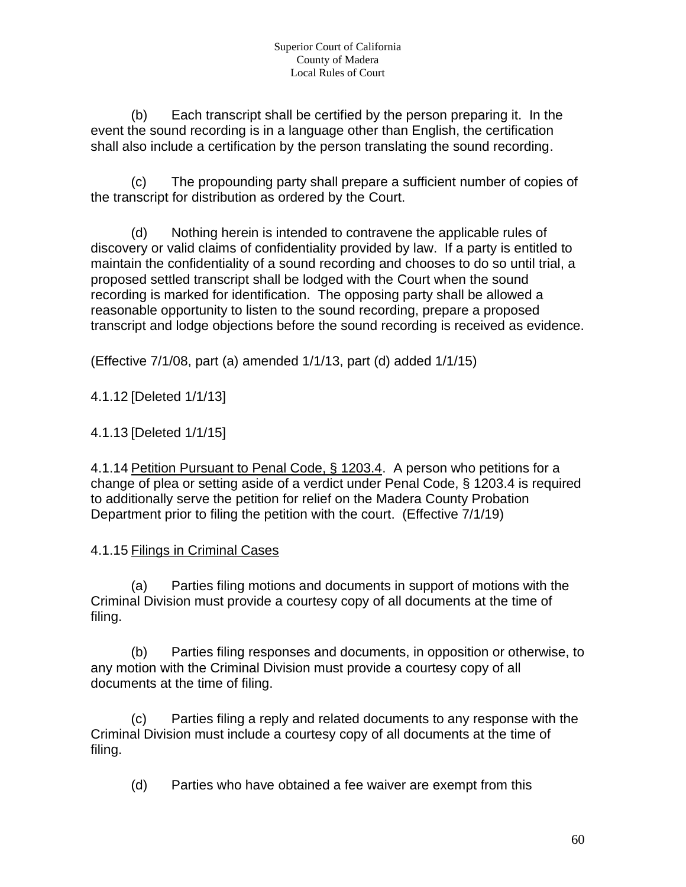(b) Each transcript shall be certified by the person preparing it. In the event the sound recording is in a language other than English, the certification shall also include a certification by the person translating the sound recording.

(c) The propounding party shall prepare a sufficient number of copies of the transcript for distribution as ordered by the Court.

(d) Nothing herein is intended to contravene the applicable rules of discovery or valid claims of confidentiality provided by law. If a party is entitled to maintain the confidentiality of a sound recording and chooses to do so until trial, a proposed settled transcript shall be lodged with the Court when the sound recording is marked for identification. The opposing party shall be allowed a reasonable opportunity to listen to the sound recording, prepare a proposed transcript and lodge objections before the sound recording is received as evidence.

(Effective 7/1/08, part (a) amended 1/1/13, part (d) added 1/1/15)

4.1.12 [Deleted 1/1/13]

## 4.1.13 [Deleted 1/1/15]

4.1.14 Petition Pursuant to Penal Code, § 1203.4. A person who petitions for a change of plea or setting aside of a verdict under Penal Code, § 1203.4 is required to additionally serve the petition for relief on the Madera County Probation Department prior to filing the petition with the court. (Effective 7/1/19)

## 4.1.15 Filings in Criminal Cases

(a) Parties filing motions and documents in support of motions with the Criminal Division must provide a courtesy copy of all documents at the time of filing.

(b) Parties filing responses and documents, in opposition or otherwise, to any motion with the Criminal Division must provide a courtesy copy of all documents at the time of filing.

(c) Parties filing a reply and related documents to any response with the Criminal Division must include a courtesy copy of all documents at the time of filing.

(d) Parties who have obtained a fee waiver are exempt from this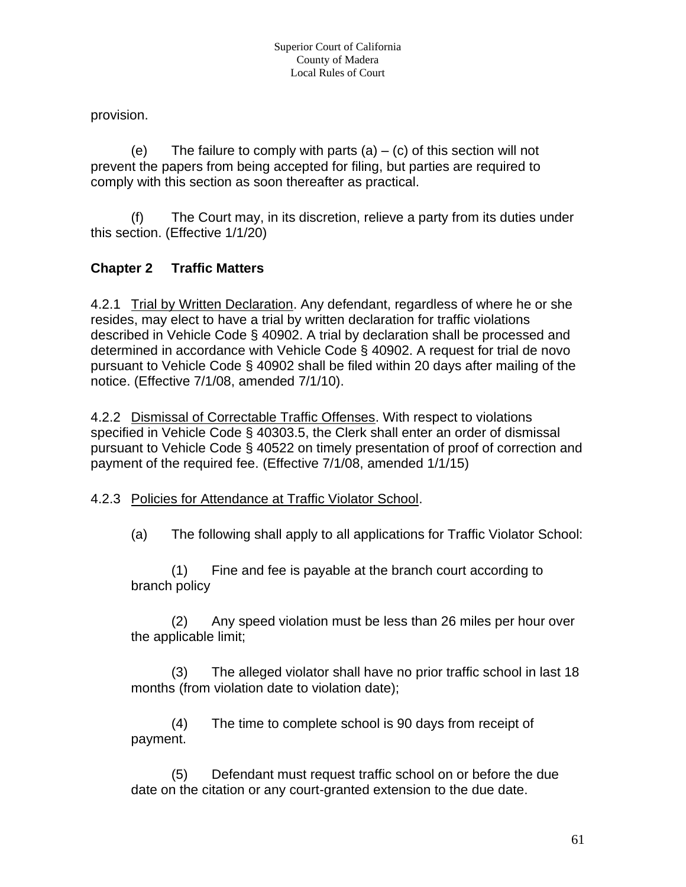provision.

(e) The failure to comply with parts  $(a) - (c)$  of this section will not prevent the papers from being accepted for filing, but parties are required to comply with this section as soon thereafter as practical.

(f) The Court may, in its discretion, relieve a party from its duties under this section. (Effective 1/1/20)

# **Chapter 2 Traffic Matters**

4.2.1 Trial by Written Declaration. Any defendant, regardless of where he or she resides, may elect to have a trial by written declaration for traffic violations described in Vehicle Code § 40902. A trial by declaration shall be processed and determined in accordance with Vehicle Code § 40902. A request for trial de novo pursuant to Vehicle Code § 40902 shall be filed within 20 days after mailing of the notice. (Effective 7/1/08, amended 7/1/10).

4.2.2 Dismissal of Correctable Traffic Offenses. With respect to violations specified in Vehicle Code § 40303.5, the Clerk shall enter an order of dismissal pursuant to Vehicle Code § 40522 on timely presentation of proof of correction and payment of the required fee. (Effective 7/1/08, amended 1/1/15)

## 4.2.3 Policies for Attendance at Traffic Violator School.

(a) The following shall apply to all applications for Traffic Violator School:

(1) Fine and fee is payable at the branch court according to branch policy

(2) Any speed violation must be less than 26 miles per hour over the applicable limit;

(3) The alleged violator shall have no prior traffic school in last 18 months (from violation date to violation date);

(4) The time to complete school is 90 days from receipt of payment.

(5) Defendant must request traffic school on or before the due date on the citation or any court-granted extension to the due date.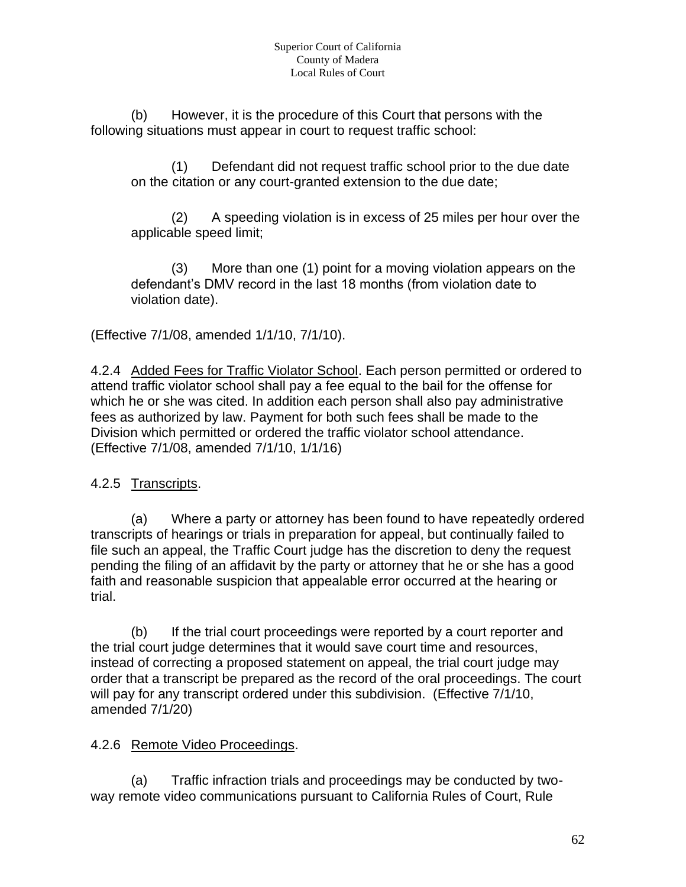(b) However, it is the procedure of this Court that persons with the following situations must appear in court to request traffic school:

(1) Defendant did not request traffic school prior to the due date on the citation or any court-granted extension to the due date;

(2) A speeding violation is in excess of 25 miles per hour over the applicable speed limit;

(3) More than one (1) point for a moving violation appears on the defendant's DMV record in the last 18 months (from violation date to violation date).

(Effective 7/1/08, amended 1/1/10, 7/1/10).

4.2.4 Added Fees for Traffic Violator School. Each person permitted or ordered to attend traffic violator school shall pay a fee equal to the bail for the offense for which he or she was cited. In addition each person shall also pay administrative fees as authorized by law. Payment for both such fees shall be made to the Division which permitted or ordered the traffic violator school attendance. (Effective 7/1/08, amended 7/1/10, 1/1/16)

4.2.5 Transcripts.

(a) Where a party or attorney has been found to have repeatedly ordered transcripts of hearings or trials in preparation for appeal, but continually failed to file such an appeal, the Traffic Court judge has the discretion to deny the request pending the filing of an affidavit by the party or attorney that he or she has a good faith and reasonable suspicion that appealable error occurred at the hearing or trial.

(b) If the trial court proceedings were reported by a court reporter and the trial court judge determines that it would save court time and resources, instead of correcting a proposed statement on appeal, the trial court judge may order that a transcript be prepared as the record of the oral proceedings. The court will pay for any transcript ordered under this subdivision. (Effective 7/1/10, amended 7/1/20)

## 4.2.6 Remote Video Proceedings.

(a) Traffic infraction trials and proceedings may be conducted by twoway remote video communications pursuant to California Rules of Court, Rule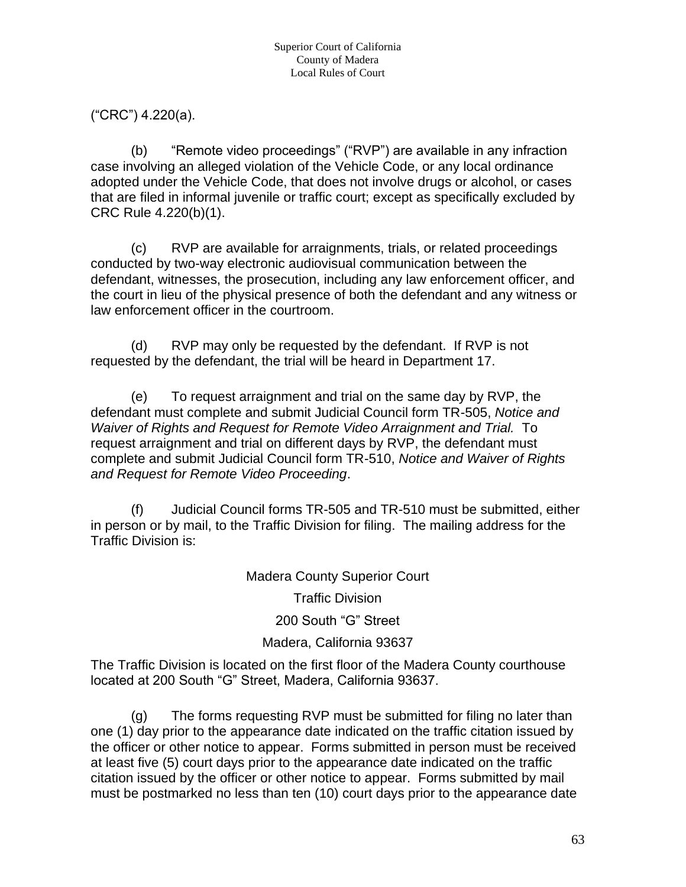("CRC") 4.220(a).

(b) "Remote video proceedings" ("RVP") are available in any infraction case involving an alleged violation of the Vehicle Code, or any local ordinance adopted under the Vehicle Code, that does not involve drugs or alcohol, or cases that are filed in informal juvenile or traffic court; except as specifically excluded by CRC Rule 4.220(b)(1).

(c) RVP are available for arraignments, trials, or related proceedings conducted by two-way electronic audiovisual communication between the defendant, witnesses, the prosecution, including any law enforcement officer, and the court in lieu of the physical presence of both the defendant and any witness or law enforcement officer in the courtroom.

(d) RVP may only be requested by the defendant. If RVP is not requested by the defendant, the trial will be heard in Department 17.

(e) To request arraignment and trial on the same day by RVP, the defendant must complete and submit Judicial Council form TR-505, *Notice and Waiver of Rights and Request for Remote Video Arraignment and Trial.* To request arraignment and trial on different days by RVP, the defendant must complete and submit Judicial Council form TR-510, *Notice and Waiver of Rights and Request for Remote Video Proceeding*.

(f) Judicial Council forms TR-505 and TR-510 must be submitted, either in person or by mail, to the Traffic Division for filing. The mailing address for the Traffic Division is:

Madera County Superior Court

Traffic Division

200 South "G" Street

## Madera, California 93637

The Traffic Division is located on the first floor of the Madera County courthouse located at 200 South "G" Street, Madera, California 93637.

(g) The forms requesting RVP must be submitted for filing no later than one (1) day prior to the appearance date indicated on the traffic citation issued by the officer or other notice to appear. Forms submitted in person must be received at least five (5) court days prior to the appearance date indicated on the traffic citation issued by the officer or other notice to appear. Forms submitted by mail must be postmarked no less than ten (10) court days prior to the appearance date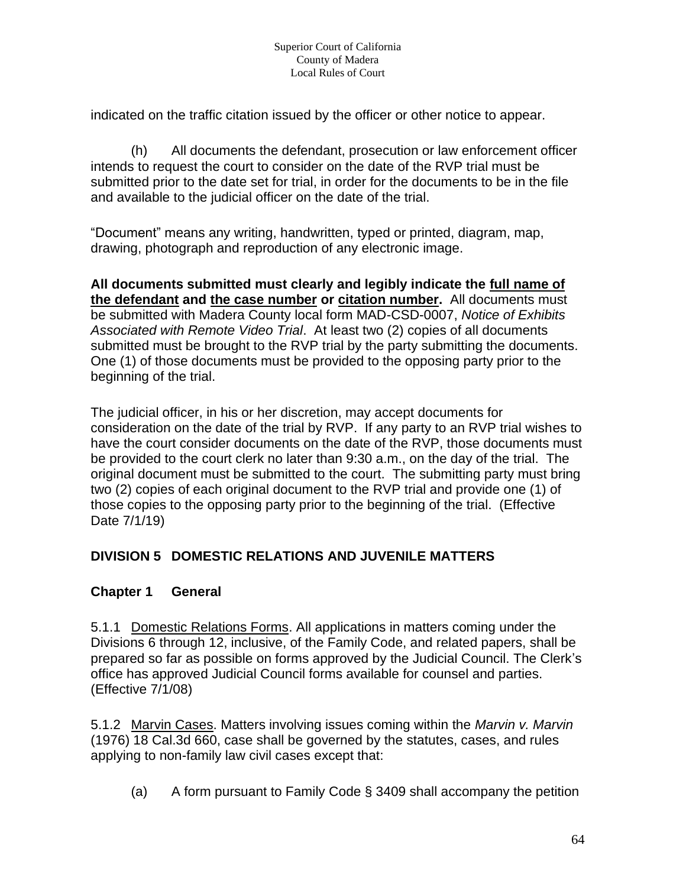indicated on the traffic citation issued by the officer or other notice to appear.

(h) All documents the defendant, prosecution or law enforcement officer intends to request the court to consider on the date of the RVP trial must be submitted prior to the date set for trial, in order for the documents to be in the file and available to the judicial officer on the date of the trial.

"Document" means any writing, handwritten, typed or printed, diagram, map, drawing, photograph and reproduction of any electronic image.

**All documents submitted must clearly and legibly indicate the full name of the defendant and the case number or citation number.** All documents must be submitted with Madera County local form MAD-CSD-0007, *Notice of Exhibits Associated with Remote Video Trial*.At least two (2) copies of all documents submitted must be brought to the RVP trial by the party submitting the documents. One (1) of those documents must be provided to the opposing party prior to the beginning of the trial.

The judicial officer, in his or her discretion, may accept documents for consideration on the date of the trial by RVP. If any party to an RVP trial wishes to have the court consider documents on the date of the RVP, those documents must be provided to the court clerk no later than 9:30 a.m., on the day of the trial. The original document must be submitted to the court. The submitting party must bring two (2) copies of each original document to the RVP trial and provide one (1) of those copies to the opposing party prior to the beginning of the trial. (Effective Date 7/1/19)

## **DIVISION 5 DOMESTIC RELATIONS AND JUVENILE MATTERS**

## **Chapter 1 General**

5.1.1 Domestic Relations Forms. All applications in matters coming under the Divisions 6 through 12, inclusive, of the Family Code, and related papers, shall be prepared so far as possible on forms approved by the Judicial Council. The Clerk's office has approved Judicial Council forms available for counsel and parties. (Effective 7/1/08)

5.1.2 Marvin Cases. Matters involving issues coming within the *Marvin v. Marvin* (1976) 18 Cal.3d 660, case shall be governed by the statutes, cases, and rules applying to non-family law civil cases except that:

(a) A form pursuant to Family Code § 3409 shall accompany the petition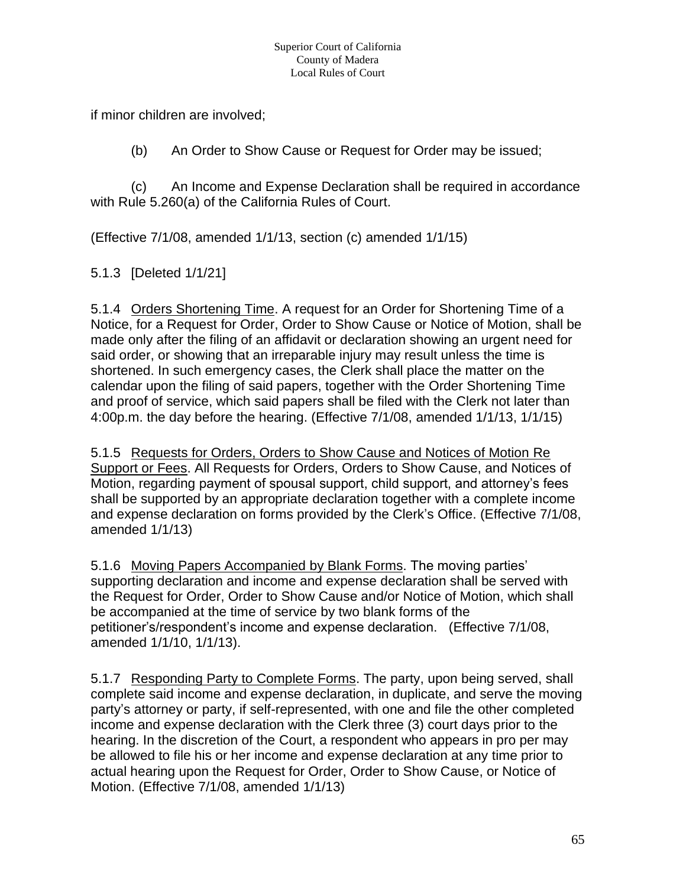if minor children are involved;

(b) An Order to Show Cause or Request for Order may be issued;

(c) An Income and Expense Declaration shall be required in accordance with Rule 5.260(a) of the California Rules of Court.

(Effective 7/1/08, amended 1/1/13, section (c) amended 1/1/15)

5.1.3 [Deleted 1/1/21]

5.1.4 Orders Shortening Time. A request for an Order for Shortening Time of a Notice, for a Request for Order, Order to Show Cause or Notice of Motion, shall be made only after the filing of an affidavit or declaration showing an urgent need for said order, or showing that an irreparable injury may result unless the time is shortened. In such emergency cases, the Clerk shall place the matter on the calendar upon the filing of said papers, together with the Order Shortening Time and proof of service, which said papers shall be filed with the Clerk not later than 4:00p.m. the day before the hearing. (Effective 7/1/08, amended 1/1/13, 1/1/15)

5.1.5 Requests for Orders, Orders to Show Cause and Notices of Motion Re Support or Fees. All Requests for Orders, Orders to Show Cause, and Notices of Motion, regarding payment of spousal support, child support, and attorney's fees shall be supported by an appropriate declaration together with a complete income and expense declaration on forms provided by the Clerk's Office. (Effective 7/1/08, amended 1/1/13)

5.1.6 Moving Papers Accompanied by Blank Forms. The moving parties' supporting declaration and income and expense declaration shall be served with the Request for Order, Order to Show Cause and/or Notice of Motion, which shall be accompanied at the time of service by two blank forms of the petitioner's/respondent's income and expense declaration. (Effective 7/1/08, amended 1/1/10, 1/1/13).

5.1.7 Responding Party to Complete Forms. The party, upon being served, shall complete said income and expense declaration, in duplicate, and serve the moving party's attorney or party, if self-represented, with one and file the other completed income and expense declaration with the Clerk three (3) court days prior to the hearing. In the discretion of the Court, a respondent who appears in pro per may be allowed to file his or her income and expense declaration at any time prior to actual hearing upon the Request for Order, Order to Show Cause, or Notice of Motion. (Effective 7/1/08, amended 1/1/13)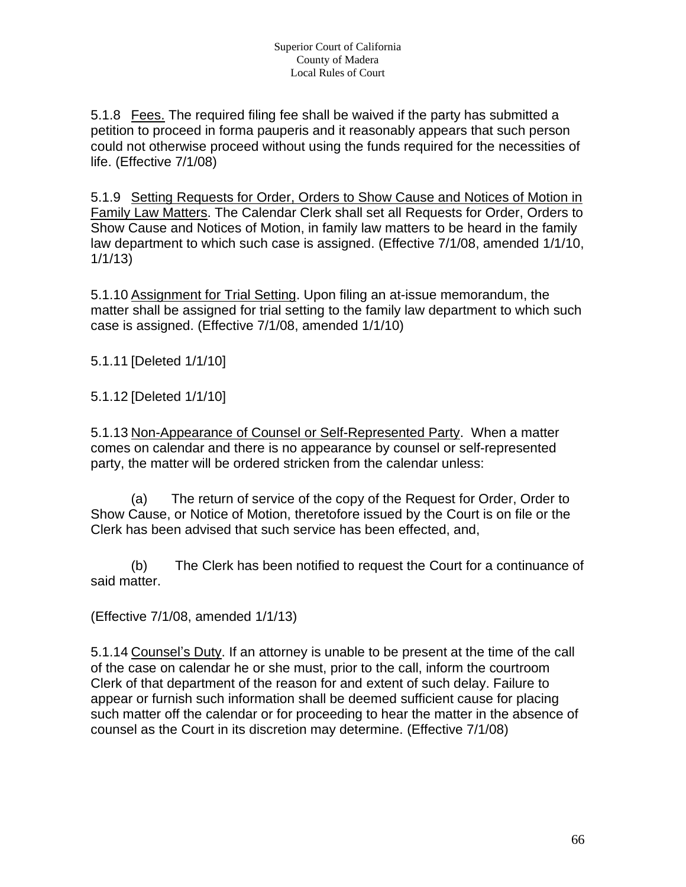5.1.8 Fees. The required filing fee shall be waived if the party has submitted a petition to proceed in forma pauperis and it reasonably appears that such person could not otherwise proceed without using the funds required for the necessities of life. (Effective 7/1/08)

5.1.9 Setting Requests for Order, Orders to Show Cause and Notices of Motion in Family Law Matters. The Calendar Clerk shall set all Requests for Order, Orders to Show Cause and Notices of Motion, in family law matters to be heard in the family law department to which such case is assigned. (Effective 7/1/08, amended 1/1/10, 1/1/13)

5.1.10 Assignment for Trial Setting. Upon filing an at-issue memorandum, the matter shall be assigned for trial setting to the family law department to which such case is assigned. (Effective 7/1/08, amended 1/1/10)

5.1.11 [Deleted 1/1/10]

5.1.12 [Deleted 1/1/10]

5.1.13 Non-Appearance of Counsel or Self-Represented Party. When a matter comes on calendar and there is no appearance by counsel or self-represented party, the matter will be ordered stricken from the calendar unless:

(a) The return of service of the copy of the Request for Order, Order to Show Cause, or Notice of Motion, theretofore issued by the Court is on file or the Clerk has been advised that such service has been effected, and,

(b) The Clerk has been notified to request the Court for a continuance of said matter.

(Effective 7/1/08, amended 1/1/13)

5.1.14 Counsel's Duty. If an attorney is unable to be present at the time of the call of the case on calendar he or she must, prior to the call, inform the courtroom Clerk of that department of the reason for and extent of such delay. Failure to appear or furnish such information shall be deemed sufficient cause for placing such matter off the calendar or for proceeding to hear the matter in the absence of counsel as the Court in its discretion may determine. (Effective 7/1/08)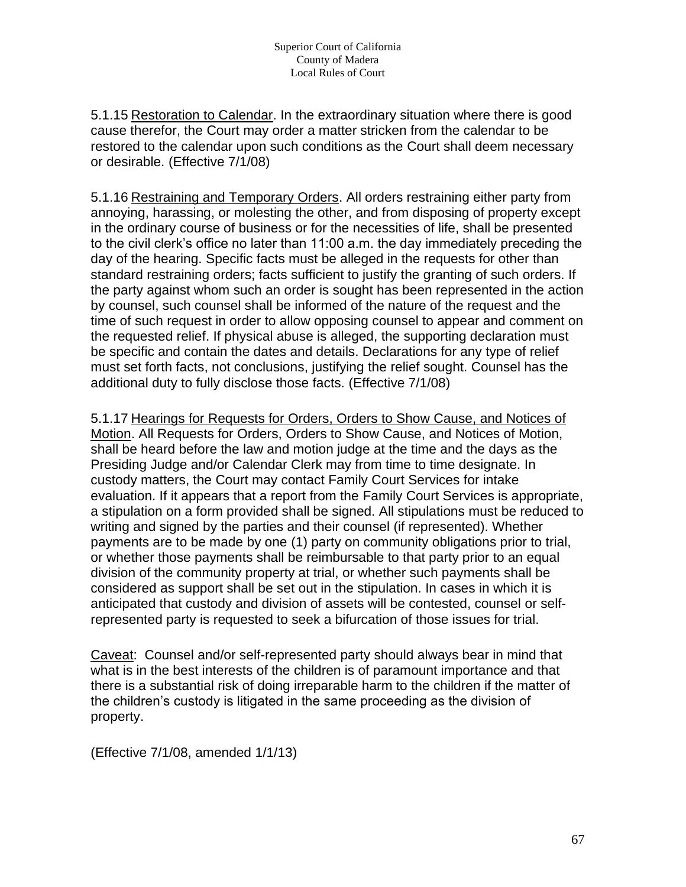5.1.15 Restoration to Calendar. In the extraordinary situation where there is good cause therefor, the Court may order a matter stricken from the calendar to be restored to the calendar upon such conditions as the Court shall deem necessary or desirable. (Effective 7/1/08)

5.1.16 Restraining and Temporary Orders. All orders restraining either party from annoying, harassing, or molesting the other, and from disposing of property except in the ordinary course of business or for the necessities of life, shall be presented to the civil clerk's office no later than 11:00 a.m. the day immediately preceding the day of the hearing. Specific facts must be alleged in the requests for other than standard restraining orders; facts sufficient to justify the granting of such orders. If the party against whom such an order is sought has been represented in the action by counsel, such counsel shall be informed of the nature of the request and the time of such request in order to allow opposing counsel to appear and comment on the requested relief. If physical abuse is alleged, the supporting declaration must be specific and contain the dates and details. Declarations for any type of relief must set forth facts, not conclusions, justifying the relief sought. Counsel has the additional duty to fully disclose those facts. (Effective 7/1/08)

5.1.17 Hearings for Requests for Orders, Orders to Show Cause, and Notices of Motion. All Requests for Orders, Orders to Show Cause, and Notices of Motion, shall be heard before the law and motion judge at the time and the days as the Presiding Judge and/or Calendar Clerk may from time to time designate. In custody matters, the Court may contact Family Court Services for intake evaluation. If it appears that a report from the Family Court Services is appropriate, a stipulation on a form provided shall be signed. All stipulations must be reduced to writing and signed by the parties and their counsel (if represented). Whether payments are to be made by one (1) party on community obligations prior to trial, or whether those payments shall be reimbursable to that party prior to an equal division of the community property at trial, or whether such payments shall be considered as support shall be set out in the stipulation. In cases in which it is anticipated that custody and division of assets will be contested, counsel or selfrepresented party is requested to seek a bifurcation of those issues for trial.

Caveat: Counsel and/or self-represented party should always bear in mind that what is in the best interests of the children is of paramount importance and that there is a substantial risk of doing irreparable harm to the children if the matter of the children's custody is litigated in the same proceeding as the division of property.

(Effective 7/1/08, amended 1/1/13)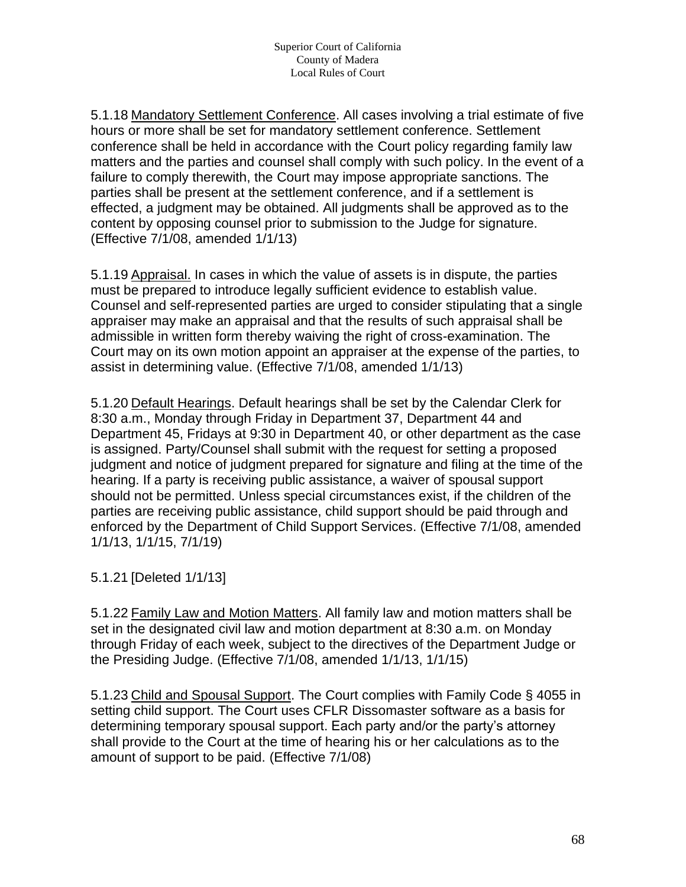5.1.18 Mandatory Settlement Conference. All cases involving a trial estimate of five hours or more shall be set for mandatory settlement conference. Settlement conference shall be held in accordance with the Court policy regarding family law matters and the parties and counsel shall comply with such policy. In the event of a failure to comply therewith, the Court may impose appropriate sanctions. The parties shall be present at the settlement conference, and if a settlement is effected, a judgment may be obtained. All judgments shall be approved as to the content by opposing counsel prior to submission to the Judge for signature. (Effective 7/1/08, amended 1/1/13)

5.1.19 Appraisal. In cases in which the value of assets is in dispute, the parties must be prepared to introduce legally sufficient evidence to establish value. Counsel and self-represented parties are urged to consider stipulating that a single appraiser may make an appraisal and that the results of such appraisal shall be admissible in written form thereby waiving the right of cross-examination. The Court may on its own motion appoint an appraiser at the expense of the parties, to assist in determining value. (Effective 7/1/08, amended 1/1/13)

5.1.20 Default Hearings. Default hearings shall be set by the Calendar Clerk for 8:30 a.m., Monday through Friday in Department 37, Department 44 and Department 45, Fridays at 9:30 in Department 40, or other department as the case is assigned. Party/Counsel shall submit with the request for setting a proposed judgment and notice of judgment prepared for signature and filing at the time of the hearing. If a party is receiving public assistance, a waiver of spousal support should not be permitted. Unless special circumstances exist, if the children of the parties are receiving public assistance, child support should be paid through and enforced by the Department of Child Support Services. (Effective 7/1/08, amended 1/1/13, 1/1/15, 7/1/19)

5.1.21 [Deleted 1/1/13]

5.1.22 Family Law and Motion Matters. All family law and motion matters shall be set in the designated civil law and motion department at 8:30 a.m. on Monday through Friday of each week, subject to the directives of the Department Judge or the Presiding Judge. (Effective 7/1/08, amended 1/1/13, 1/1/15)

5.1.23 Child and Spousal Support. The Court complies with Family Code § 4055 in setting child support. The Court uses CFLR Dissomaster software as a basis for determining temporary spousal support. Each party and/or the party's attorney shall provide to the Court at the time of hearing his or her calculations as to the amount of support to be paid. (Effective 7/1/08)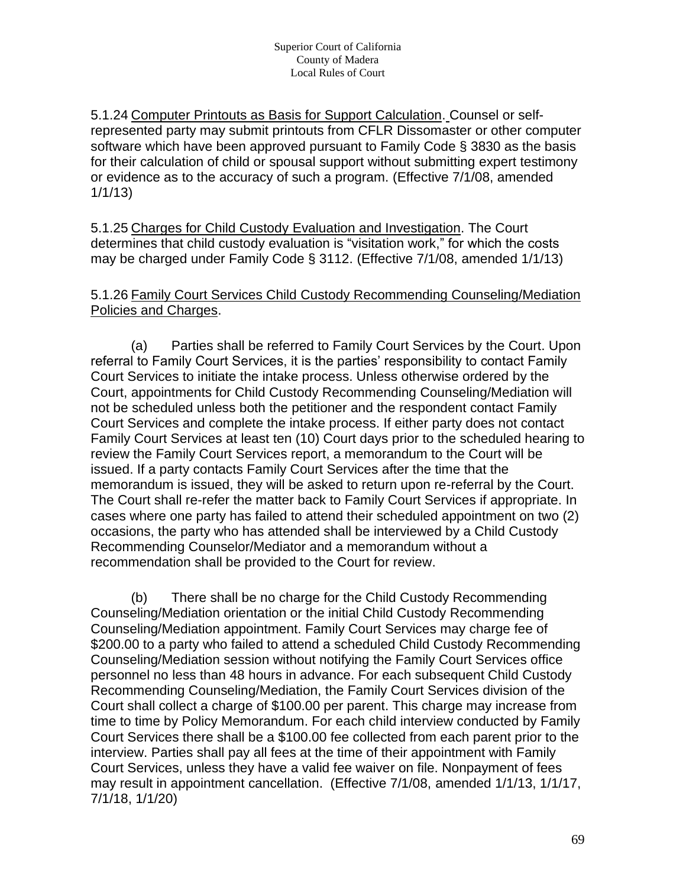5.1.24 Computer Printouts as Basis for Support Calculation. Counsel or selfrepresented party may submit printouts from CFLR Dissomaster or other computer software which have been approved pursuant to Family Code § 3830 as the basis for their calculation of child or spousal support without submitting expert testimony or evidence as to the accuracy of such a program. (Effective 7/1/08, amended 1/1/13)

5.1.25 Charges for Child Custody Evaluation and Investigation. The Court determines that child custody evaluation is "visitation work," for which the costs may be charged under Family Code § 3112. (Effective 7/1/08, amended 1/1/13)

#### 5.1.26 Family Court Services Child Custody Recommending Counseling/Mediation Policies and Charges.

(a) Parties shall be referred to Family Court Services by the Court. Upon referral to Family Court Services, it is the parties' responsibility to contact Family Court Services to initiate the intake process. Unless otherwise ordered by the Court, appointments for Child Custody Recommending Counseling/Mediation will not be scheduled unless both the petitioner and the respondent contact Family Court Services and complete the intake process. If either party does not contact Family Court Services at least ten (10) Court days prior to the scheduled hearing to review the Family Court Services report, a memorandum to the Court will be issued. If a party contacts Family Court Services after the time that the memorandum is issued, they will be asked to return upon re-referral by the Court. The Court shall re-refer the matter back to Family Court Services if appropriate. In cases where one party has failed to attend their scheduled appointment on two (2) occasions, the party who has attended shall be interviewed by a Child Custody Recommending Counselor/Mediator and a memorandum without a recommendation shall be provided to the Court for review.

(b) There shall be no charge for the Child Custody Recommending Counseling/Mediation orientation or the initial Child Custody Recommending Counseling/Mediation appointment. Family Court Services may charge fee of \$200.00 to a party who failed to attend a scheduled Child Custody Recommending Counseling/Mediation session without notifying the Family Court Services office personnel no less than 48 hours in advance. For each subsequent Child Custody Recommending Counseling/Mediation, the Family Court Services division of the Court shall collect a charge of \$100.00 per parent. This charge may increase from time to time by Policy Memorandum. For each child interview conducted by Family Court Services there shall be a \$100.00 fee collected from each parent prior to the interview. Parties shall pay all fees at the time of their appointment with Family Court Services, unless they have a valid fee waiver on file. Nonpayment of fees may result in appointment cancellation. (Effective 7/1/08, amended 1/1/13, 1/1/17, 7/1/18, 1/1/20)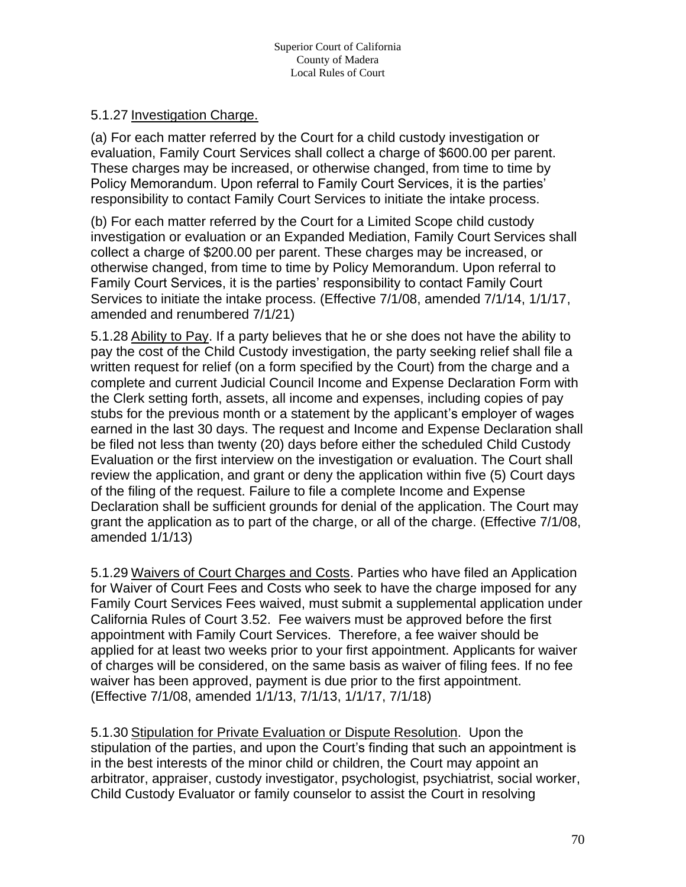#### 5.1.27 Investigation Charge.

(a) For each matter referred by the Court for a child custody investigation or evaluation, Family Court Services shall collect a charge of \$600.00 per parent. These charges may be increased, or otherwise changed, from time to time by Policy Memorandum. Upon referral to Family Court Services, it is the parties' responsibility to contact Family Court Services to initiate the intake process.

(b) For each matter referred by the Court for a Limited Scope child custody investigation or evaluation or an Expanded Mediation, Family Court Services shall collect a charge of \$200.00 per parent. These charges may be increased, or otherwise changed, from time to time by Policy Memorandum. Upon referral to Family Court Services, it is the parties' responsibility to contact Family Court Services to initiate the intake process. (Effective 7/1/08, amended 7/1/14, 1/1/17, amended and renumbered 7/1/21)

5.1.28 Ability to Pay. If a party believes that he or she does not have the ability to pay the cost of the Child Custody investigation, the party seeking relief shall file a written request for relief (on a form specified by the Court) from the charge and a complete and current Judicial Council Income and Expense Declaration Form with the Clerk setting forth, assets, all income and expenses, including copies of pay stubs for the previous month or a statement by the applicant's employer of wages earned in the last 30 days. The request and Income and Expense Declaration shall be filed not less than twenty (20) days before either the scheduled Child Custody Evaluation or the first interview on the investigation or evaluation. The Court shall review the application, and grant or deny the application within five (5) Court days of the filing of the request. Failure to file a complete Income and Expense Declaration shall be sufficient grounds for denial of the application. The Court may grant the application as to part of the charge, or all of the charge. (Effective 7/1/08, amended 1/1/13)

5.1.29 Waivers of Court Charges and Costs. Parties who have filed an Application for Waiver of Court Fees and Costs who seek to have the charge imposed for any Family Court Services Fees waived, must submit a supplemental application under California Rules of Court 3.52. Fee waivers must be approved before the first appointment with Family Court Services. Therefore, a fee waiver should be applied for at least two weeks prior to your first appointment. Applicants for waiver of charges will be considered, on the same basis as waiver of filing fees. If no fee waiver has been approved, payment is due prior to the first appointment. (Effective 7/1/08, amended 1/1/13, 7/1/13, 1/1/17, 7/1/18)

5.1.30 Stipulation for Private Evaluation or Dispute Resolution. Upon the stipulation of the parties, and upon the Court's finding that such an appointment is in the best interests of the minor child or children, the Court may appoint an arbitrator, appraiser, custody investigator, psychologist, psychiatrist, social worker, Child Custody Evaluator or family counselor to assist the Court in resolving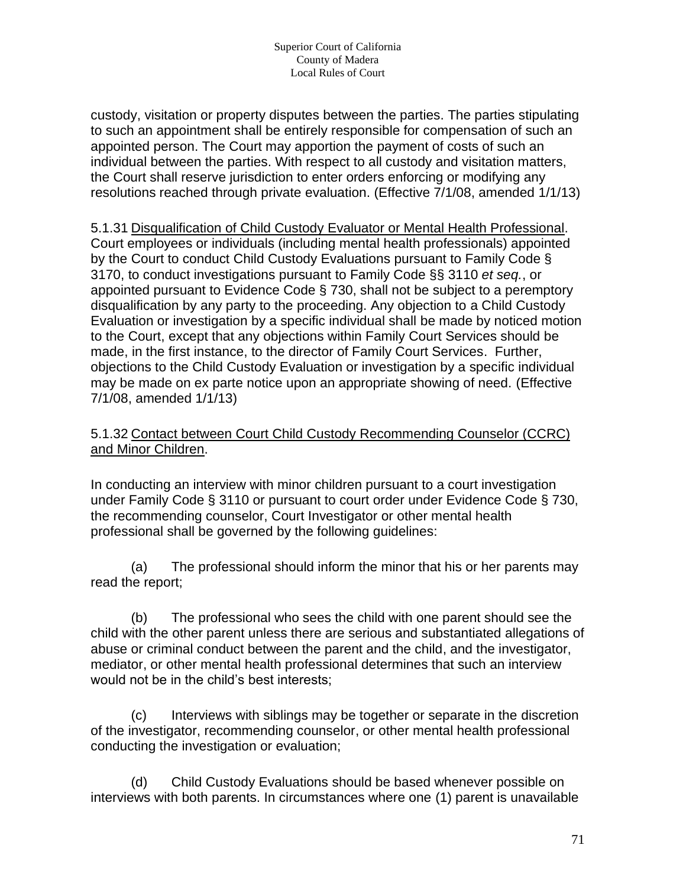custody, visitation or property disputes between the parties. The parties stipulating to such an appointment shall be entirely responsible for compensation of such an appointed person. The Court may apportion the payment of costs of such an individual between the parties. With respect to all custody and visitation matters, the Court shall reserve jurisdiction to enter orders enforcing or modifying any resolutions reached through private evaluation. (Effective 7/1/08, amended 1/1/13)

5.1.31 Disqualification of Child Custody Evaluator or Mental Health Professional. Court employees or individuals (including mental health professionals) appointed by the Court to conduct Child Custody Evaluations pursuant to Family Code § 3170, to conduct investigations pursuant to Family Code §§ 3110 *et seq.*, or appointed pursuant to Evidence Code § 730, shall not be subject to a peremptory disqualification by any party to the proceeding. Any objection to a Child Custody Evaluation or investigation by a specific individual shall be made by noticed motion to the Court, except that any objections within Family Court Services should be made, in the first instance, to the director of Family Court Services. Further, objections to the Child Custody Evaluation or investigation by a specific individual may be made on ex parte notice upon an appropriate showing of need. (Effective 7/1/08, amended 1/1/13)

#### 5.1.32 Contact between Court Child Custody Recommending Counselor (CCRC) and Minor Children.

In conducting an interview with minor children pursuant to a court investigation under Family Code § 3110 or pursuant to court order under Evidence Code § 730, the recommending counselor, Court Investigator or other mental health professional shall be governed by the following guidelines:

(a) The professional should inform the minor that his or her parents may read the report;

(b) The professional who sees the child with one parent should see the child with the other parent unless there are serious and substantiated allegations of abuse or criminal conduct between the parent and the child, and the investigator, mediator, or other mental health professional determines that such an interview would not be in the child's best interests;

(c) Interviews with siblings may be together or separate in the discretion of the investigator, recommending counselor, or other mental health professional conducting the investigation or evaluation;

(d) Child Custody Evaluations should be based whenever possible on interviews with both parents. In circumstances where one (1) parent is unavailable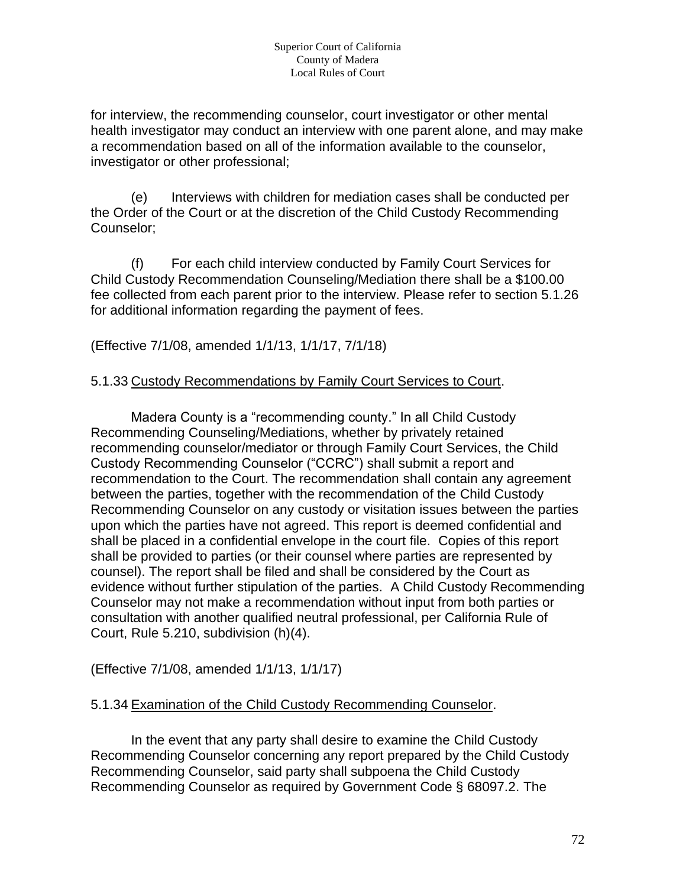for interview, the recommending counselor, court investigator or other mental health investigator may conduct an interview with one parent alone, and may make a recommendation based on all of the information available to the counselor, investigator or other professional;

(e) Interviews with children for mediation cases shall be conducted per the Order of the Court or at the discretion of the Child Custody Recommending Counselor;

(f) For each child interview conducted by Family Court Services for Child Custody Recommendation Counseling/Mediation there shall be a \$100.00 fee collected from each parent prior to the interview. Please refer to section 5.1.26 for additional information regarding the payment of fees.

(Effective 7/1/08, amended 1/1/13, 1/1/17, 7/1/18)

#### 5.1.33 Custody Recommendations by Family Court Services to Court.

Madera County is a "recommending county." In all Child Custody Recommending Counseling/Mediations, whether by privately retained recommending counselor/mediator or through Family Court Services, the Child Custody Recommending Counselor ("CCRC") shall submit a report and recommendation to the Court. The recommendation shall contain any agreement between the parties, together with the recommendation of the Child Custody Recommending Counselor on any custody or visitation issues between the parties upon which the parties have not agreed. This report is deemed confidential and shall be placed in a confidential envelope in the court file. Copies of this report shall be provided to parties (or their counsel where parties are represented by counsel). The report shall be filed and shall be considered by the Court as evidence without further stipulation of the parties. A Child Custody Recommending Counselor may not make a recommendation without input from both parties or consultation with another qualified neutral professional, per California Rule of Court, Rule 5.210, subdivision (h)(4).

(Effective 7/1/08, amended 1/1/13, 1/1/17)

#### 5.1.34 Examination of the Child Custody Recommending Counselor.

In the event that any party shall desire to examine the Child Custody Recommending Counselor concerning any report prepared by the Child Custody Recommending Counselor, said party shall subpoena the Child Custody Recommending Counselor as required by Government Code § 68097.2. The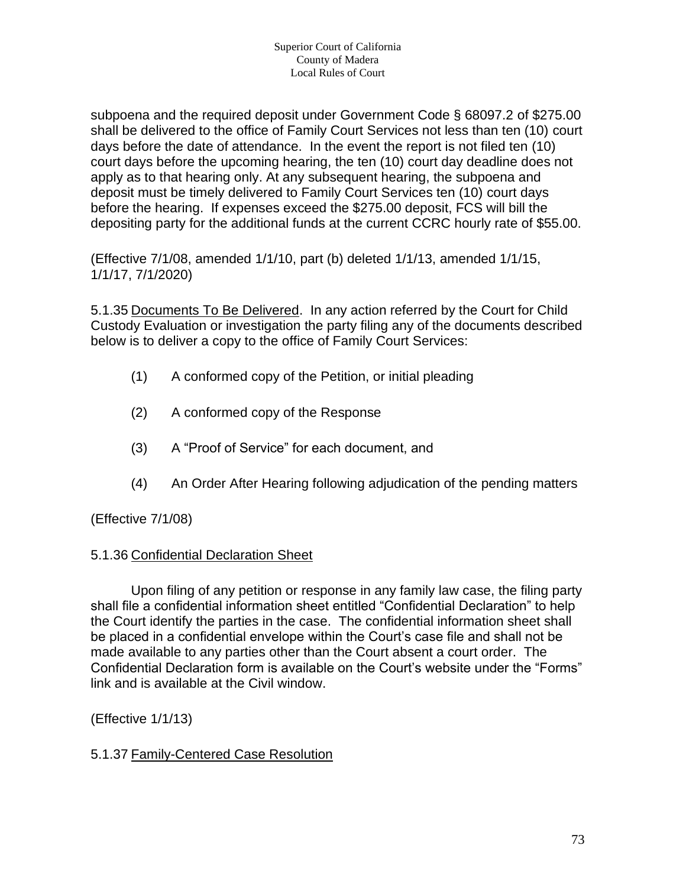subpoena and the required deposit under Government Code § 68097.2 of \$275.00 shall be delivered to the office of Family Court Services not less than ten (10) court days before the date of attendance. In the event the report is not filed ten (10) court days before the upcoming hearing, the ten (10) court day deadline does not apply as to that hearing only. At any subsequent hearing, the subpoena and deposit must be timely delivered to Family Court Services ten (10) court days before the hearing. If expenses exceed the \$275.00 deposit, FCS will bill the depositing party for the additional funds at the current CCRC hourly rate of \$55.00.

(Effective 7/1/08, amended 1/1/10, part (b) deleted 1/1/13, amended 1/1/15, 1/1/17, 7/1/2020)

5.1.35 Documents To Be Delivered. In any action referred by the Court for Child Custody Evaluation or investigation the party filing any of the documents described below is to deliver a copy to the office of Family Court Services:

- (1) A conformed copy of the Petition, or initial pleading
- (2) A conformed copy of the Response
- (3) A "Proof of Service" for each document, and
- (4) An Order After Hearing following adjudication of the pending matters

(Effective 7/1/08)

#### 5.1.36 Confidential Declaration Sheet

Upon filing of any petition or response in any family law case, the filing party shall file a confidential information sheet entitled "Confidential Declaration" to help the Court identify the parties in the case. The confidential information sheet shall be placed in a confidential envelope within the Court's case file and shall not be made available to any parties other than the Court absent a court order. The Confidential Declaration form is available on the Court's website under the "Forms" link and is available at the Civil window.

(Effective 1/1/13)

#### 5.1.37 Family-Centered Case Resolution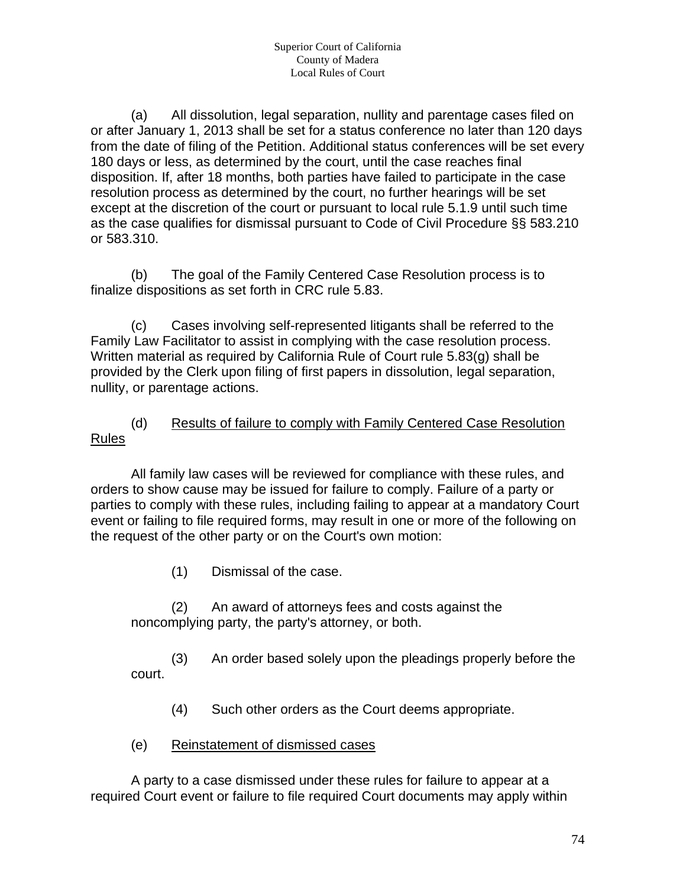(a) All dissolution, legal separation, nullity and parentage cases filed on or after January 1, 2013 shall be set for a status conference no later than 120 days from the date of filing of the Petition. Additional status conferences will be set every 180 days or less, as determined by the court, until the case reaches final disposition. If, after 18 months, both parties have failed to participate in the case resolution process as determined by the court, no further hearings will be set except at the discretion of the court or pursuant to local rule 5.1.9 until such time as the case qualifies for dismissal pursuant to Code of Civil Procedure §§ 583.210 or 583.310.

(b) The goal of the Family Centered Case Resolution process is to finalize dispositions as set forth in CRC rule 5.83.

(c) Cases involving self-represented litigants shall be referred to the Family Law Facilitator to assist in complying with the case resolution process. Written material as required by California Rule of Court rule 5.83(g) shall be provided by the Clerk upon filing of first papers in dissolution, legal separation, nullity, or parentage actions.

#### (d) Results of failure to comply with Family Centered Case Resolution Rules

All family law cases will be reviewed for compliance with these rules, and orders to show cause may be issued for failure to comply. Failure of a party or parties to comply with these rules, including failing to appear at a mandatory Court event or failing to file required forms, may result in one or more of the following on the request of the other party or on the Court's own motion:

(1) Dismissal of the case.

(2) An award of attorneys fees and costs against the noncomplying party, the party's attorney, or both.

(3) An order based solely upon the pleadings properly before the court.

- (4) Such other orders as the Court deems appropriate.
- (e) Reinstatement of dismissed cases

A party to a case dismissed under these rules for failure to appear at a required Court event or failure to file required Court documents may apply within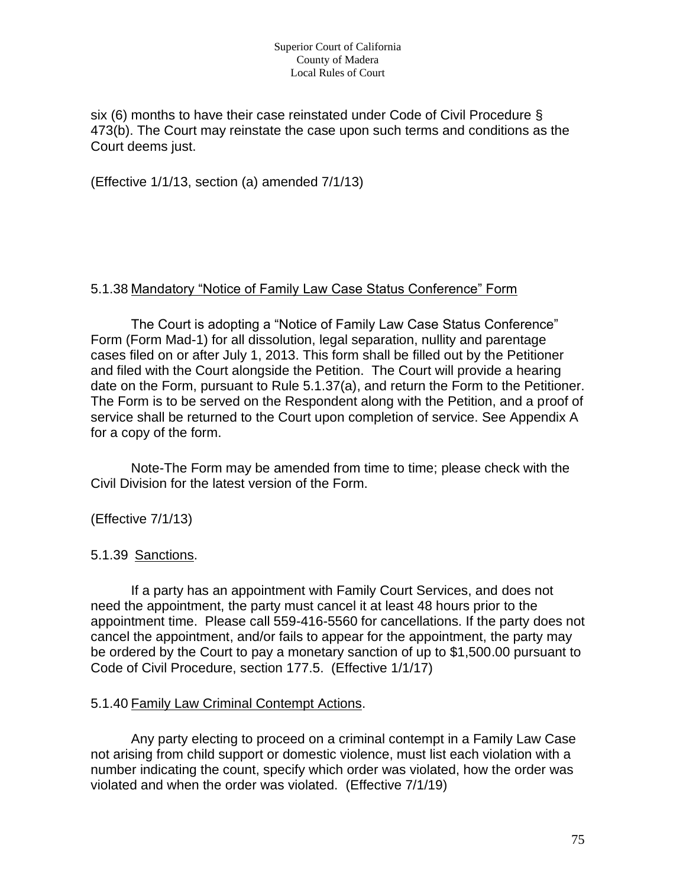six (6) months to have their case reinstated under Code of Civil Procedure § 473(b). The Court may reinstate the case upon such terms and conditions as the Court deems just.

(Effective 1/1/13, section (a) amended 7/1/13)

#### 5.1.38 Mandatory "Notice of Family Law Case Status Conference" Form

The Court is adopting a "Notice of Family Law Case Status Conference" Form (Form Mad-1) for all dissolution, legal separation, nullity and parentage cases filed on or after July 1, 2013. This form shall be filled out by the Petitioner and filed with the Court alongside the Petition. The Court will provide a hearing date on the Form, pursuant to Rule 5.1.37(a), and return the Form to the Petitioner. The Form is to be served on the Respondent along with the Petition, and a proof of service shall be returned to the Court upon completion of service. See Appendix A for a copy of the form.

Note-The Form may be amended from time to time; please check with the Civil Division for the latest version of the Form.

#### (Effective 7/1/13)

#### 5.1.39 Sanctions.

If a party has an appointment with Family Court Services, and does not need the appointment, the party must cancel it at least 48 hours prior to the appointment time. Please call 559-416-5560 for cancellations. If the party does not cancel the appointment, and/or fails to appear for the appointment, the party may be ordered by the Court to pay a monetary sanction of up to \$1,500.00 pursuant to Code of Civil Procedure, section 177.5. (Effective 1/1/17)

#### 5.1.40 Family Law Criminal Contempt Actions.

Any party electing to proceed on a criminal contempt in a Family Law Case not arising from child support or domestic violence, must list each violation with a number indicating the count, specify which order was violated, how the order was violated and when the order was violated. (Effective 7/1/19)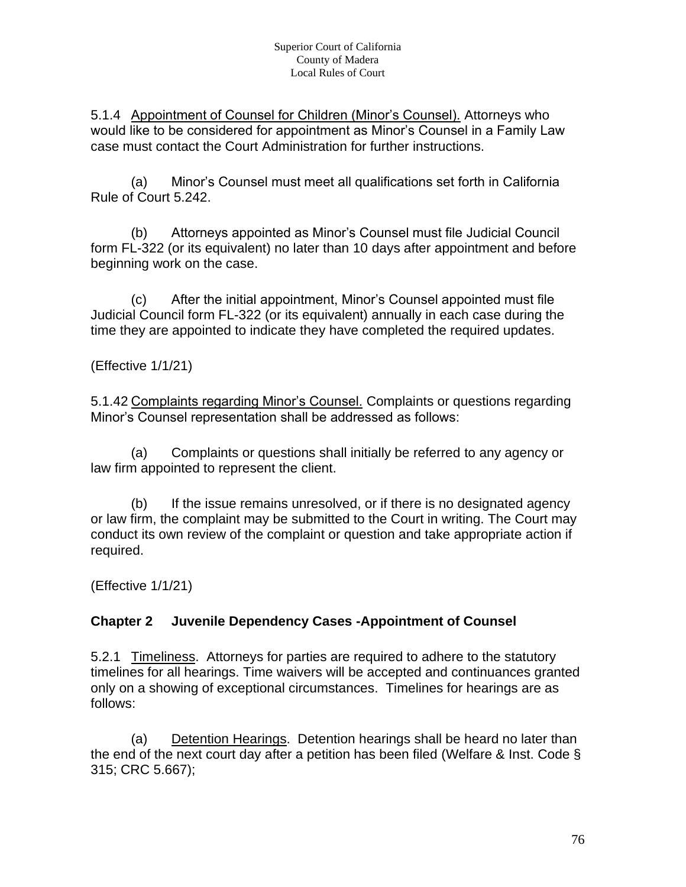5.1.4 Appointment of Counsel for Children (Minor's Counsel). Attorneys who would like to be considered for appointment as Minor's Counsel in a Family Law case must contact the Court Administration for further instructions.

(a) Minor's Counsel must meet all qualifications set forth in California Rule of Court 5.242.

(b) Attorneys appointed as Minor's Counsel must file Judicial Council form FL-322 (or its equivalent) no later than 10 days after appointment and before beginning work on the case.

(c) After the initial appointment, Minor's Counsel appointed must file Judicial Council form FL-322 (or its equivalent) annually in each case during the time they are appointed to indicate they have completed the required updates.

(Effective 1/1/21)

5.1.42 Complaints regarding Minor's Counsel. Complaints or questions regarding Minor's Counsel representation shall be addressed as follows:

(a) Complaints or questions shall initially be referred to any agency or law firm appointed to represent the client.

(b) If the issue remains unresolved, or if there is no designated agency or law firm, the complaint may be submitted to the Court in writing. The Court may conduct its own review of the complaint or question and take appropriate action if required.

(Effective 1/1/21)

#### **Chapter 2 Juvenile Dependency Cases -Appointment of Counsel**

5.2.1 Timeliness. Attorneys for parties are required to adhere to the statutory timelines for all hearings. Time waivers will be accepted and continuances granted only on a showing of exceptional circumstances. Timelines for hearings are as follows:

(a) Detention Hearings. Detention hearings shall be heard no later than the end of the next court day after a petition has been filed (Welfare & Inst. Code § 315; CRC 5.667);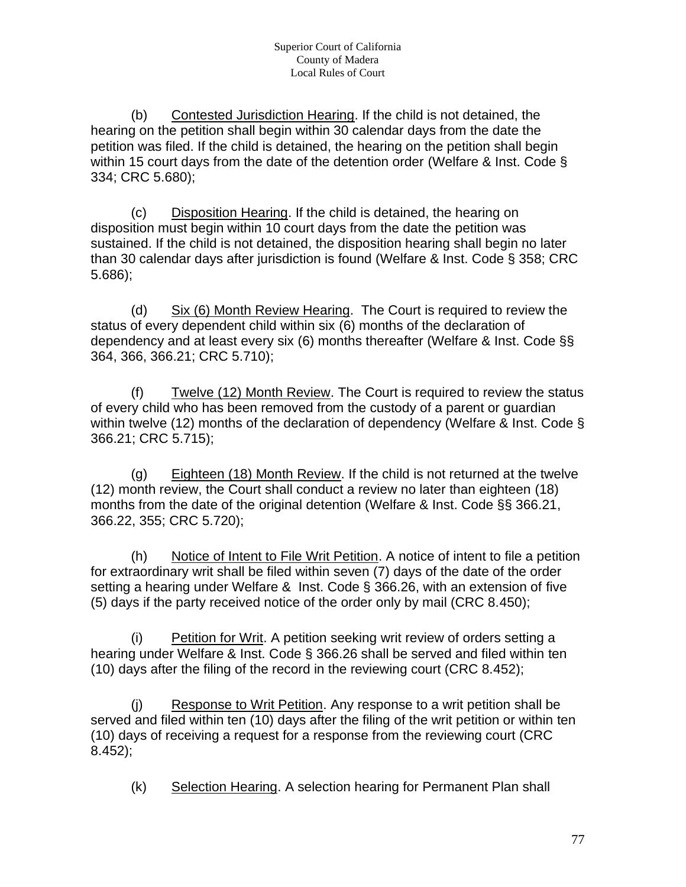(b) Contested Jurisdiction Hearing. If the child is not detained, the hearing on the petition shall begin within 30 calendar days from the date the petition was filed. If the child is detained, the hearing on the petition shall begin within 15 court days from the date of the detention order (Welfare & Inst. Code § 334; CRC 5.680);

(c) Disposition Hearing. If the child is detained, the hearing on disposition must begin within 10 court days from the date the petition was sustained. If the child is not detained, the disposition hearing shall begin no later than 30 calendar days after jurisdiction is found (Welfare & Inst. Code § 358; CRC 5.686);

(d) Six (6) Month Review Hearing. The Court is required to review the status of every dependent child within six (6) months of the declaration of dependency and at least every six (6) months thereafter (Welfare & Inst. Code §§ 364, 366, 366.21; CRC 5.710);

(f) Twelve (12) Month Review. The Court is required to review the status of every child who has been removed from the custody of a parent or guardian within twelve (12) months of the declaration of dependency (Welfare & Inst. Code § 366.21; CRC 5.715);

(g) Eighteen (18) Month Review. If the child is not returned at the twelve (12) month review, the Court shall conduct a review no later than eighteen (18) months from the date of the original detention (Welfare & Inst. Code §§ 366.21, 366.22, 355; CRC 5.720);

(h) Notice of Intent to File Writ Petition. A notice of intent to file a petition for extraordinary writ shall be filed within seven (7) days of the date of the order setting a hearing under Welfare & Inst. Code § 366.26, with an extension of five (5) days if the party received notice of the order only by mail (CRC 8.450);

(i) Petition for Writ. A petition seeking writ review of orders setting a hearing under Welfare & Inst. Code § 366.26 shall be served and filed within ten (10) days after the filing of the record in the reviewing court (CRC 8.452);

(j) Response to Writ Petition. Any response to a writ petition shall be served and filed within ten (10) days after the filing of the writ petition or within ten (10) days of receiving a request for a response from the reviewing court (CRC 8.452);

(k) Selection Hearing. A selection hearing for Permanent Plan shall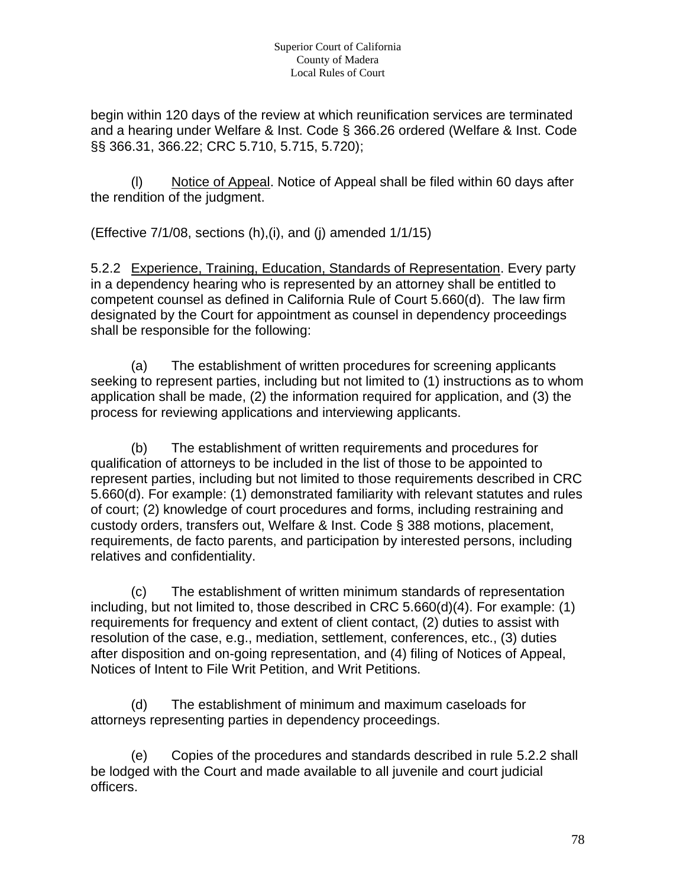begin within 120 days of the review at which reunification services are terminated and a hearing under Welfare & Inst. Code § 366.26 ordered (Welfare & Inst. Code §§ 366.31, 366.22; CRC 5.710, 5.715, 5.720);

(l) Notice of Appeal. Notice of Appeal shall be filed within 60 days after the rendition of the judgment.

(Effective 7/1/08, sections (h),(i), and (j) amended 1/1/15)

5.2.2 Experience, Training, Education, Standards of Representation. Every party in a dependency hearing who is represented by an attorney shall be entitled to competent counsel as defined in California Rule of Court 5.660(d). The law firm designated by the Court for appointment as counsel in dependency proceedings shall be responsible for the following:

(a) The establishment of written procedures for screening applicants seeking to represent parties, including but not limited to (1) instructions as to whom application shall be made, (2) the information required for application, and (3) the process for reviewing applications and interviewing applicants.

(b) The establishment of written requirements and procedures for qualification of attorneys to be included in the list of those to be appointed to represent parties, including but not limited to those requirements described in CRC 5.660(d). For example: (1) demonstrated familiarity with relevant statutes and rules of court; (2) knowledge of court procedures and forms, including restraining and custody orders, transfers out, Welfare & Inst. Code § 388 motions, placement, requirements, de facto parents, and participation by interested persons, including relatives and confidentiality.

(c) The establishment of written minimum standards of representation including, but not limited to, those described in CRC 5.660(d)(4). For example: (1) requirements for frequency and extent of client contact, (2) duties to assist with resolution of the case, e.g., mediation, settlement, conferences, etc., (3) duties after disposition and on-going representation, and (4) filing of Notices of Appeal, Notices of Intent to File Writ Petition, and Writ Petitions.

(d) The establishment of minimum and maximum caseloads for attorneys representing parties in dependency proceedings.

(e) Copies of the procedures and standards described in rule 5.2.2 shall be lodged with the Court and made available to all juvenile and court judicial officers.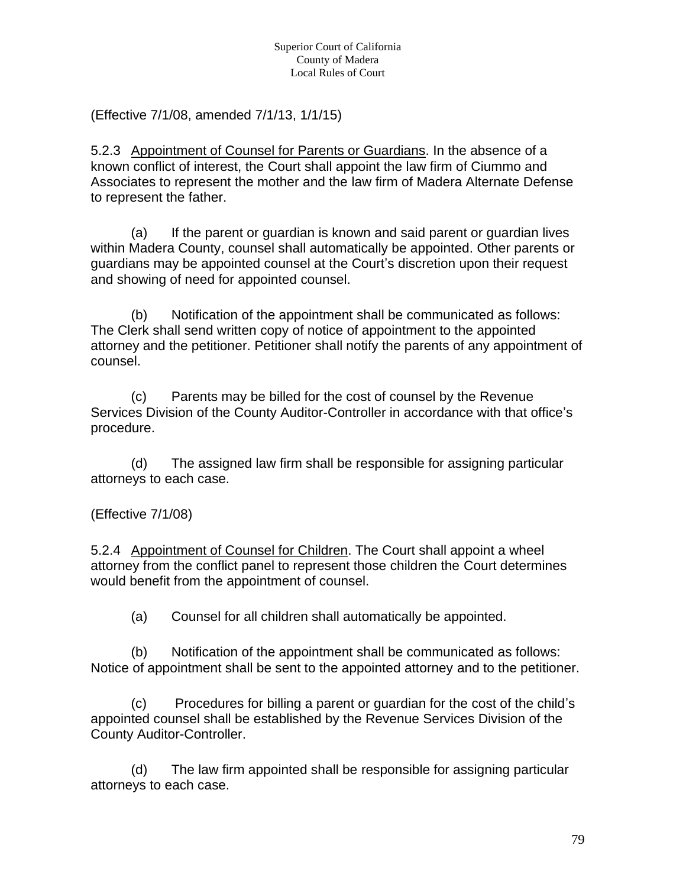(Effective 7/1/08, amended 7/1/13, 1/1/15)

5.2.3 Appointment of Counsel for Parents or Guardians. In the absence of a known conflict of interest, the Court shall appoint the law firm of Ciummo and Associates to represent the mother and the law firm of Madera Alternate Defense to represent the father.

(a) If the parent or guardian is known and said parent or guardian lives within Madera County, counsel shall automatically be appointed. Other parents or guardians may be appointed counsel at the Court's discretion upon their request and showing of need for appointed counsel.

(b) Notification of the appointment shall be communicated as follows: The Clerk shall send written copy of notice of appointment to the appointed attorney and the petitioner. Petitioner shall notify the parents of any appointment of counsel.

(c) Parents may be billed for the cost of counsel by the Revenue Services Division of the County Auditor-Controller in accordance with that office's procedure.

(d) The assigned law firm shall be responsible for assigning particular attorneys to each case.

#### (Effective 7/1/08)

5.2.4 Appointment of Counsel for Children. The Court shall appoint a wheel attorney from the conflict panel to represent those children the Court determines would benefit from the appointment of counsel.

(a) Counsel for all children shall automatically be appointed.

(b) Notification of the appointment shall be communicated as follows: Notice of appointment shall be sent to the appointed attorney and to the petitioner.

(c) Procedures for billing a parent or guardian for the cost of the child's appointed counsel shall be established by the Revenue Services Division of the County Auditor-Controller.

(d) The law firm appointed shall be responsible for assigning particular attorneys to each case.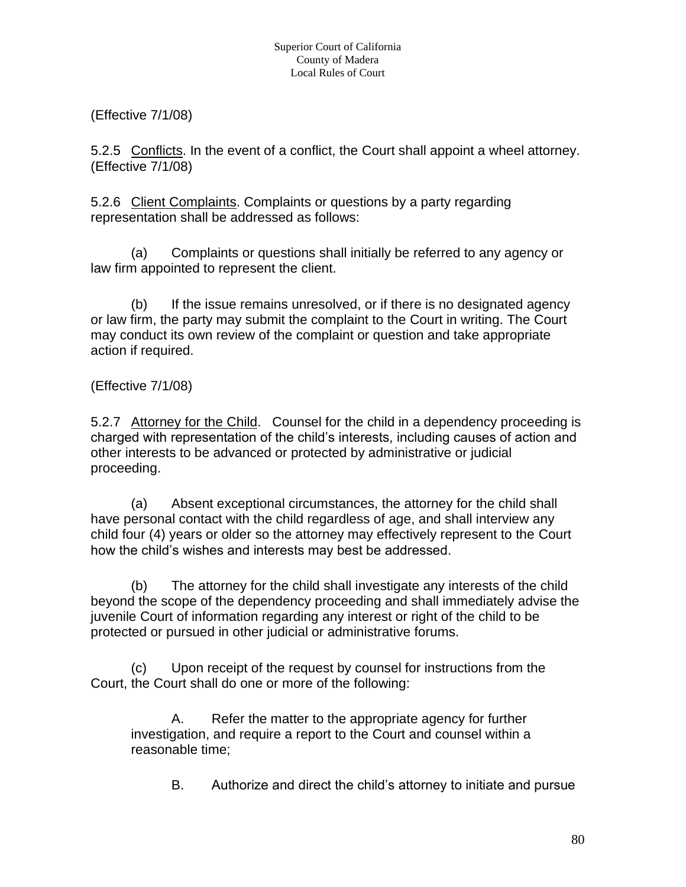(Effective 7/1/08)

5.2.5 Conflicts. In the event of a conflict, the Court shall appoint a wheel attorney. (Effective 7/1/08)

5.2.6 Client Complaints. Complaints or questions by a party regarding representation shall be addressed as follows:

(a) Complaints or questions shall initially be referred to any agency or law firm appointed to represent the client.

(b) If the issue remains unresolved, or if there is no designated agency or law firm, the party may submit the complaint to the Court in writing. The Court may conduct its own review of the complaint or question and take appropriate action if required.

(Effective 7/1/08)

5.2.7 Attorney for the Child. Counsel for the child in a dependency proceeding is charged with representation of the child's interests, including causes of action and other interests to be advanced or protected by administrative or judicial proceeding.

(a) Absent exceptional circumstances, the attorney for the child shall have personal contact with the child regardless of age, and shall interview any child four (4) years or older so the attorney may effectively represent to the Court how the child's wishes and interests may best be addressed.

(b) The attorney for the child shall investigate any interests of the child beyond the scope of the dependency proceeding and shall immediately advise the juvenile Court of information regarding any interest or right of the child to be protected or pursued in other judicial or administrative forums.

(c) Upon receipt of the request by counsel for instructions from the Court, the Court shall do one or more of the following:

A. Refer the matter to the appropriate agency for further investigation, and require a report to the Court and counsel within a reasonable time;

B. Authorize and direct the child's attorney to initiate and pursue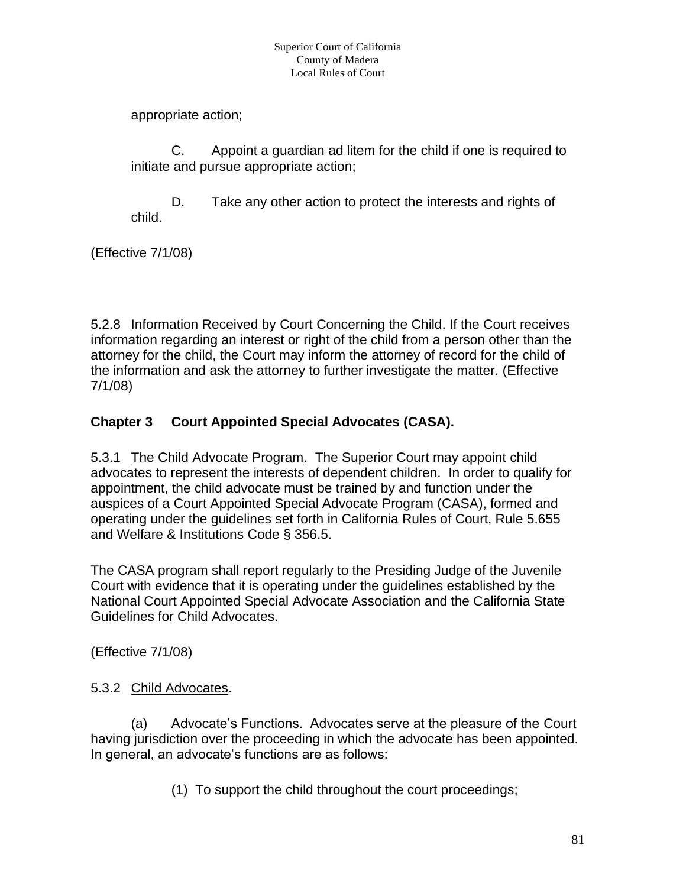appropriate action;

C. Appoint a guardian ad litem for the child if one is required to initiate and pursue appropriate action;

D. Take any other action to protect the interests and rights of child.

(Effective 7/1/08)

5.2.8 Information Received by Court Concerning the Child. If the Court receives information regarding an interest or right of the child from a person other than the attorney for the child, the Court may inform the attorney of record for the child of the information and ask the attorney to further investigate the matter. (Effective 7/1/08)

## **Chapter 3 Court Appointed Special Advocates (CASA).**

5.3.1 The Child Advocate Program. The Superior Court may appoint child advocates to represent the interests of dependent children. In order to qualify for appointment, the child advocate must be trained by and function under the auspices of a Court Appointed Special Advocate Program (CASA), formed and operating under the guidelines set forth in California Rules of Court, Rule 5.655 and Welfare & Institutions Code § 356.5.

The CASA program shall report regularly to the Presiding Judge of the Juvenile Court with evidence that it is operating under the guidelines established by the National Court Appointed Special Advocate Association and the California State Guidelines for Child Advocates.

(Effective 7/1/08)

#### 5.3.2 Child Advocates.

(a) Advocate's Functions. Advocates serve at the pleasure of the Court having jurisdiction over the proceeding in which the advocate has been appointed. In general, an advocate's functions are as follows:

(1) To support the child throughout the court proceedings;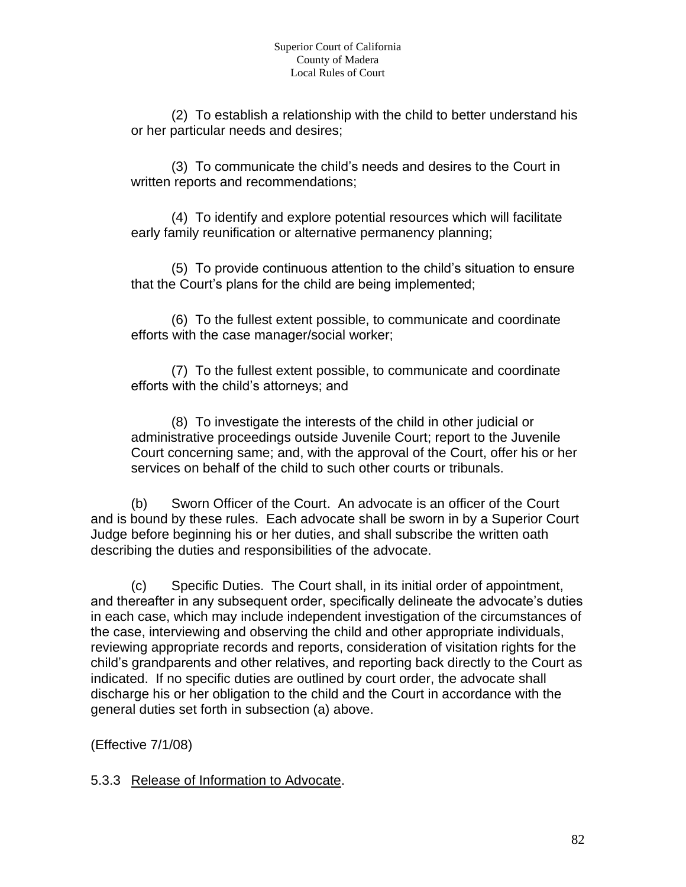(2) To establish a relationship with the child to better understand his or her particular needs and desires;

(3) To communicate the child's needs and desires to the Court in written reports and recommendations;

(4) To identify and explore potential resources which will facilitate early family reunification or alternative permanency planning;

(5) To provide continuous attention to the child's situation to ensure that the Court's plans for the child are being implemented;

(6) To the fullest extent possible, to communicate and coordinate efforts with the case manager/social worker;

(7) To the fullest extent possible, to communicate and coordinate efforts with the child's attorneys; and

(8) To investigate the interests of the child in other judicial or administrative proceedings outside Juvenile Court; report to the Juvenile Court concerning same; and, with the approval of the Court, offer his or her services on behalf of the child to such other courts or tribunals.

(b) Sworn Officer of the Court. An advocate is an officer of the Court and is bound by these rules. Each advocate shall be sworn in by a Superior Court Judge before beginning his or her duties, and shall subscribe the written oath describing the duties and responsibilities of the advocate.

(c) Specific Duties. The Court shall, in its initial order of appointment, and thereafter in any subsequent order, specifically delineate the advocate's duties in each case, which may include independent investigation of the circumstances of the case, interviewing and observing the child and other appropriate individuals, reviewing appropriate records and reports, consideration of visitation rights for the child's grandparents and other relatives, and reporting back directly to the Court as indicated. If no specific duties are outlined by court order, the advocate shall discharge his or her obligation to the child and the Court in accordance with the general duties set forth in subsection (a) above.

(Effective 7/1/08)

5.3.3 Release of Information to Advocate.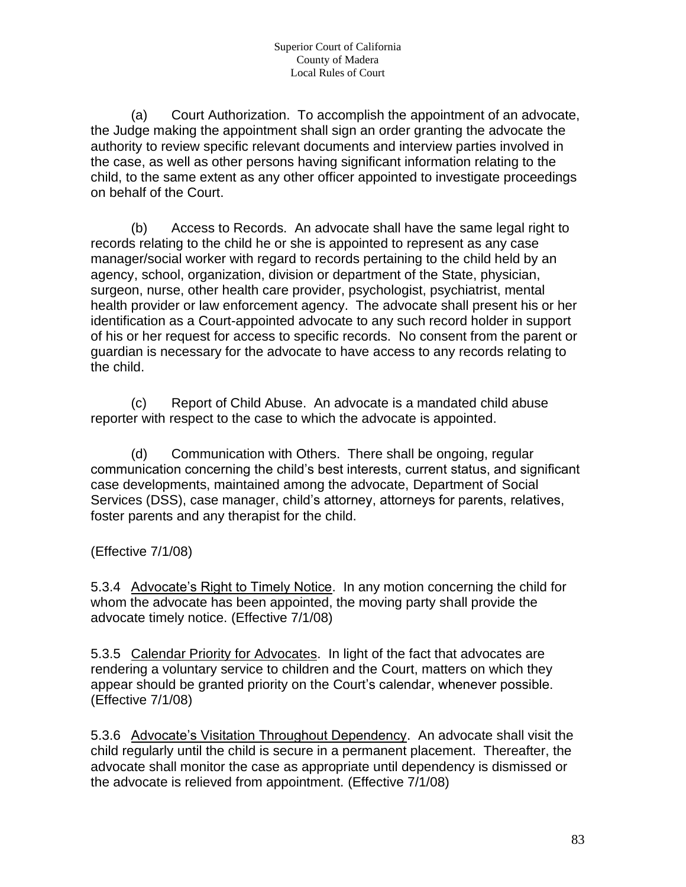(a) Court Authorization. To accomplish the appointment of an advocate, the Judge making the appointment shall sign an order granting the advocate the authority to review specific relevant documents and interview parties involved in the case, as well as other persons having significant information relating to the child, to the same extent as any other officer appointed to investigate proceedings on behalf of the Court.

(b) Access to Records. An advocate shall have the same legal right to records relating to the child he or she is appointed to represent as any case manager/social worker with regard to records pertaining to the child held by an agency, school, organization, division or department of the State, physician, surgeon, nurse, other health care provider, psychologist, psychiatrist, mental health provider or law enforcement agency. The advocate shall present his or her identification as a Court-appointed advocate to any such record holder in support of his or her request for access to specific records. No consent from the parent or guardian is necessary for the advocate to have access to any records relating to the child.

(c) Report of Child Abuse. An advocate is a mandated child abuse reporter with respect to the case to which the advocate is appointed.

(d) Communication with Others. There shall be ongoing, regular communication concerning the child's best interests, current status, and significant case developments, maintained among the advocate, Department of Social Services (DSS), case manager, child's attorney, attorneys for parents, relatives, foster parents and any therapist for the child.

(Effective 7/1/08)

5.3.4 Advocate's Right to Timely Notice. In any motion concerning the child for whom the advocate has been appointed, the moving party shall provide the advocate timely notice. (Effective 7/1/08)

5.3.5 Calendar Priority for Advocates. In light of the fact that advocates are rendering a voluntary service to children and the Court, matters on which they appear should be granted priority on the Court's calendar, whenever possible. (Effective 7/1/08)

5.3.6 Advocate's Visitation Throughout Dependency. An advocate shall visit the child regularly until the child is secure in a permanent placement. Thereafter, the advocate shall monitor the case as appropriate until dependency is dismissed or the advocate is relieved from appointment. (Effective 7/1/08)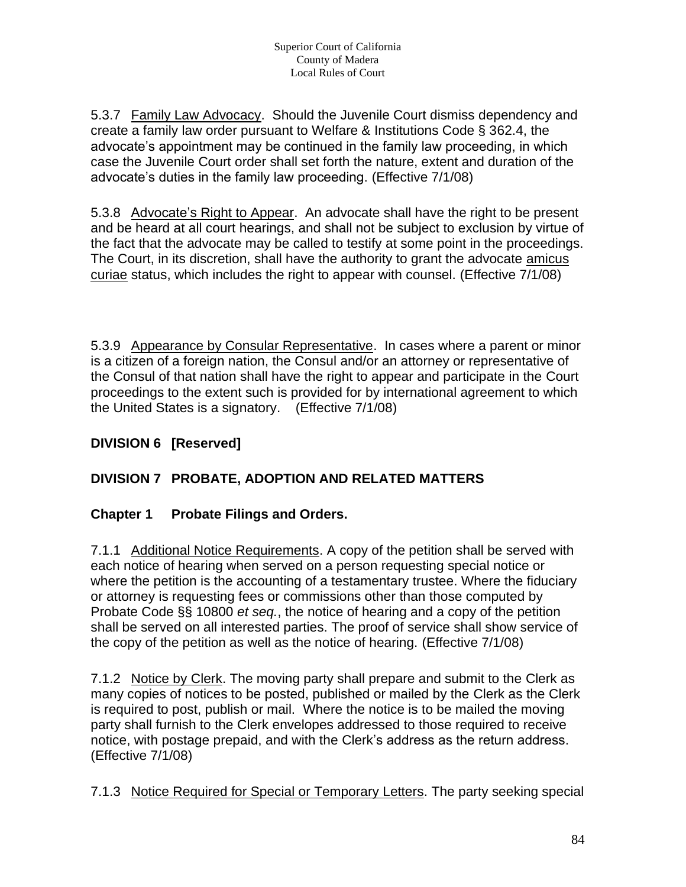5.3.7 Family Law Advocacy. Should the Juvenile Court dismiss dependency and create a family law order pursuant to Welfare & Institutions Code § 362.4, the advocate's appointment may be continued in the family law proceeding, in which case the Juvenile Court order shall set forth the nature, extent and duration of the advocate's duties in the family law proceeding. (Effective 7/1/08)

5.3.8 Advocate's Right to Appear. An advocate shall have the right to be present and be heard at all court hearings, and shall not be subject to exclusion by virtue of the fact that the advocate may be called to testify at some point in the proceedings. The Court, in its discretion, shall have the authority to grant the advocate amicus curiae status, which includes the right to appear with counsel. (Effective 7/1/08)

5.3.9 Appearance by Consular Representative. In cases where a parent or minor is a citizen of a foreign nation, the Consul and/or an attorney or representative of the Consul of that nation shall have the right to appear and participate in the Court proceedings to the extent such is provided for by international agreement to which the United States is a signatory. (Effective 7/1/08)

# **DIVISION 6 [Reserved]**

# **DIVISION 7 PROBATE, ADOPTION AND RELATED MATTERS**

#### **Chapter 1 Probate Filings and Orders.**

7.1.1 Additional Notice Requirements. A copy of the petition shall be served with each notice of hearing when served on a person requesting special notice or where the petition is the accounting of a testamentary trustee. Where the fiduciary or attorney is requesting fees or commissions other than those computed by Probate Code §§ 10800 *et seq.*, the notice of hearing and a copy of the petition shall be served on all interested parties. The proof of service shall show service of the copy of the petition as well as the notice of hearing. (Effective 7/1/08)

7.1.2 Notice by Clerk. The moving party shall prepare and submit to the Clerk as many copies of notices to be posted, published or mailed by the Clerk as the Clerk is required to post, publish or mail. Where the notice is to be mailed the moving party shall furnish to the Clerk envelopes addressed to those required to receive notice, with postage prepaid, and with the Clerk's address as the return address. (Effective 7/1/08)

7.1.3 Notice Required for Special or Temporary Letters. The party seeking special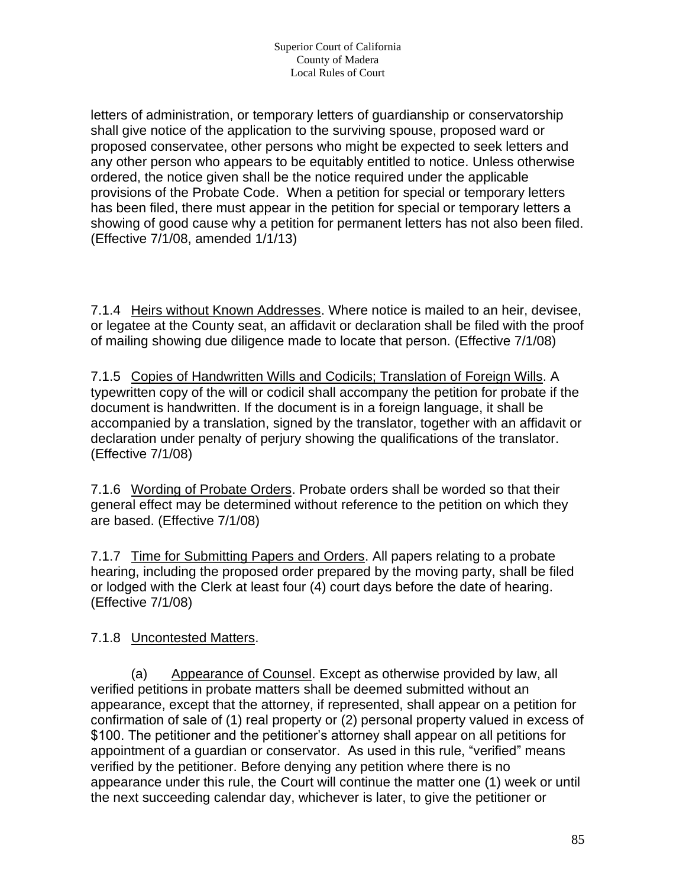letters of administration, or temporary letters of guardianship or conservatorship shall give notice of the application to the surviving spouse, proposed ward or proposed conservatee, other persons who might be expected to seek letters and any other person who appears to be equitably entitled to notice. Unless otherwise ordered, the notice given shall be the notice required under the applicable provisions of the Probate Code. When a petition for special or temporary letters has been filed, there must appear in the petition for special or temporary letters a showing of good cause why a petition for permanent letters has not also been filed. (Effective 7/1/08, amended 1/1/13)

7.1.4 Heirs without Known Addresses. Where notice is mailed to an heir, devisee, or legatee at the County seat, an affidavit or declaration shall be filed with the proof of mailing showing due diligence made to locate that person. (Effective 7/1/08)

7.1.5 Copies of Handwritten Wills and Codicils; Translation of Foreign Wills. A typewritten copy of the will or codicil shall accompany the petition for probate if the document is handwritten. If the document is in a foreign language, it shall be accompanied by a translation, signed by the translator, together with an affidavit or declaration under penalty of perjury showing the qualifications of the translator. (Effective 7/1/08)

7.1.6 Wording of Probate Orders. Probate orders shall be worded so that their general effect may be determined without reference to the petition on which they are based. (Effective 7/1/08)

7.1.7 Time for Submitting Papers and Orders. All papers relating to a probate hearing, including the proposed order prepared by the moving party, shall be filed or lodged with the Clerk at least four (4) court days before the date of hearing. (Effective 7/1/08)

7.1.8 Uncontested Matters.

(a) Appearance of Counsel. Except as otherwise provided by law, all verified petitions in probate matters shall be deemed submitted without an appearance, except that the attorney, if represented, shall appear on a petition for confirmation of sale of (1) real property or (2) personal property valued in excess of \$100. The petitioner and the petitioner's attorney shall appear on all petitions for appointment of a guardian or conservator. As used in this rule, "verified" means verified by the petitioner. Before denying any petition where there is no appearance under this rule, the Court will continue the matter one (1) week or until the next succeeding calendar day, whichever is later, to give the petitioner or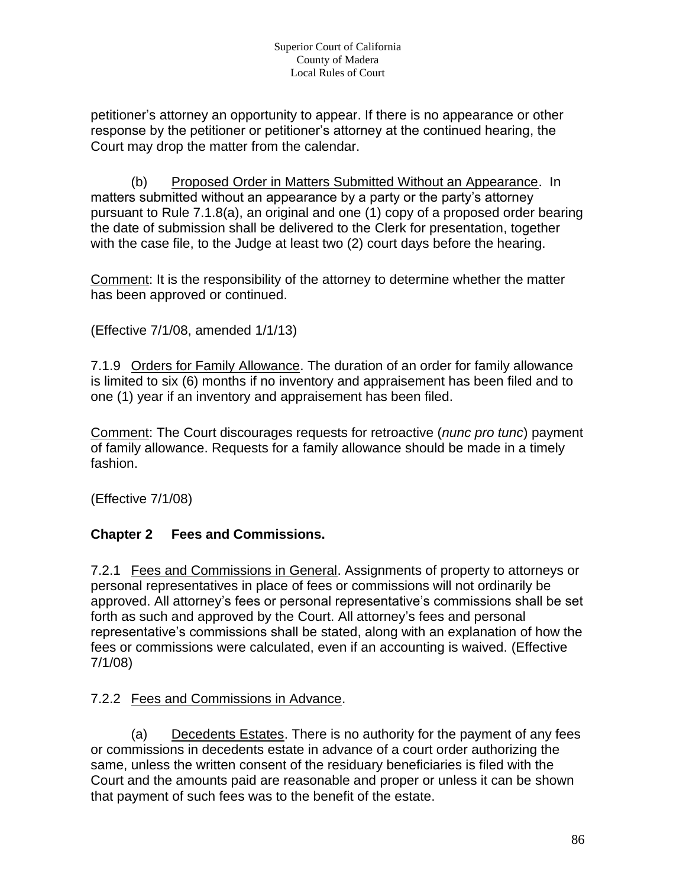petitioner's attorney an opportunity to appear. If there is no appearance or other response by the petitioner or petitioner's attorney at the continued hearing, the Court may drop the matter from the calendar.

(b) Proposed Order in Matters Submitted Without an Appearance. In matters submitted without an appearance by a party or the party's attorney pursuant to Rule 7.1.8(a), an original and one (1) copy of a proposed order bearing the date of submission shall be delivered to the Clerk for presentation, together with the case file, to the Judge at least two (2) court days before the hearing.

Comment: It is the responsibility of the attorney to determine whether the matter has been approved or continued.

(Effective 7/1/08, amended 1/1/13)

7.1.9 Orders for Family Allowance. The duration of an order for family allowance is limited to six (6) months if no inventory and appraisement has been filed and to one (1) year if an inventory and appraisement has been filed.

Comment: The Court discourages requests for retroactive (*nunc pro tunc*) payment of family allowance. Requests for a family allowance should be made in a timely fashion.

(Effective 7/1/08)

#### **Chapter 2 Fees and Commissions.**

7.2.1 Fees and Commissions in General. Assignments of property to attorneys or personal representatives in place of fees or commissions will not ordinarily be approved. All attorney's fees or personal representative's commissions shall be set forth as such and approved by the Court. All attorney's fees and personal representative's commissions shall be stated, along with an explanation of how the fees or commissions were calculated, even if an accounting is waived. (Effective 7/1/08)

# 7.2.2 Fees and Commissions in Advance.

(a) Decedents Estates. There is no authority for the payment of any fees or commissions in decedents estate in advance of a court order authorizing the same, unless the written consent of the residuary beneficiaries is filed with the Court and the amounts paid are reasonable and proper or unless it can be shown that payment of such fees was to the benefit of the estate.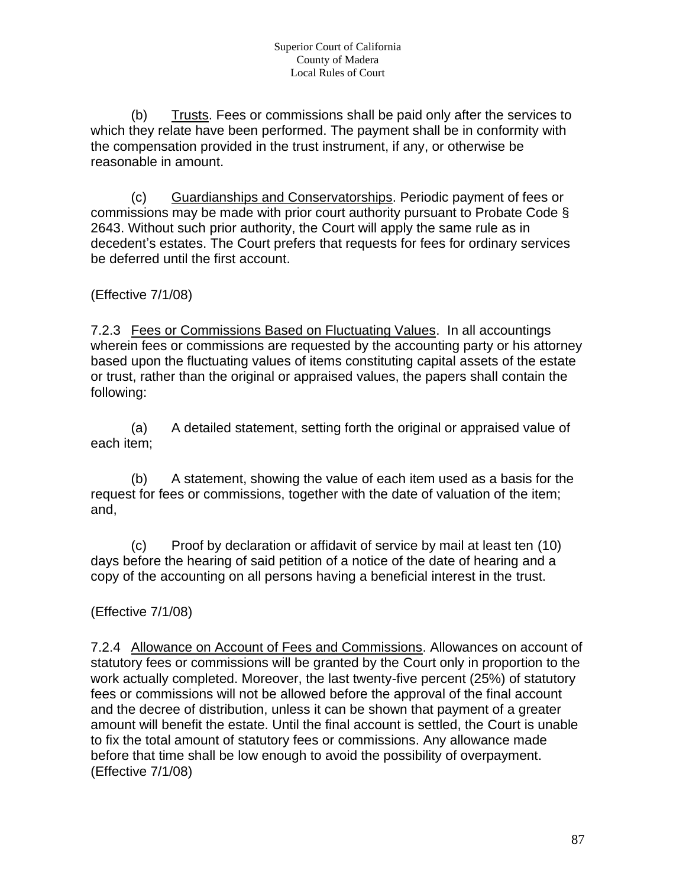(b) Trusts. Fees or commissions shall be paid only after the services to which they relate have been performed. The payment shall be in conformity with the compensation provided in the trust instrument, if any, or otherwise be reasonable in amount.

(c) Guardianships and Conservatorships. Periodic payment of fees or commissions may be made with prior court authority pursuant to Probate Code § 2643. Without such prior authority, the Court will apply the same rule as in decedent's estates. The Court prefers that requests for fees for ordinary services be deferred until the first account.

(Effective 7/1/08)

7.2.3 Fees or Commissions Based on Fluctuating Values. In all accountings wherein fees or commissions are requested by the accounting party or his attorney based upon the fluctuating values of items constituting capital assets of the estate or trust, rather than the original or appraised values, the papers shall contain the following:

(a) A detailed statement, setting forth the original or appraised value of each item;

(b) A statement, showing the value of each item used as a basis for the request for fees or commissions, together with the date of valuation of the item; and,

(c) Proof by declaration or affidavit of service by mail at least ten (10) days before the hearing of said petition of a notice of the date of hearing and a copy of the accounting on all persons having a beneficial interest in the trust.

(Effective 7/1/08)

7.2.4 Allowance on Account of Fees and Commissions. Allowances on account of statutory fees or commissions will be granted by the Court only in proportion to the work actually completed. Moreover, the last twenty-five percent (25%) of statutory fees or commissions will not be allowed before the approval of the final account and the decree of distribution, unless it can be shown that payment of a greater amount will benefit the estate. Until the final account is settled, the Court is unable to fix the total amount of statutory fees or commissions. Any allowance made before that time shall be low enough to avoid the possibility of overpayment. (Effective 7/1/08)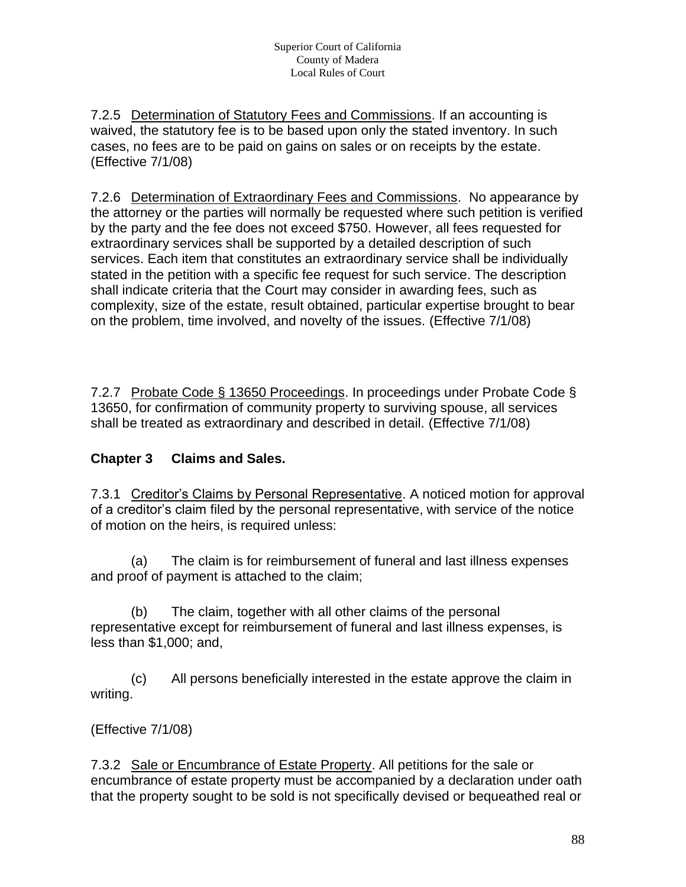7.2.5 Determination of Statutory Fees and Commissions. If an accounting is waived, the statutory fee is to be based upon only the stated inventory. In such cases, no fees are to be paid on gains on sales or on receipts by the estate. (Effective 7/1/08)

7.2.6 Determination of Extraordinary Fees and Commissions. No appearance by the attorney or the parties will normally be requested where such petition is verified by the party and the fee does not exceed \$750. However, all fees requested for extraordinary services shall be supported by a detailed description of such services. Each item that constitutes an extraordinary service shall be individually stated in the petition with a specific fee request for such service. The description shall indicate criteria that the Court may consider in awarding fees, such as complexity, size of the estate, result obtained, particular expertise brought to bear on the problem, time involved, and novelty of the issues. (Effective 7/1/08)

7.2.7 Probate Code § 13650 Proceedings. In proceedings under Probate Code § 13650, for confirmation of community property to surviving spouse, all services shall be treated as extraordinary and described in detail. (Effective 7/1/08)

#### **Chapter 3 Claims and Sales.**

7.3.1 Creditor's Claims by Personal Representative. A noticed motion for approval of a creditor's claim filed by the personal representative, with service of the notice of motion on the heirs, is required unless:

(a) The claim is for reimbursement of funeral and last illness expenses and proof of payment is attached to the claim;

(b) The claim, together with all other claims of the personal representative except for reimbursement of funeral and last illness expenses, is less than \$1,000; and,

(c) All persons beneficially interested in the estate approve the claim in writing.

#### (Effective 7/1/08)

7.3.2 Sale or Encumbrance of Estate Property. All petitions for the sale or encumbrance of estate property must be accompanied by a declaration under oath that the property sought to be sold is not specifically devised or bequeathed real or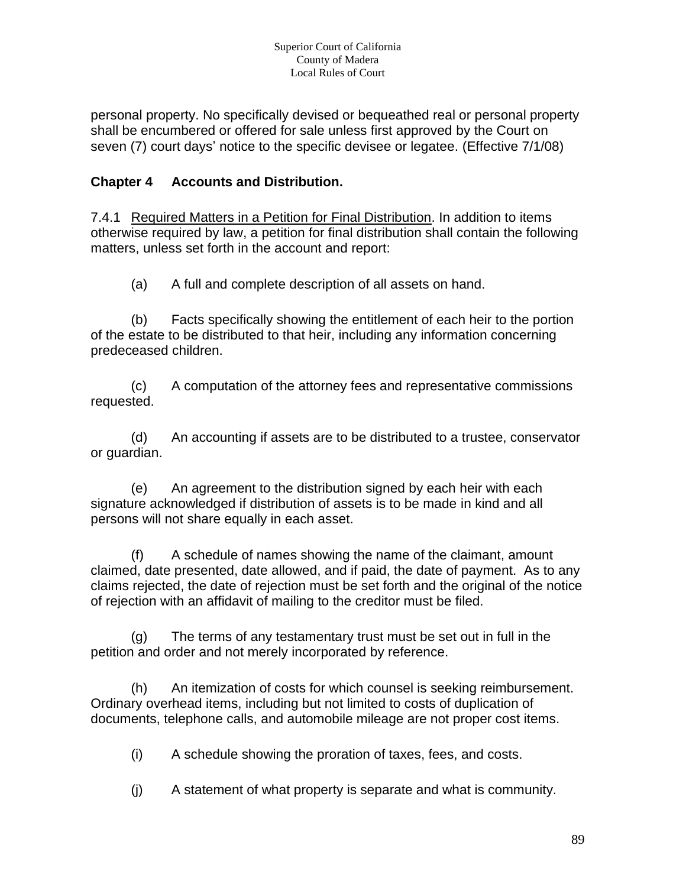personal property. No specifically devised or bequeathed real or personal property shall be encumbered or offered for sale unless first approved by the Court on seven (7) court days' notice to the specific devisee or legatee. (Effective 7/1/08)

## **Chapter 4 Accounts and Distribution.**

7.4.1 Required Matters in a Petition for Final Distribution. In addition to items otherwise required by law, a petition for final distribution shall contain the following matters, unless set forth in the account and report:

(a) A full and complete description of all assets on hand.

(b) Facts specifically showing the entitlement of each heir to the portion of the estate to be distributed to that heir, including any information concerning predeceased children.

(c) A computation of the attorney fees and representative commissions requested.

(d) An accounting if assets are to be distributed to a trustee, conservator or guardian.

(e) An agreement to the distribution signed by each heir with each signature acknowledged if distribution of assets is to be made in kind and all persons will not share equally in each asset.

(f) A schedule of names showing the name of the claimant, amount claimed, date presented, date allowed, and if paid, the date of payment. As to any claims rejected, the date of rejection must be set forth and the original of the notice of rejection with an affidavit of mailing to the creditor must be filed.

(g) The terms of any testamentary trust must be set out in full in the petition and order and not merely incorporated by reference.

(h) An itemization of costs for which counsel is seeking reimbursement. Ordinary overhead items, including but not limited to costs of duplication of documents, telephone calls, and automobile mileage are not proper cost items.

(i) A schedule showing the proration of taxes, fees, and costs.

(j) A statement of what property is separate and what is community.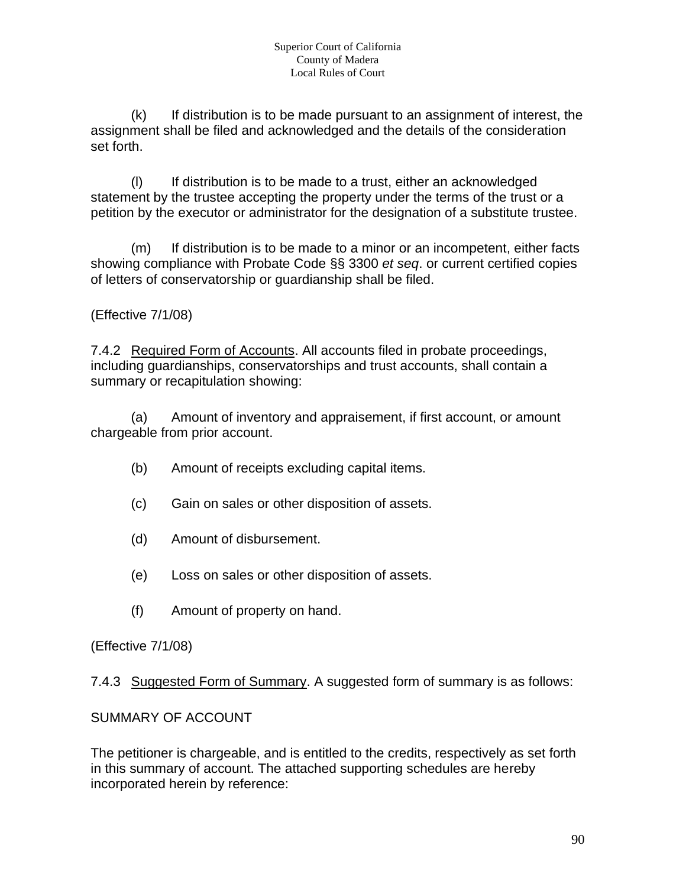(k) If distribution is to be made pursuant to an assignment of interest, the assignment shall be filed and acknowledged and the details of the consideration set forth.

(l) If distribution is to be made to a trust, either an acknowledged statement by the trustee accepting the property under the terms of the trust or a petition by the executor or administrator for the designation of a substitute trustee.

(m) If distribution is to be made to a minor or an incompetent, either facts showing compliance with Probate Code §§ 3300 *et seq*. or current certified copies of letters of conservatorship or guardianship shall be filed.

(Effective 7/1/08)

7.4.2 Required Form of Accounts. All accounts filed in probate proceedings, including guardianships, conservatorships and trust accounts, shall contain a summary or recapitulation showing:

(a) Amount of inventory and appraisement, if first account, or amount chargeable from prior account.

- (b) Amount of receipts excluding capital items.
- (c) Gain on sales or other disposition of assets.
- (d) Amount of disbursement.
- (e) Loss on sales or other disposition of assets.
- (f) Amount of property on hand.

(Effective 7/1/08)

7.4.3 Suggested Form of Summary. A suggested form of summary is as follows:

SUMMARY OF ACCOUNT

The petitioner is chargeable, and is entitled to the credits, respectively as set forth in this summary of account. The attached supporting schedules are hereby incorporated herein by reference: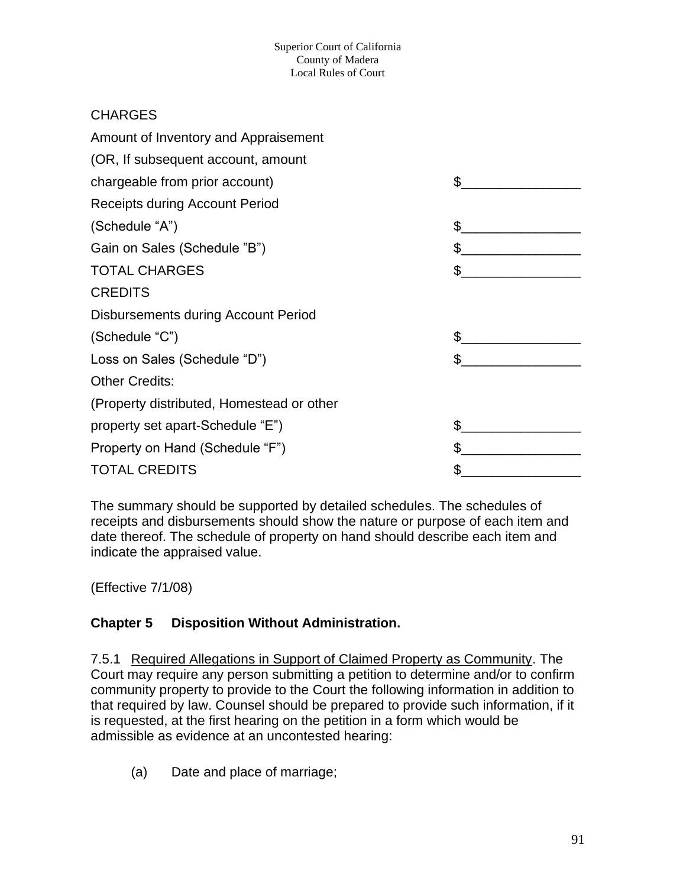## **CHARGES**

| Amount of Inventory and Appraisement      |    |
|-------------------------------------------|----|
| (OR, If subsequent account, amount        |    |
| chargeable from prior account)            | \$ |
| <b>Receipts during Account Period</b>     |    |
| (Schedule "A")                            | \$ |
| Gain on Sales (Schedule "B")              | \$ |
| <b>TOTAL CHARGES</b>                      | \$ |
| <b>CREDITS</b>                            |    |
| Disbursements during Account Period       |    |
| (Schedule "C")                            |    |
| Loss on Sales (Schedule "D")              | \$ |
| <b>Other Credits:</b>                     |    |
| (Property distributed, Homestead or other |    |
| property set apart-Schedule "E")          | \$ |
| Property on Hand (Schedule "F")           |    |
| <b>TOTAL CREDITS</b>                      |    |
|                                           |    |

The summary should be supported by detailed schedules. The schedules of receipts and disbursements should show the nature or purpose of each item and date thereof. The schedule of property on hand should describe each item and indicate the appraised value.

(Effective 7/1/08)

# **Chapter 5 Disposition Without Administration.**

7.5.1 Required Allegations in Support of Claimed Property as Community. The Court may require any person submitting a petition to determine and/or to confirm community property to provide to the Court the following information in addition to that required by law. Counsel should be prepared to provide such information, if it is requested, at the first hearing on the petition in a form which would be admissible as evidence at an uncontested hearing:

(a) Date and place of marriage;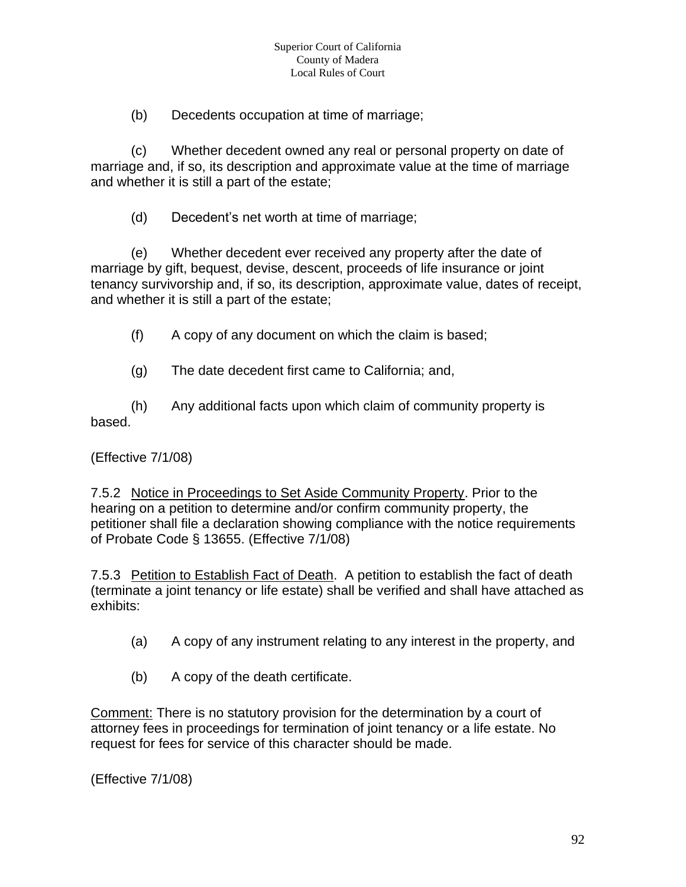(b) Decedents occupation at time of marriage;

(c) Whether decedent owned any real or personal property on date of marriage and, if so, its description and approximate value at the time of marriage and whether it is still a part of the estate;

(d) Decedent's net worth at time of marriage;

(e) Whether decedent ever received any property after the date of marriage by gift, bequest, devise, descent, proceeds of life insurance or joint tenancy survivorship and, if so, its description, approximate value, dates of receipt, and whether it is still a part of the estate;

(f) A copy of any document on which the claim is based;

(g) The date decedent first came to California; and,

(h) Any additional facts upon which claim of community property is based.

#### (Effective 7/1/08)

7.5.2 Notice in Proceedings to Set Aside Community Property. Prior to the hearing on a petition to determine and/or confirm community property, the petitioner shall file a declaration showing compliance with the notice requirements of Probate Code § 13655. (Effective 7/1/08)

7.5.3 Petition to Establish Fact of Death. A petition to establish the fact of death (terminate a joint tenancy or life estate) shall be verified and shall have attached as exhibits:

- (a) A copy of any instrument relating to any interest in the property, and
- (b) A copy of the death certificate.

Comment: There is no statutory provision for the determination by a court of attorney fees in proceedings for termination of joint tenancy or a life estate. No request for fees for service of this character should be made.

(Effective 7/1/08)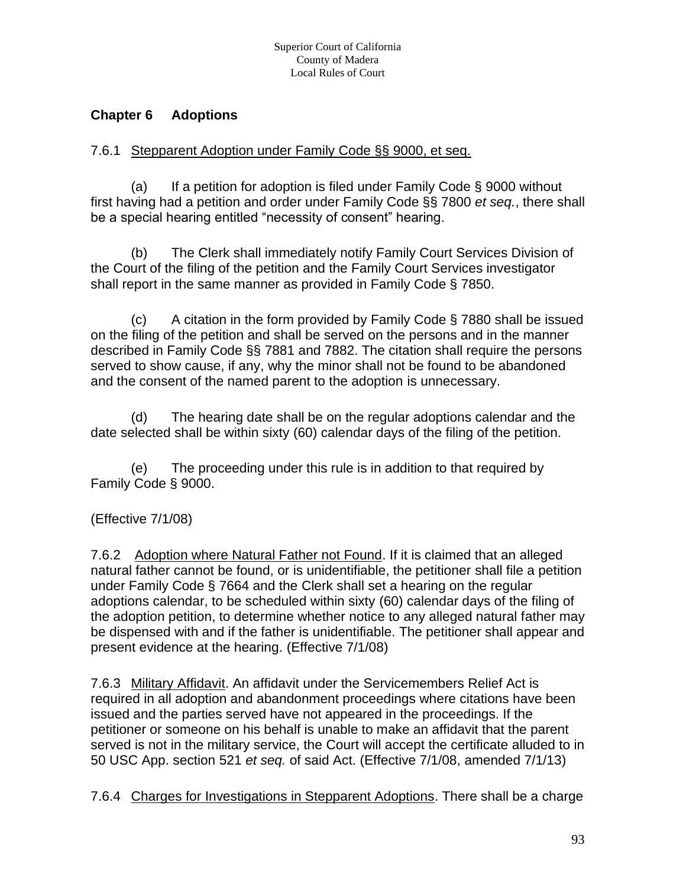#### **Chapter 6 Adoptions**

#### 7.6.1 Stepparent Adoption under Family Code §§ 9000, et seq.

(a) If a petition for adoption is filed under Family Code  $\S$  9000 without first having had a petition and order under Family Code §§ 7800 *et seq.*, there shall be a special hearing entitled "necessity of consent" hearing.

(b) The Clerk shall immediately notify Family Court Services Division of the Court of the filing of the petition and the Family Court Services investigator shall report in the same manner as provided in Family Code § 7850.

(c) A citation in the form provided by Family Code § 7880 shall be issued on the filing of the petition and shall be served on the persons and in the manner described in Family Code §§ 7881 and 7882. The citation shall require the persons served to show cause, if any, why the minor shall not be found to be abandoned and the consent of the named parent to the adoption is unnecessary.

(d) The hearing date shall be on the regular adoptions calendar and the date selected shall be within sixty (60) calendar days of the filing of the petition.

(e) The proceeding under this rule is in addition to that required by Family Code § 9000.

# (Effective 7/1/08)

7.6.2 Adoption where Natural Father not Found. If it is claimed that an alleged natural father cannot be found, or is unidentifiable, the petitioner shall file a petition under Family Code § 7664 and the Clerk shall set a hearing on the regular adoptions calendar, to be scheduled within sixty (60) calendar days of the filing of the adoption petition, to determine whether notice to any alleged natural father may be dispensed with and if the father is unidentifiable. The petitioner shall appear and present evidence at the hearing. (Effective 7/1/08)

7.6.3 Military Affidavit. An affidavit under the Servicemembers Relief Act is required in all adoption and abandonment proceedings where citations have been issued and the parties served have not appeared in the proceedings. If the petitioner or someone on his behalf is unable to make an affidavit that the parent served is not in the military service, the Court will accept the certificate alluded to in 50 USC App. section 521 *et seq.* of said Act. (Effective 7/1/08, amended 7/1/13)

7.6.4 Charges for Investigations in Stepparent Adoptions. There shall be a charge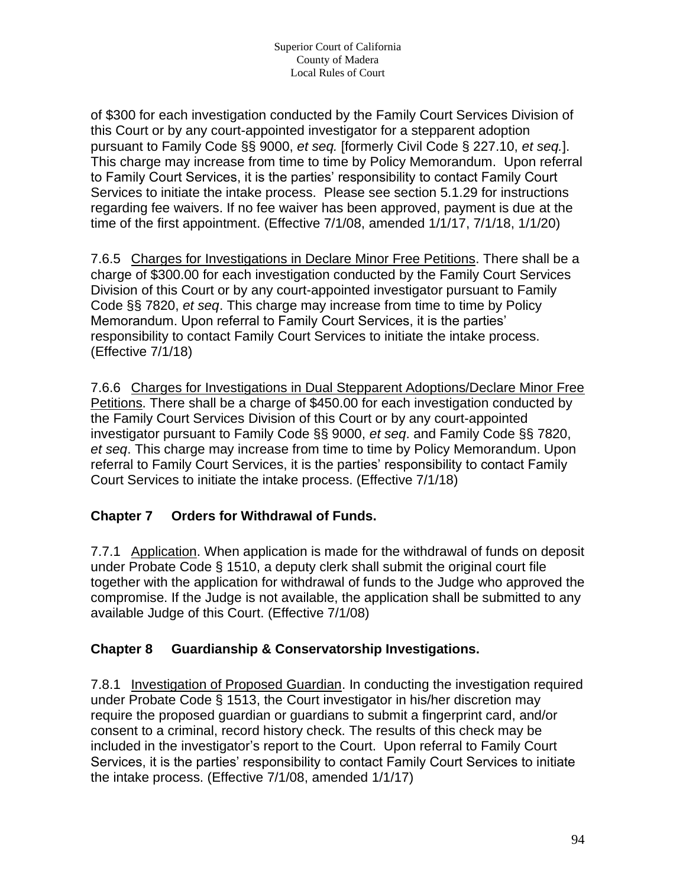of \$300 for each investigation conducted by the Family Court Services Division of this Court or by any court-appointed investigator for a stepparent adoption pursuant to Family Code §§ 9000, *et seq.* [formerly Civil Code § 227.10, *et seq.*]. This charge may increase from time to time by Policy Memorandum. Upon referral to Family Court Services, it is the parties' responsibility to contact Family Court Services to initiate the intake process. Please see section 5.1.29 for instructions regarding fee waivers. If no fee waiver has been approved, payment is due at the time of the first appointment. (Effective 7/1/08, amended 1/1/17, 7/1/18, 1/1/20)

7.6.5 Charges for Investigations in Declare Minor Free Petitions. There shall be a charge of \$300.00 for each investigation conducted by the Family Court Services Division of this Court or by any court-appointed investigator pursuant to Family Code §§ 7820, *et seq*. This charge may increase from time to time by Policy Memorandum. Upon referral to Family Court Services, it is the parties' responsibility to contact Family Court Services to initiate the intake process. (Effective 7/1/18)

7.6.6 Charges for Investigations in Dual Stepparent Adoptions/Declare Minor Free Petitions. There shall be a charge of \$450.00 for each investigation conducted by the Family Court Services Division of this Court or by any court-appointed investigator pursuant to Family Code §§ 9000, *et seq*. and Family Code §§ 7820, *et seq*. This charge may increase from time to time by Policy Memorandum. Upon referral to Family Court Services, it is the parties' responsibility to contact Family Court Services to initiate the intake process. (Effective 7/1/18)

#### **Chapter 7 Orders for Withdrawal of Funds.**

7.7.1 Application. When application is made for the withdrawal of funds on deposit under Probate Code § 1510, a deputy clerk shall submit the original court file together with the application for withdrawal of funds to the Judge who approved the compromise. If the Judge is not available, the application shall be submitted to any available Judge of this Court. (Effective 7/1/08)

#### **Chapter 8 Guardianship & Conservatorship Investigations.**

7.8.1 Investigation of Proposed Guardian. In conducting the investigation required under Probate Code § 1513, the Court investigator in his/her discretion may require the proposed guardian or guardians to submit a fingerprint card, and/or consent to a criminal, record history check. The results of this check may be included in the investigator's report to the Court. Upon referral to Family Court Services, it is the parties' responsibility to contact Family Court Services to initiate the intake process. (Effective 7/1/08, amended 1/1/17)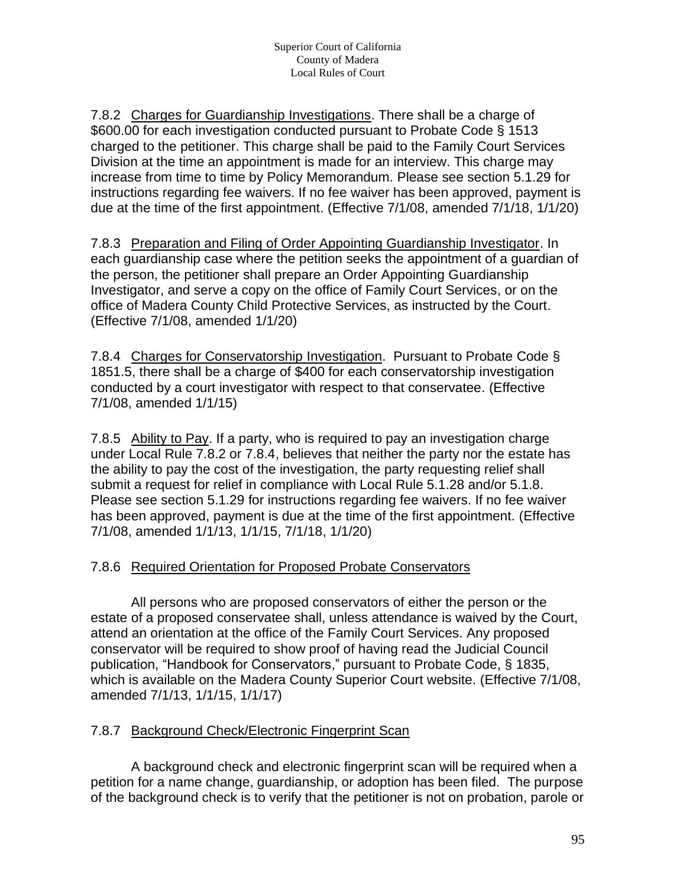7.8.2 Charges for Guardianship Investigations. There shall be a charge of \$600.00 for each investigation conducted pursuant to Probate Code § 1513 charged to the petitioner. This charge shall be paid to the Family Court Services Division at the time an appointment is made for an interview. This charge may increase from time to time by Policy Memorandum. Please see section 5.1.29 for instructions regarding fee waivers. If no fee waiver has been approved, payment is due at the time of the first appointment. (Effective 7/1/08, amended 7/1/18, 1/1/20)

7.8.3 Preparation and Filing of Order Appointing Guardianship Investigator. In each guardianship case where the petition seeks the appointment of a guardian of the person, the petitioner shall prepare an Order Appointing Guardianship Investigator, and serve a copy on the office of Family Court Services, or on the office of Madera County Child Protective Services, as instructed by the Court. (Effective 7/1/08, amended 1/1/20)

7.8.4 Charges for Conservatorship Investigation. Pursuant to Probate Code § 1851.5, there shall be a charge of \$400 for each conservatorship investigation conducted by a court investigator with respect to that conservatee. (Effective 7/1/08, amended 1/1/15)

7.8.5 Ability to Pay. If a party, who is required to pay an investigation charge under Local Rule 7.8.2 or 7.8.4, believes that neither the party nor the estate has the ability to pay the cost of the investigation, the party requesting relief shall submit a request for relief in compliance with Local Rule 5.1.28 and/or 5.1.8. Please see section 5.1.29 for instructions regarding fee waivers. If no fee waiver has been approved, payment is due at the time of the first appointment. (Effective 7/1/08, amended 1/1/13, 1/1/15, 7/1/18, 1/1/20)

#### 7.8.6 Required Orientation for Proposed Probate Conservators

All persons who are proposed conservators of either the person or the estate of a proposed conservatee shall, unless attendance is waived by the Court, attend an orientation at the office of the Family Court Services. Any proposed conservator will be required to show proof of having read the Judicial Council publication, "Handbook for Conservators," pursuant to Probate Code, § 1835, which is available on the Madera County Superior Court website. (Effective 7/1/08, amended 7/1/13, 1/1/15, 1/1/17)

#### 7.8.7 Background Check/Electronic Fingerprint Scan

A background check and electronic fingerprint scan will be required when a petition for a name change, guardianship, or adoption has been filed. The purpose of the background check is to verify that the petitioner is not on probation, parole or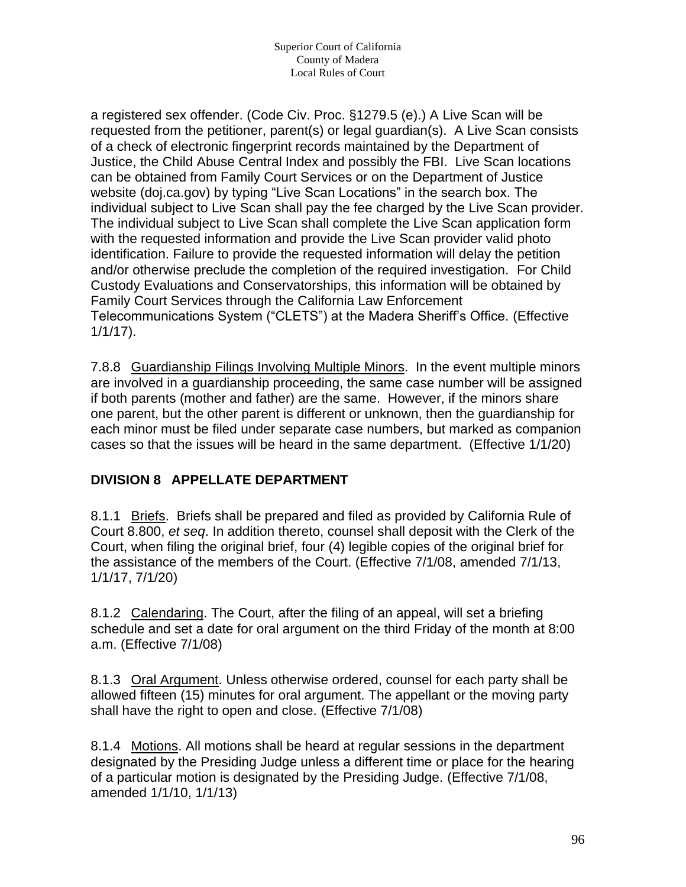a registered sex offender. (Code Civ. Proc. §1279.5 (e).) A Live Scan will be requested from the petitioner, parent(s) or legal guardian(s). A Live Scan consists of a check of electronic fingerprint records maintained by the Department of Justice, the Child Abuse Central Index and possibly the FBI. Live Scan locations can be obtained from Family Court Services or on the Department of Justice website (doj.ca.gov) by typing "Live Scan Locations" in the search box. The individual subject to Live Scan shall pay the fee charged by the Live Scan provider. The individual subject to Live Scan shall complete the Live Scan application form with the requested information and provide the Live Scan provider valid photo identification. Failure to provide the requested information will delay the petition and/or otherwise preclude the completion of the required investigation. For Child Custody Evaluations and Conservatorships, this information will be obtained by Family Court Services through the California Law Enforcement Telecommunications System ("CLETS") at the Madera Sheriff's Office. (Effective 1/1/17).

7.8.8 Guardianship Filings Involving Multiple Minors. In the event multiple minors are involved in a guardianship proceeding, the same case number will be assigned if both parents (mother and father) are the same. However, if the minors share one parent, but the other parent is different or unknown, then the guardianship for each minor must be filed under separate case numbers, but marked as companion cases so that the issues will be heard in the same department. (Effective 1/1/20)

#### **DIVISION 8 APPELLATE DEPARTMENT**

8.1.1 Briefs. Briefs shall be prepared and filed as provided by California Rule of Court 8.800, *et seq*. In addition thereto, counsel shall deposit with the Clerk of the Court, when filing the original brief, four (4) legible copies of the original brief for the assistance of the members of the Court. (Effective 7/1/08, amended 7/1/13, 1/1/17, 7/1/20)

8.1.2 Calendaring. The Court, after the filing of an appeal, will set a briefing schedule and set a date for oral argument on the third Friday of the month at 8:00 a.m. (Effective 7/1/08)

8.1.3 Oral Argument. Unless otherwise ordered, counsel for each party shall be allowed fifteen (15) minutes for oral argument. The appellant or the moving party shall have the right to open and close. (Effective 7/1/08)

8.1.4 Motions. All motions shall be heard at regular sessions in the department designated by the Presiding Judge unless a different time or place for the hearing of a particular motion is designated by the Presiding Judge. (Effective 7/1/08, amended 1/1/10, 1/1/13)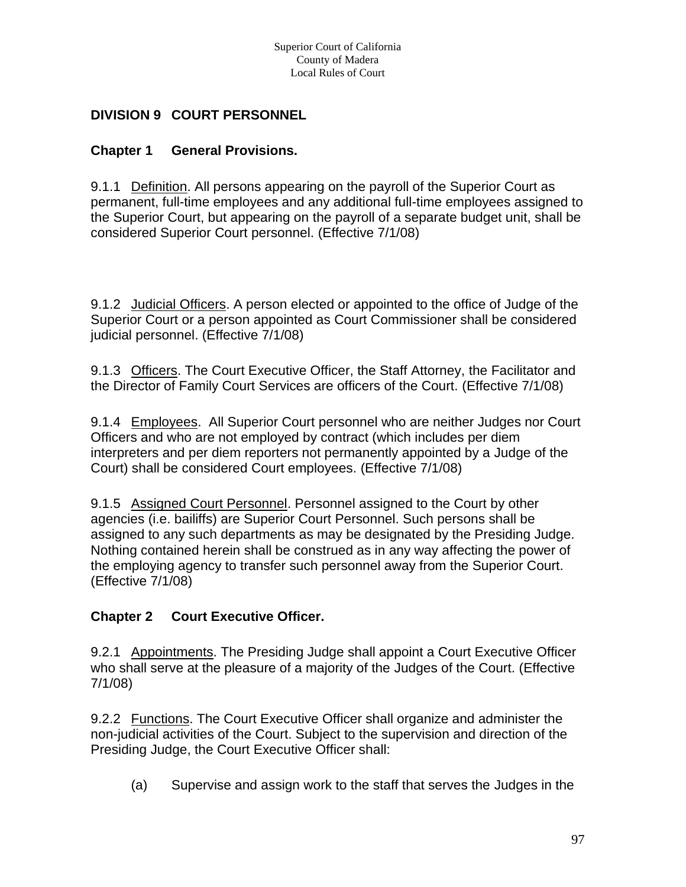## **DIVISION 9 COURT PERSONNEL**

#### **Chapter 1 General Provisions.**

9.1.1 Definition. All persons appearing on the payroll of the Superior Court as permanent, full-time employees and any additional full-time employees assigned to the Superior Court, but appearing on the payroll of a separate budget unit, shall be considered Superior Court personnel. (Effective 7/1/08)

9.1.2 Judicial Officers. A person elected or appointed to the office of Judge of the Superior Court or a person appointed as Court Commissioner shall be considered judicial personnel. (Effective 7/1/08)

9.1.3 Officers. The Court Executive Officer, the Staff Attorney, the Facilitator and the Director of Family Court Services are officers of the Court. (Effective 7/1/08)

9.1.4 Employees. All Superior Court personnel who are neither Judges nor Court Officers and who are not employed by contract (which includes per diem interpreters and per diem reporters not permanently appointed by a Judge of the Court) shall be considered Court employees. (Effective 7/1/08)

9.1.5 Assigned Court Personnel. Personnel assigned to the Court by other agencies (i.e. bailiffs) are Superior Court Personnel. Such persons shall be assigned to any such departments as may be designated by the Presiding Judge. Nothing contained herein shall be construed as in any way affecting the power of the employing agency to transfer such personnel away from the Superior Court. (Effective 7/1/08)

#### **Chapter 2 Court Executive Officer.**

9.2.1 Appointments. The Presiding Judge shall appoint a Court Executive Officer who shall serve at the pleasure of a majority of the Judges of the Court. (Effective 7/1/08)

9.2.2 Functions. The Court Executive Officer shall organize and administer the non-judicial activities of the Court. Subject to the supervision and direction of the Presiding Judge, the Court Executive Officer shall:

(a) Supervise and assign work to the staff that serves the Judges in the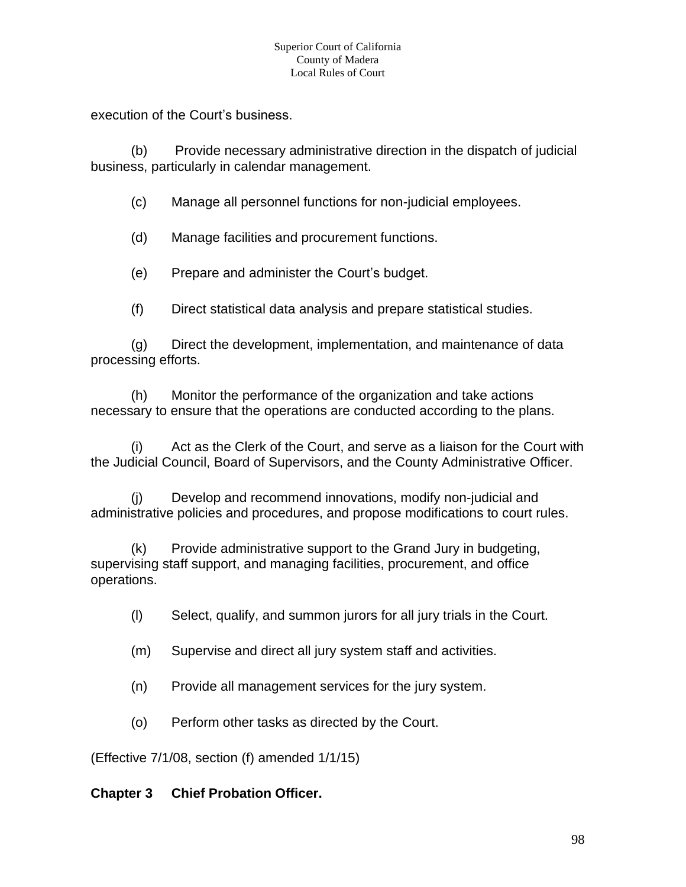#### Superior Court of California County of Madera Local Rules of Court

execution of the Court's business.

(b) Provide necessary administrative direction in the dispatch of judicial business, particularly in calendar management.

(c) Manage all personnel functions for non-judicial employees.

(d) Manage facilities and procurement functions.

(e) Prepare and administer the Court's budget.

(f) Direct statistical data analysis and prepare statistical studies.

(g) Direct the development, implementation, and maintenance of data processing efforts.

(h) Monitor the performance of the organization and take actions necessary to ensure that the operations are conducted according to the plans.

(i) Act as the Clerk of the Court, and serve as a liaison for the Court with the Judicial Council, Board of Supervisors, and the County Administrative Officer.

(j) Develop and recommend innovations, modify non-judicial and administrative policies and procedures, and propose modifications to court rules.

(k) Provide administrative support to the Grand Jury in budgeting, supervising staff support, and managing facilities, procurement, and office operations.

- (l) Select, qualify, and summon jurors for all jury trials in the Court.
- (m) Supervise and direct all jury system staff and activities.
- (n) Provide all management services for the jury system.
- (o) Perform other tasks as directed by the Court.

(Effective 7/1/08, section (f) amended 1/1/15)

#### **Chapter 3 Chief Probation Officer.**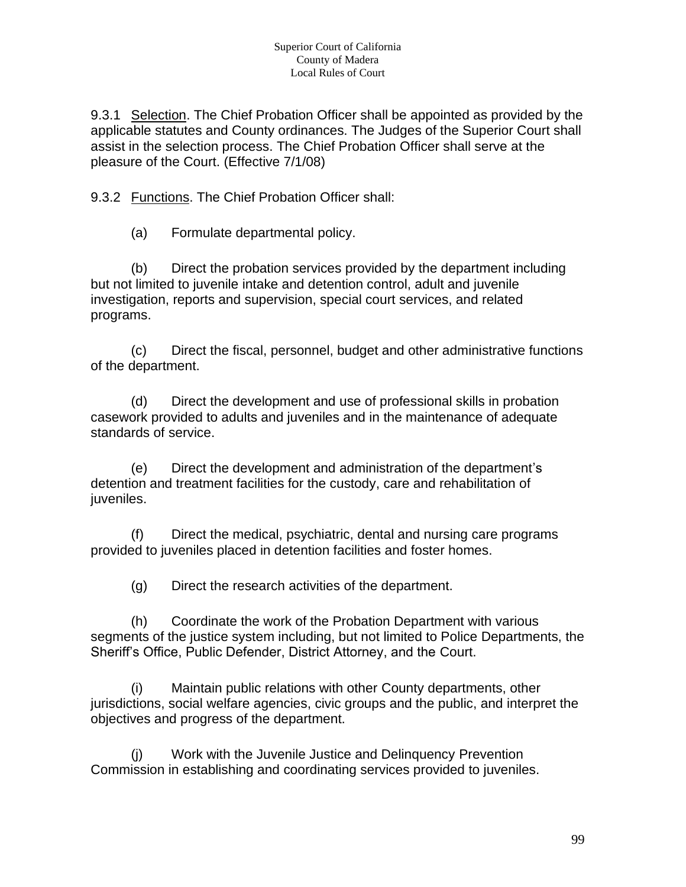9.3.1 Selection. The Chief Probation Officer shall be appointed as provided by the applicable statutes and County ordinances. The Judges of the Superior Court shall assist in the selection process. The Chief Probation Officer shall serve at the pleasure of the Court. (Effective 7/1/08)

9.3.2 Functions. The Chief Probation Officer shall:

(a) Formulate departmental policy.

(b) Direct the probation services provided by the department including but not limited to juvenile intake and detention control, adult and juvenile investigation, reports and supervision, special court services, and related programs.

(c) Direct the fiscal, personnel, budget and other administrative functions of the department.

(d) Direct the development and use of professional skills in probation casework provided to adults and juveniles and in the maintenance of adequate standards of service.

(e) Direct the development and administration of the department's detention and treatment facilities for the custody, care and rehabilitation of juveniles.

(f) Direct the medical, psychiatric, dental and nursing care programs provided to juveniles placed in detention facilities and foster homes.

(g) Direct the research activities of the department.

(h) Coordinate the work of the Probation Department with various segments of the justice system including, but not limited to Police Departments, the Sheriff's Office, Public Defender, District Attorney, and the Court.

(i) Maintain public relations with other County departments, other jurisdictions, social welfare agencies, civic groups and the public, and interpret the objectives and progress of the department.

(j) Work with the Juvenile Justice and Delinquency Prevention Commission in establishing and coordinating services provided to juveniles.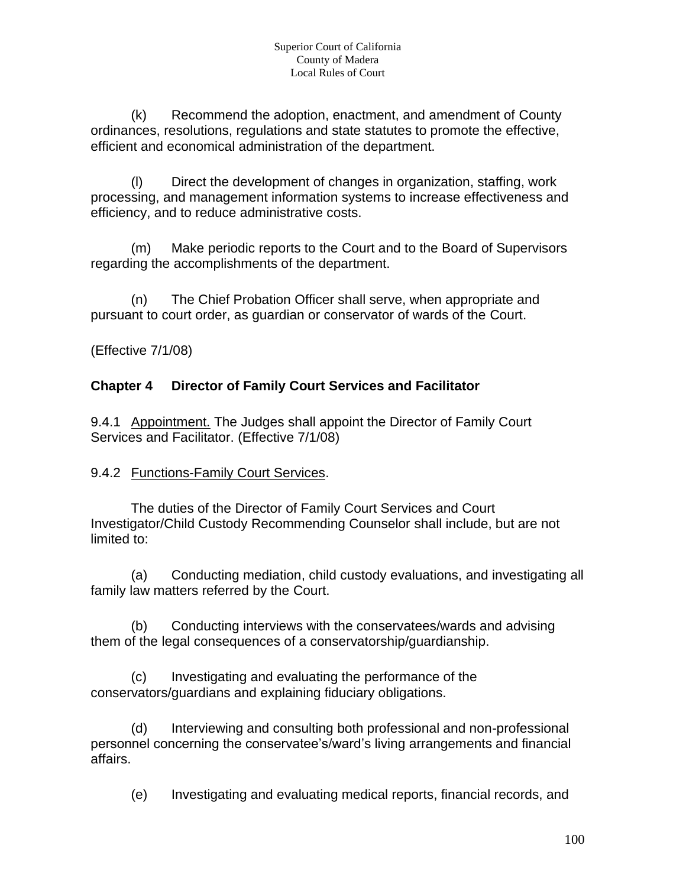(k) Recommend the adoption, enactment, and amendment of County ordinances, resolutions, regulations and state statutes to promote the effective, efficient and economical administration of the department.

(l) Direct the development of changes in organization, staffing, work processing, and management information systems to increase effectiveness and efficiency, and to reduce administrative costs.

(m) Make periodic reports to the Court and to the Board of Supervisors regarding the accomplishments of the department.

(n) The Chief Probation Officer shall serve, when appropriate and pursuant to court order, as guardian or conservator of wards of the Court.

(Effective 7/1/08)

# **Chapter 4 Director of Family Court Services and Facilitator**

9.4.1 Appointment. The Judges shall appoint the Director of Family Court Services and Facilitator. (Effective 7/1/08)

#### 9.4.2 Functions-Family Court Services.

The duties of the Director of Family Court Services and Court Investigator/Child Custody Recommending Counselor shall include, but are not limited to:

(a) Conducting mediation, child custody evaluations, and investigating all family law matters referred by the Court.

(b) Conducting interviews with the conservatees/wards and advising them of the legal consequences of a conservatorship/guardianship.

(c) Investigating and evaluating the performance of the conservators/guardians and explaining fiduciary obligations.

(d) Interviewing and consulting both professional and non-professional personnel concerning the conservatee's/ward's living arrangements and financial affairs.

(e) Investigating and evaluating medical reports, financial records, and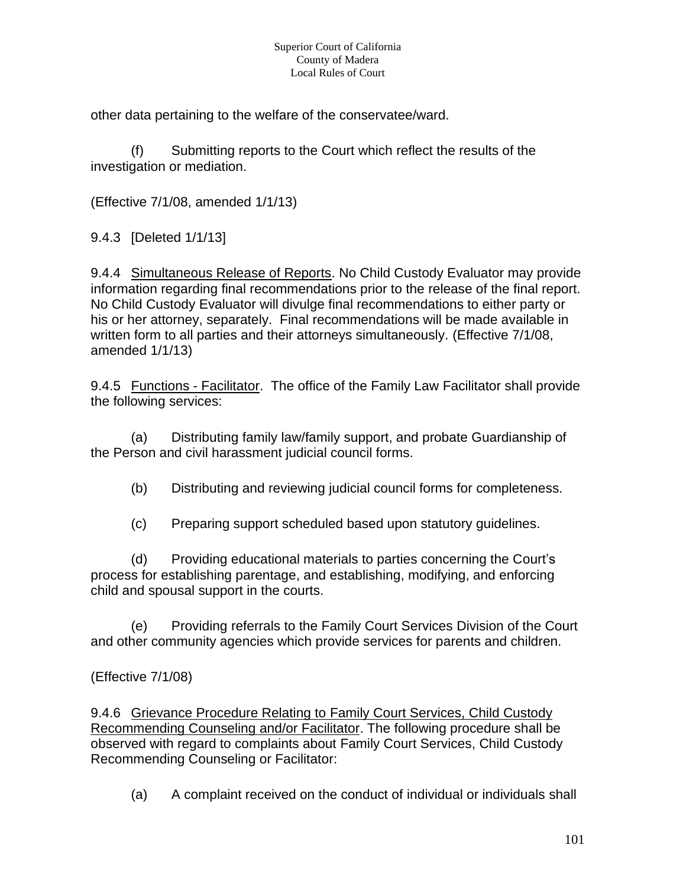other data pertaining to the welfare of the conservatee/ward.

(f) Submitting reports to the Court which reflect the results of the investigation or mediation.

(Effective 7/1/08, amended 1/1/13)

9.4.3 [Deleted 1/1/13]

9.4.4 Simultaneous Release of Reports. No Child Custody Evaluator may provide information regarding final recommendations prior to the release of the final report. No Child Custody Evaluator will divulge final recommendations to either party or his or her attorney, separately. Final recommendations will be made available in written form to all parties and their attorneys simultaneously. (Effective 7/1/08, amended 1/1/13)

9.4.5 Functions - Facilitator. The office of the Family Law Facilitator shall provide the following services:

(a) Distributing family law/family support, and probate Guardianship of the Person and civil harassment judicial council forms.

(b) Distributing and reviewing judicial council forms for completeness.

(c) Preparing support scheduled based upon statutory guidelines.

(d) Providing educational materials to parties concerning the Court's process for establishing parentage, and establishing, modifying, and enforcing child and spousal support in the courts.

(e) Providing referrals to the Family Court Services Division of the Court and other community agencies which provide services for parents and children.

(Effective 7/1/08)

9.4.6 Grievance Procedure Relating to Family Court Services, Child Custody Recommending Counseling and/or Facilitator. The following procedure shall be observed with regard to complaints about Family Court Services, Child Custody Recommending Counseling or Facilitator:

(a) A complaint received on the conduct of individual or individuals shall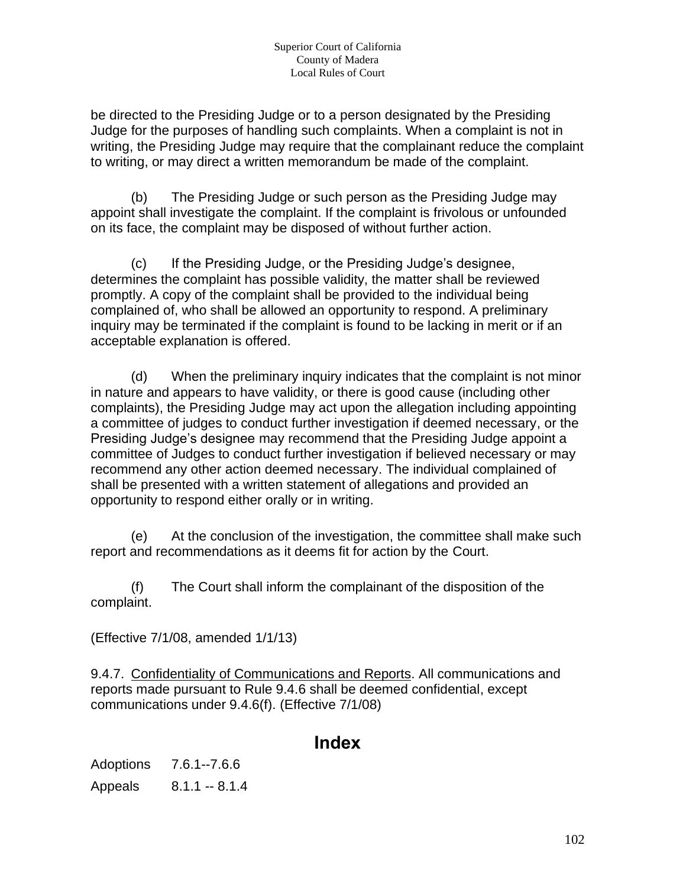be directed to the Presiding Judge or to a person designated by the Presiding Judge for the purposes of handling such complaints. When a complaint is not in writing, the Presiding Judge may require that the complainant reduce the complaint to writing, or may direct a written memorandum be made of the complaint.

(b) The Presiding Judge or such person as the Presiding Judge may appoint shall investigate the complaint. If the complaint is frivolous or unfounded on its face, the complaint may be disposed of without further action.

(c) If the Presiding Judge, or the Presiding Judge's designee, determines the complaint has possible validity, the matter shall be reviewed promptly. A copy of the complaint shall be provided to the individual being complained of, who shall be allowed an opportunity to respond. A preliminary inquiry may be terminated if the complaint is found to be lacking in merit or if an acceptable explanation is offered.

(d) When the preliminary inquiry indicates that the complaint is not minor in nature and appears to have validity, or there is good cause (including other complaints), the Presiding Judge may act upon the allegation including appointing a committee of judges to conduct further investigation if deemed necessary, or the Presiding Judge's designee may recommend that the Presiding Judge appoint a committee of Judges to conduct further investigation if believed necessary or may recommend any other action deemed necessary. The individual complained of shall be presented with a written statement of allegations and provided an opportunity to respond either orally or in writing.

(e) At the conclusion of the investigation, the committee shall make such report and recommendations as it deems fit for action by the Court.

(f) The Court shall inform the complainant of the disposition of the complaint.

(Effective 7/1/08, amended 1/1/13)

9.4.7. Confidentiality of Communications and Reports. All communications and reports made pursuant to Rule 9.4.6 shall be deemed confidential, except communications under 9.4.6(f). (Effective 7/1/08)

# **Index**

Adoptions 7.6.1--7.6.6 Appeals 8.1.1 -- 8.1.4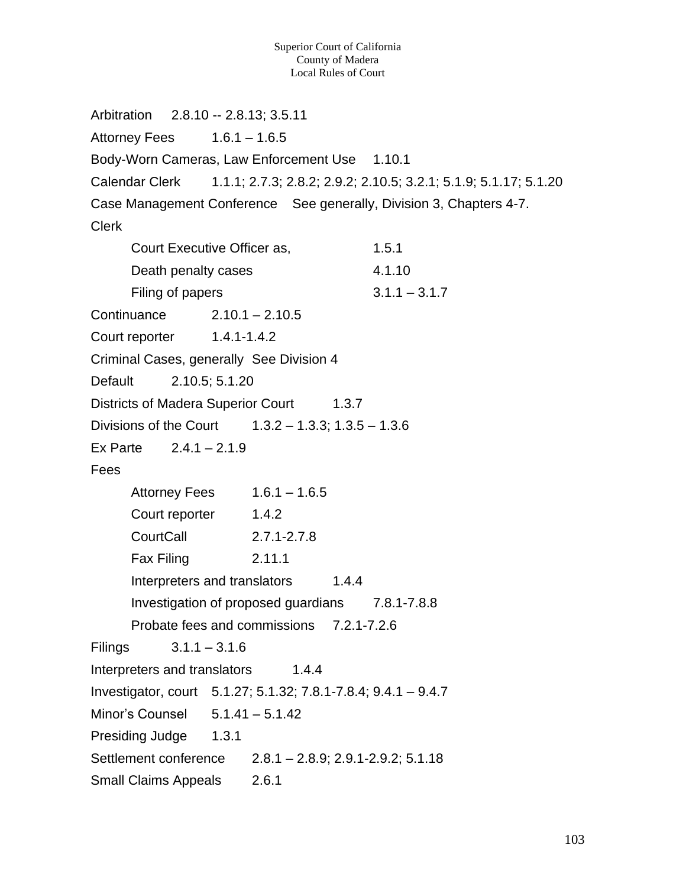Arbitration 2.8.10 -- 2.8.13; 3.5.11 Attorney Fees  $1.6.1 - 1.6.5$ Body-Worn Cameras, Law Enforcement Use 1.10.1 Calendar Clerk 1.1.1; 2.7.3; 2.8.2; 2.9.2; 2.10.5; 3.2.1; 5.1.9; 5.1.17; 5.1.20 Case Management Conference See generally, Division 3, Chapters 4-7. Clerk Court Executive Officer as, 1.5.1 Death penalty cases 4.1.10 Filing of papers  $3.1.1 - 3.1.7$ Continuance 2.10.1 – 2.10.5 Court reporter 1.4.1-1.4.2 Criminal Cases, generally See Division 4 Default 2.10.5; 5.1.20 Districts of Madera Superior Court 1.3.7 Divisions of the Court  $1.3.2 - 1.3.3$ ; 1.3.5 – 1.3.6 Ex Parte  $2.4.1 - 2.1.9$ Fees Attorney Fees  $1.6.1 - 1.6.5$ Court reporter 1.4.2 CourtCall 2.7.1-2.7.8 Fax Filing 2.11.1 Interpreters and translators 1.4.4 Investigation of proposed guardians 7.8.1-7.8.8 Probate fees and commissions 7.2.1-7.2.6 Filings 3.1.1 – 3.1.6 Interpreters and translators 1.4.4 Investigator, court 5.1.27; 5.1.32; 7.8.1-7.8.4; 9.4.1 – 9.4.7 Minor's Counsel 5.1.41 – 5.1.42 Presiding Judge 1.3.1 Settlement conference 2.8.1 – 2.8.9; 2.9.1-2.9.2; 5.1.18 Small Claims Appeals 2.6.1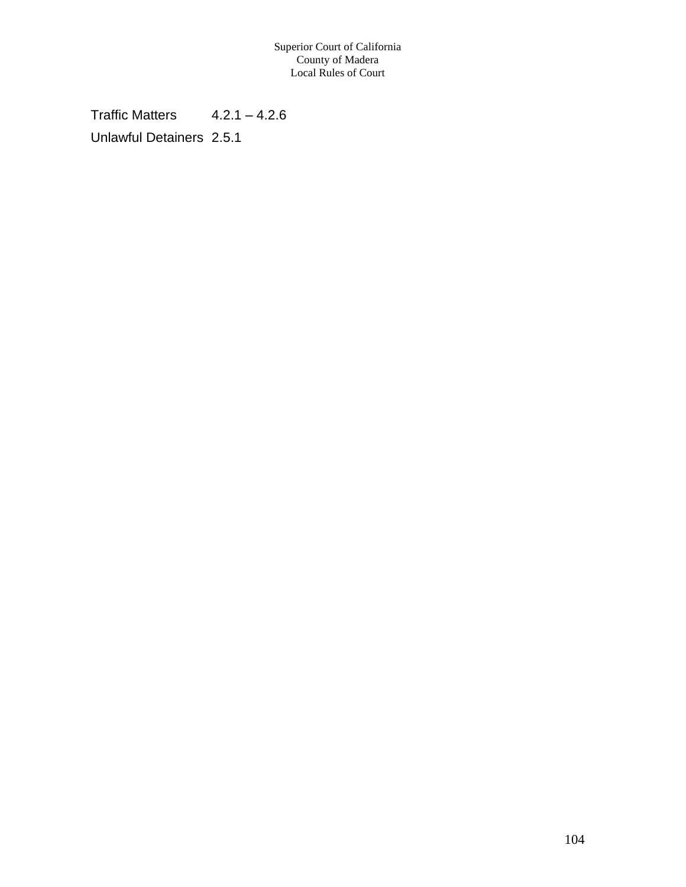Traffic Matters  $4.2.1 - 4.2.6$ Unlawful Detainers 2.5.1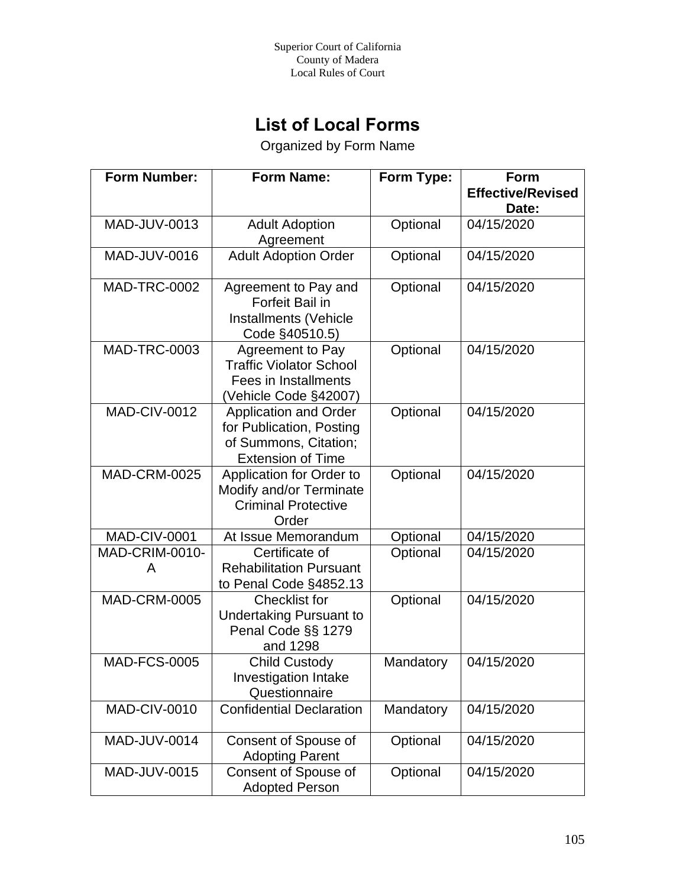# **List of Local Forms**

Organized by Form Name

| <b>Form Number:</b>        | <b>Form Name:</b>                                                                                      | Form Type: | Form<br><b>Effective/Revised</b> |
|----------------------------|--------------------------------------------------------------------------------------------------------|------------|----------------------------------|
|                            |                                                                                                        |            | Date:                            |
| MAD-JUV-0013               | <b>Adult Adoption</b><br>Agreement                                                                     | Optional   | 04/15/2020                       |
| MAD-JUV-0016               | <b>Adult Adoption Order</b>                                                                            | Optional   | 04/15/2020                       |
| <b>MAD-TRC-0002</b>        | Agreement to Pay and<br>Forfeit Bail in<br>Installments (Vehicle<br>Code §40510.5)                     | Optional   | 04/15/2020                       |
| MAD-TRC-0003               | Agreement to Pay<br><b>Traffic Violator School</b><br>Fees in Installments<br>(Vehicle Code §42007)    | Optional   | 04/15/2020                       |
| <b>MAD-CIV-0012</b>        | Application and Order<br>for Publication, Posting<br>of Summons, Citation;<br><b>Extension of Time</b> | Optional   | 04/15/2020                       |
| <b>MAD-CRM-0025</b>        | Application for Order to<br>Modify and/or Terminate<br><b>Criminal Protective</b><br>Order             | Optional   | 04/15/2020                       |
| <b>MAD-CIV-0001</b>        | At Issue Memorandum                                                                                    | Optional   | 04/15/2020                       |
| <b>MAD-CRIM-0010-</b><br>A | Certificate of<br><b>Rehabilitation Pursuant</b><br>to Penal Code §4852.13                             | Optional   | 04/15/2020                       |
| <b>MAD-CRM-0005</b>        | <b>Checklist for</b><br><b>Undertaking Pursuant to</b><br>Penal Code §§ 1279<br>and 1298               | Optional   | 04/15/2020                       |
| <b>MAD-FCS-0005</b>        | <b>Child Custody</b><br>Investigation Intake<br>Questionnaire                                          | Mandatory  | 04/15/2020                       |
| <b>MAD-CIV-0010</b>        | <b>Confidential Declaration</b>                                                                        | Mandatory  | 04/15/2020                       |
| <b>MAD-JUV-0014</b>        | Consent of Spouse of<br><b>Adopting Parent</b>                                                         | Optional   | 04/15/2020                       |
| <b>MAD-JUV-0015</b>        | Consent of Spouse of<br><b>Adopted Person</b>                                                          | Optional   | 04/15/2020                       |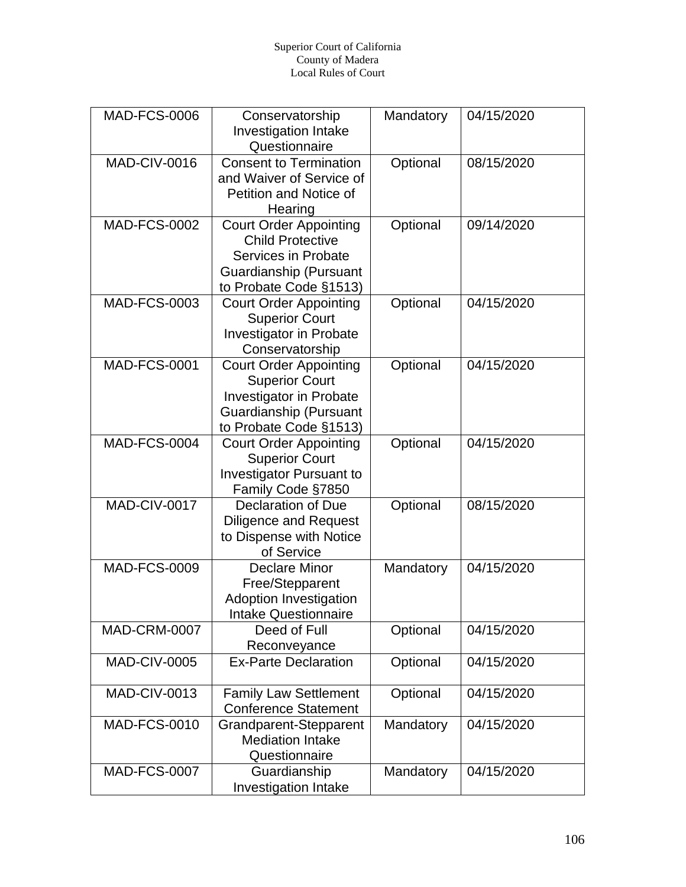#### Superior Court of California County of Madera Local Rules of Court

| <b>MAD-FCS-0006</b> | Conservatorship<br>Investigation Intake<br>Questionnaire                                                                              | Mandatory | 04/15/2020 |
|---------------------|---------------------------------------------------------------------------------------------------------------------------------------|-----------|------------|
| <b>MAD-CIV-0016</b> | <b>Consent to Termination</b><br>and Waiver of Service of<br>Petition and Notice of<br>Hearing                                        | Optional  | 08/15/2020 |
| <b>MAD-FCS-0002</b> | <b>Court Order Appointing</b><br><b>Child Protective</b><br>Services in Probate<br>Guardianship (Pursuant<br>to Probate Code §1513)   | Optional  | 09/14/2020 |
| <b>MAD-FCS-0003</b> | <b>Court Order Appointing</b><br><b>Superior Court</b><br>Investigator in Probate<br>Conservatorship                                  | Optional  | 04/15/2020 |
| <b>MAD-FCS-0001</b> | <b>Court Order Appointing</b><br><b>Superior Court</b><br>Investigator in Probate<br>Guardianship (Pursuant<br>to Probate Code §1513) | Optional  | 04/15/2020 |
| <b>MAD-FCS-0004</b> | <b>Court Order Appointing</b><br><b>Superior Court</b><br>Investigator Pursuant to<br>Family Code §7850                               | Optional  | 04/15/2020 |
| MAD-CIV-0017        | <b>Declaration of Due</b><br><b>Diligence and Request</b><br>to Dispense with Notice<br>of Service                                    | Optional  | 08/15/2020 |
| <b>MAD-FCS-0009</b> | <b>Declare Minor</b><br>Free/Stepparent<br><b>Adoption Investigation</b><br><b>Intake Questionnaire</b>                               | Mandatory | 04/15/2020 |
| <b>MAD-CRM-0007</b> | Deed of Full<br>Reconveyance                                                                                                          | Optional  | 04/15/2020 |
| <b>MAD-CIV-0005</b> | <b>Ex-Parte Declaration</b>                                                                                                           | Optional  | 04/15/2020 |
| <b>MAD-CIV-0013</b> | <b>Family Law Settlement</b><br><b>Conference Statement</b>                                                                           | Optional  | 04/15/2020 |
| <b>MAD-FCS-0010</b> | Grandparent-Stepparent<br><b>Mediation Intake</b><br>Questionnaire                                                                    | Mandatory | 04/15/2020 |
| <b>MAD-FCS-0007</b> | Guardianship<br><b>Investigation Intake</b>                                                                                           | Mandatory | 04/15/2020 |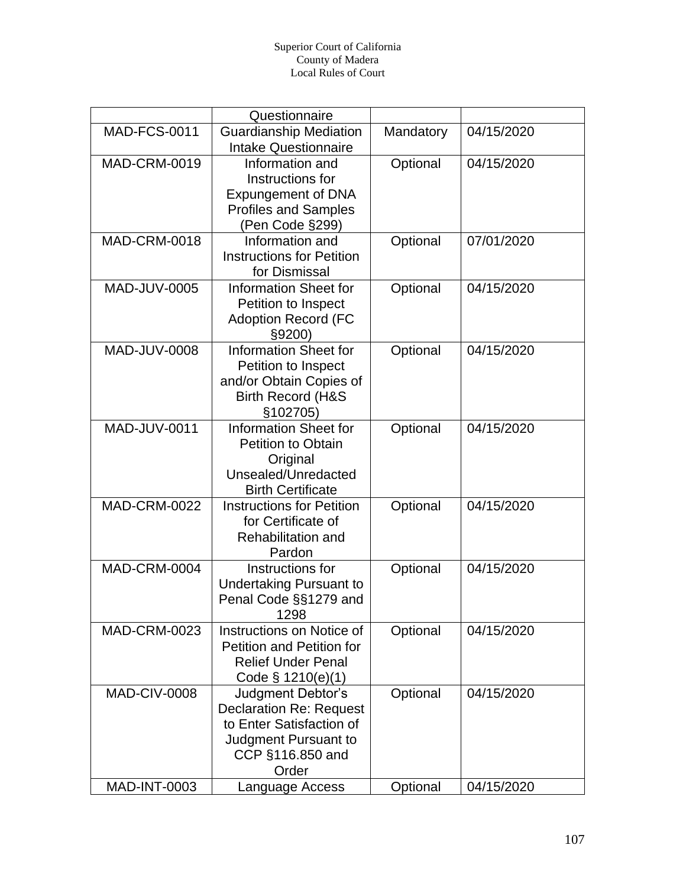|                     | Questionnaire                    |           |            |
|---------------------|----------------------------------|-----------|------------|
| <b>MAD-FCS-0011</b> | <b>Guardianship Mediation</b>    | Mandatory | 04/15/2020 |
|                     | <b>Intake Questionnaire</b>      |           |            |
| <b>MAD-CRM-0019</b> | Information and                  | Optional  | 04/15/2020 |
|                     | Instructions for                 |           |            |
|                     | Expungement of DNA               |           |            |
|                     | <b>Profiles and Samples</b>      |           |            |
|                     | (Pen Code §299)                  |           |            |
| <b>MAD-CRM-0018</b> | Information and                  | Optional  | 07/01/2020 |
|                     | <b>Instructions for Petition</b> |           |            |
|                     | for Dismissal                    |           |            |
| MAD-JUV-0005        | <b>Information Sheet for</b>     | Optional  | 04/15/2020 |
|                     | Petition to Inspect              |           |            |
|                     | <b>Adoption Record (FC</b>       |           |            |
|                     | §9200)                           |           |            |
| MAD-JUV-0008        | <b>Information Sheet for</b>     | Optional  | 04/15/2020 |
|                     | Petition to Inspect              |           |            |
|                     | and/or Obtain Copies of          |           |            |
|                     | <b>Birth Record (H&amp;S</b>     |           |            |
|                     | §102705)                         |           |            |
| <b>MAD-JUV-0011</b> | <b>Information Sheet for</b>     | Optional  | 04/15/2020 |
|                     | <b>Petition to Obtain</b>        |           |            |
|                     | Original                         |           |            |
|                     | Unsealed/Unredacted              |           |            |
|                     | <b>Birth Certificate</b>         |           |            |
| <b>MAD-CRM-0022</b> | <b>Instructions for Petition</b> | Optional  | 04/15/2020 |
|                     | for Certificate of               |           |            |
|                     | <b>Rehabilitation and</b>        |           |            |
|                     | Pardon                           |           |            |
| <b>MAD-CRM-0004</b> | Instructions for                 | Optional  | 04/15/2020 |
|                     | <b>Undertaking Pursuant to</b>   |           |            |
|                     | Penal Code §§1279 and            |           |            |
|                     | 1298                             |           |            |
| <b>MAD-CRM-0023</b> | Instructions on Notice of        | Optional  | 04/15/2020 |
|                     | <b>Petition and Petition for</b> |           |            |
|                     | <b>Relief Under Penal</b>        |           |            |
|                     | Code $\S$ 1210(e)(1)             |           |            |
| <b>MAD-CIV-0008</b> | Judgment Debtor's                | Optional  | 04/15/2020 |
|                     | <b>Declaration Re: Request</b>   |           |            |
|                     | to Enter Satisfaction of         |           |            |
|                     | Judgment Pursuant to             |           |            |
|                     | CCP §116.850 and                 |           |            |
|                     | Order                            |           |            |
| <b>MAD-INT-0003</b> | Language Access                  | Optional  | 04/15/2020 |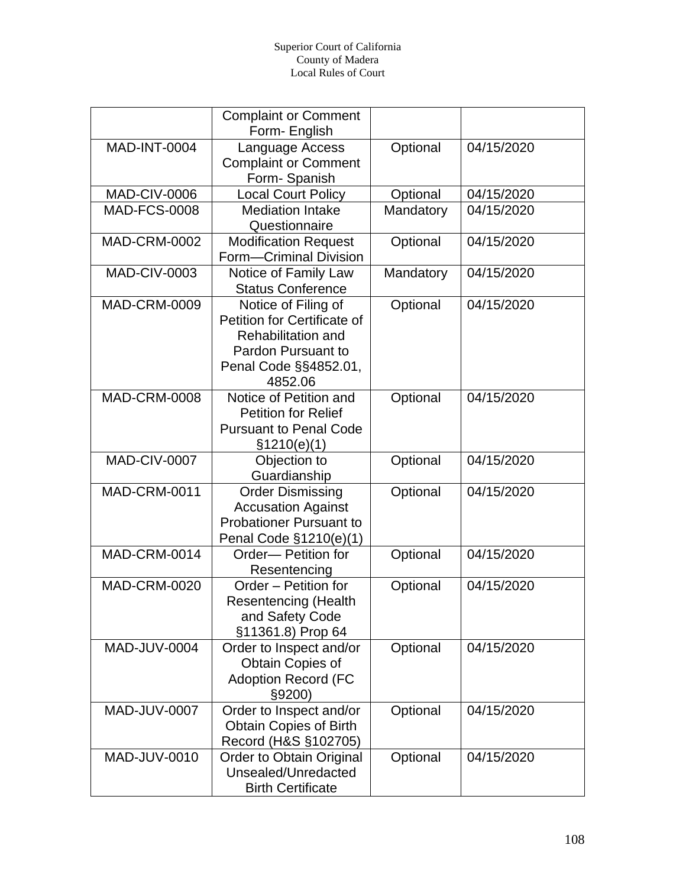|                     | <b>Complaint or Comment</b><br>Form- English                                                                                       |           |            |
|---------------------|------------------------------------------------------------------------------------------------------------------------------------|-----------|------------|
| <b>MAD-INT-0004</b> | Language Access<br><b>Complaint or Comment</b>                                                                                     | Optional  | 04/15/2020 |
| <b>MAD-CIV-0006</b> | Form-Spanish<br><b>Local Court Policy</b>                                                                                          | Optional  | 04/15/2020 |
| <b>MAD-FCS-0008</b> | <b>Mediation Intake</b><br>Questionnaire                                                                                           | Mandatory | 04/15/2020 |
| <b>MAD-CRM-0002</b> | <b>Modification Request</b><br>Form-Criminal Division                                                                              | Optional  | 04/15/2020 |
| <b>MAD-CIV-0003</b> | Notice of Family Law<br><b>Status Conference</b>                                                                                   | Mandatory | 04/15/2020 |
| <b>MAD-CRM-0009</b> | Notice of Filing of<br>Petition for Certificate of<br>Rehabilitation and<br>Pardon Pursuant to<br>Penal Code §§4852.01,<br>4852.06 | Optional  | 04/15/2020 |
| <b>MAD-CRM-0008</b> | Notice of Petition and<br><b>Petition for Relief</b><br><b>Pursuant to Penal Code</b><br>\$1210(e)(1)                              | Optional  | 04/15/2020 |
| <b>MAD-CIV-0007</b> | Objection to<br>Guardianship                                                                                                       | Optional  | 04/15/2020 |
| <b>MAD-CRM-0011</b> | <b>Order Dismissing</b><br><b>Accusation Against</b><br><b>Probationer Pursuant to</b><br>Penal Code §1210(e)(1)                   | Optional  | 04/15/2020 |
| <b>MAD-CRM-0014</b> | Order-Petition for<br>Resentencing                                                                                                 | Optional  | 04/15/2020 |
| <b>MAD-CRM-0020</b> | Order - Petition for<br><b>Resentencing (Health</b><br>and Safety Code<br>§11361.8) Prop 64                                        | Optional  | 04/15/2020 |
| <b>MAD-JUV-0004</b> | Order to Inspect and/or<br>Obtain Copies of<br><b>Adoption Record (FC</b><br>§9200)                                                | Optional  | 04/15/2020 |
| MAD-JUV-0007        | Order to Inspect and/or<br><b>Obtain Copies of Birth</b><br>Record (H&S §102705)                                                   | Optional  | 04/15/2020 |
| MAD-JUV-0010        | Order to Obtain Original<br>Unsealed/Unredacted<br><b>Birth Certificate</b>                                                        | Optional  | 04/15/2020 |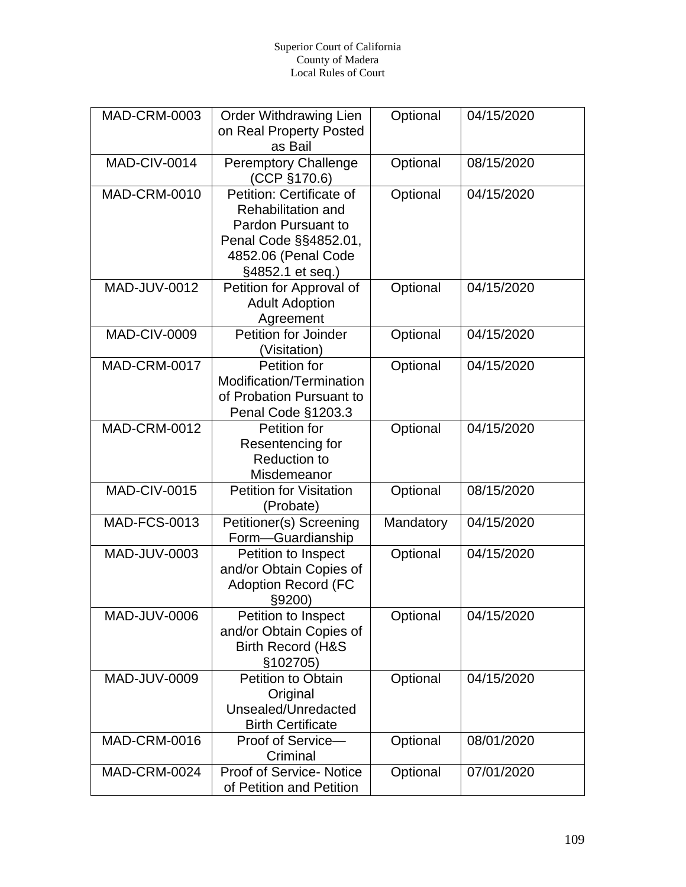| <b>MAD-CRM-0003</b> | <b>Order Withdrawing Lien</b><br>on Real Property Posted<br>as Bail                                                                      | Optional  | 04/15/2020 |
|---------------------|------------------------------------------------------------------------------------------------------------------------------------------|-----------|------------|
| MAD-CIV-0014        | <b>Peremptory Challenge</b><br>(CCP §170.6)                                                                                              | Optional  | 08/15/2020 |
| <b>MAD-CRM-0010</b> | Petition: Certificate of<br>Rehabilitation and<br>Pardon Pursuant to<br>Penal Code §§4852.01,<br>4852.06 (Penal Code<br>§4852.1 et seq.) | Optional  | 04/15/2020 |
| <b>MAD-JUV-0012</b> | Petition for Approval of<br><b>Adult Adoption</b><br>Agreement                                                                           | Optional  | 04/15/2020 |
| <b>MAD-CIV-0009</b> | Petition for Joinder<br>(Visitation)                                                                                                     | Optional  | 04/15/2020 |
| <b>MAD-CRM-0017</b> | Petition for<br>Modification/Termination<br>of Probation Pursuant to<br>Penal Code §1203.3                                               | Optional  | 04/15/2020 |
| <b>MAD-CRM-0012</b> | Petition for<br>Resentencing for<br><b>Reduction to</b><br>Misdemeanor                                                                   | Optional  | 04/15/2020 |
| <b>MAD-CIV-0015</b> | <b>Petition for Visitation</b><br>(Probate)                                                                                              | Optional  | 08/15/2020 |
| <b>MAD-FCS-0013</b> | Petitioner(s) Screening<br>Form-Guardianship                                                                                             | Mandatory | 04/15/2020 |
| MAD-JUV-0003        | Petition to Inspect<br>and/or Obtain Copies of<br><b>Adoption Record (FC</b><br>§9200)                                                   | Optional  | 04/15/2020 |
| MAD-JUV-0006        | Petition to Inspect<br>and/or Obtain Copies of<br><b>Birth Record (H&amp;S</b><br>§102705)                                               | Optional  | 04/15/2020 |
| MAD-JUV-0009        | <b>Petition to Obtain</b><br>Original<br>Unsealed/Unredacted<br><b>Birth Certificate</b>                                                 | Optional  | 04/15/2020 |
| <b>MAD-CRM-0016</b> | Proof of Service-<br>Criminal                                                                                                            | Optional  | 08/01/2020 |
| MAD-CRM-0024        | <b>Proof of Service- Notice</b><br>of Petition and Petition                                                                              | Optional  | 07/01/2020 |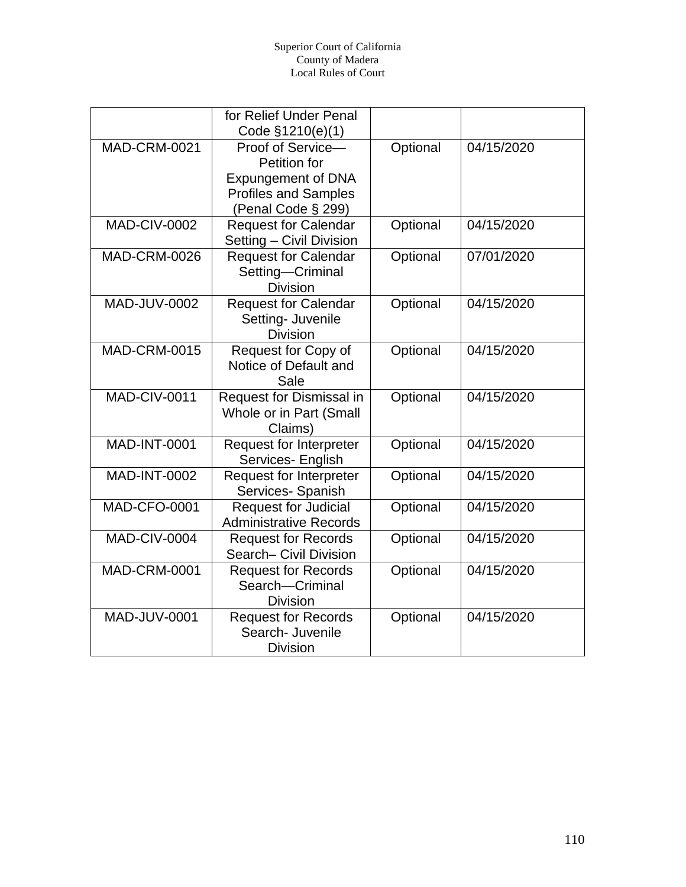|                     | for Relief Under Penal<br>Code §1210(e)(1)                                                    |          |            |
|---------------------|-----------------------------------------------------------------------------------------------|----------|------------|
| <b>MAD-CRM-0021</b> | Proof of Service-<br>Petition for<br><b>Expungement of DNA</b><br><b>Profiles and Samples</b> | Optional | 04/15/2020 |
| <b>MAD-CIV-0002</b> | (Penal Code § 299)<br><b>Request for Calendar</b><br>Setting - Civil Division                 | Optional | 04/15/2020 |
| <b>MAD-CRM-0026</b> | <b>Request for Calendar</b><br>Setting-Criminal<br><b>Division</b>                            | Optional | 07/01/2020 |
| <b>MAD-JUV-0002</b> | <b>Request for Calendar</b><br>Setting- Juvenile<br><b>Division</b>                           | Optional | 04/15/2020 |
| <b>MAD-CRM-0015</b> | Request for Copy of<br>Notice of Default and<br>Sale                                          | Optional | 04/15/2020 |
| <b>MAD-CIV-0011</b> | Request for Dismissal in<br>Whole or in Part (Small<br>Claims)                                | Optional | 04/15/2020 |
| <b>MAD-INT-0001</b> | <b>Request for Interpreter</b><br>Services- English                                           | Optional | 04/15/2020 |
| <b>MAD-INT-0002</b> | <b>Request for Interpreter</b><br>Services- Spanish                                           | Optional | 04/15/2020 |
| <b>MAD-CFO-0001</b> | <b>Request for Judicial</b><br><b>Administrative Records</b>                                  | Optional | 04/15/2020 |
| MAD-CIV-0004        | <b>Request for Records</b><br>Search- Civil Division                                          | Optional | 04/15/2020 |
| <b>MAD-CRM-0001</b> | <b>Request for Records</b><br>Search-Criminal<br><b>Division</b>                              | Optional | 04/15/2020 |
| <b>MAD-JUV-0001</b> | <b>Request for Records</b><br>Search- Juvenile<br><b>Division</b>                             | Optional | 04/15/2020 |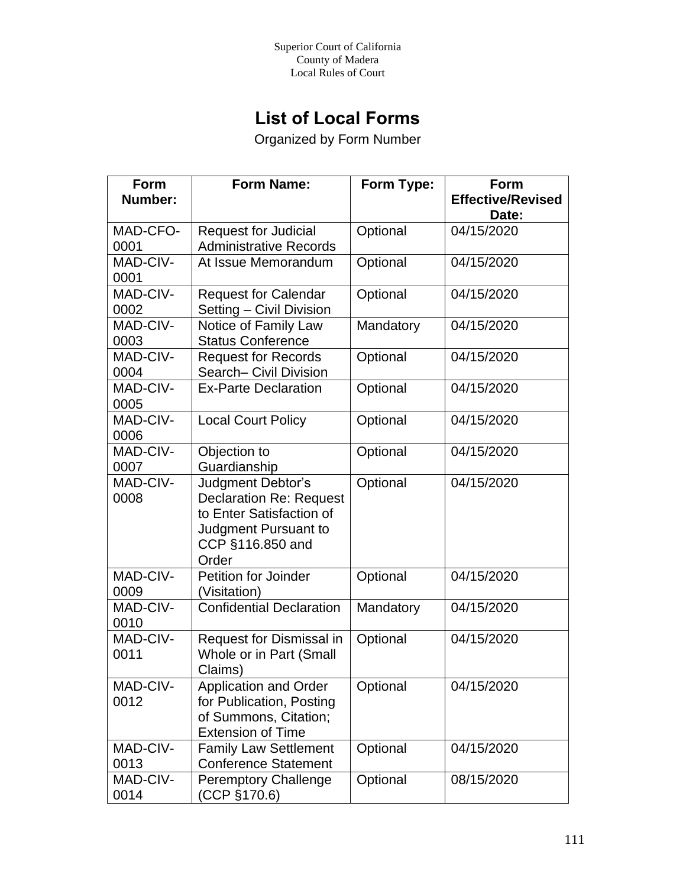## **List of Local Forms**

Organized by Form Number

| <b>Form</b> | <b>Form Name:</b>               | Form Type: | Form                     |
|-------------|---------------------------------|------------|--------------------------|
| Number:     |                                 |            | <b>Effective/Revised</b> |
|             |                                 |            | Date:                    |
| MAD-CFO-    | <b>Request for Judicial</b>     | Optional   | 04/15/2020               |
| 0001        | <b>Administrative Records</b>   |            |                          |
| MAD-CIV-    | At Issue Memorandum             | Optional   | 04/15/2020               |
| 0001        |                                 |            |                          |
| MAD-CIV-    | <b>Request for Calendar</b>     | Optional   | 04/15/2020               |
| 0002        | Setting - Civil Division        |            |                          |
| MAD-CIV-    | Notice of Family Law            | Mandatory  | 04/15/2020               |
| 0003        | <b>Status Conference</b>        |            |                          |
| MAD-CIV-    | <b>Request for Records</b>      | Optional   | 04/15/2020               |
| 0004        | Search- Civil Division          |            |                          |
| MAD-CIV-    | <b>Ex-Parte Declaration</b>     | Optional   | 04/15/2020               |
| 0005        |                                 |            |                          |
| MAD-CIV-    | <b>Local Court Policy</b>       | Optional   | 04/15/2020               |
| 0006        |                                 |            |                          |
| MAD-CIV-    | Objection to                    | Optional   | 04/15/2020               |
| 0007        | Guardianship                    |            |                          |
| MAD-CIV-    | Judgment Debtor's               | Optional   | 04/15/2020               |
| 0008        | <b>Declaration Re: Request</b>  |            |                          |
|             | to Enter Satisfaction of        |            |                          |
|             | Judgment Pursuant to            |            |                          |
|             | CCP §116.850 and                |            |                          |
|             | Order                           |            |                          |
| MAD-CIV-    | <b>Petition for Joinder</b>     | Optional   | 04/15/2020               |
| 0009        | (Visitation)                    |            |                          |
| MAD-CIV-    | <b>Confidential Declaration</b> | Mandatory  | 04/15/2020               |
| 0010        |                                 |            |                          |
| MAD-CIV-    | Request for Dismissal in        | Optional   | 04/15/2020               |
| 0011        | Whole or in Part (Small         |            |                          |
|             | Claims)                         |            |                          |
| MAD-CIV-    | <b>Application and Order</b>    | Optional   | 04/15/2020               |
| 0012        | for Publication, Posting        |            |                          |
|             | of Summons, Citation;           |            |                          |
|             | <b>Extension of Time</b>        |            |                          |
| MAD-CIV-    | <b>Family Law Settlement</b>    | Optional   | 04/15/2020               |
| 0013        | <b>Conference Statement</b>     |            |                          |
| MAD-CIV-    | <b>Peremptory Challenge</b>     | Optional   | 08/15/2020               |
| 0014        | (CCP §170.6)                    |            |                          |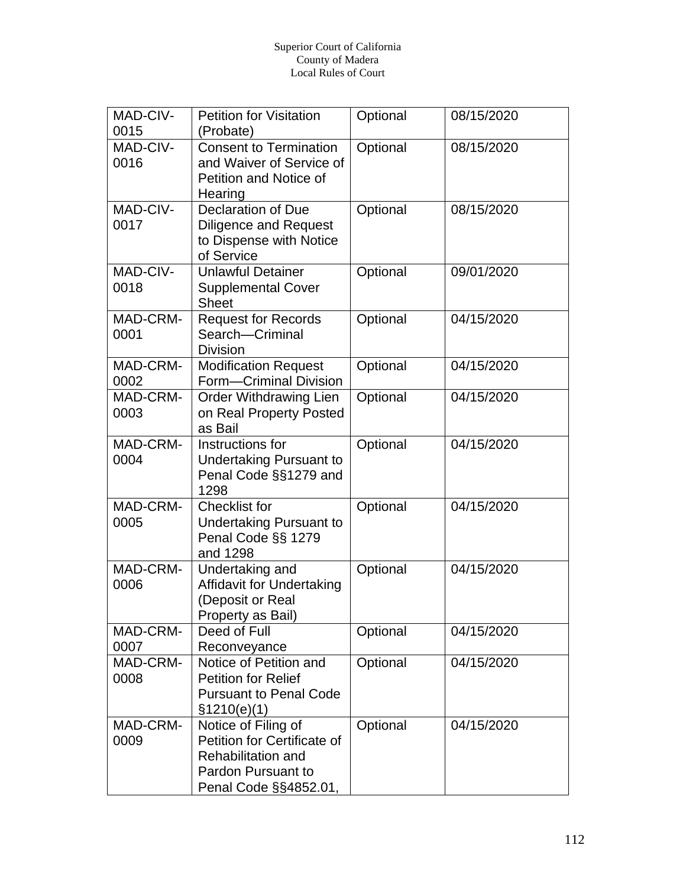| MAD-CIV-<br>0015 | <b>Petition for Visitation</b><br>(Probate)                                                                                    | Optional | 08/15/2020 |
|------------------|--------------------------------------------------------------------------------------------------------------------------------|----------|------------|
| MAD-CIV-<br>0016 | <b>Consent to Termination</b><br>and Waiver of Service of<br>Petition and Notice of<br>Hearing                                 | Optional | 08/15/2020 |
| MAD-CIV-<br>0017 | <b>Declaration of Due</b><br><b>Diligence and Request</b><br>to Dispense with Notice<br>of Service                             | Optional | 08/15/2020 |
| MAD-CIV-<br>0018 | <b>Unlawful Detainer</b><br><b>Supplemental Cover</b><br><b>Sheet</b>                                                          | Optional | 09/01/2020 |
| MAD-CRM-<br>0001 | <b>Request for Records</b><br>Search-Criminal<br><b>Division</b>                                                               | Optional | 04/15/2020 |
| MAD-CRM-<br>0002 | <b>Modification Request</b><br>Form-Criminal Division                                                                          | Optional | 04/15/2020 |
| MAD-CRM-<br>0003 | <b>Order Withdrawing Lien</b><br>on Real Property Posted<br>as Bail                                                            | Optional | 04/15/2020 |
| MAD-CRM-<br>0004 | Instructions for<br><b>Undertaking Pursuant to</b><br>Penal Code §§1279 and<br>1298                                            | Optional | 04/15/2020 |
| MAD-CRM-<br>0005 | <b>Checklist for</b><br><b>Undertaking Pursuant to</b><br>Penal Code §§ 1279<br>and 1298                                       | Optional | 04/15/2020 |
| MAD-CRM-<br>0006 | <b>Undertaking and</b><br><b>Affidavit for Undertaking</b><br>(Deposit or Real<br>Property as Bail)                            | Optional | 04/15/2020 |
| MAD-CRM-<br>0007 | Deed of Full<br>Reconveyance                                                                                                   | Optional | 04/15/2020 |
| MAD-CRM-<br>0008 | Notice of Petition and<br><b>Petition for Relief</b><br><b>Pursuant to Penal Code</b><br>\$1210(e)(1)                          | Optional | 04/15/2020 |
| MAD-CRM-<br>0009 | Notice of Filing of<br>Petition for Certificate of<br><b>Rehabilitation and</b><br>Pardon Pursuant to<br>Penal Code §§4852.01, | Optional | 04/15/2020 |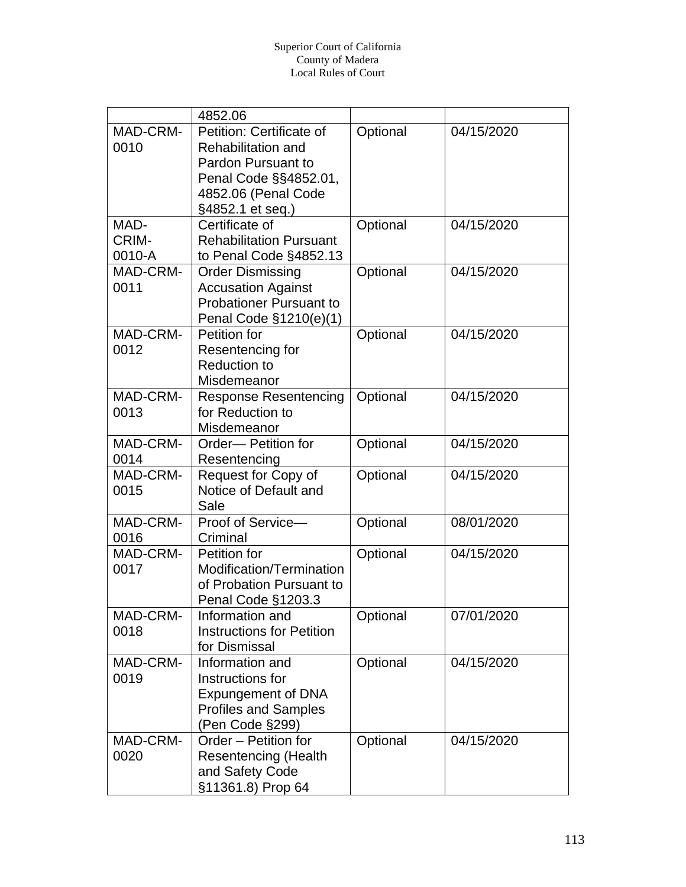|                  | 4852.06                          |          |            |
|------------------|----------------------------------|----------|------------|
| MAD-CRM-         | Petition: Certificate of         | Optional | 04/15/2020 |
| 0010             | <b>Rehabilitation and</b>        |          |            |
|                  | Pardon Pursuant to               |          |            |
|                  | Penal Code §§4852.01,            |          |            |
|                  | 4852.06 (Penal Code              |          |            |
|                  | §4852.1 et seq.)                 |          |            |
| MAD-             | Certificate of                   | Optional | 04/15/2020 |
| CRIM-            | <b>Rehabilitation Pursuant</b>   |          |            |
| 0010-A           | to Penal Code §4852.13           |          |            |
| MAD-CRM-         | <b>Order Dismissing</b>          | Optional | 04/15/2020 |
| 0011             | <b>Accusation Against</b>        |          |            |
|                  | <b>Probationer Pursuant to</b>   |          |            |
|                  | Penal Code §1210(e)(1)           |          |            |
| MAD-CRM-         | Petition for                     | Optional | 04/15/2020 |
| 0012             | Resentencing for                 |          |            |
|                  | <b>Reduction to</b>              |          |            |
|                  | Misdemeanor                      |          |            |
| MAD-CRM-         | <b>Response Resentencing</b>     | Optional | 04/15/2020 |
| 0013             | for Reduction to                 |          |            |
|                  | Misdemeanor                      |          |            |
| MAD-CRM-         | Order-Petition for               | Optional | 04/15/2020 |
| 0014             | Resentencing                     |          |            |
| MAD-CRM-         | Request for Copy of              | Optional | 04/15/2020 |
| 0015             | Notice of Default and            |          |            |
|                  | Sale                             |          |            |
| MAD-CRM-         | Proof of Service-<br>Criminal    | Optional | 08/01/2020 |
| 0016<br>MAD-CRM- | Petition for                     |          | 04/15/2020 |
| 0017             | Modification/Termination         | Optional |            |
|                  | of Probation Pursuant to         |          |            |
|                  | Penal Code §1203.3               |          |            |
| MAD-CRM-         | Information and                  | Optional | 07/01/2020 |
| 0018             | <b>Instructions for Petition</b> |          |            |
|                  | for Dismissal                    |          |            |
| MAD-CRM-         | Information and                  | Optional | 04/15/2020 |
| 0019             | Instructions for                 |          |            |
|                  | <b>Expungement of DNA</b>        |          |            |
|                  | <b>Profiles and Samples</b>      |          |            |
|                  | (Pen Code §299)                  |          |            |
| MAD-CRM-         | Order - Petition for             | Optional | 04/15/2020 |
| 0020             | <b>Resentencing (Health</b>      |          |            |
|                  | and Safety Code                  |          |            |
|                  | §11361.8) Prop 64                |          |            |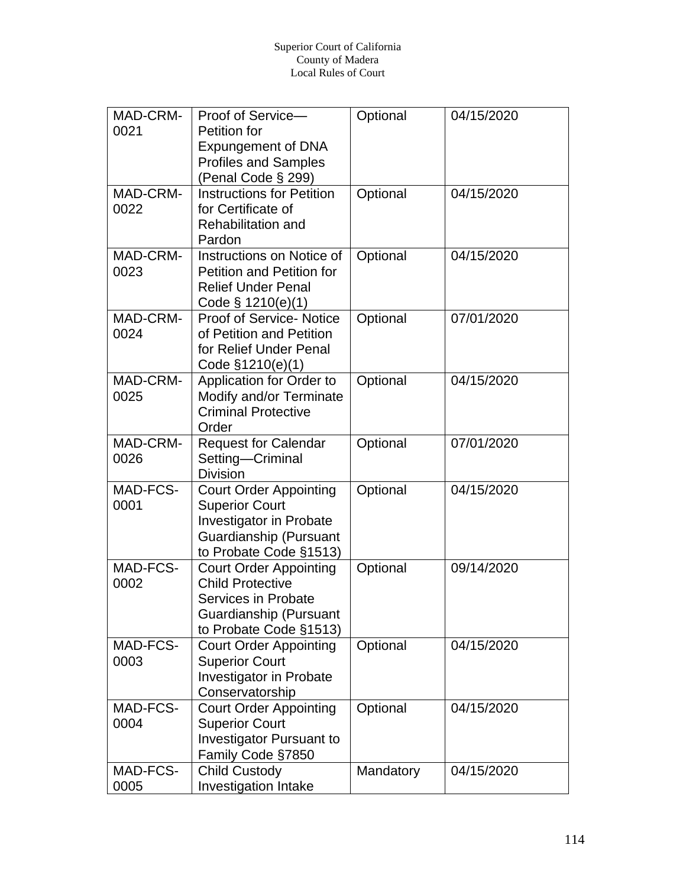| MAD-CRM-<br>Optional<br>Proof of Service-<br>04/15/2020                                       |  |
|-----------------------------------------------------------------------------------------------|--|
| 0021<br>Petition for                                                                          |  |
| <b>Expungement of DNA</b>                                                                     |  |
| <b>Profiles and Samples</b>                                                                   |  |
| (Penal Code § 299)                                                                            |  |
| MAD-CRM-<br>04/15/2020<br><b>Instructions for Petition</b><br>Optional                        |  |
| 0022<br>for Certificate of                                                                    |  |
| <b>Rehabilitation and</b>                                                                     |  |
| Pardon                                                                                        |  |
| MAD-CRM-<br>Instructions on Notice of<br>Optional<br>04/15/2020                               |  |
| 0023<br><b>Petition and Petition for</b>                                                      |  |
| <b>Relief Under Penal</b>                                                                     |  |
| Code $\S$ 1210(e)(1)                                                                          |  |
| MAD-CRM-<br><b>Proof of Service- Notice</b><br>Optional<br>07/01/2020                         |  |
| 0024<br>of Petition and Petition                                                              |  |
| for Relief Under Penal                                                                        |  |
| Code §1210(e)(1)                                                                              |  |
| Optional<br>04/15/2020<br>MAD-CRM-<br>Application for Order to                                |  |
| Modify and/or Terminate<br>0025                                                               |  |
| <b>Criminal Protective</b>                                                                    |  |
| Order                                                                                         |  |
| MAD-CRM-<br>07/01/2020<br>Optional<br><b>Request for Calendar</b>                             |  |
| 0026<br>Setting-Criminal                                                                      |  |
| <b>Division</b>                                                                               |  |
| MAD-FCS-<br>04/15/2020<br><b>Court Order Appointing</b><br>Optional                           |  |
| 0001<br><b>Superior Court</b>                                                                 |  |
| <b>Investigator in Probate</b>                                                                |  |
| Guardianship (Pursuant                                                                        |  |
| to Probate Code §1513)<br>MAD-FCS-<br>09/14/2020                                              |  |
| Optional<br><b>Court Order Appointing</b><br>0002<br><b>Child Protective</b>                  |  |
| <b>Services in Probate</b>                                                                    |  |
|                                                                                               |  |
| Guardianship (Pursuant                                                                        |  |
| to Probate Code §1513)<br>MAD-FCS-<br>Optional<br>04/15/2020<br><b>Court Order Appointing</b> |  |
| <b>Superior Court</b><br>0003                                                                 |  |
| <b>Investigator in Probate</b>                                                                |  |
| Conservatorship                                                                               |  |
| MAD-FCS-<br>Optional<br>04/15/2020<br><b>Court Order Appointing</b>                           |  |
| 0004<br><b>Superior Court</b>                                                                 |  |
| <b>Investigator Pursuant to</b>                                                               |  |
| Family Code §7850                                                                             |  |
| MAD-FCS-<br><b>Child Custody</b><br>Mandatory<br>04/15/2020                                   |  |
| <b>Investigation Intake</b><br>0005                                                           |  |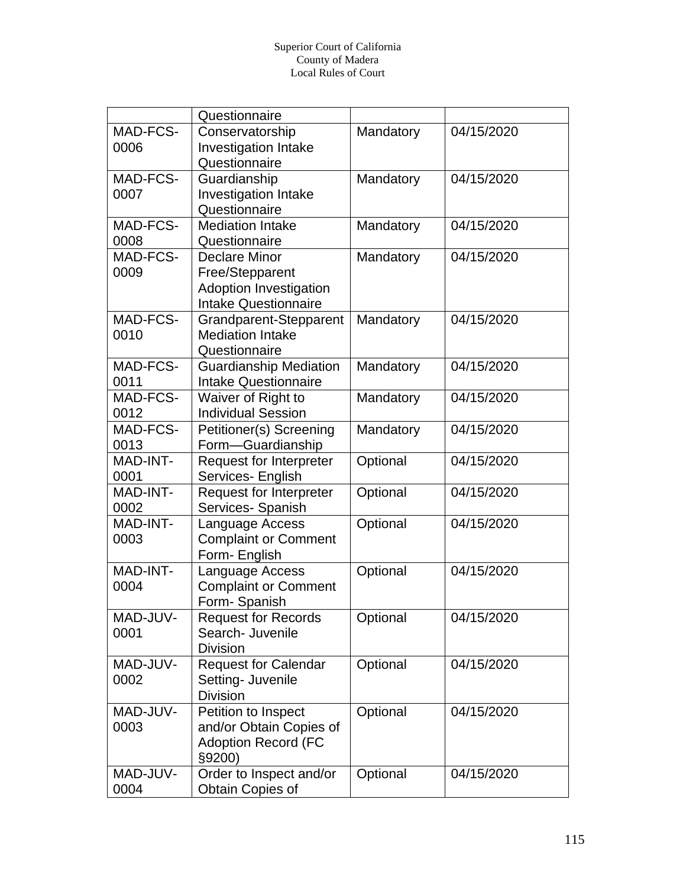|          | Questionnaire                  |           |            |
|----------|--------------------------------|-----------|------------|
| MAD-FCS- | Conservatorship                | Mandatory | 04/15/2020 |
| 0006     | Investigation Intake           |           |            |
|          | Questionnaire                  |           |            |
| MAD-FCS- | Guardianship                   | Mandatory | 04/15/2020 |
| 0007     | <b>Investigation Intake</b>    |           |            |
|          | Questionnaire                  |           |            |
| MAD-FCS- | <b>Mediation Intake</b>        | Mandatory | 04/15/2020 |
| 0008     | Questionnaire                  |           |            |
| MAD-FCS- | <b>Declare Minor</b>           | Mandatory | 04/15/2020 |
| 0009     | Free/Stepparent                |           |            |
|          | <b>Adoption Investigation</b>  |           |            |
|          | <b>Intake Questionnaire</b>    |           |            |
| MAD-FCS- | Grandparent-Stepparent         | Mandatory | 04/15/2020 |
| 0010     | <b>Mediation Intake</b>        |           |            |
|          | Questionnaire                  |           |            |
| MAD-FCS- | <b>Guardianship Mediation</b>  | Mandatory | 04/15/2020 |
| 0011     | <b>Intake Questionnaire</b>    |           |            |
| MAD-FCS- | Waiver of Right to             | Mandatory | 04/15/2020 |
| 0012     | <b>Individual Session</b>      |           |            |
| MAD-FCS- | Petitioner(s) Screening        | Mandatory | 04/15/2020 |
| 0013     | Form-Guardianship              |           |            |
| MAD-INT- | <b>Request for Interpreter</b> | Optional  | 04/15/2020 |
| 0001     | Services- English              |           |            |
| MAD-INT- | <b>Request for Interpreter</b> | Optional  | 04/15/2020 |
| 0002     | Services- Spanish              |           |            |
| MAD-INT- | Language Access                | Optional  | 04/15/2020 |
| 0003     | <b>Complaint or Comment</b>    |           |            |
|          | Form- English                  |           |            |
| MAD-INT- | Language Access                | Optional  | 04/15/2020 |
| 0004     | <b>Complaint or Comment</b>    |           |            |
|          | Form-Spanish                   |           |            |
| MAD-JUV- | <b>Request for Records</b>     | Optional  | 04/15/2020 |
| 0001     | Search- Juvenile               |           |            |
|          | <b>Division</b>                |           |            |
| MAD-JUV- | <b>Request for Calendar</b>    | Optional  | 04/15/2020 |
| 0002     | Setting- Juvenile              |           |            |
|          | <b>Division</b>                |           |            |
| MAD-JUV- | Petition to Inspect            | Optional  | 04/15/2020 |
| 0003     | and/or Obtain Copies of        |           |            |
|          | <b>Adoption Record (FC</b>     |           |            |
|          | §9200)                         |           |            |
| MAD-JUV- | Order to Inspect and/or        | Optional  | 04/15/2020 |
| 0004     | Obtain Copies of               |           |            |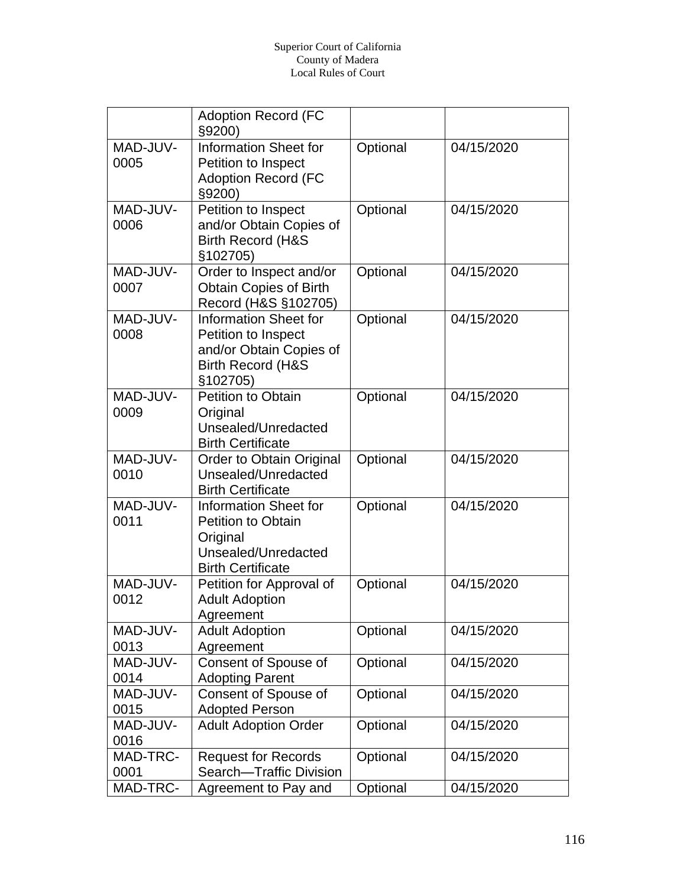|                  | <b>Adoption Record (FC</b><br>§9200)                                                                                       |          |            |
|------------------|----------------------------------------------------------------------------------------------------------------------------|----------|------------|
| MAD-JUV-<br>0005 | <b>Information Sheet for</b><br>Petition to Inspect<br><b>Adoption Record (FC</b><br>§9200)                                | Optional | 04/15/2020 |
| MAD-JUV-<br>0006 | Petition to Inspect<br>and/or Obtain Copies of<br><b>Birth Record (H&amp;S</b><br>§102705)                                 | Optional | 04/15/2020 |
| MAD-JUV-<br>0007 | Order to Inspect and/or<br><b>Obtain Copies of Birth</b><br>Record (H&S §102705)                                           | Optional | 04/15/2020 |
| MAD-JUV-<br>0008 | <b>Information Sheet for</b><br>Petition to Inspect<br>and/or Obtain Copies of<br><b>Birth Record (H&amp;S</b><br>§102705) | Optional | 04/15/2020 |
| MAD-JUV-<br>0009 | Petition to Obtain<br>Original<br>Unsealed/Unredacted<br><b>Birth Certificate</b>                                          | Optional | 04/15/2020 |
| MAD-JUV-<br>0010 | Order to Obtain Original<br>Unsealed/Unredacted<br><b>Birth Certificate</b>                                                | Optional | 04/15/2020 |
| MAD-JUV-<br>0011 | <b>Information Sheet for</b><br><b>Petition to Obtain</b><br>Original<br>Unsealed/Unredacted<br><b>Birth Certificate</b>   | Optional | 04/15/2020 |
| MAD-JUV-<br>0012 | Petition for Approval of<br><b>Adult Adoption</b><br>Agreement                                                             | Optional | 04/15/2020 |
| MAD-JUV-<br>0013 | <b>Adult Adoption</b><br>Agreement                                                                                         | Optional | 04/15/2020 |
| MAD-JUV-<br>0014 | Consent of Spouse of<br><b>Adopting Parent</b>                                                                             | Optional | 04/15/2020 |
| MAD-JUV-<br>0015 | <b>Consent of Spouse of</b><br><b>Adopted Person</b>                                                                       | Optional | 04/15/2020 |
| MAD-JUV-<br>0016 | <b>Adult Adoption Order</b>                                                                                                | Optional | 04/15/2020 |
| MAD-TRC-<br>0001 | <b>Request for Records</b><br>Search-Traffic Division                                                                      | Optional | 04/15/2020 |
| MAD-TRC-         | Agreement to Pay and                                                                                                       | Optional | 04/15/2020 |